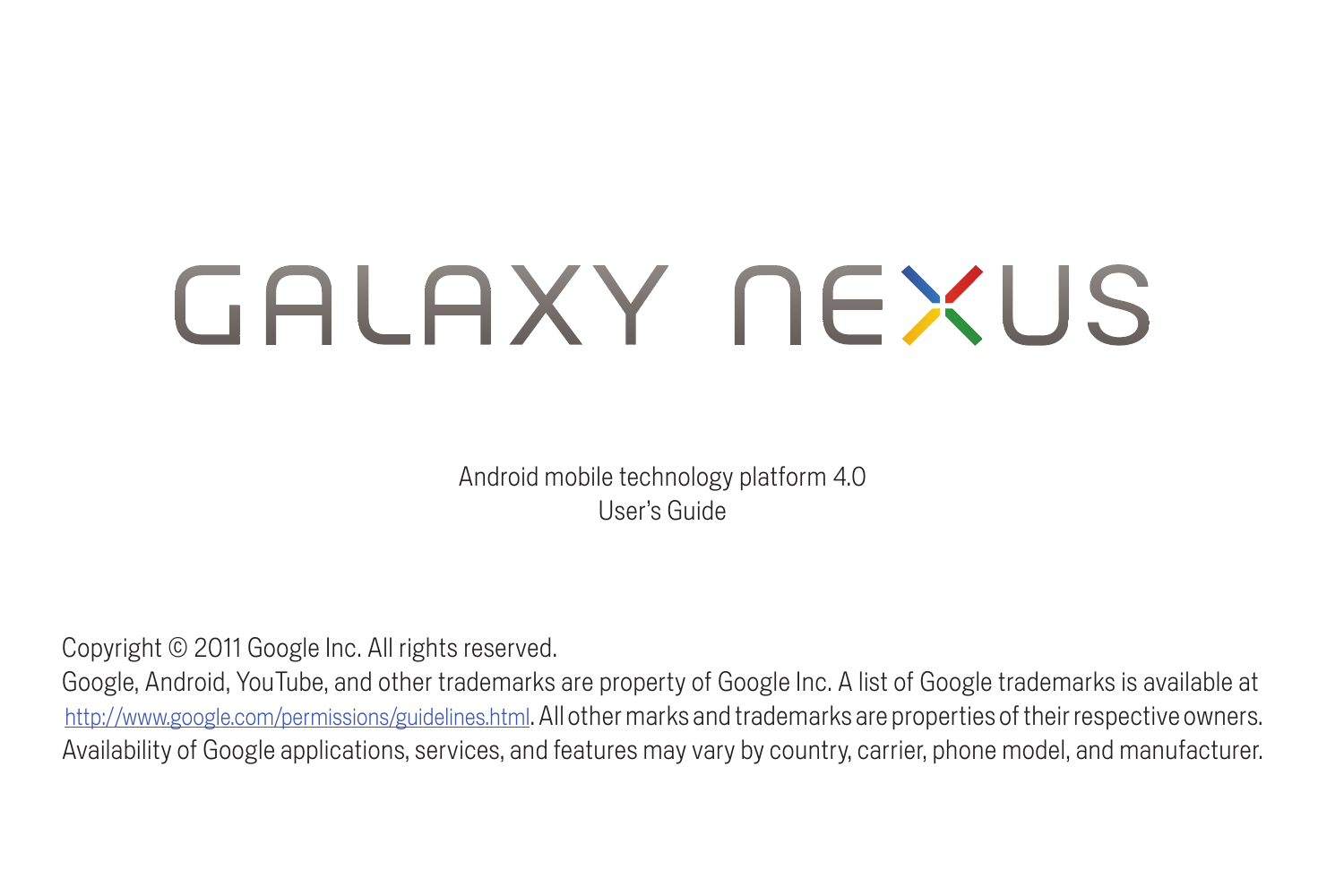# GALAXY NEXUS

Android mobile technology platform 4.0 User's Guide

Copyright © 2011 Google Inc. All rights reserved.

Google, Android, YouTube, and other trademarks are property of Google Inc. A list of Google trademarks is available at <http://www.google.com/permissions/guidelines.html>. All other marks and trademarks are properties of their respective owners. Availability of Google applications, services, and features may vary by country, carrier, phone model, and manufacturer.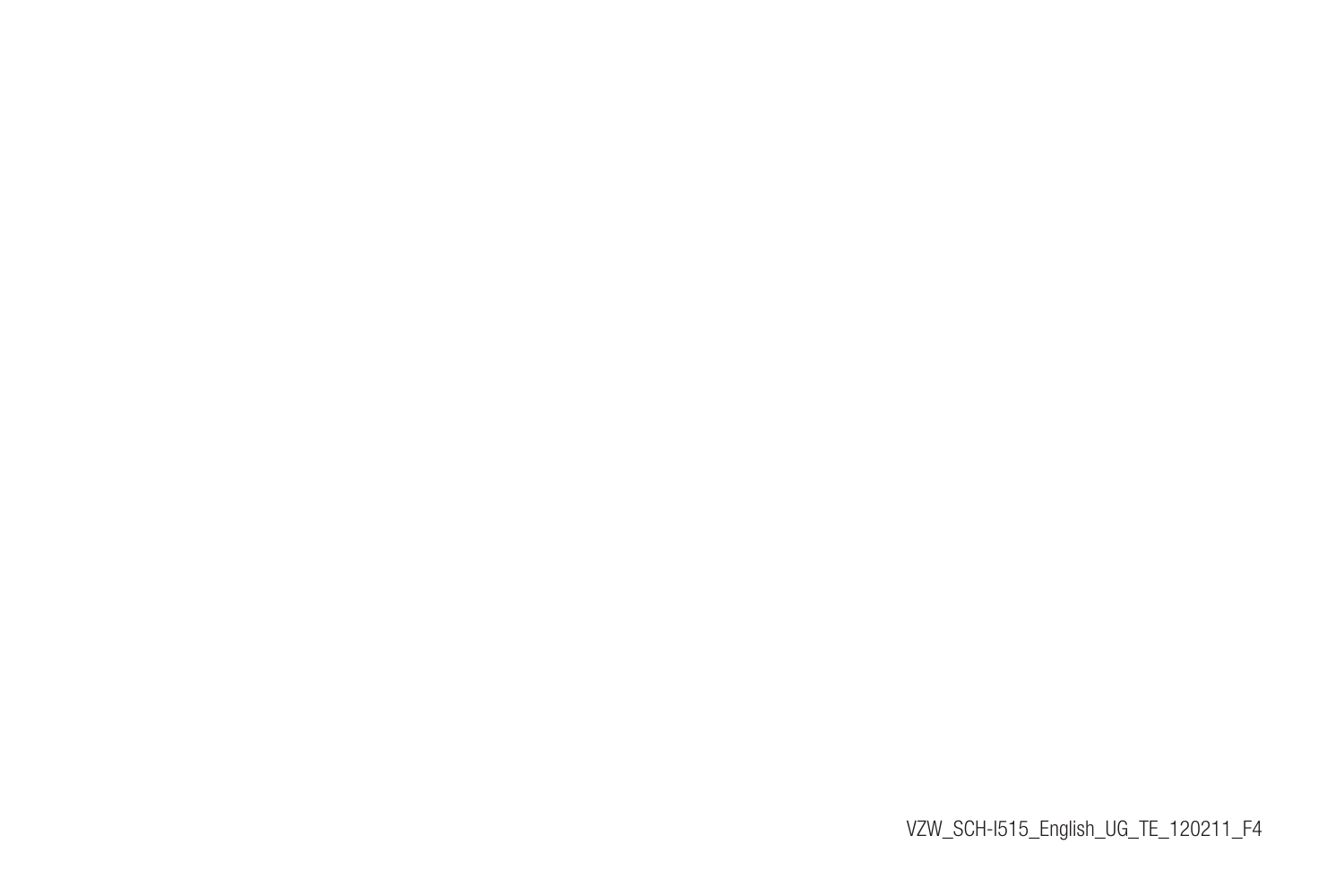VZW\_SCH-I515\_English\_UG\_TE\_120211\_F4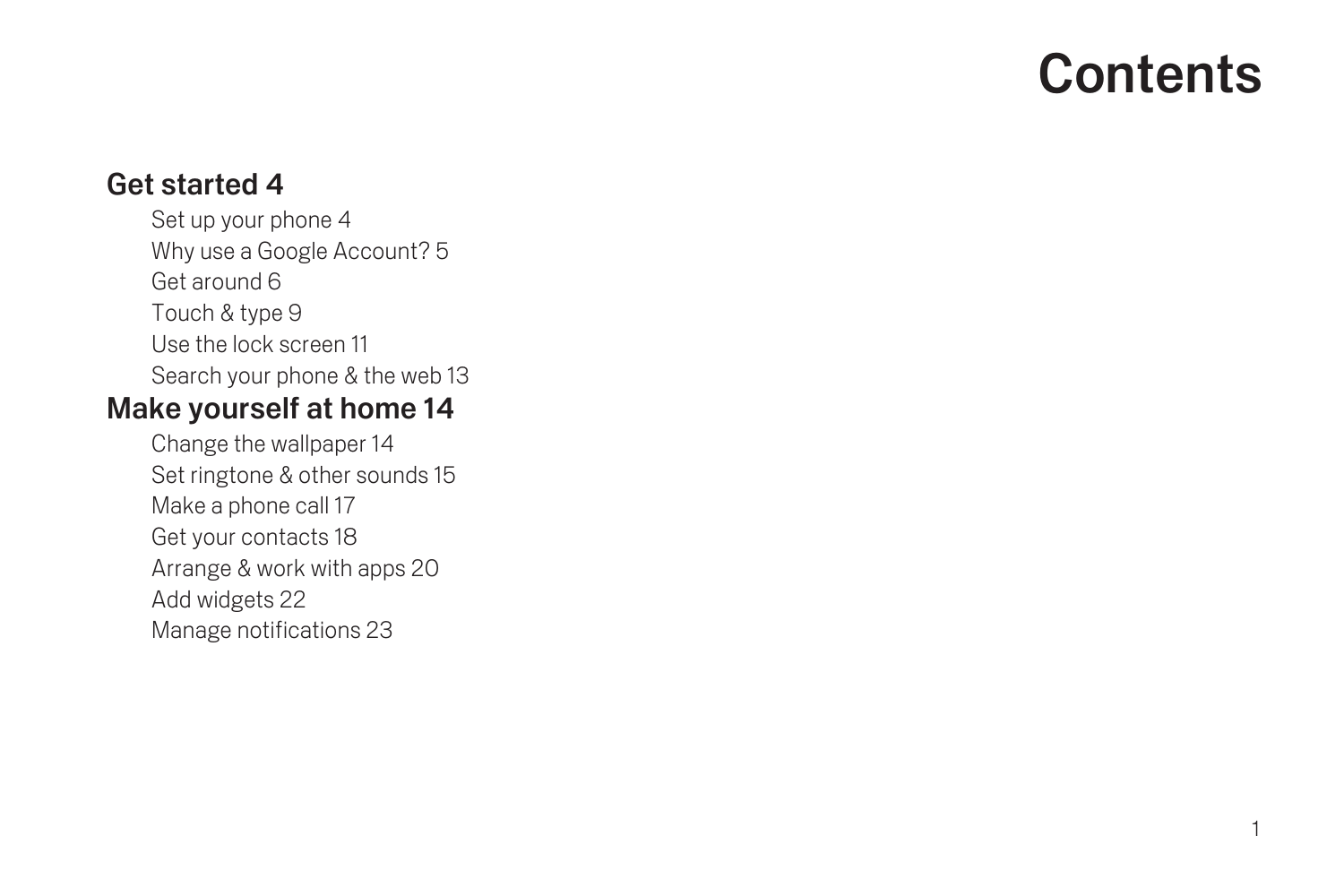# **Contents**

#### [Get started 4](#page-5-0)

[Set up your phone 4](#page-5-1) [Why use a Google Account? 5](#page-6-0) [Get around 6](#page-7-0) [Touch & type 9](#page-10-0) [Use the lock screen 11](#page-12-0) [Search your phone & the web 13](#page-14-0)

#### [Make yourself at home 14](#page-15-0)

[Change the wallpaper 14](#page-15-1) [Set ringtone & other sounds 15](#page-16-0) [Make a phone call 17](#page-18-0) [Get your contacts 18](#page-19-0) [Arrange & work with apps 20](#page-21-0) [Add widgets 22](#page-23-0) [Manage notifications 23](#page-24-0)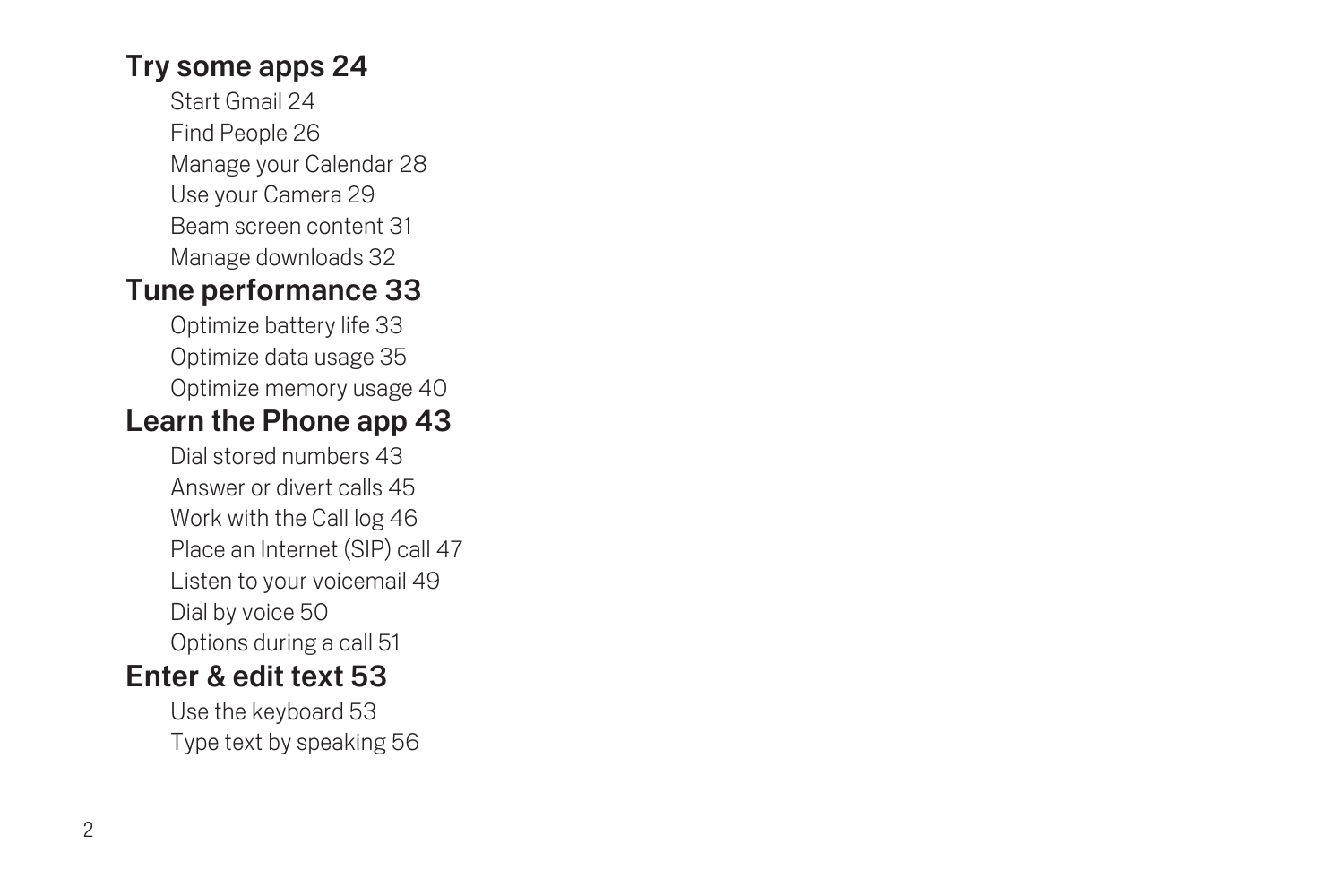## [Try some apps 24](#page-25-0)

[Start Gmail 24](#page-25-1) [Find People 26](#page-27-0) [Manage your Calendar 28](#page-29-0) [Use your Camera 29](#page-30-0) [Beam screen content 31](#page-32-0) [Manage downloads 32](#page-33-0)

## [Tune performance 33](#page-34-0)

[Optimize battery life 33](#page-34-1) [Optimize data usage 35](#page-36-0) [Optimize memory usage 40](#page-41-0)

## [Learn the Phone app 43](#page-44-0)

[Dial stored numbers 43](#page-44-1) [Answer or divert calls 45](#page-46-0) [Work with the Call log 46](#page-47-0) [Place an Internet \(SIP\) call 47](#page-48-0) [Listen to your voicemail 49](#page-50-0) [Dial by voice 50](#page-51-0) [Options during a call 51](#page-52-0)

## [Enter & edit text 53](#page-54-0)

[Use the keyboard 53](#page-54-1) [Type text by speaking 56](#page-57-0)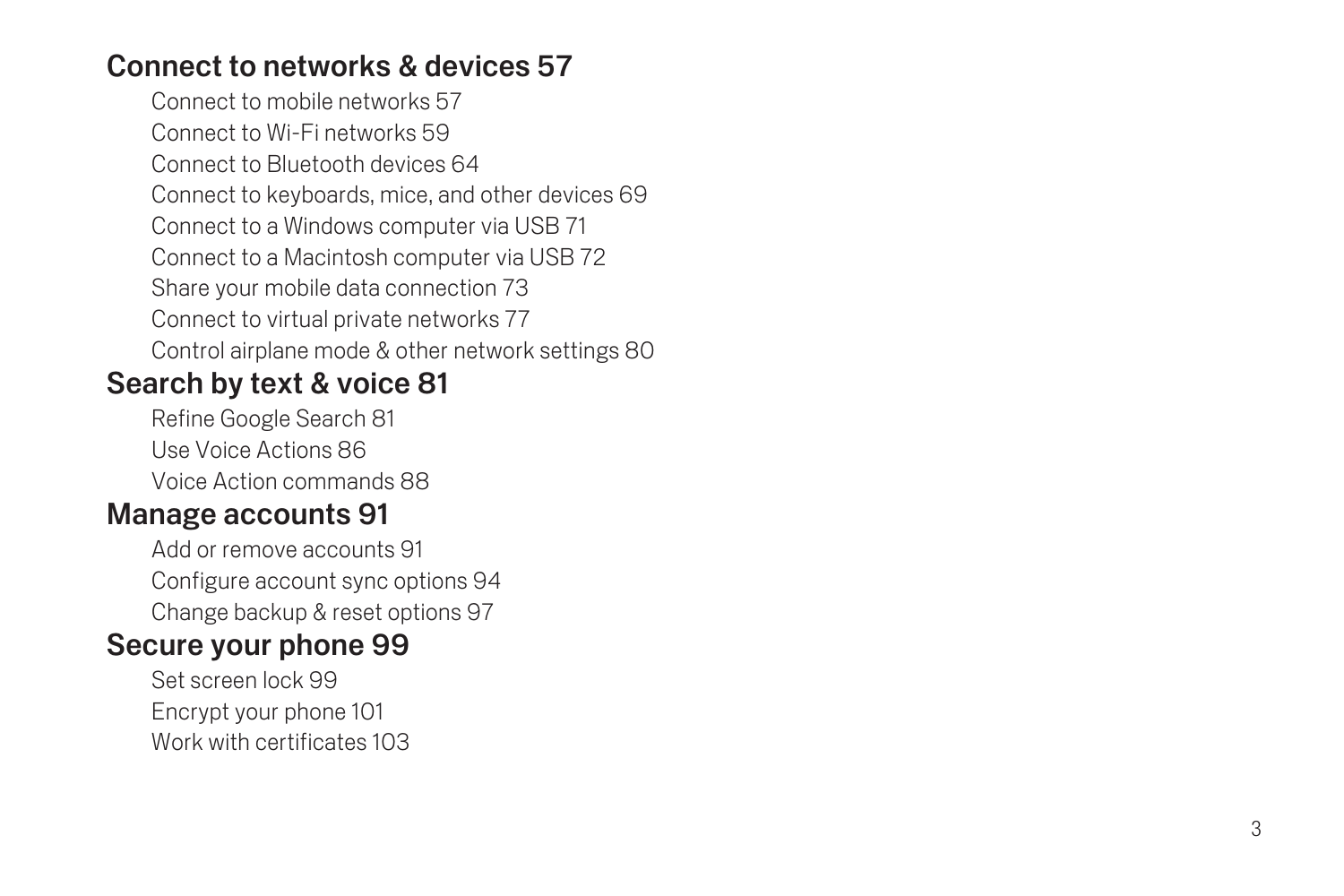## [Connect to networks & devices 57](#page-58-0)

[Connect to mobile networks 57](#page-58-1) [Connect to Wi-Fi networks 59](#page-60-0) [Connect to Bluetooth devices 64](#page-65-0) [Connect to keyboards, mice, and other devices 69](#page-70-0) [Connect to a Windows computer via USB 71](#page-72-0) [Connect to a Macintosh computer via USB 72](#page-73-0) [Share your mobile data connection 73](#page-74-0) [Connect to virtual private networks 77](#page-78-0) [Control airplane mode & other network settings 80](#page-81-0)

## [Search by text & voice 81](#page-82-0)

[Refine Google Search 81](#page-82-1) [Use Voice Actions 86](#page-87-0) [Voice Action commands 88](#page-89-0)

## [Manage accounts 91](#page-92-0)

[Add or remove accounts 91](#page-92-1) [Configure account sync options 94](#page-95-0) [Change backup & reset options 97](#page-98-0)

## [Secure your phone 99](#page-100-0)

[Set screen lock 99](#page-100-1) [Encrypt your phone 101](#page-102-0) [Work with certificates 103](#page-104-0)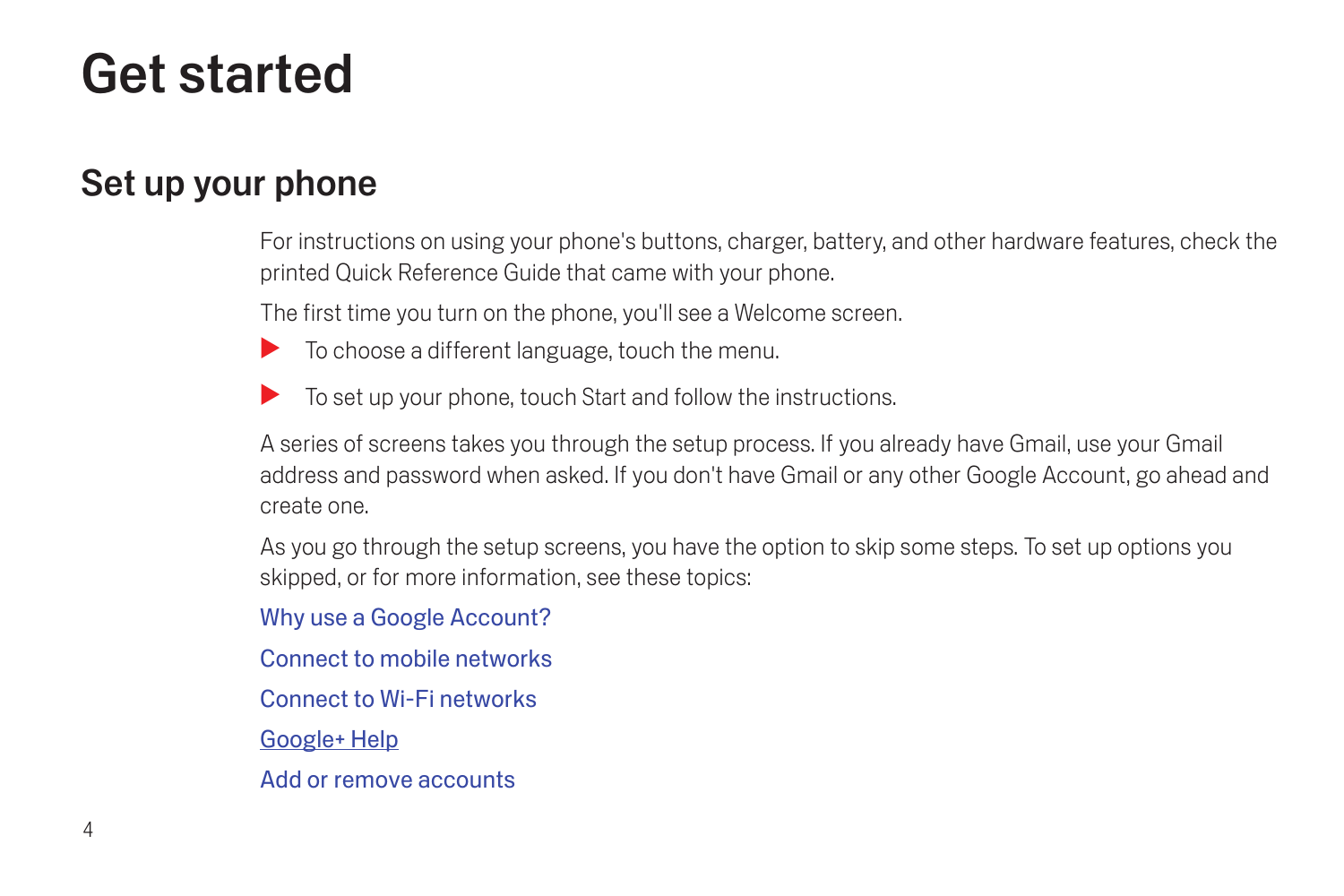# <span id="page-5-0"></span>Get started

## <span id="page-5-1"></span>Set up your phone

For instructions on using your phone's buttons, charger, battery, and other hardware features, check the printed Quick Reference Guide that came with your phone.

The first time you turn on the phone, you'll see a Welcome screen.

- $\blacktriangleright$  To choose a different language, touch the menu.
- $\triangleright$  To set up your phone, touch Start and follow the instructions.

A series of screens takes you through the setup process. If you already have Gmail, use your Gmail address and password when asked. If you don't have Gmail or any other Google Account, go ahead and create one.

As you go through the setup screens, you have the option to skip some steps. To set up options you skipped, or for more information, see these topics:

[Why use a Google Account?](#page-6-0)

[Connect to mobile networks](#page-58-2)

[Connect to Wi-Fi networks](#page-60-1)

Google+ Help

[Add or remove accounts](#page-92-2)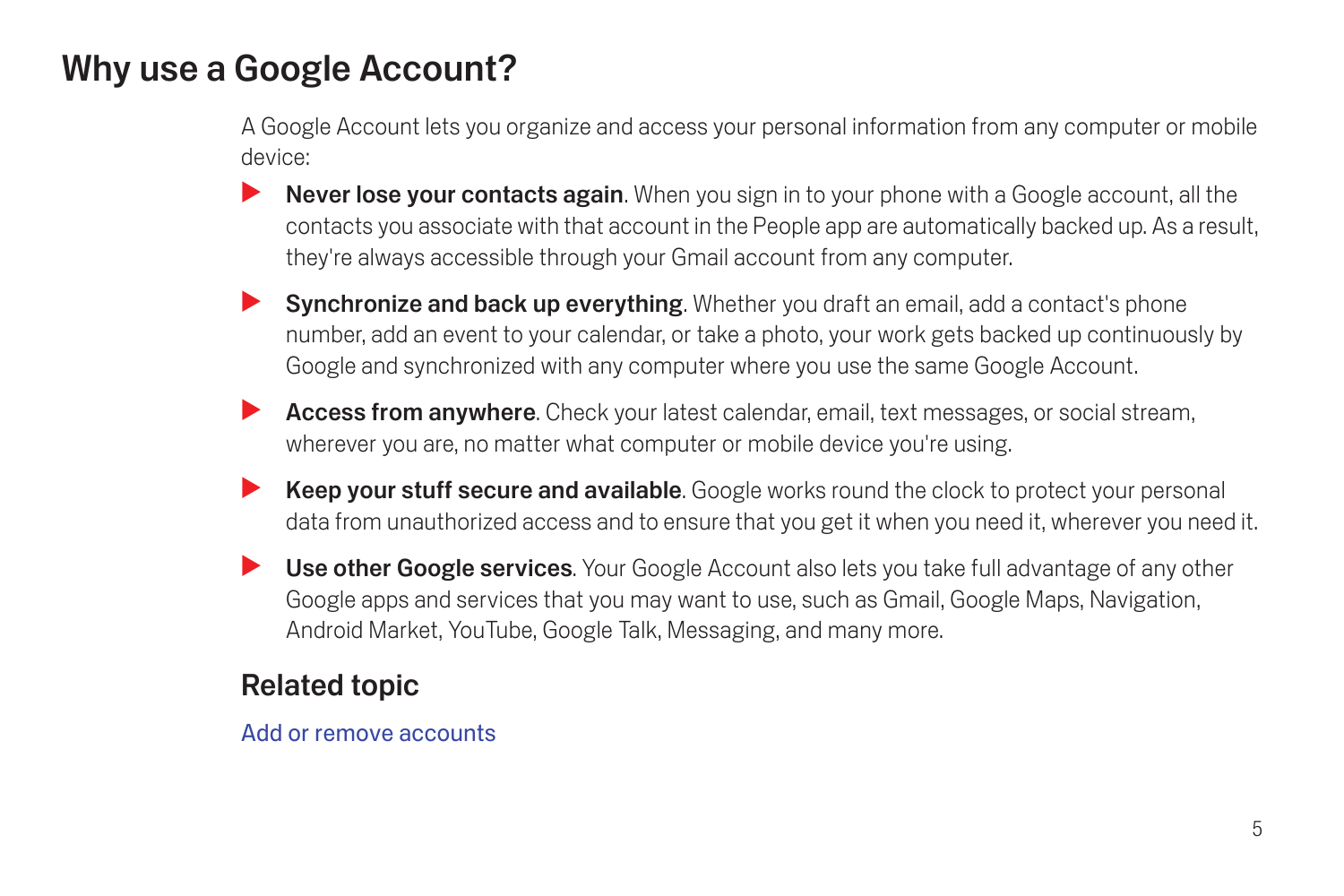## <span id="page-6-1"></span><span id="page-6-0"></span>Why use a Google Account?

A Google Account lets you organize and access your personal information from any computer or mobile device:

- Never lose your contacts again. When you sign in to your phone with a Google account, all the contacts you associate with that account in the People app are automatically backed up. As a result, they're always accessible through your Gmail account from any computer.
- **Synchronize and back up everything.** Whether you draft an email, add a contact's phone number, add an event to your calendar, or take a photo, your work gets backed up continuously by Google and synchronized with any computer where you use the same Google Account.
- Access from anywhere. Check your latest calendar, email, text messages, or social stream, wherever you are, no matter what computer or mobile device you're using.
- **Keep your stuff secure and available.** Google works round the clock to protect your personal data from unauthorized access and to ensure that you get it when you need it, wherever you need it.
- Use other Google services. Your Google Account also lets you take full advantage of any other Google apps and services that you may want to use, such as Gmail, Google Maps, Navigation, Android Market, YouTube, Google Talk, Messaging, and many more.

#### Related topic

#### [Add or remove accounts](#page-92-2)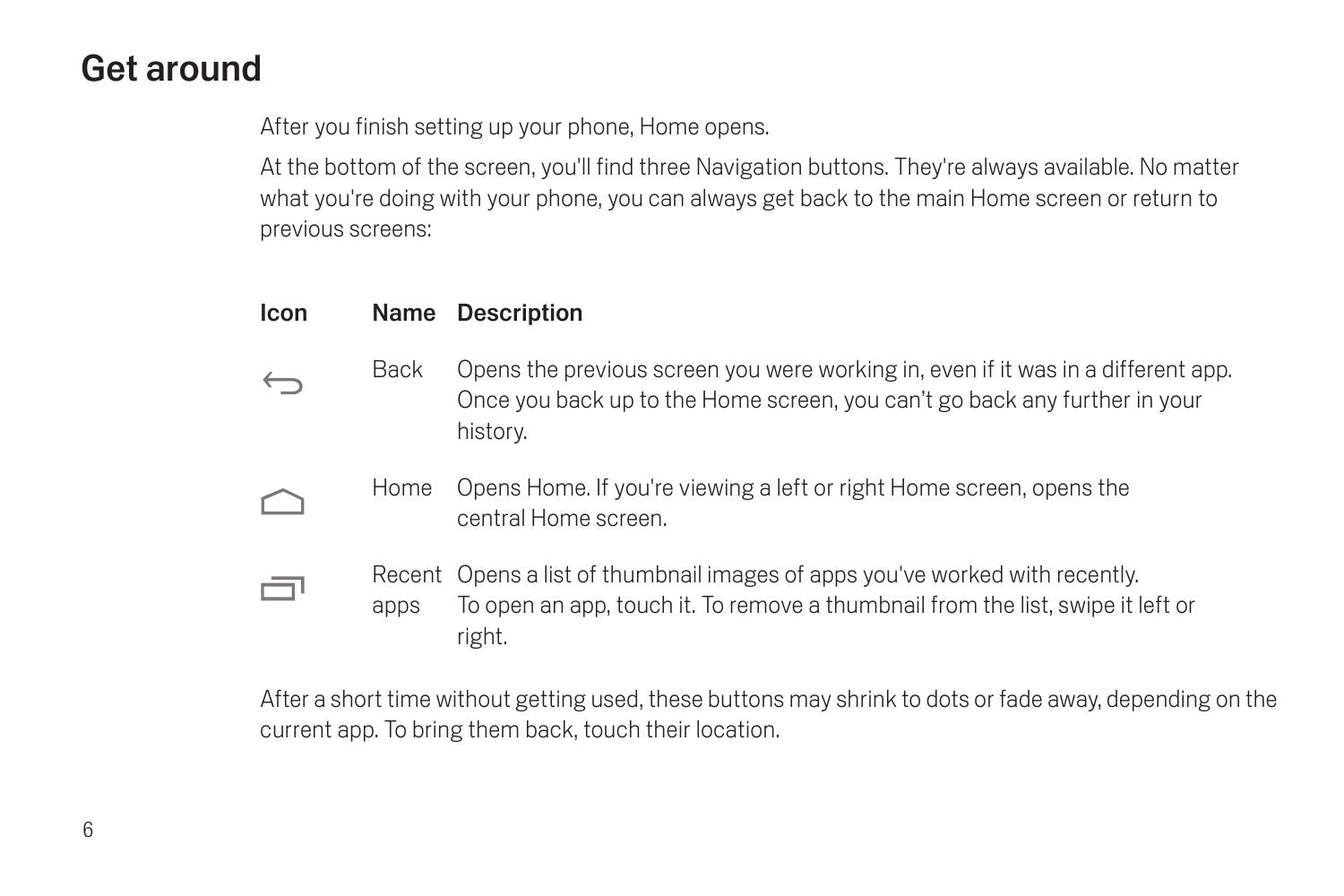## <span id="page-7-0"></span>Get around

After you finish setting up your phone, Home opens.

At the bottom of the screen, you'll find three Navigation buttons. They're always available. No matter what you're doing with your phone, you can always get back to the main Home screen or return to previous screens:

#### Icon Name Description

ā

- Back Opens the previous screen you were working in, even if it was in a different app.  $\leftarrow$ Once you back up to the Home screen, you can't go back any further in your history.
	- Home Opens Home. If you're viewing a left or right Home screen, opens the central Home screen.
		- Recent Opens a list of thumbnail images of apps you've worked with recently. apps To open an app, touch it. To remove a thumbnail from the list, swipe it left or right.

After a short time without getting used, these buttons may shrink to dots or fade away, depending on the current app. To bring them back, touch their location.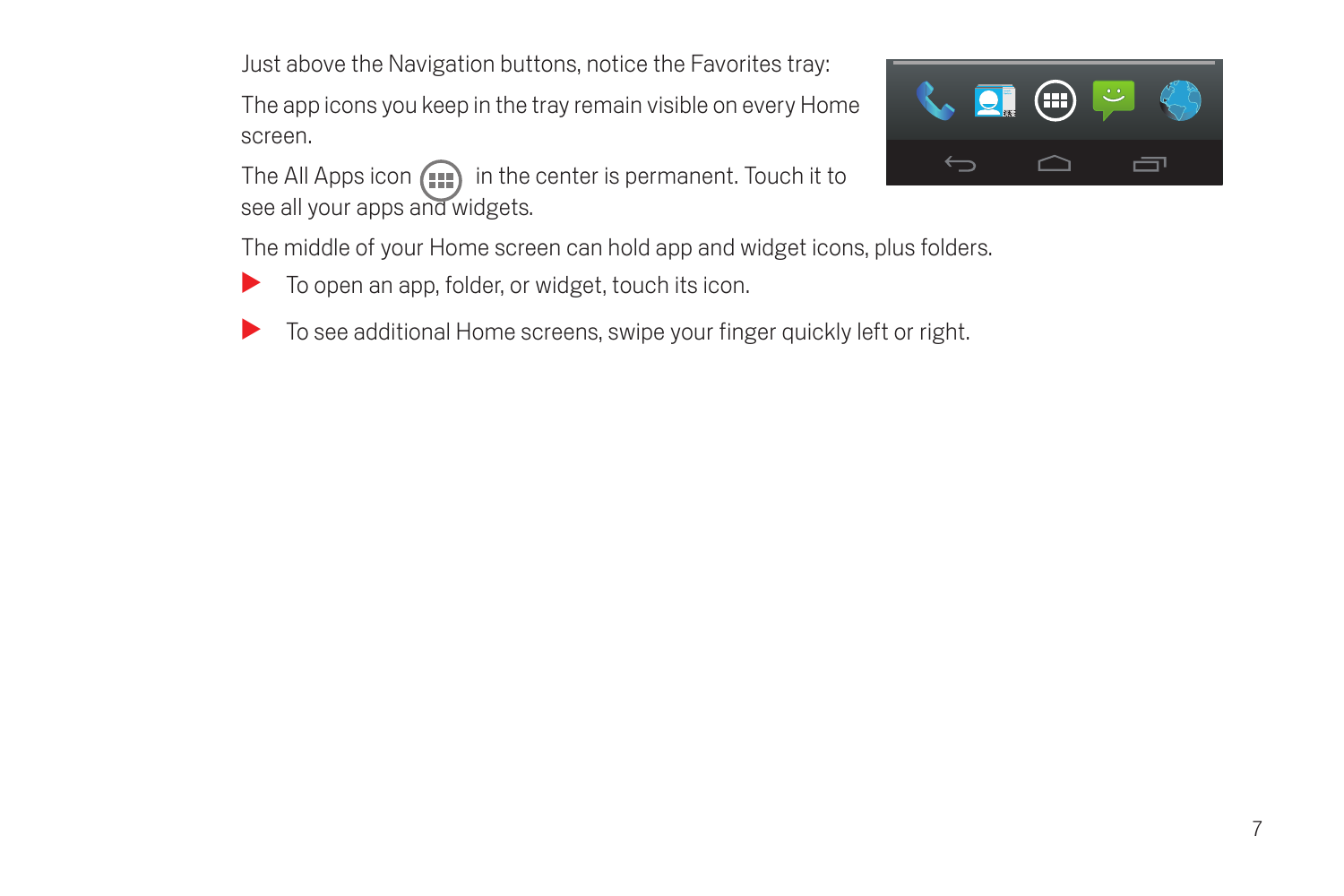Just above the Navigation buttons, notice the Favorites tray:

The app icons you keep in the tray remain visible on every Home screen.

The All Apps icon  $\left(\mathbf{m}\right)$  in the center is permanent. Touch it to see all your apps and widgets.



The middle of your Home screen can hold app and widget icons, plus folders.

- $\blacktriangleright$  To open an app, folder, or widget, touch its icon.
- To see additional Home screens, swipe your finger quickly left or right.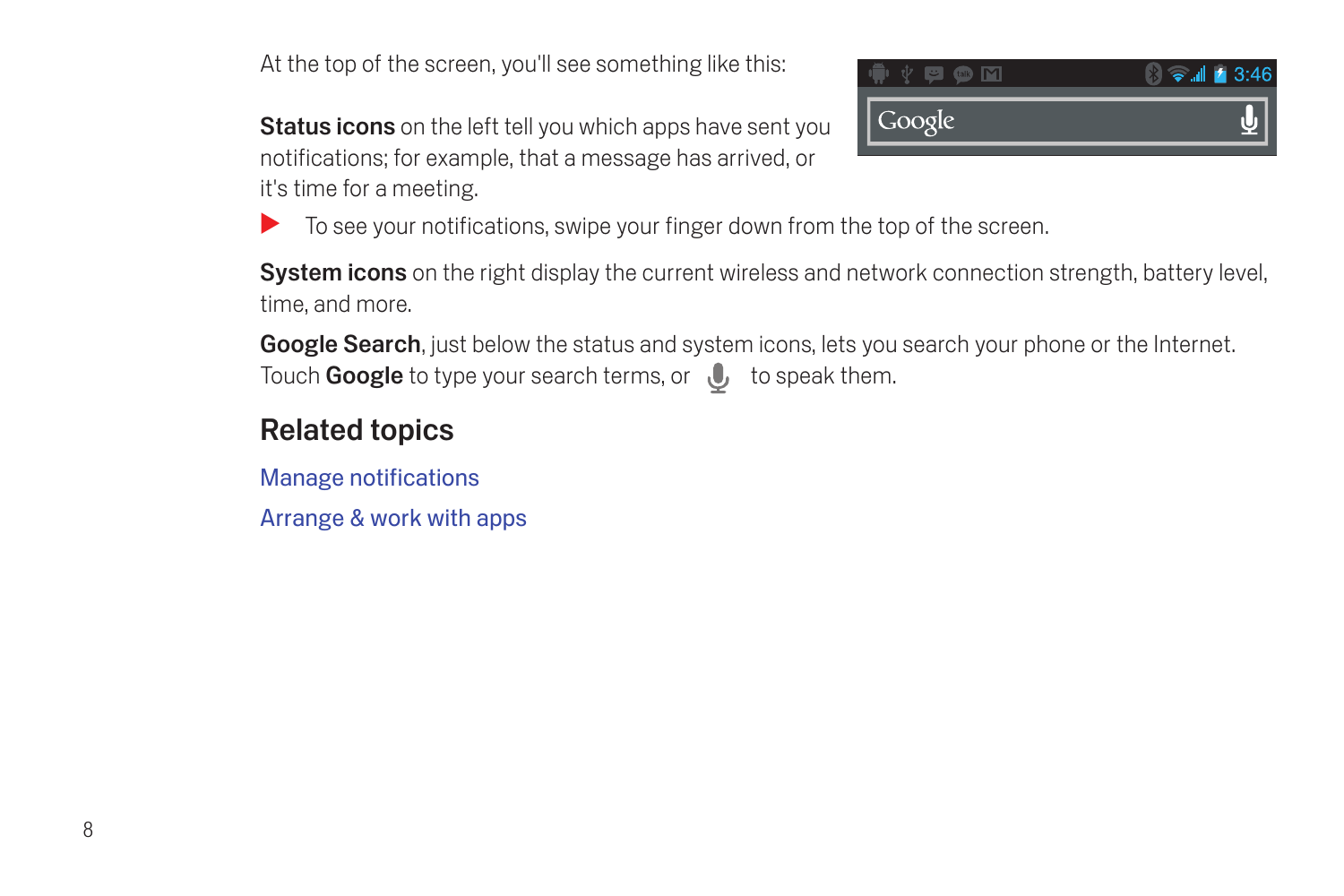At the top of the screen, you'll see something like this:

Status icons on the left tell you which apps have sent you notifications; for example, that a message has arrived, or it's time for a meeting.



 $\triangleright$  To see your notifications, swipe your finger down from the top of the screen.

System icons on the right display the current wireless and network connection strength, battery level, time, and more.

Google Search, just below the status and system icons, lets you search your phone or the Internet. Touch Google to type your search terms, or  $\mathbb U$  to speak them.

## Related topics

[Manage notifications](#page-24-1)

[Arrange & work with apps](#page-21-1)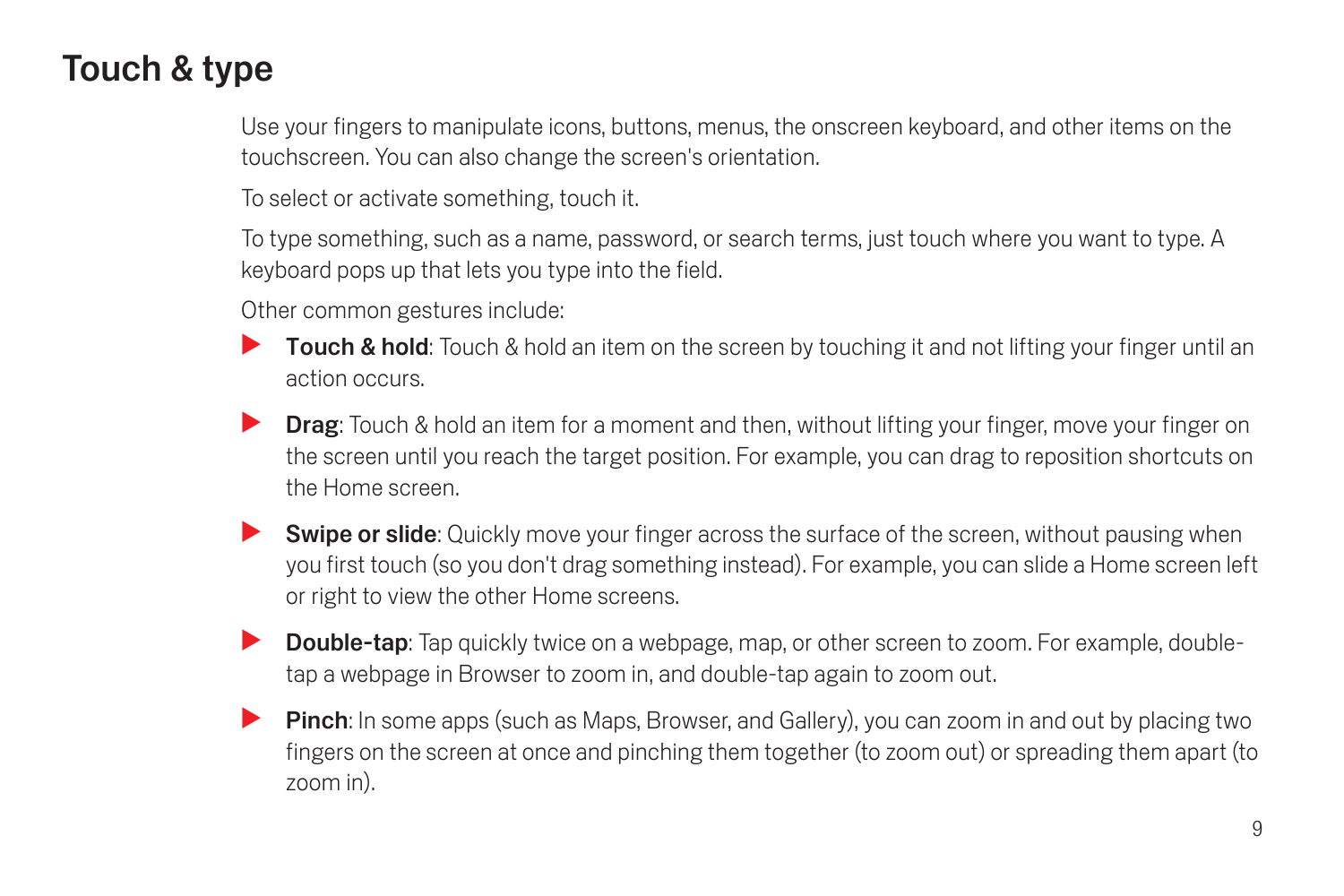## <span id="page-10-0"></span>Touch & type

Use your fingers to manipulate icons, buttons, menus, the onscreen keyboard, and other items on the touchscreen. You can also change the screen's orientation.

To select or activate something, touch it.

To type something, such as a name, password, or search terms, just touch where you want to type. A keyboard pops up that lets you type into the field.

Other common gestures include:

- **Touch & hold:** Touch & hold an item on the screen by touching it and not lifting your finger until an action occurs.
- **Drag:** Touch & hold an item for a moment and then, without lifting your finger, move your finger on the screen until you reach the target position. For example, you can drag to reposition shortcuts on the Home screen.
- **Swipe or slide:** Quickly move your finger across the surface of the screen, without pausing when you first touch (so you don't drag something instead). For example, you can slide a Home screen left or right to view the other Home screens.
- **Double-tap**: Tap quickly twice on a webpage, map, or other screen to zoom. For example, doubletap a webpage in Browser to zoom in, and double-tap again to zoom out.
- **Pinch:** In some apps (such as Maps, Browser, and Gallery), you can zoom in and out by placing two fingers on the screen at once and pinching them together (to zoom out) or spreading them apart (to zoom in).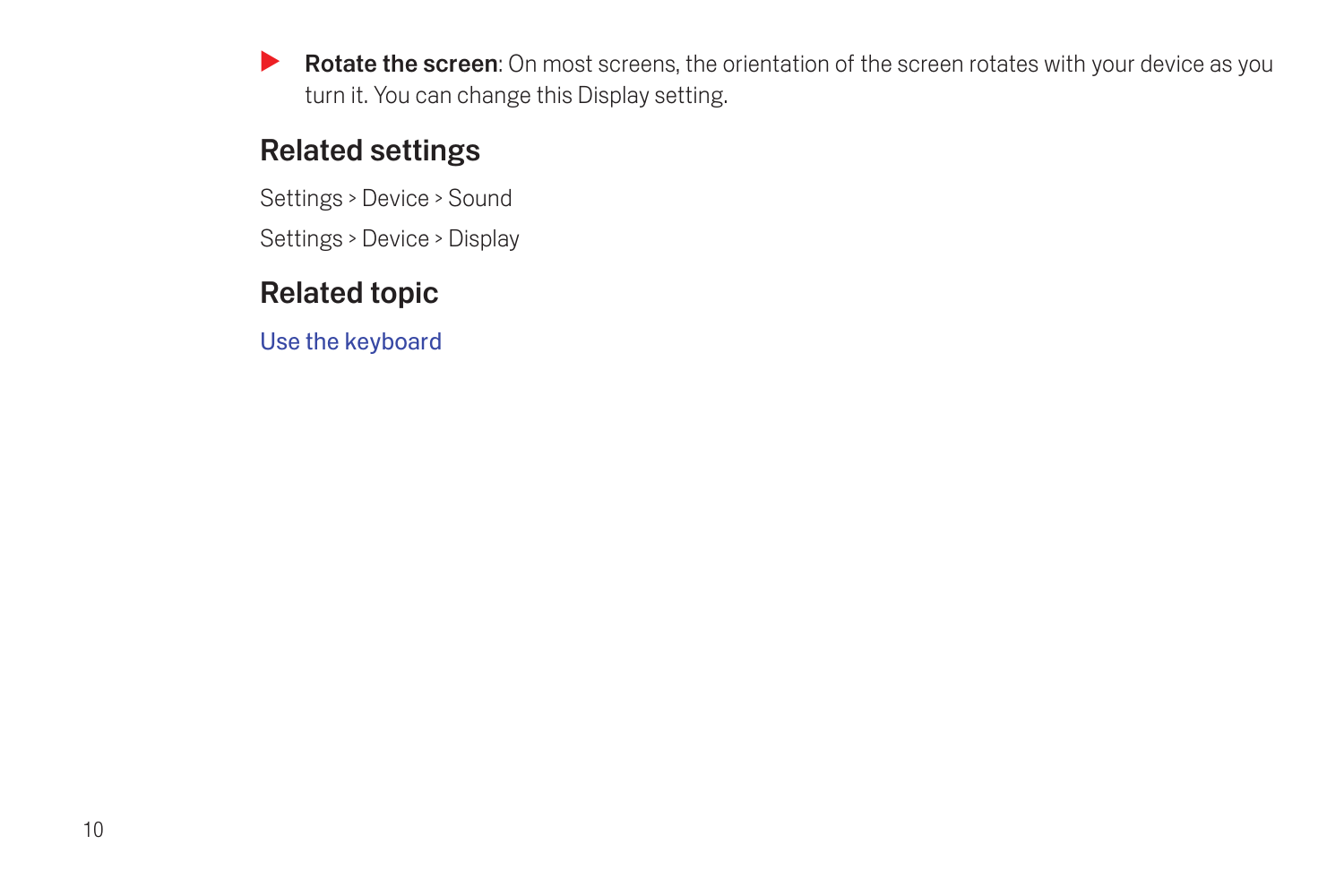**SEX Rotate the screen:** On most screens, the orientation of the screen rotates with your device as you turn it. You can change this Display setting.

## Related settings

Settings > Device > Sound

Settings > Device > Display

## Related topic

[Use the keyboard](#page-54-2)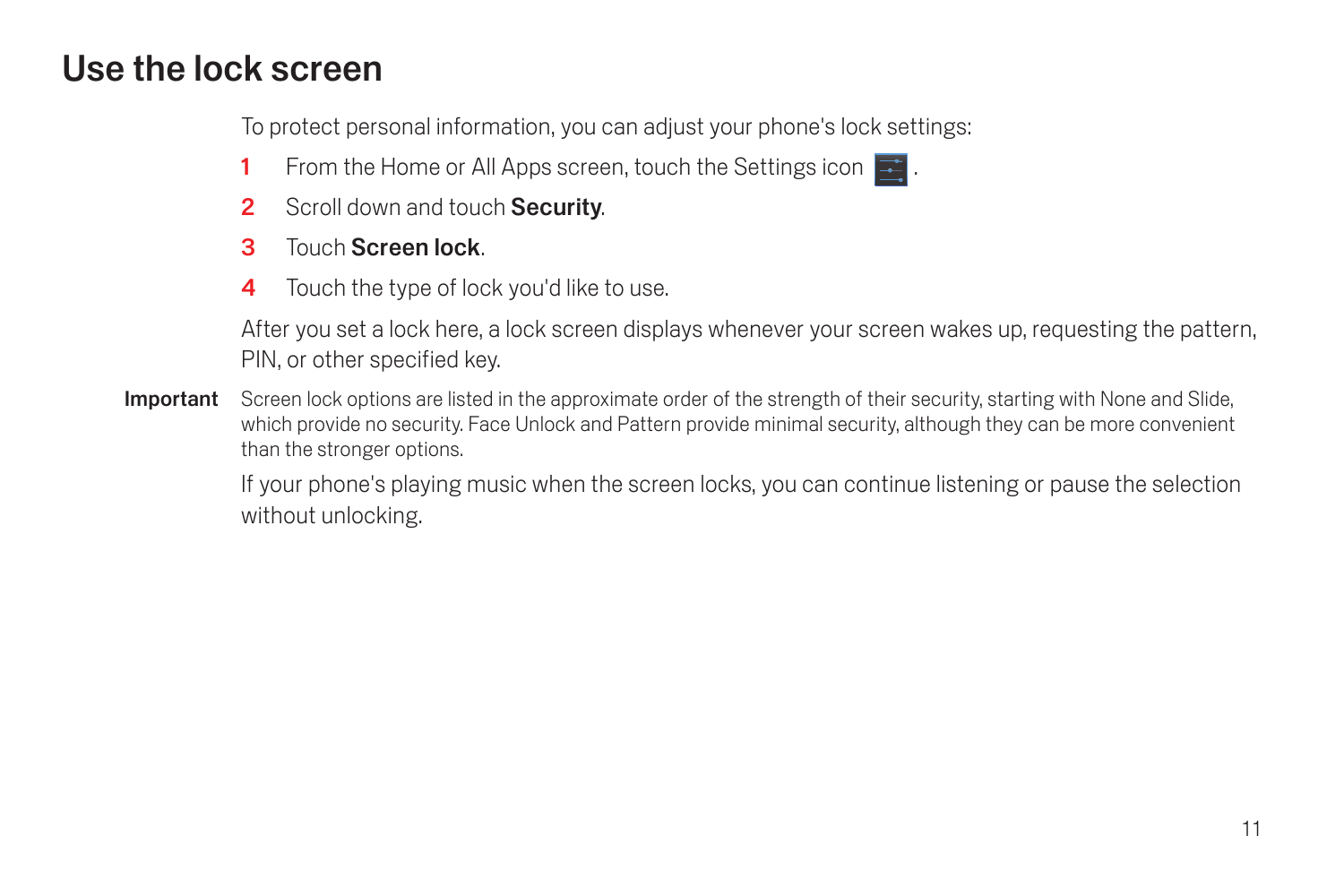## <span id="page-12-0"></span>Use the lock screen

To protect personal information, you can adjust your phone's lock settings:

- 1 From the Home or All Apps screen, touch the Settings icon  $\mathbb{R}$ .
- 2 Scroll down and touch Security.
- 3 Touch Screen lock.
- 4 Touch the type of lock you'd like to use.

After you set a lock here, a lock screen displays whenever your screen wakes up, requesting the pattern, PIN, or other specified key.

Important Screen lock options are listed in the approximate order of the strength of their security, starting with None and Slide. which provide no security. Face Unlock and Pattern provide minimal security, although they can be more convenient than the stronger options.

> If your phone's playing music when the screen locks, you can continue listening or pause the selection without unlocking.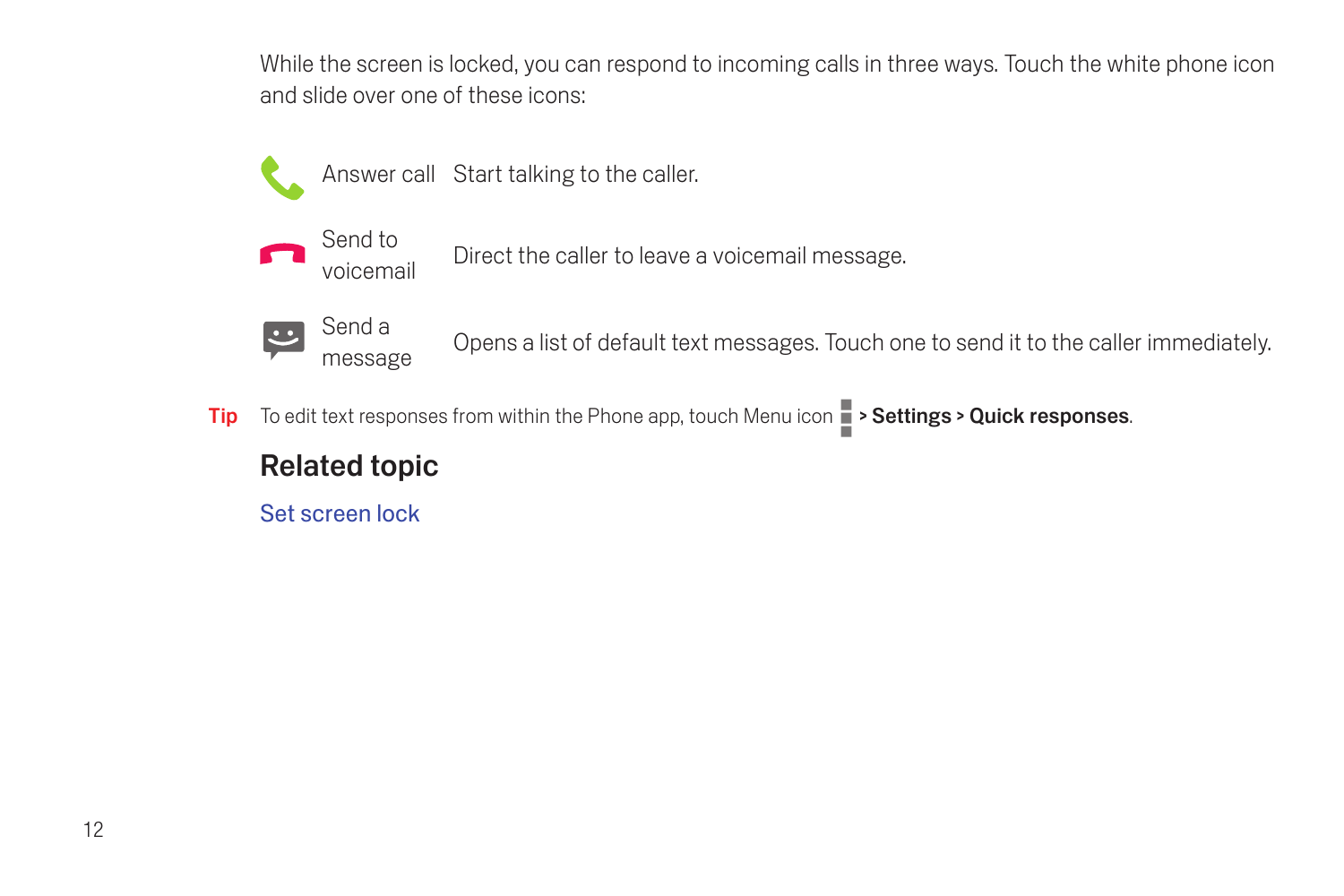While the screen is locked, you can respond to incoming calls in three ways. Touch the white phone icon and slide over one of these icons:





voicemail Direct the caller to leave a voicemail message.



message Opens a list of default text messages. Touch one to send it to the caller immediately.

Tip To edit text responses from within the Phone app, touch Menu icon  $\Box$  > Settings > Quick responses.

#### Related topic

[Set screen lock](#page-100-2)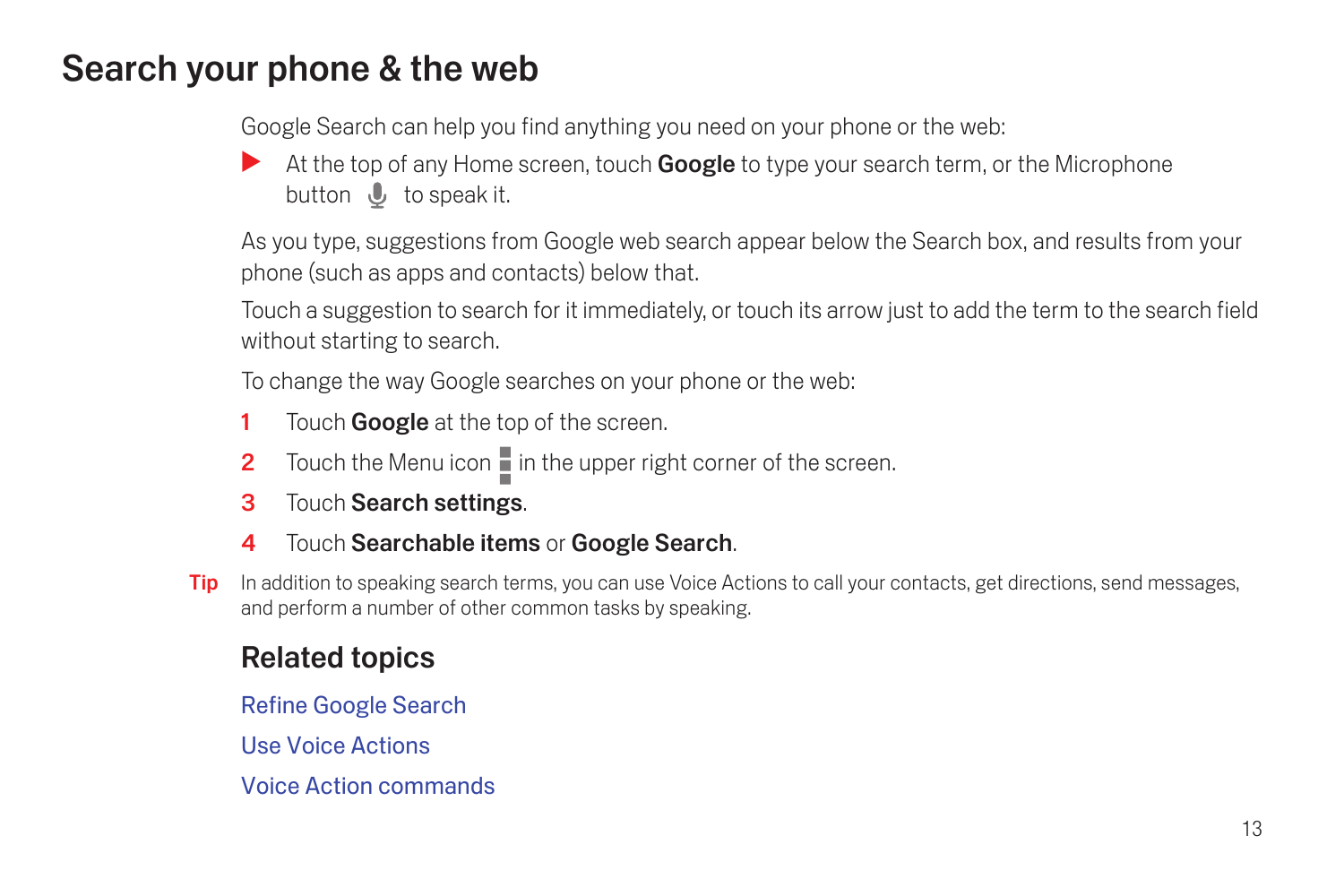## <span id="page-14-0"></span>Search your phone & the web

Google Search can help you find anything you need on your phone or the web:

At the top of any Home screen, touch **Google** to type your search term, or the Microphone button **U** to speak it.

As you type, suggestions from Google web search appear below the Search box, and results from your phone (such as apps and contacts) below that.

Touch a suggestion to search for it immediately, or touch its arrow just to add the term to the search field without starting to search.

To change the way Google searches on your phone or the web:

- 1 Touch **Google** at the top of the screen.
- 2 Touch the Menu icon  $\overline{\phantom{a}}$  in the upper right corner of the screen.
- 3 Touch Search settings.
- **4** Touch Searchable items or Google Search.
- **Tip** In addition to speaking search terms, you can use Voice Actions to call your contacts, get directions, send messages, and perform a number of other common tasks by speaking.

## Related topics

[Refine Google Search](#page-82-2)

[Use Voice Actions](#page-87-1)

[Voice Action commands](#page-89-1)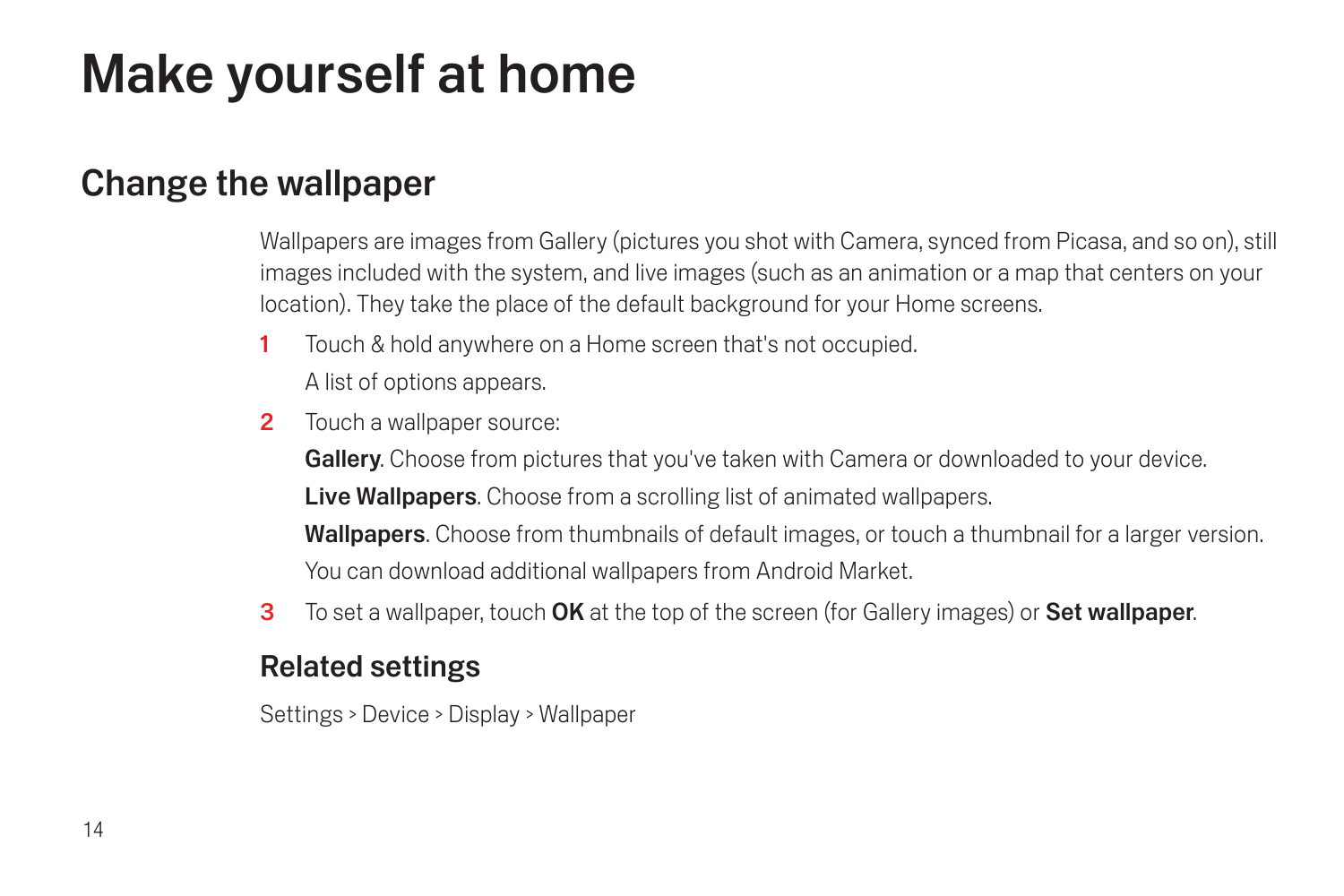# <span id="page-15-0"></span>Make yourself at home

## <span id="page-15-1"></span>Change the wallpaper

Wallpapers are images from Gallery (pictures you shot with Camera, synced from Picasa, and so on), still images included with the system, and live images (such as an animation or a map that centers on your location). They take the place of the default background for your Home screens.

- 1 Touch & hold anywhere on a Home screen that's not occupied. A list of options appears.
- 2 Touch a wallpaper source:

Gallery. Choose from pictures that you've taken with Camera or downloaded to your device. Live Wallpapers. Choose from a scrolling list of animated wallpapers. Wallpapers. Choose from thumbnails of default images, or touch a thumbnail for a larger version. You can download additional wallpapers from Android Market.

3 To set a wallpaper, touch OK at the top of the screen (for Gallery images) or Set wallpaper.

#### Related settings

Settings > Device > Display > Wallpaper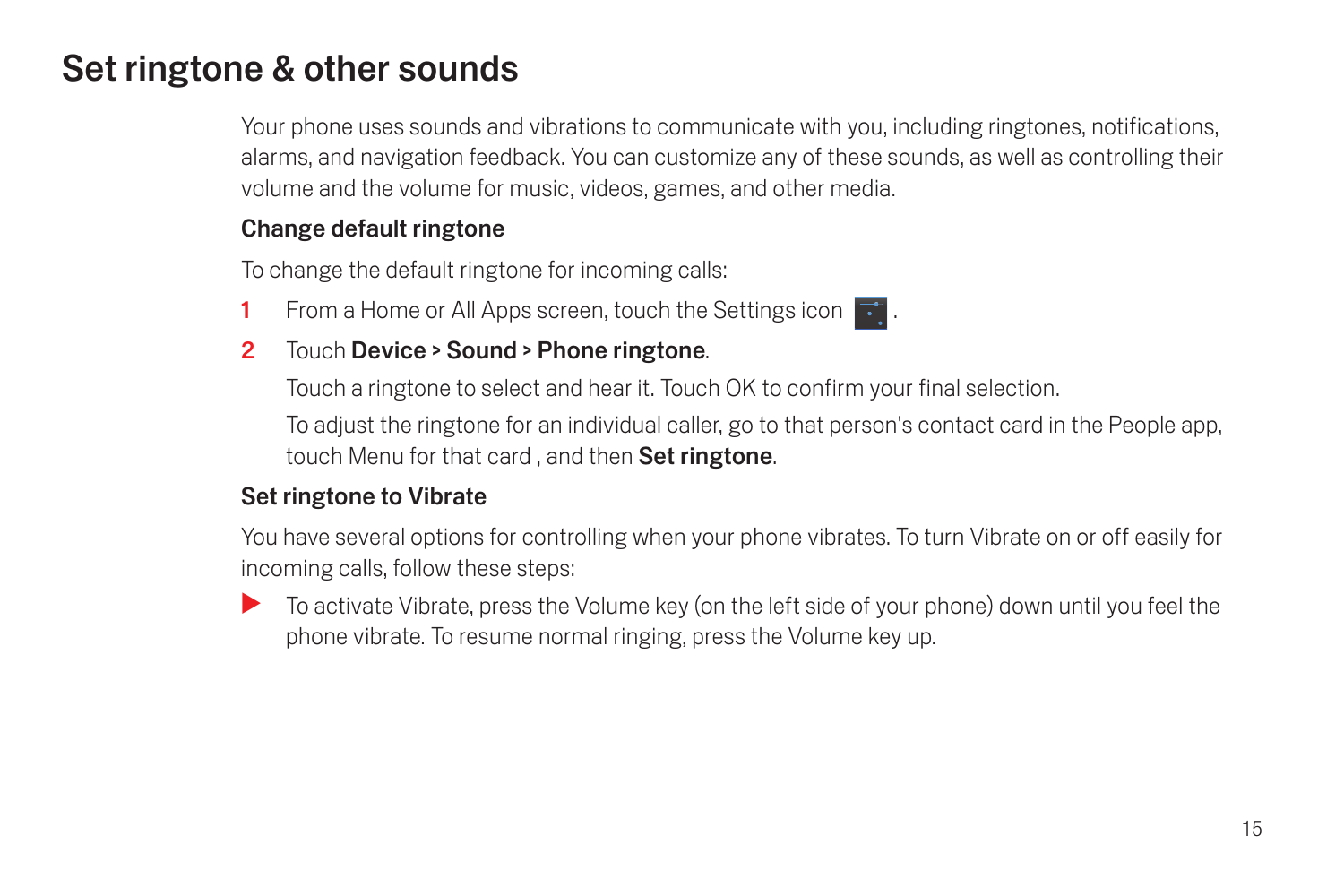## <span id="page-16-0"></span>Set ringtone & other sounds

Your phone uses sounds and vibrations to communicate with you, including ringtones, notifications, alarms, and navigation feedback. You can customize any of these sounds, as well as controlling their volume and the volume for music, videos, games, and other media.

#### Change default ringtone

To change the default ringtone for incoming calls:

1 From a Home or All Apps screen, touch the Settings icon  $\blacksquare$ .

#### 2 Touch Device > Sound > Phone ringtone.

Touch a ringtone to select and hear it. Touch OK to confirm your final selection.

To adjust the ringtone for an individual caller, go to that person's contact card in the People app, touch Menu for that card, and then Set ringtone.

#### Set ringtone to Vibrate

You have several options for controlling when your phone vibrates. To turn Vibrate on or off easily for incoming calls, follow these steps:

To activate Vibrate, press the Volume key (on the left side of your phone) down until you feel the phone vibrate. To resume normal ringing, press the Volume key up.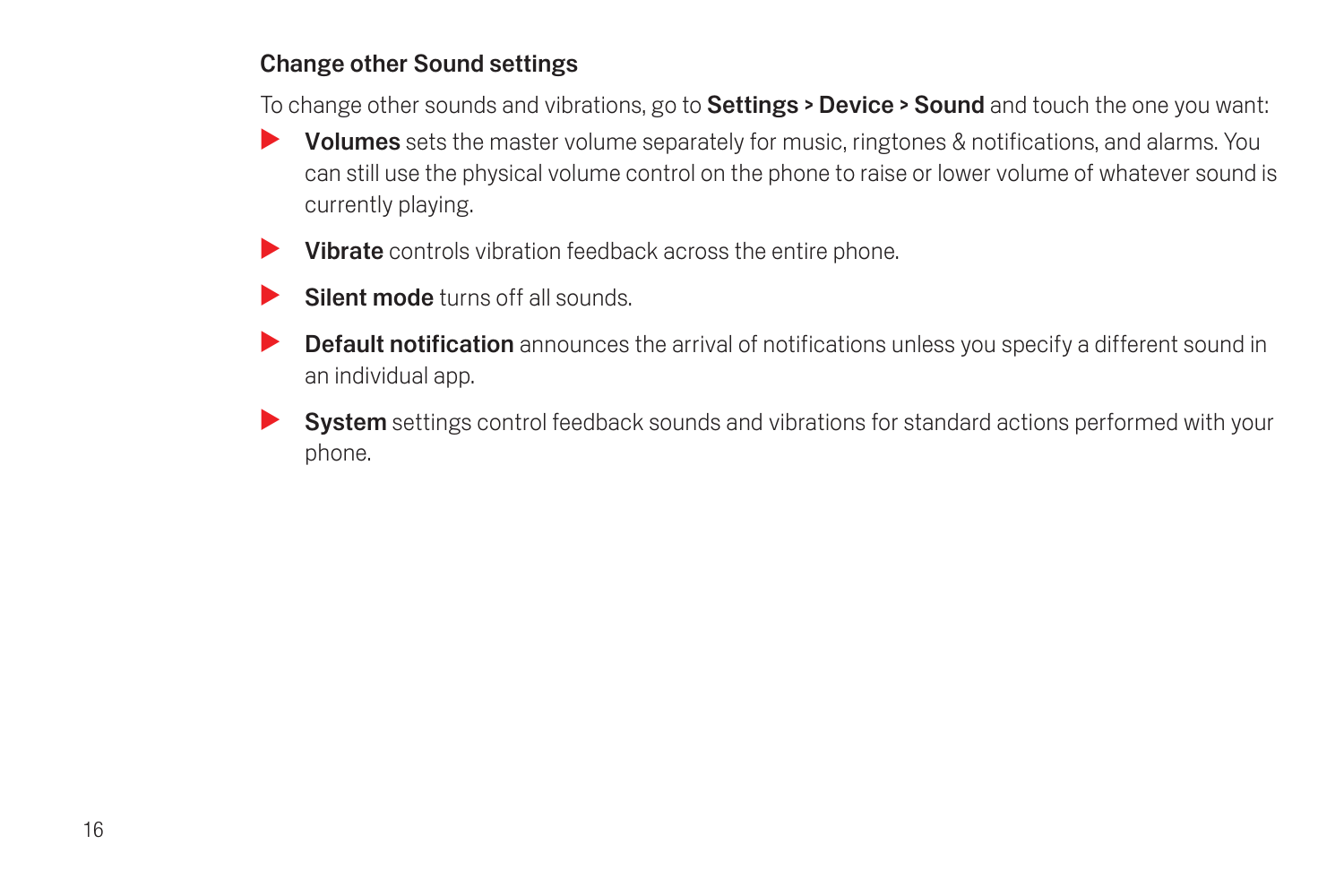#### Change other Sound settings

To change other sounds and vibrations, go to **Settings > Device > Sound** and touch the one you want:

- $\blacktriangleright$  Volumes sets the master volume separately for music, ringtones & notifications, and alarms. You can still use the physical volume control on the phone to raise or lower volume of whatever sound is currently playing.
- $\blacktriangleright$  Vibrate controls vibration feedback across the entire phone.
- $\blacktriangleright$  Silent mode turns off all sounds.
- Default notification announces the arrival of notifications unless you specify a different sound in an individual app.
- $\blacktriangleright$  System settings control feedback sounds and vibrations for standard actions performed with your phone.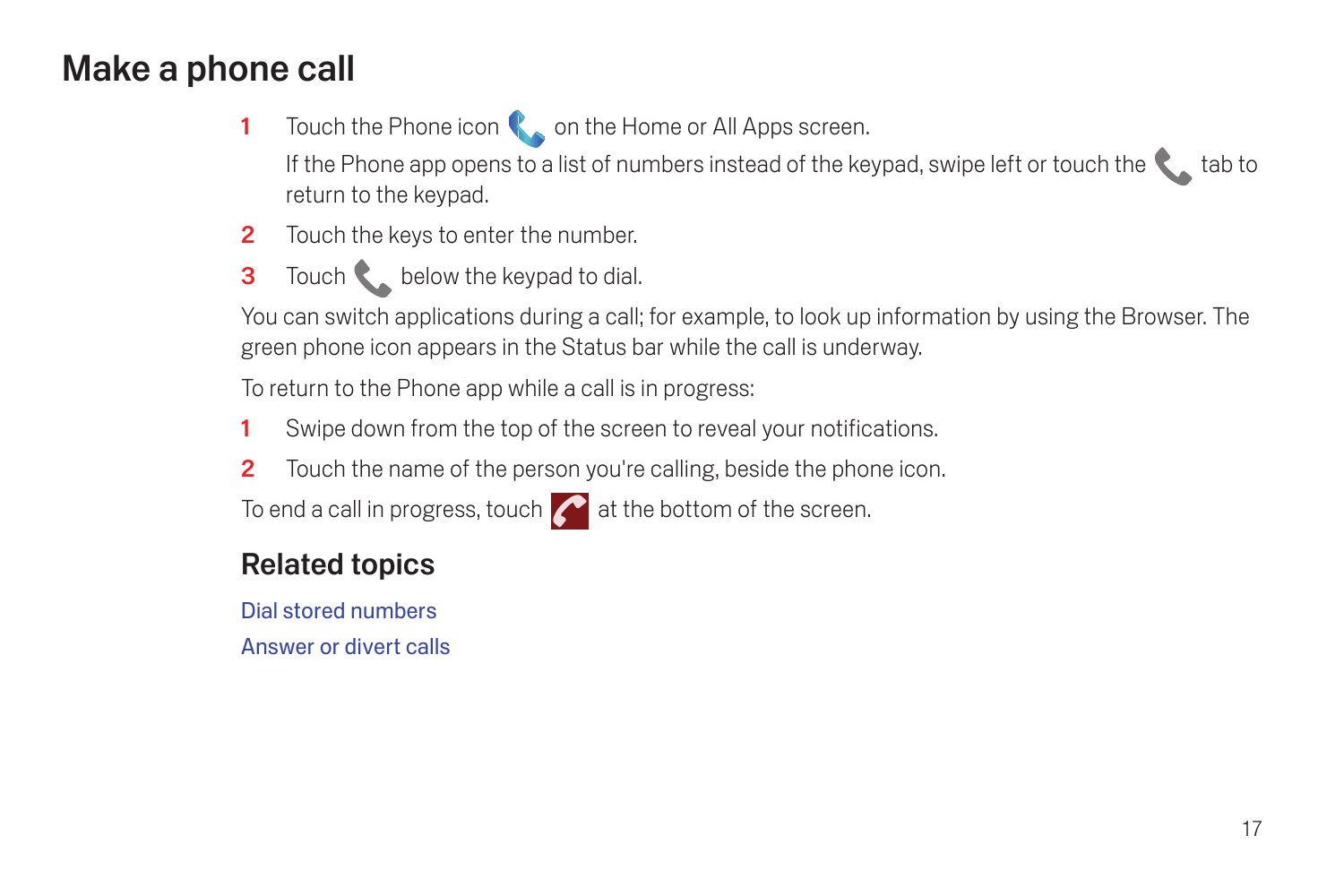## <span id="page-18-0"></span>Make a phone call

- 1 Touch the Phone icon **C** on the Home or All Apps screen. If the Phone app opens to a list of numbers instead of the keypad, swipe left or touch the  $\blacklozenge$  tab to return to the keypad.
- 2 Touch the keys to enter the number.
- 3 Touch below the keypad to dial.

You can switch applications during a call; for example, to look up information by using the Browser. The green phone icon appears in the Status bar while the call is underway.

To return to the Phone app while a call is in progress:

- 1 Swipe down from the top of the screen to reveal your notifications.
- 2 Touch the name of the person you're calling, beside the phone icon.

To end a call in progress, touch  $\bigcap$  at the bottom of the screen.

## Related topics

[Dial stored numbers](#page-44-2) [Answer or divert calls](#page-46-1)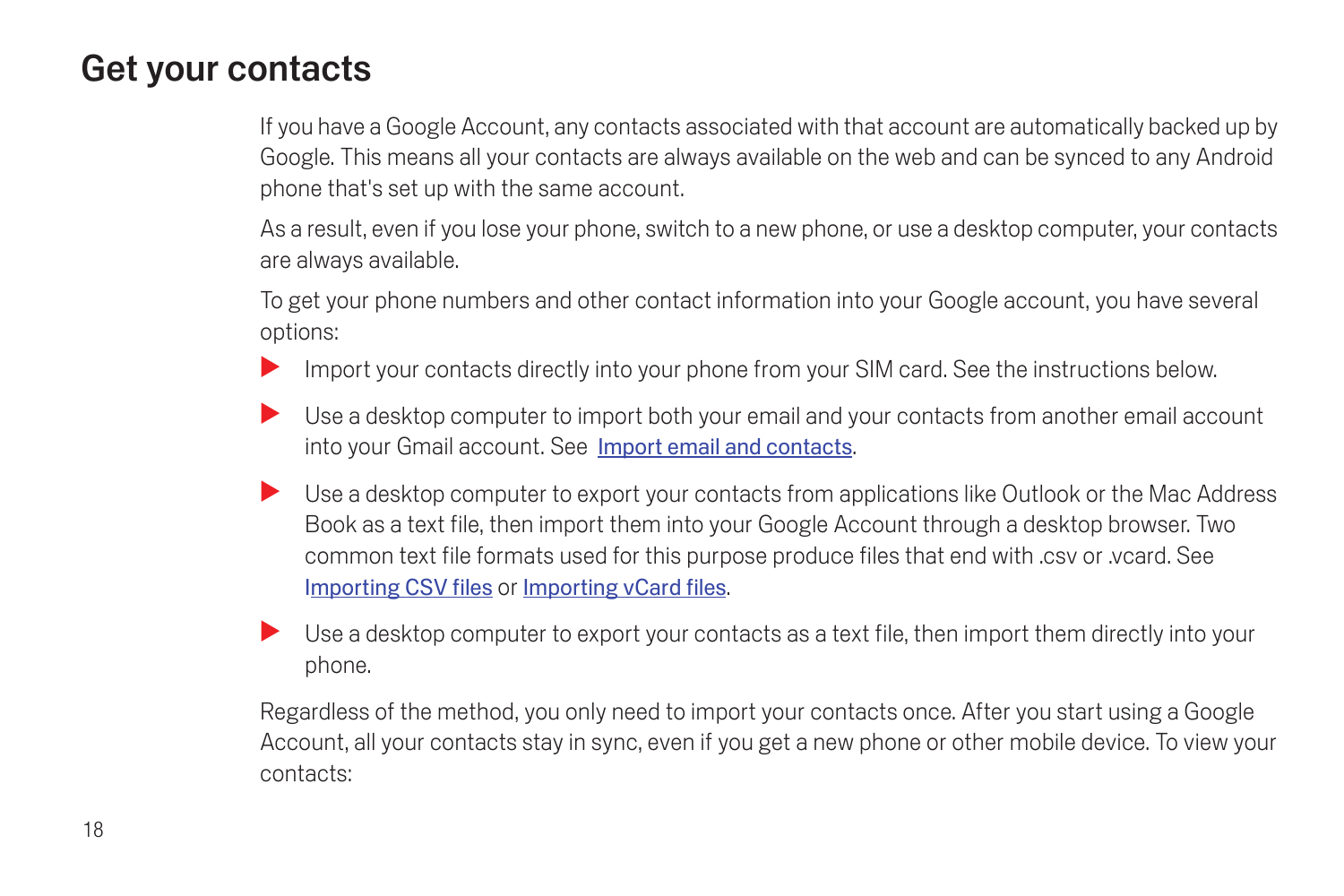## <span id="page-19-0"></span>Get your contacts

If you have a Google Account, any contacts associated with that account are automatically backed up by Google. This means all your contacts are always available on the web and can be synced to any Android phone that's set up with the same account.

As a result, even if you lose your phone, switch to a new phone, or use a desktop computer, your contacts are always available.

To get your phone numbers and other contact information into your Google account, you have several options:

- Import your contacts directly into your phone from your SIM card. See the instructions below.
- $\blacktriangleright$  Use a desktop computer to import both your email and your contacts from another email account into your Gmail account. See Import email and contacts.
- S Use a desktop computer to export your contacts from applications like Outlook or the Mac Address [Book as a text file, then import them into your Google Account through a desktop browser. Two](https://mail.google.com/support/bin/answer.py?hl=en&answer=14024)  common text file formats used for this purpose produce files that end with .csv or .vcard. See [I](https://mail.google.com/support/bin/answer.py?hl=en&answer=14024)mporting CSV files or [Importing vCard files](https://mail.google.com/support/bin/answer.py?hl=en&answer=183711).
- $\blacktriangleright$  Use a desktop computer to export your contacts as a text file, then import them directly into your phone.

Regardless of the method, you only need to import your contacts once. After you start using a Google Account, all your contacts stay in sync, even if you get a new phone or other mobile device. To view your contacts: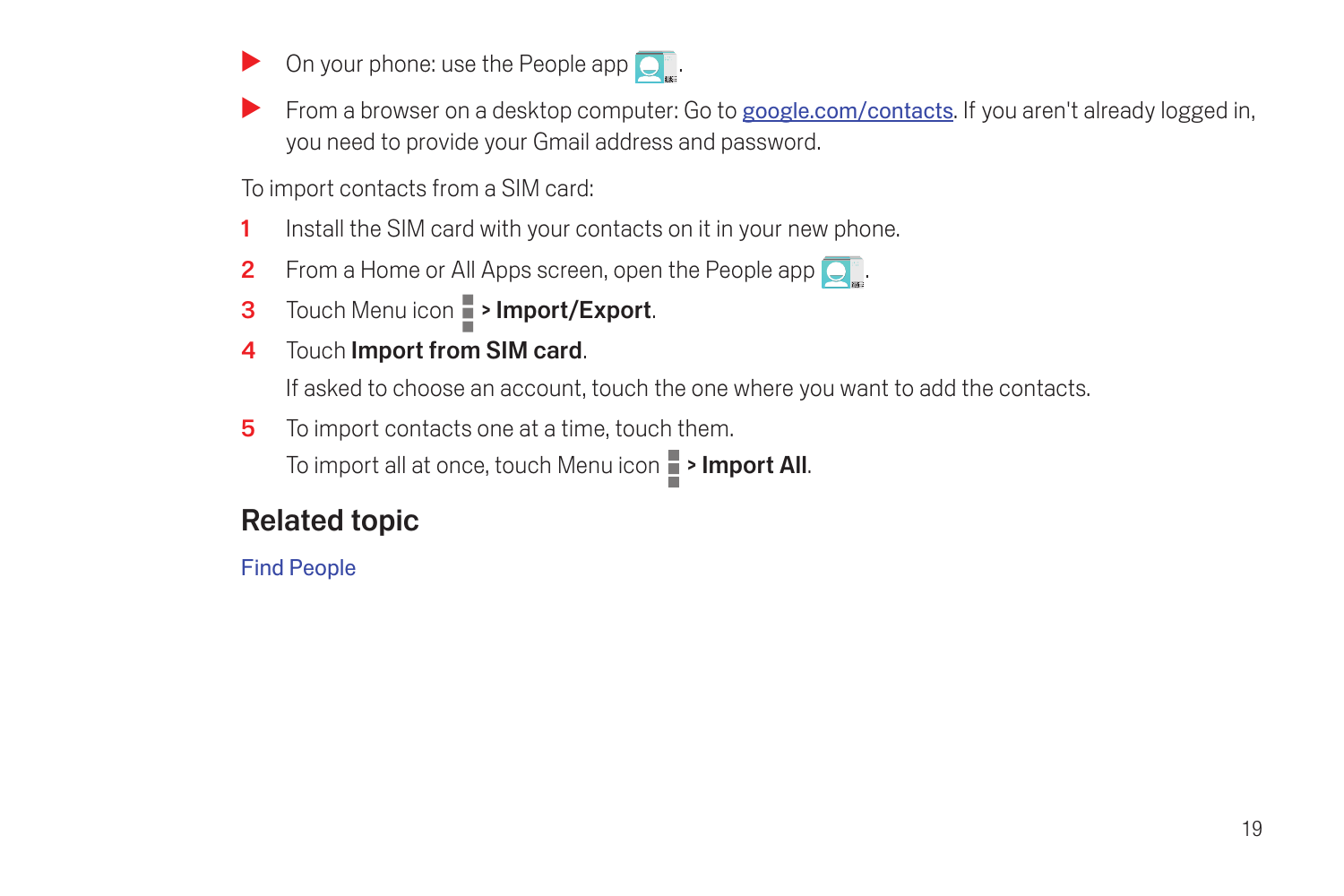- On your phone: use the People app  $\overline{Q_n}$ .
- [From a browser on a desktop computer: Go to](http://google.com/contacts) google.com/contacts. If you aren't already logged in, you need to provide your Gmail address and password.

To import contacts from a SIM card:

- 1 Install the SIM card with your contacts on it in your new phone.
- **2** From a Home or All Apps screen, open the People app  $\Box$ .
- 3 Touch Menu icon **> Import/Export.**
- 4 Touch Import from SIM card.

If asked to choose an account, touch the one where you want to add the contacts.

5 To import contacts one at a time, touch them.

To import all at once, touch Menu icon **P** > Import All.

#### Related topic

[Find People](#page-27-1)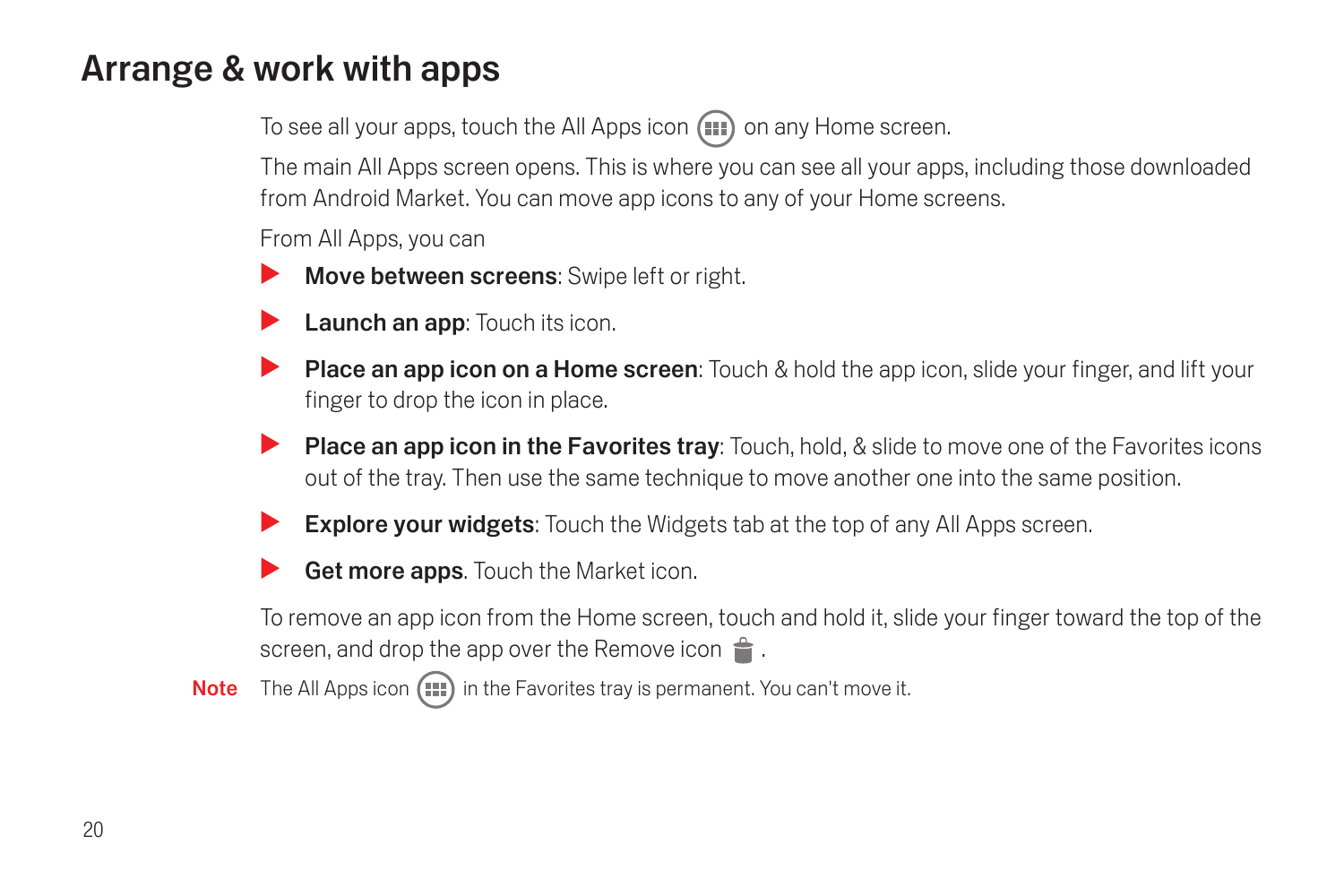## <span id="page-21-1"></span><span id="page-21-0"></span>Arrange & work with apps

To see all your apps, touch the All Apps icon (...) on any Home screen.

The main All Apps screen opens. This is where you can see all your apps, including those downloaded from Android Market. You can move app icons to any of your Home screens.

From All Apps, you can

- Move between screens: Swipe left or right.
- Launch an app: Touch its icon.
- **Place an app icon on a Home screen:** Touch & hold the app icon, slide your finger, and lift your finger to drop the icon in place.
- **Place an app icon in the Favorites tray:** Touch, hold, & slide to move one of the Favorites icons out of the tray. Then use the same technique to move another one into the same position.
- **Explore your widgets:** Touch the Widgets tab at the top of any All Apps screen.
- Get more apps. Touch the Market icon.

To remove an app icon from the Home screen, touch and hold it, slide your finger toward the top of the screen, and drop the app over the Remove icon  $\triangleq$ .

Note The All Apps icon  $(n)$  in the Favorites tray is permanent. You can't move it.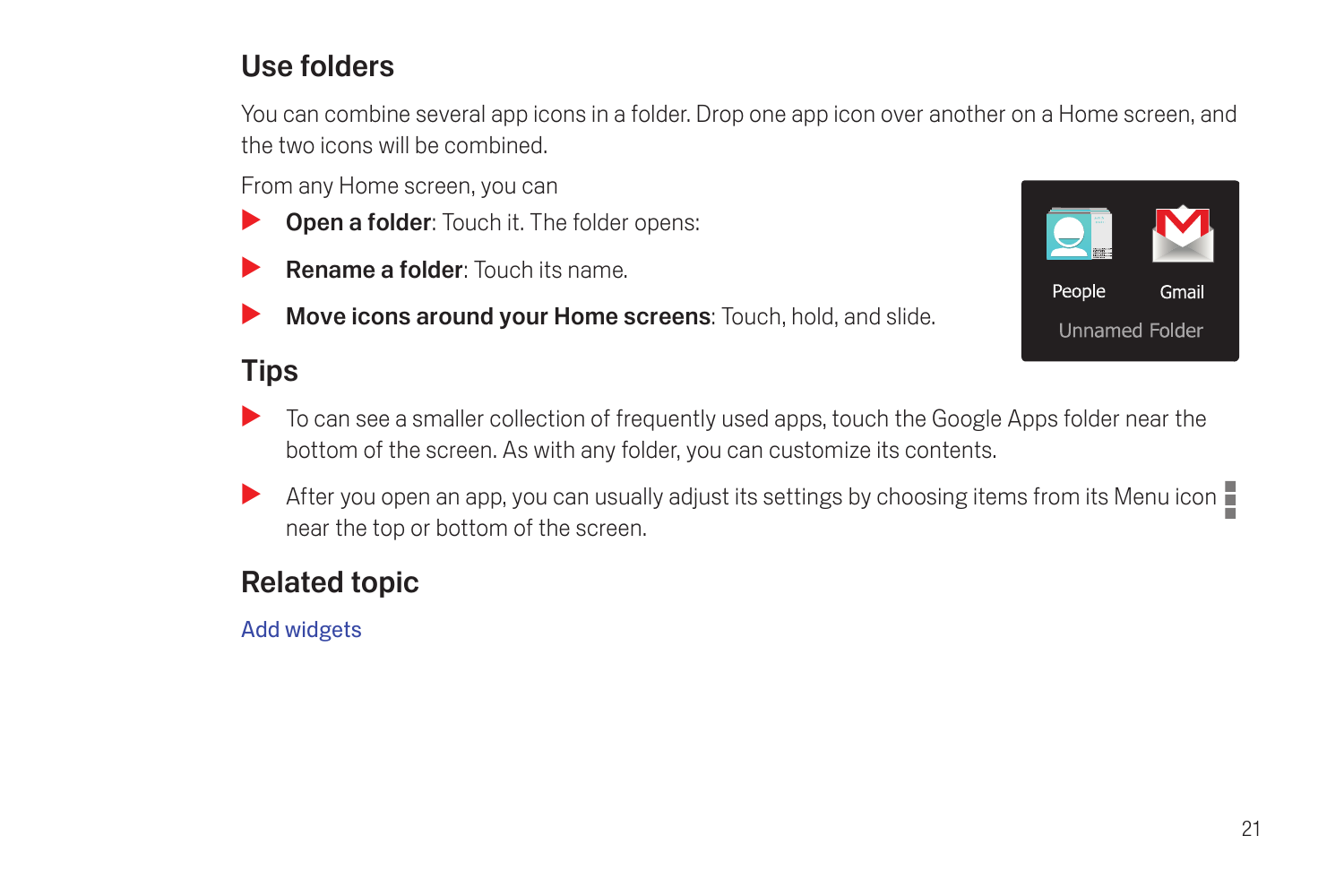## Use folders

You can combine several app icons in a folder. Drop one app icon over another on a Home screen, and the two icons will be combined.

From any Home screen, you can

- **Open a folder:** Touch it. The folder opens:
- **Rename a folder:** Touch its name.
- Move icons around your Home screens: Touch, hold, and slide.

## Tips



- S To can see a smaller collection of frequently used apps, touch the Google Apps folder near the bottom of the screen. As with any folder, you can customize its contents.
- After you open an app, you can usually adjust its settings by choosing items from its Menu icon near the top or bottom of the screen.

## Related topic

[Add widgets](#page-23-0)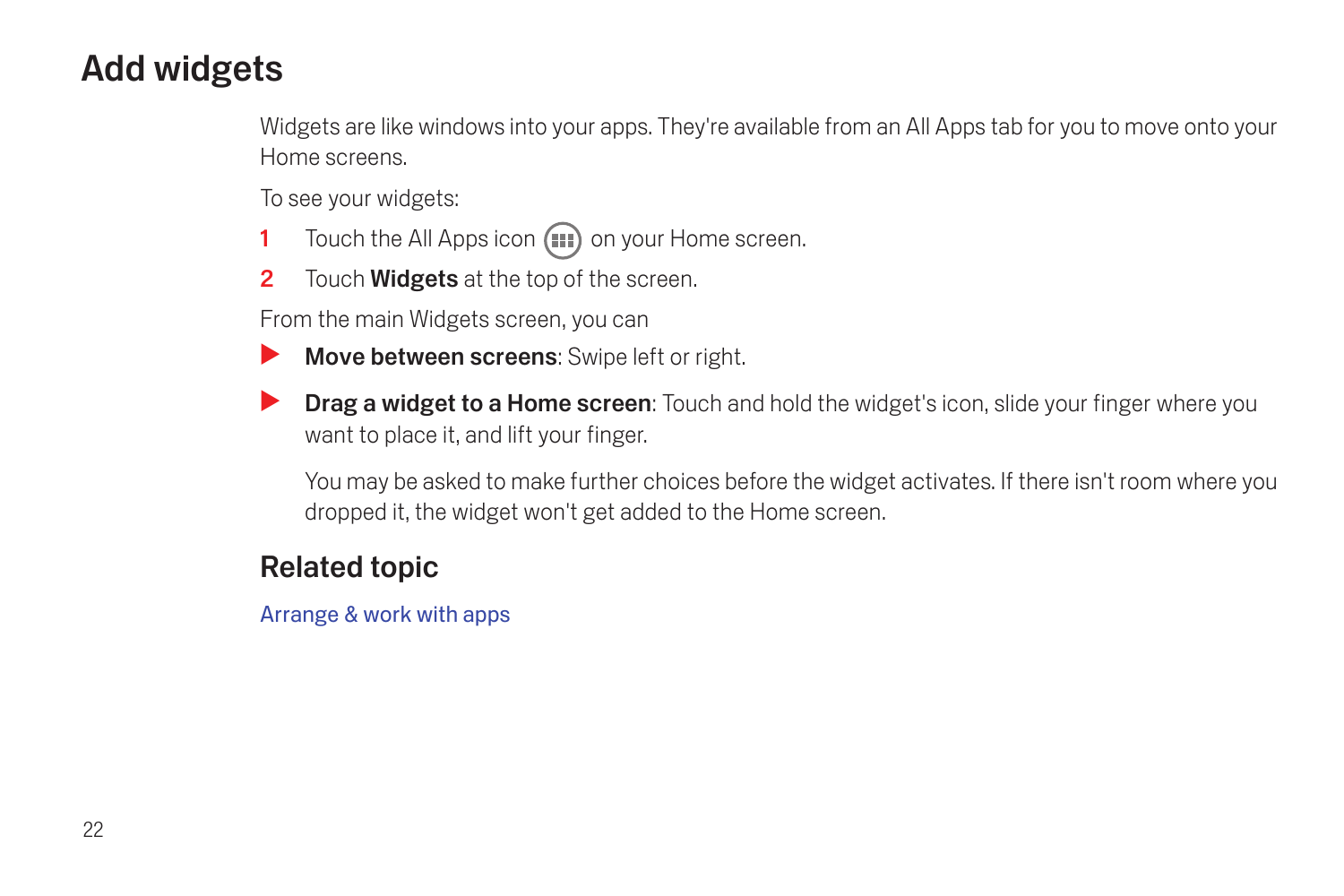## <span id="page-23-0"></span>Add widgets

Widgets are like windows into your apps. They're available from an All Apps tab for you to move onto your Home screens.

To see your widgets:

- 1 Touch the All Apps icon  $(n)$  on your Home screen.
- 2 Touch **Widgets** at the top of the screen.

From the main Widgets screen, you can

- $\blacktriangleright$  Move between screens: Swipe left or right.
- **Drag a widget to a Home screen:** Touch and hold the widget's icon, slide your finger where you want to place it, and lift your finger.

You may be asked to make further choices before the widget activates. If there isn't room where you dropped it, the widget won't get added to the Home screen.

## Related topic

[Arrange & work with apps](#page-21-0)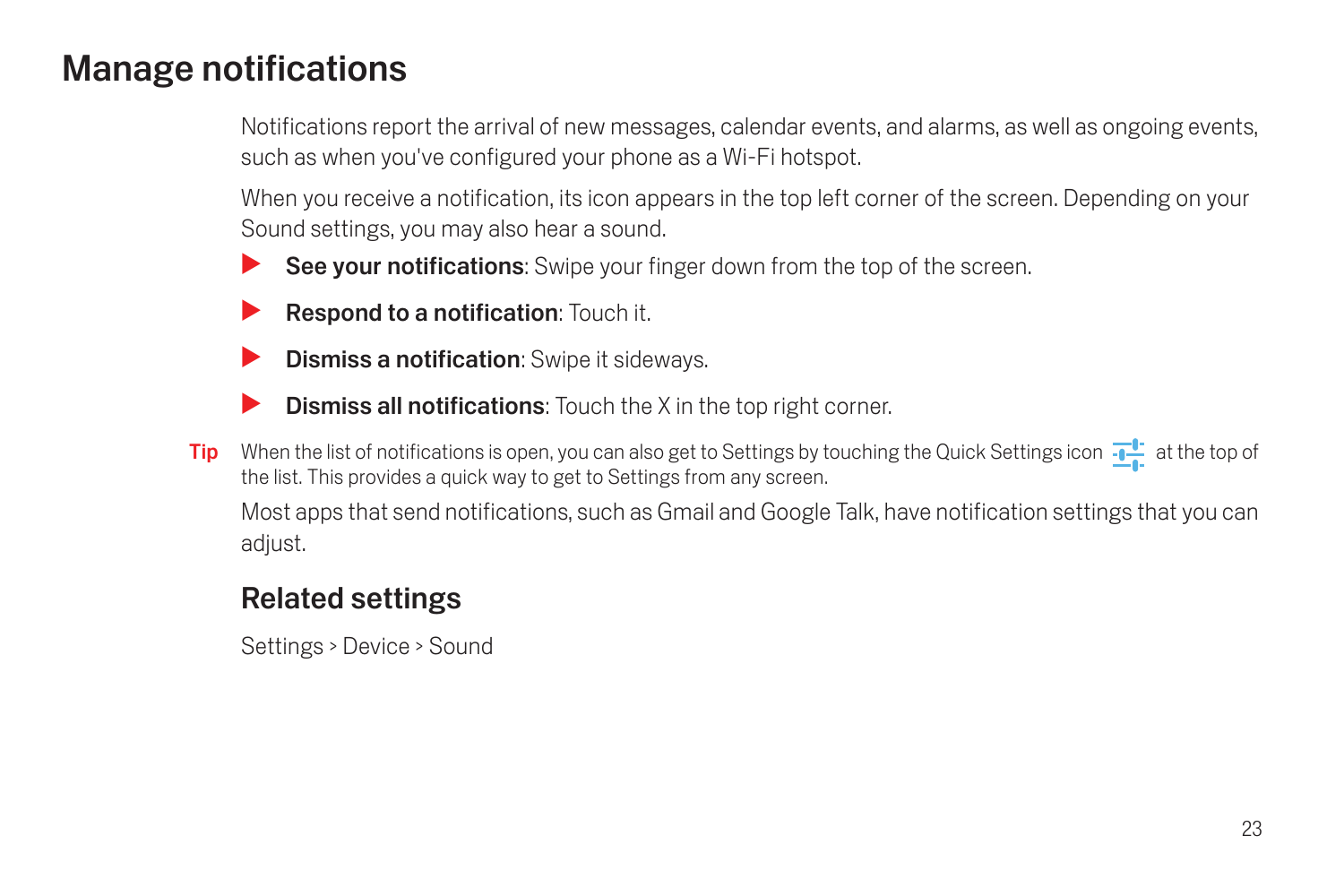## <span id="page-24-1"></span><span id="page-24-0"></span>Manage notifications

Notifications report the arrival of new messages, calendar events, and alarms, as well as ongoing events, such as when you've configured your phone as a Wi-Fi hotspot.

When you receive a notification, its icon appears in the top left corner of the screen. Depending on your Sound settings, you may also hear a sound.

- See your notifications: Swipe your finger down from the top of the screen.
- **Respond to a notification:** Touch it.
- **Dismiss a notification:** Swipe it sideways.
- **Dismiss all notifications:** Touch the X in the top right corner.
- Tip When the list of notifications is open, you can also get to Settings by touching the Quick Settings icon  $\frac{1}{\sqrt{2}}$  at the top of the list. This provides a quick way to get to Settings from any screen.

Most apps that send notifications, such as Gmail and Google Talk, have notification settings that you can adjust.

## Related settings

Settings > Device > Sound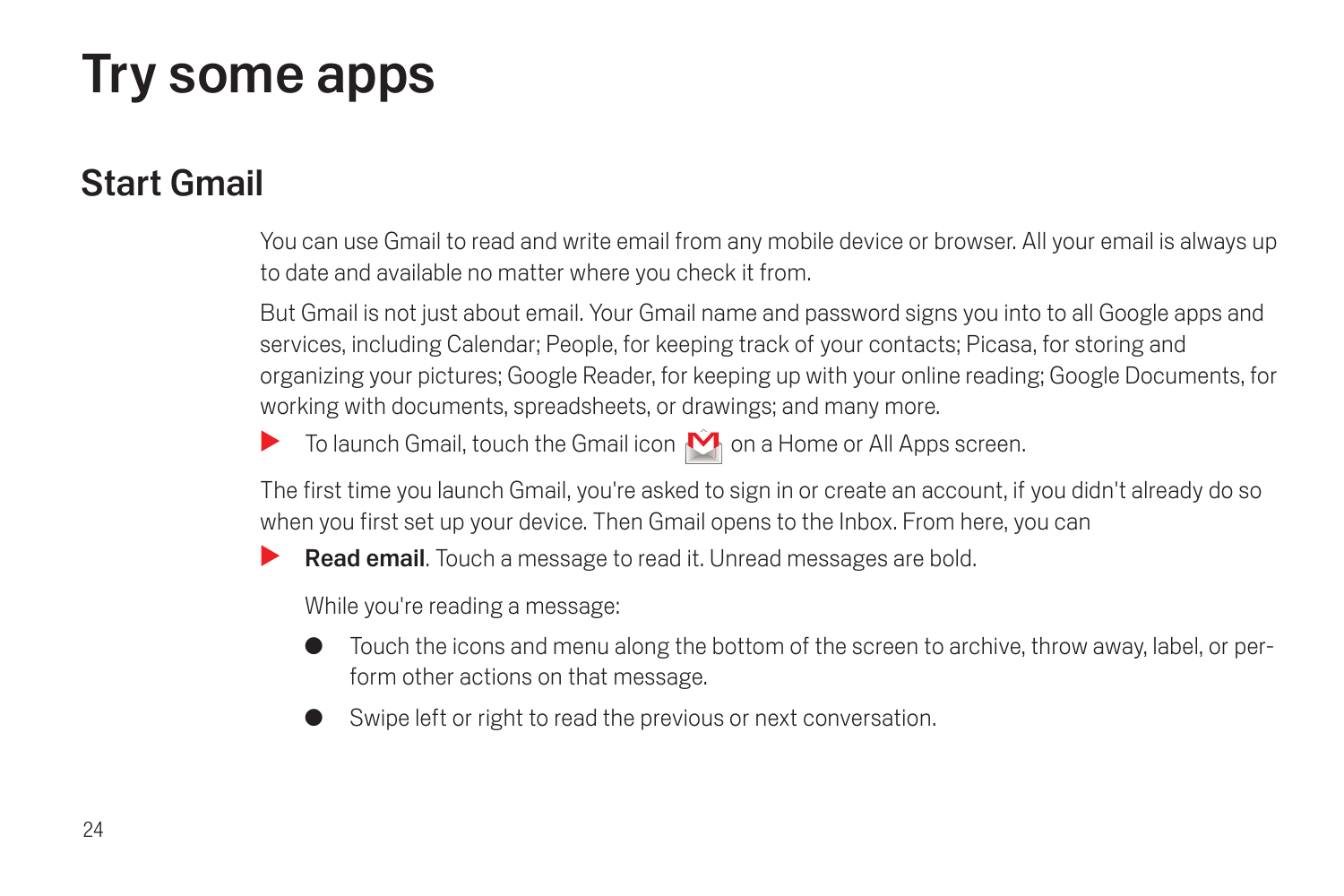# <span id="page-25-0"></span>Try some apps

## <span id="page-25-1"></span>Start Gmail

You can use Gmail to read and write email from any mobile device or browser. All your email is always up to date and available no matter where you check it from.

But Gmail is not just about email. Your Gmail name and password signs you into to all Google apps and services, including Calendar; People, for keeping track of your contacts; Picasa, for storing and organizing your pictures; Google Reader, for keeping up with your online reading; Google Documents, for working with documents, spreadsheets, or drawings; and many more.

 $\blacktriangleright$  To launch Gmail, touch the Gmail icon  $\hat{\blacklozenge}$  on a Home or All Apps screen.

The first time you launch Gmail, you're asked to sign in or create an account, if you didn't already do so when you first set up your device. Then Gmail opens to the Inbox. From here, you can

**Read email.** Touch a message to read it. Unread messages are bold.

While you're reading a message:

- Touch the icons and menu along the bottom of the screen to archive, throw away, label, or perform other actions on that message.
- Swipe left or right to read the previous or next conversation.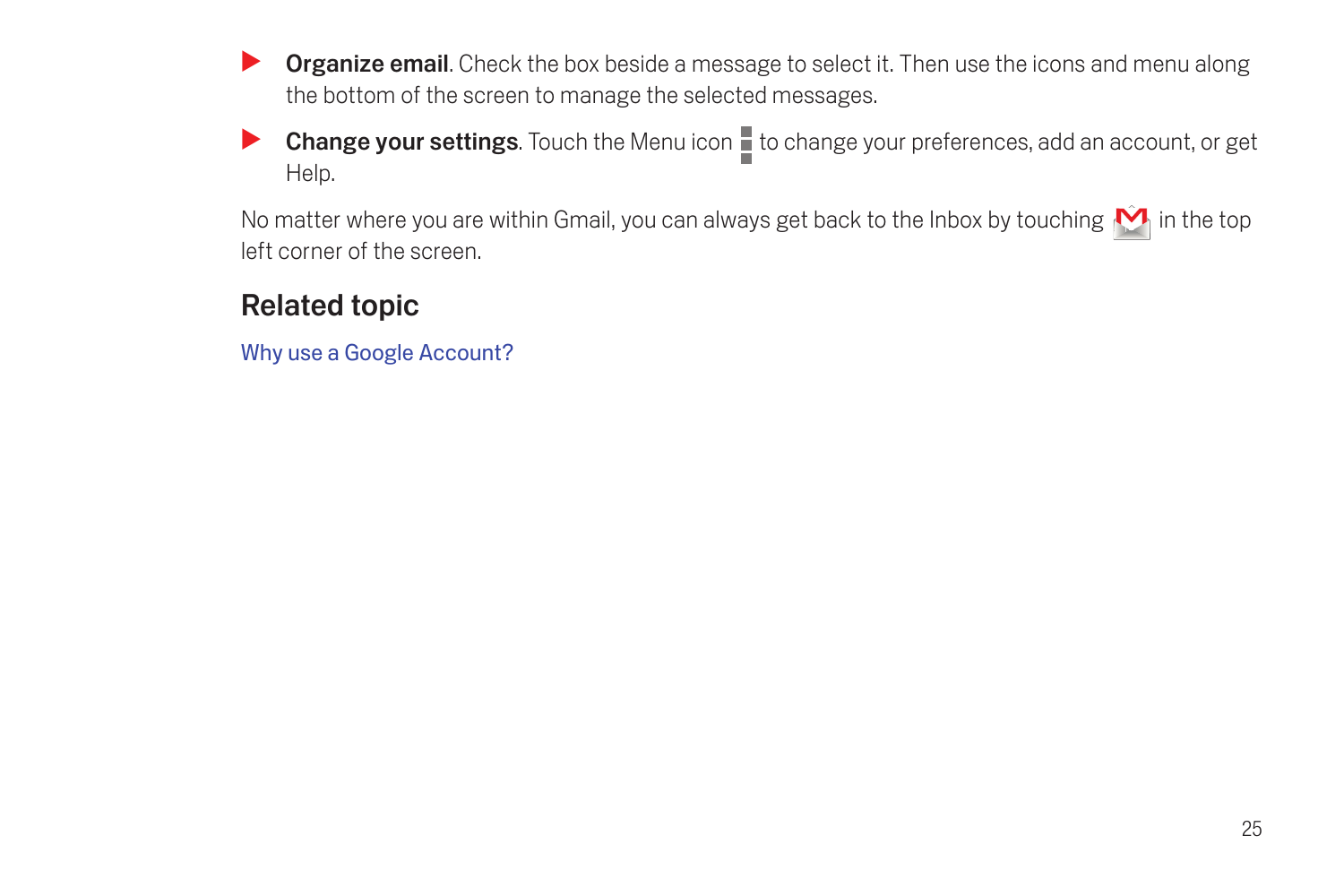- **Organize email.** Check the box beside a message to select it. Then use the icons and menu along the bottom of the screen to manage the selected messages.
- Change your settings. Touch the Menu icon  $\blacksquare$  to change your preferences, add an account, or get Help.

No matter where you are within Gmail, you can always get back to the Inbox by touching  $\hat{M}$  in the top left corner of the screen.

## Related topic

[Why use a Google Account?](#page-6-1)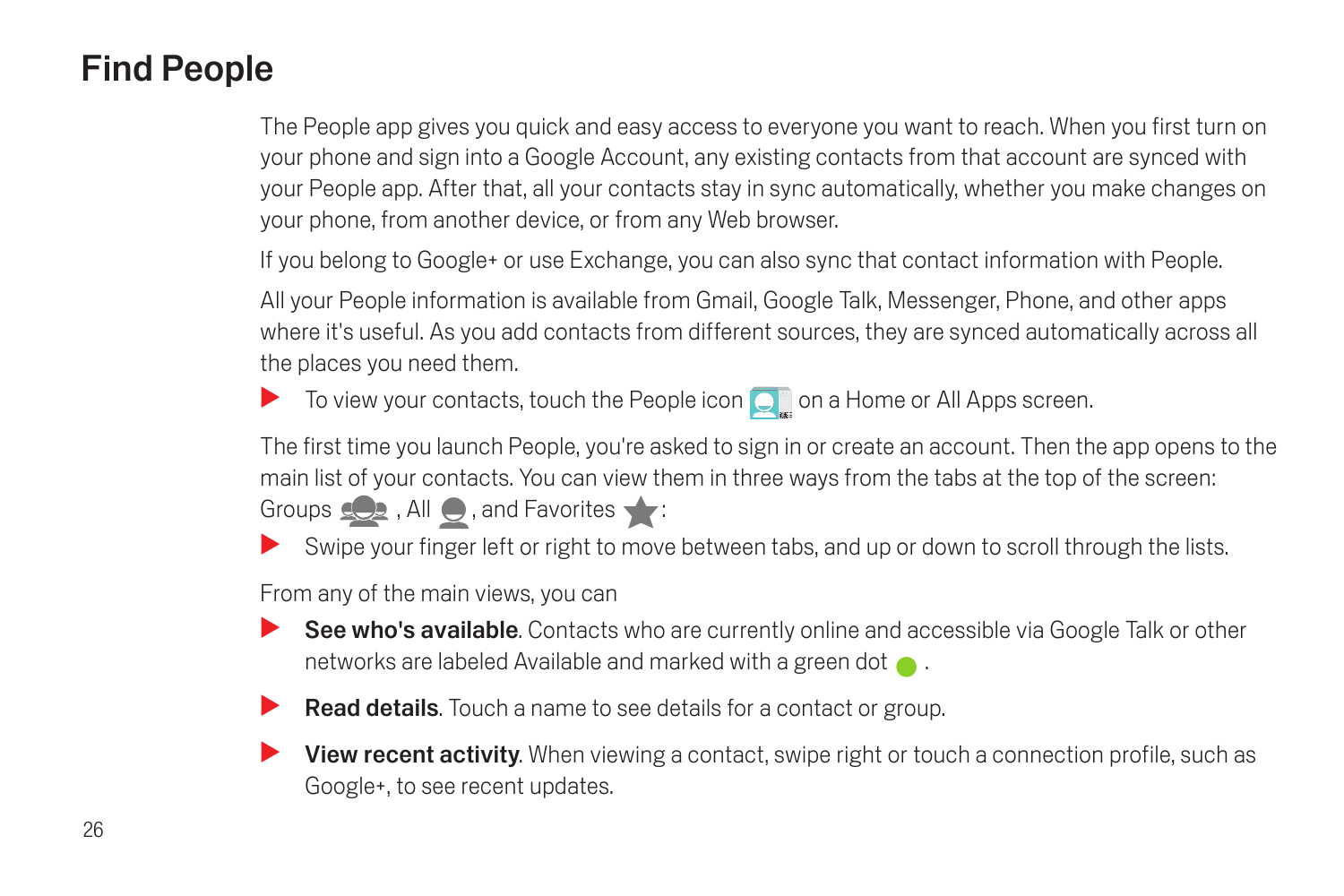## <span id="page-27-1"></span><span id="page-27-0"></span>Find People

The People app gives you quick and easy access to everyone you want to reach. When you first turn on your phone and sign into a Google Account, any existing contacts from that account are synced with your People app. After that, all your contacts stay in sync automatically, whether you make changes on your phone, from another device, or from any Web browser.

If you belong to Google+ or use Exchange, you can also sync that contact information with People.

All your People information is available from Gmail, Google Talk, Messenger, Phone, and other apps where it's useful. As you add contacts from different sources, they are synced automatically across all the places you need them.

To view your contacts, touch the People icon  $\bigcirc$  on a Home or All Apps screen.

The first time you launch People, you're asked to sign in or create an account. Then the app opens to the main list of your contacts. You can view them in three ways from the tabs at the top of the screen:

Groups  $\Box$ , All  $\Box$ , and Favorites  $\blacktriangleright$ :

Swipe your finger left or right to move between tabs, and up or down to scroll through the lists.

From any of the main views, you can

- See who's available. Contacts who are currently online and accessible via Google Talk or other networks are labeled Available and marked with a green dot  $\bullet$ .
- $\blacktriangleright$  Read details. Touch a name to see details for a contact or group.
- **S** View recent activity. When viewing a contact, swipe right or touch a connection profile, such as Google+, to see recent updates.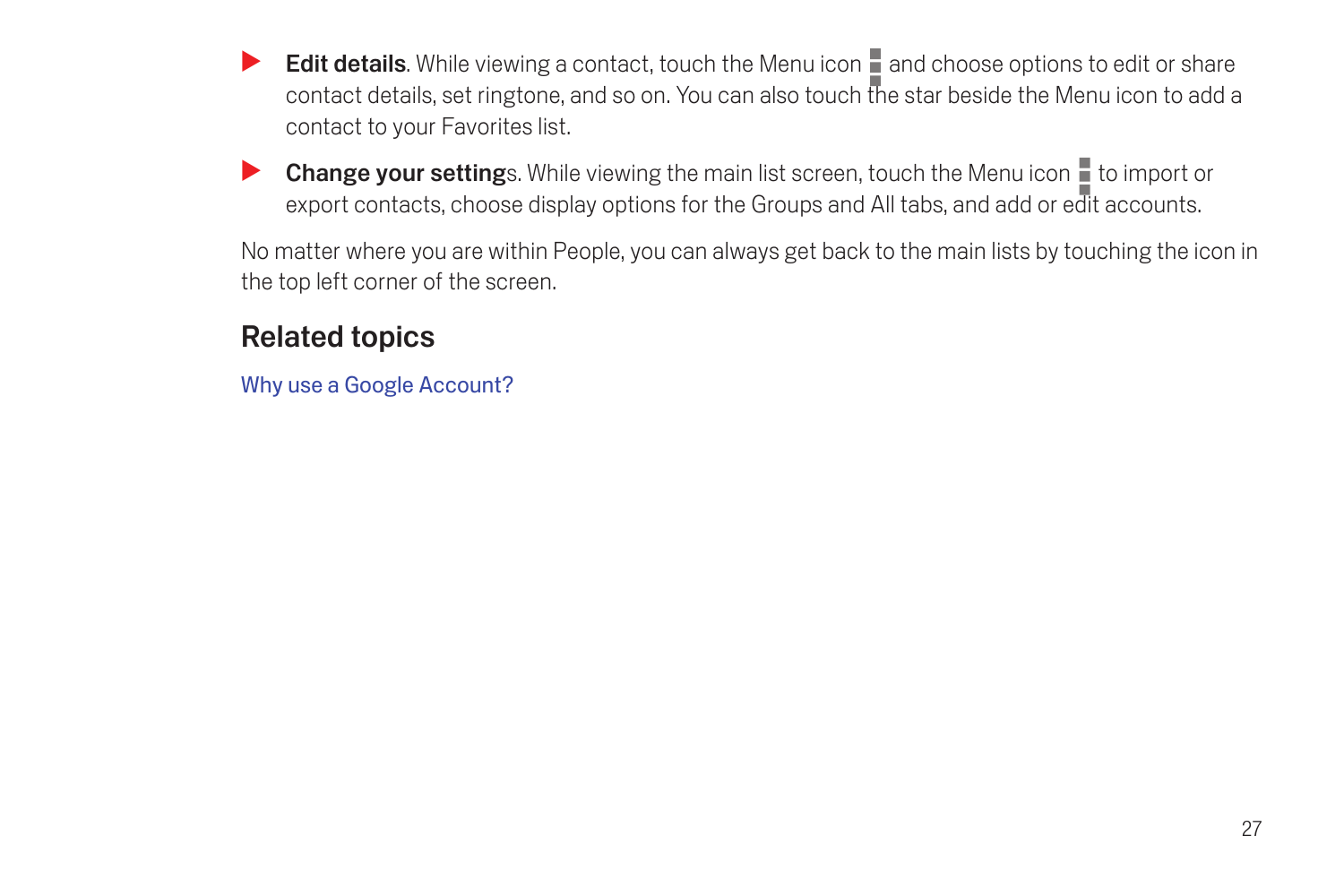- Edit details. While viewing a contact, touch the Menu icon **a**nd choose options to edit or share contact details, set ringtone, and so on. You can also touch the star beside the Menu icon to add a contact to your Favorites list.
- Change your settings. While viewing the main list screen, touch the Menu icon to import or export contacts, choose display options for the Groups and All tabs, and add or edit accounts.

No matter where you are within People, you can always get back to the main lists by touching the icon in the top left corner of the screen.

## Related topics

[Why use a Google Account?](#page-6-1)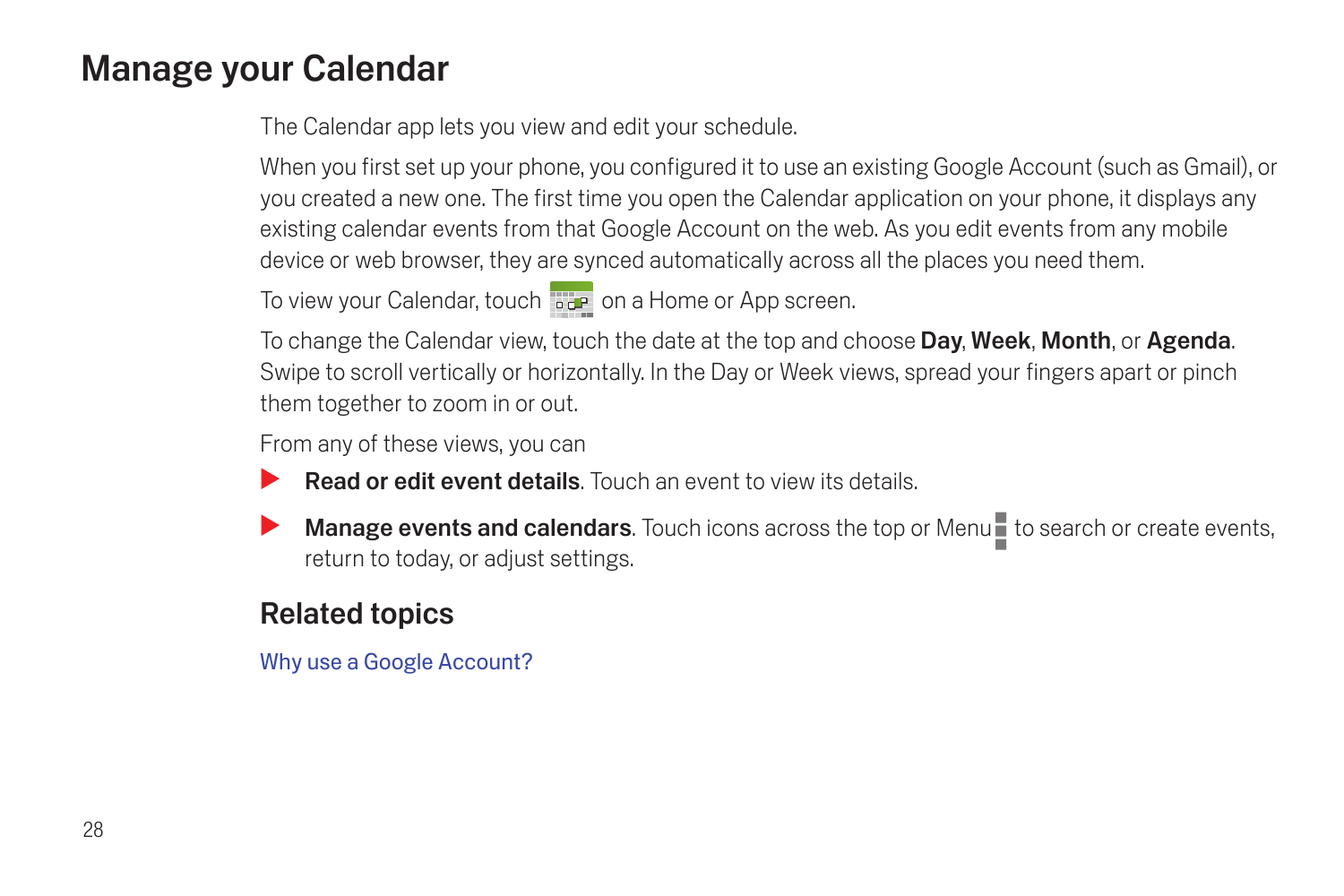## <span id="page-29-0"></span>Manage your Calendar

The Calendar app lets you view and edit your schedule.

When you first set up your phone, you configured it to use an existing Google Account (such as Gmail), or you created a new one. The first time you open the Calendar application on your phone, it displays any existing calendar events from that Google Account on the web. As you edit events from any mobile device or web browser, they are synced automatically across all the places you need them.

To view your Calendar, touch  $\overline{a}$  on a Home or App screen.

To change the Calendar view, touch the date at the top and choose Day, Week, Month, or Agenda. Swipe to scroll vertically or horizontally. In the Day or Week views, spread your fingers apart or pinch them together to zoom in or out.

From any of these views, you can

- **Read or edit event details**. Touch an event to view its details.
- Manage events and calendars. Touch icons across the top or Menu to search or create events, return to today, or adjust settings.

## Related topics

[Why use a Google Account?](#page-6-1)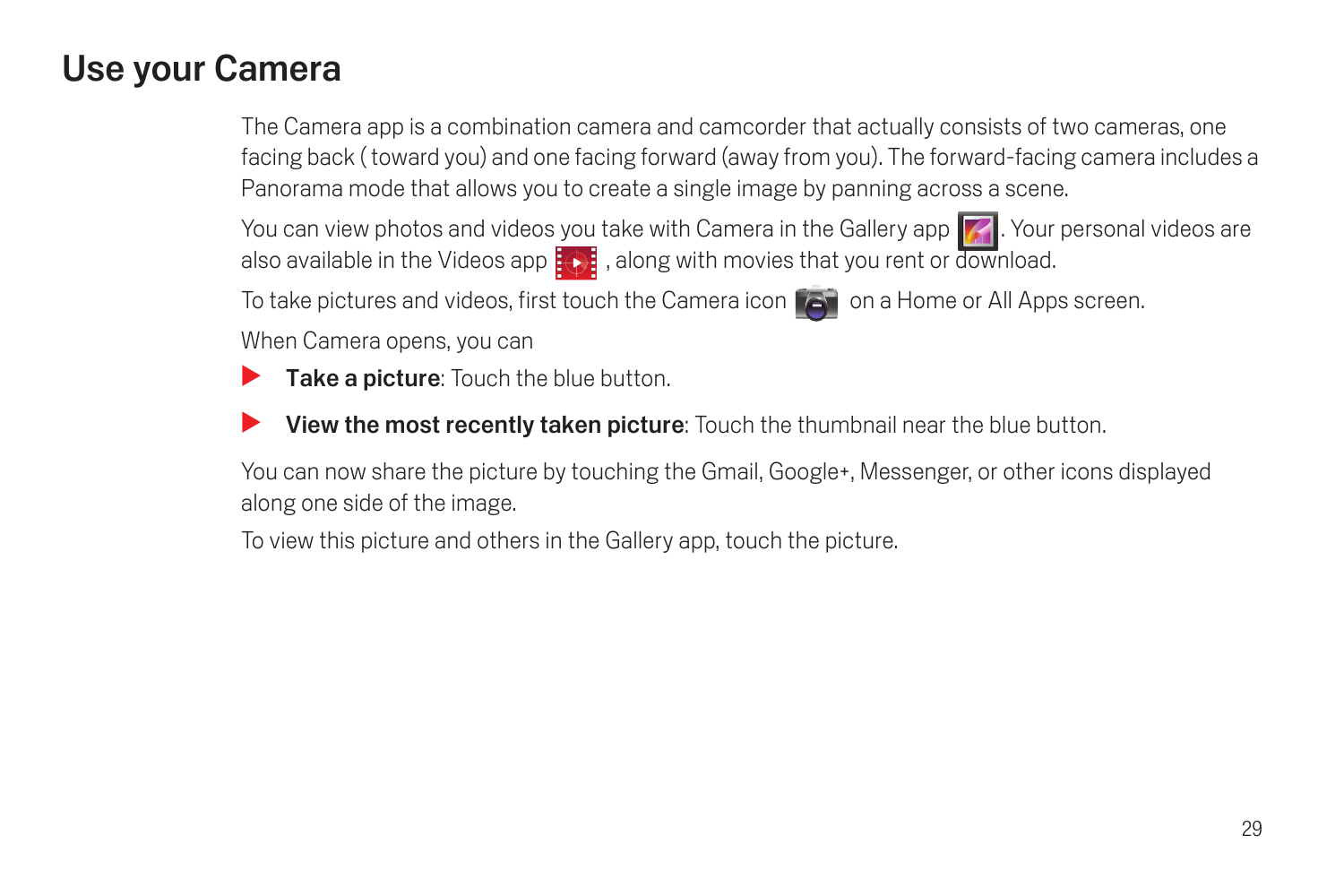## <span id="page-30-0"></span>Use your Camera

The Camera app is a combination camera and camcorder that actually consists of two cameras, one facing back ( toward you) and one facing forward (away from you). The forward-facing camera includes a Panorama mode that allows you to create a single image by panning across a scene.

You can view photos and videos you take with Camera in the Gallery app 7. Your personal videos are also available in the Videos app  $\ddot{\cdot}$  , along with movies that you rent or download.

To take pictures and videos, first touch the Camera icon  $\Box$  on a Home or All Apps screen.

When Camera opens, you can

- Take a picture: Touch the blue button.
- **View the most recently taken picture:** Touch the thumbnail near the blue button.

You can now share the picture by touching the Gmail, Google+, Messenger, or other icons displayed along one side of the image.

To view this picture and others in the Gallery app, touch the picture.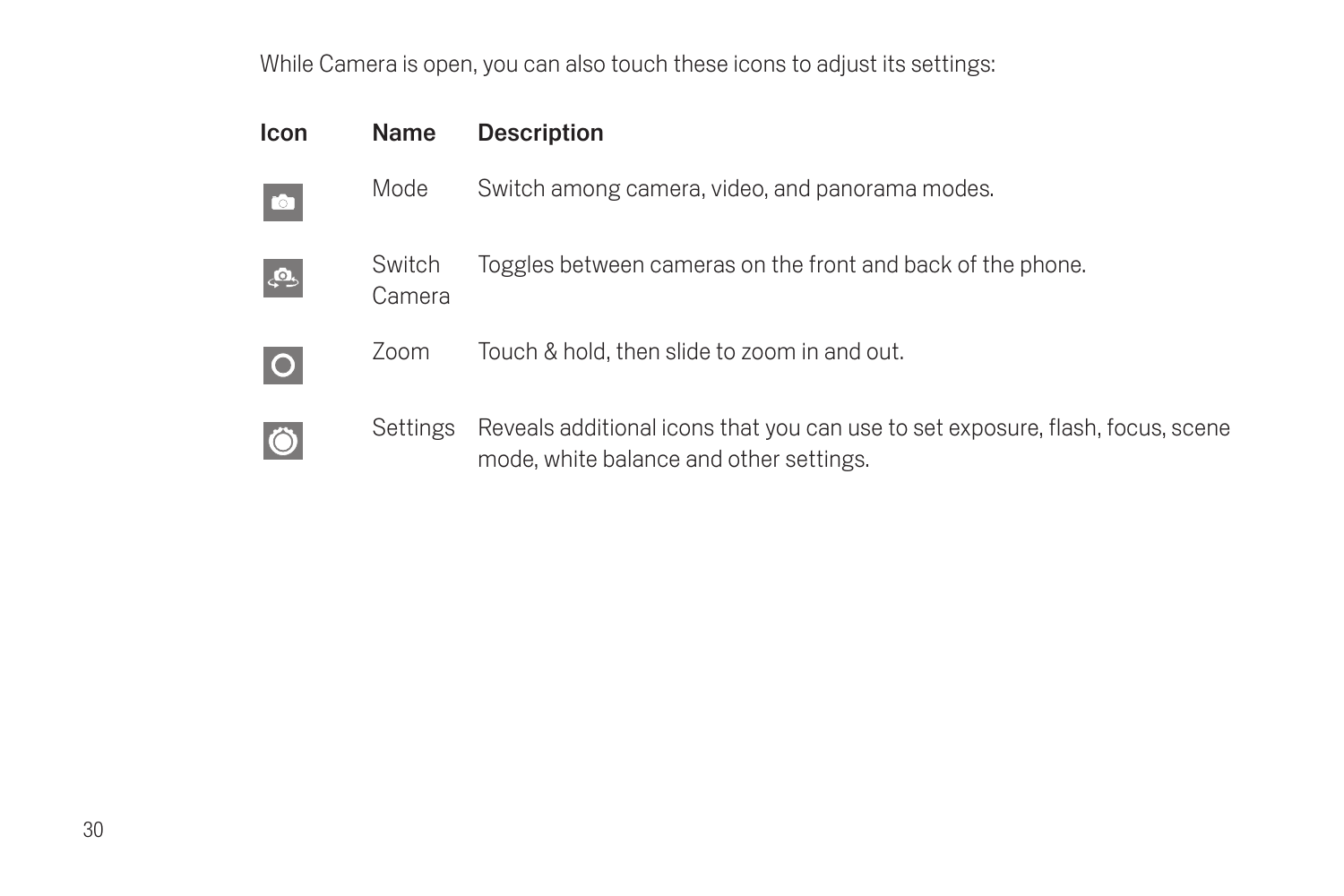While Camera is open, you can also touch these icons to adjust its settings:

| Icon                | Name             | Description                                                                                                               |
|---------------------|------------------|---------------------------------------------------------------------------------------------------------------------------|
| $\bullet$           | Mode             | Switch among camera, video, and panorama modes.                                                                           |
| ு.                  | Switch<br>Camera | Toggles between cameras on the front and back of the phone.                                                               |
| $\overline{O}$      | Zoom             | Touch & hold, then slide to zoom in and out.                                                                              |
| $\ddot{\mathbf{O}}$ | Settings         | Reveals additional icons that you can use to set exposure, flash, focus, scene<br>mode, white balance and other settings. |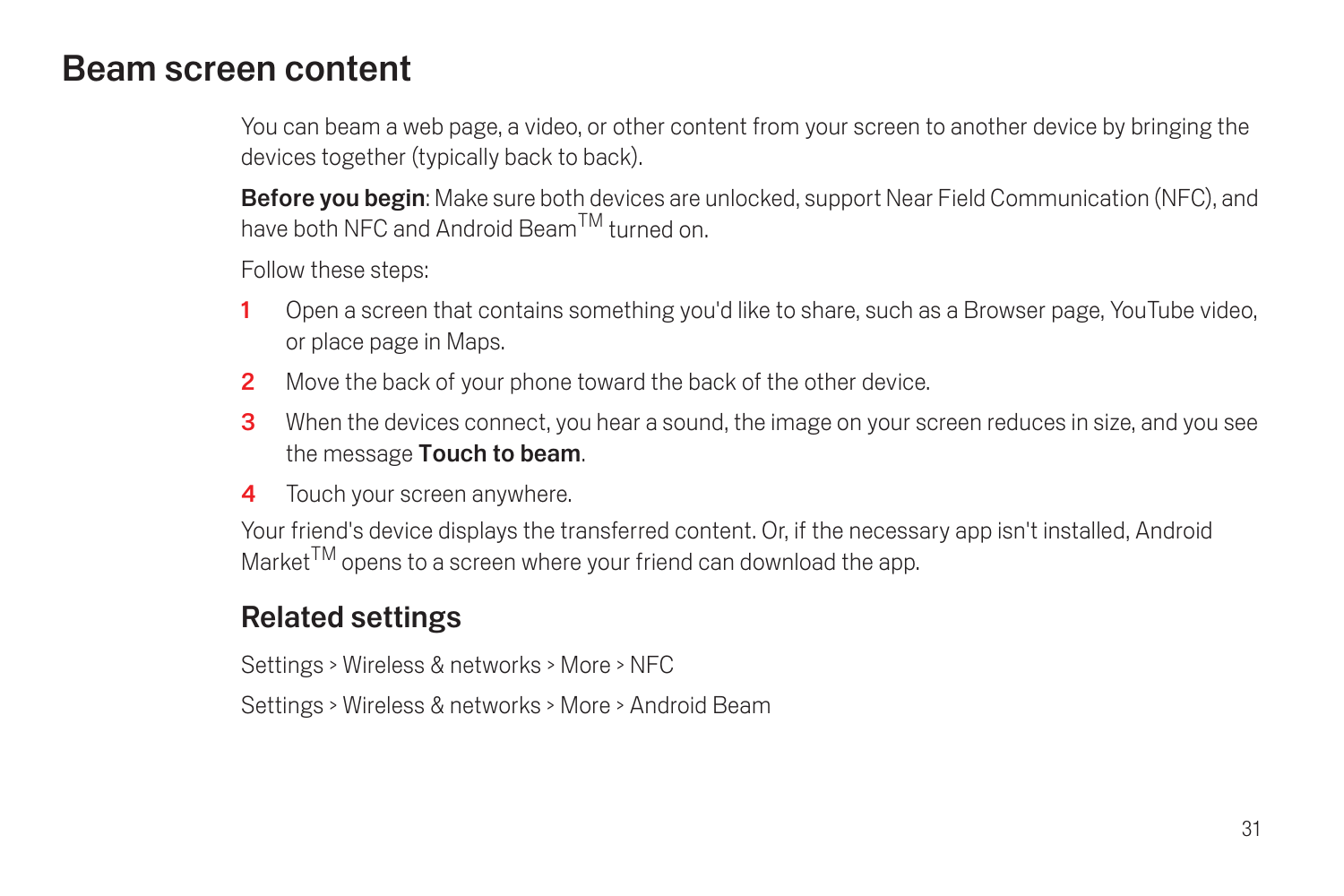## <span id="page-32-0"></span>Beam screen content

You can beam a web page, a video, or other content from your screen to another device by bringing the devices together (typically back to back).

**Before you begin:** Make sure both devices are unlocked, support Near Field Communication (NFC), and have both NFC and Android BeamTM turned on.

Follow these steps:

- 1 Open a screen that contains something you'd like to share, such as a Browser page, YouTube video, or place page in Maps.
- 2 Move the back of your phone toward the back of the other device.
- 3 When the devices connect, you hear a sound, the image on your screen reduces in size, and you see the message Touch to beam.
- 4 Touch your screen anywhere.

Your friend's device displays the transferred content. Or, if the necessary app isn't installed, Android Market<sup>TM</sup> opens to a screen where your friend can download the app.

## Related settings

Settings > Wireless & networks > More > NFC

Settings > Wireless & networks > More > Android Beam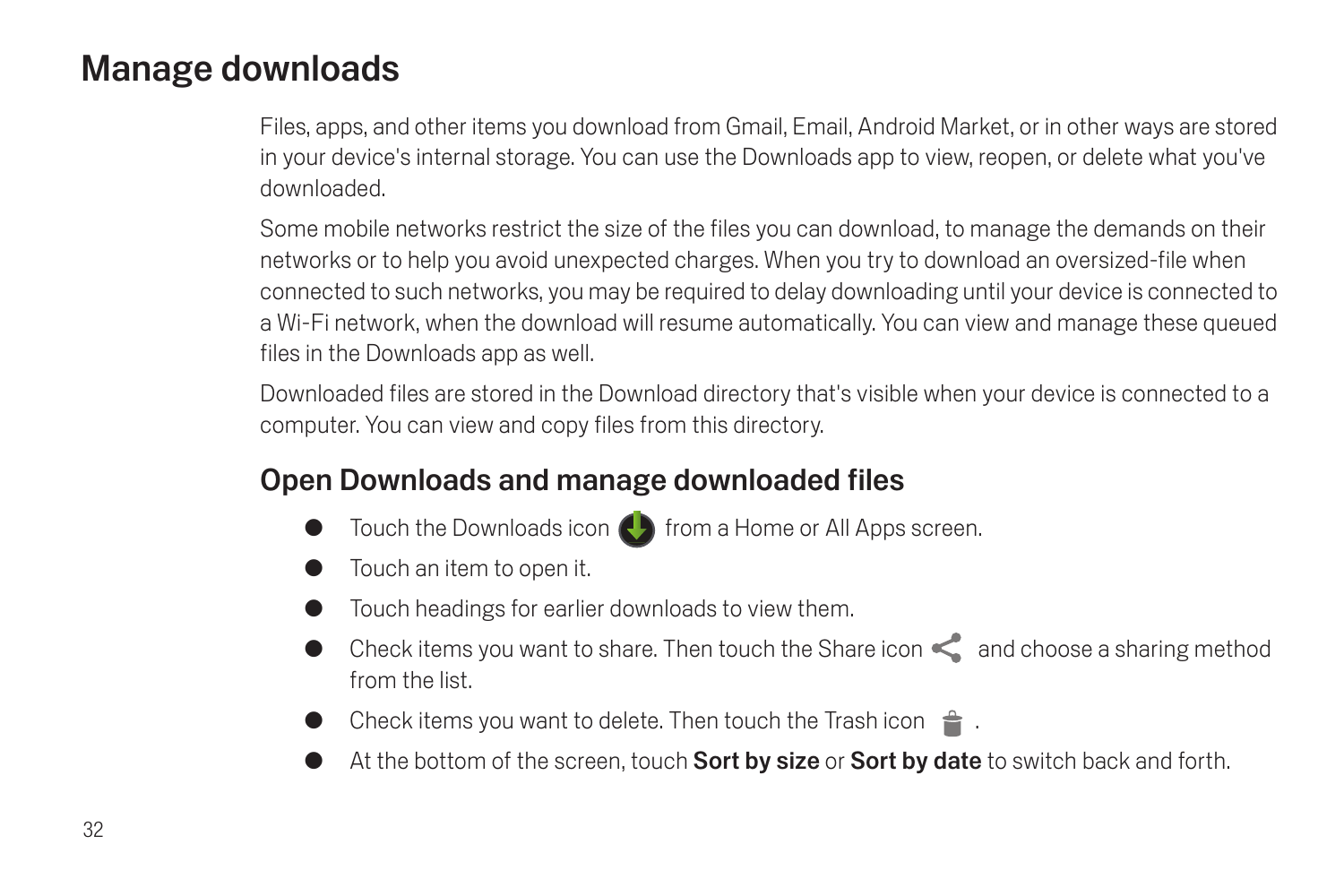## <span id="page-33-0"></span>Manage downloads

Files, apps, and other items you download from Gmail, Email, Android Market, or in other ways are stored in your device's internal storage. You can use the Downloads app to view, reopen, or delete what you've downloaded.

Some mobile networks restrict the size of the files you can download, to manage the demands on their networks or to help you avoid unexpected charges. When you try to download an oversized-file when connected to such networks, you may be required to delay downloading until your device is connected to a Wi-Fi network, when the download will resume automatically. You can view and manage these queued files in the Downloads app as well.

Downloaded files are stored in the Download directory that's visible when your device is connected to a computer. You can view and copy files from this directory.

## Open Downloads and manage downloaded files

- Touch the Downloads icon  $\bigodot$  from a Home or All Apps screen.
- Touch an item to open it.
- Touch headings for earlier downloads to view them.
- Check items you want to share. Then touch the Share icon  $\leq$  and choose a sharing method from the list.
- Check items you want to delete. Then touch the Trash icon  $\triangleq$ .
- At the bottom of the screen, touch **Sort by size** or **Sort by date** to switch back and forth.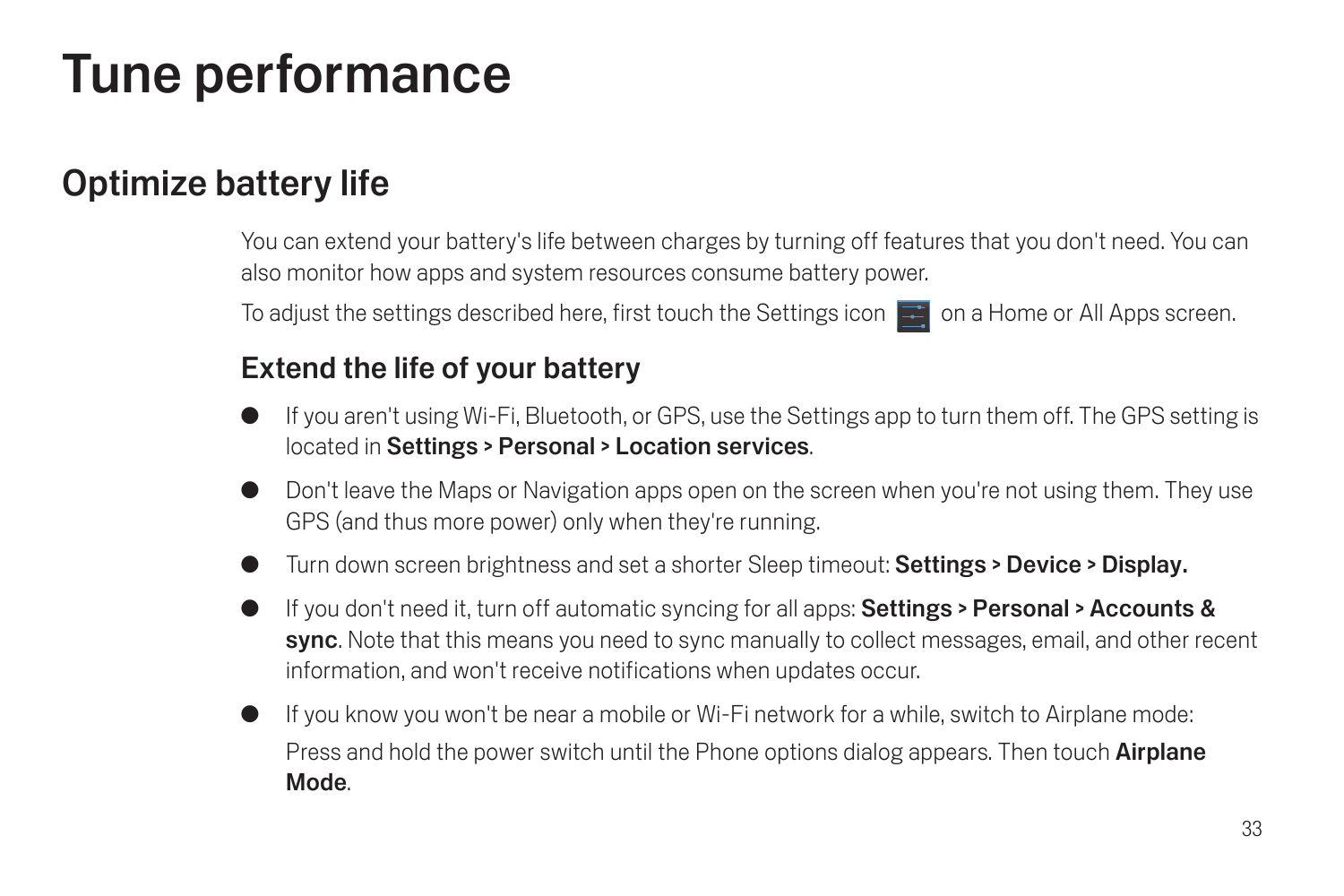# <span id="page-34-0"></span>Tune performance

## <span id="page-34-1"></span>Optimize battery life

You can extend your battery's life between charges by turning off features that you don't need. You can also monitor how apps and system resources consume battery power.

To adjust the settings described here, first touch the Settings icon  $\Box$  on a Home or All Apps screen.

## Extend the life of your battery

- If you aren't using Wi-Fi, Bluetooth, or GPS, use the Settings app to turn them off. The GPS setting is located in Settings > Personal > Location services.
- Don't leave the Maps or Navigation apps open on the screen when you're not using them. They use GPS (and thus more power) only when they're running.
- Turn down screen brightness and set a shorter Sleep timeout: Settings > Device > Display.
- G If you don't need it, turn off automatic syncing for all apps: Settings > Personal > Accounts & sync. Note that this means you need to sync manually to collect messages, email, and other recent information, and won't receive notifications when updates occur.
- If you know you won't be near a mobile or Wi-Fi network for a while, switch to Airplane mode: Press and hold the power switch until the Phone options dialog appears. Then touch **Airplane** Mode.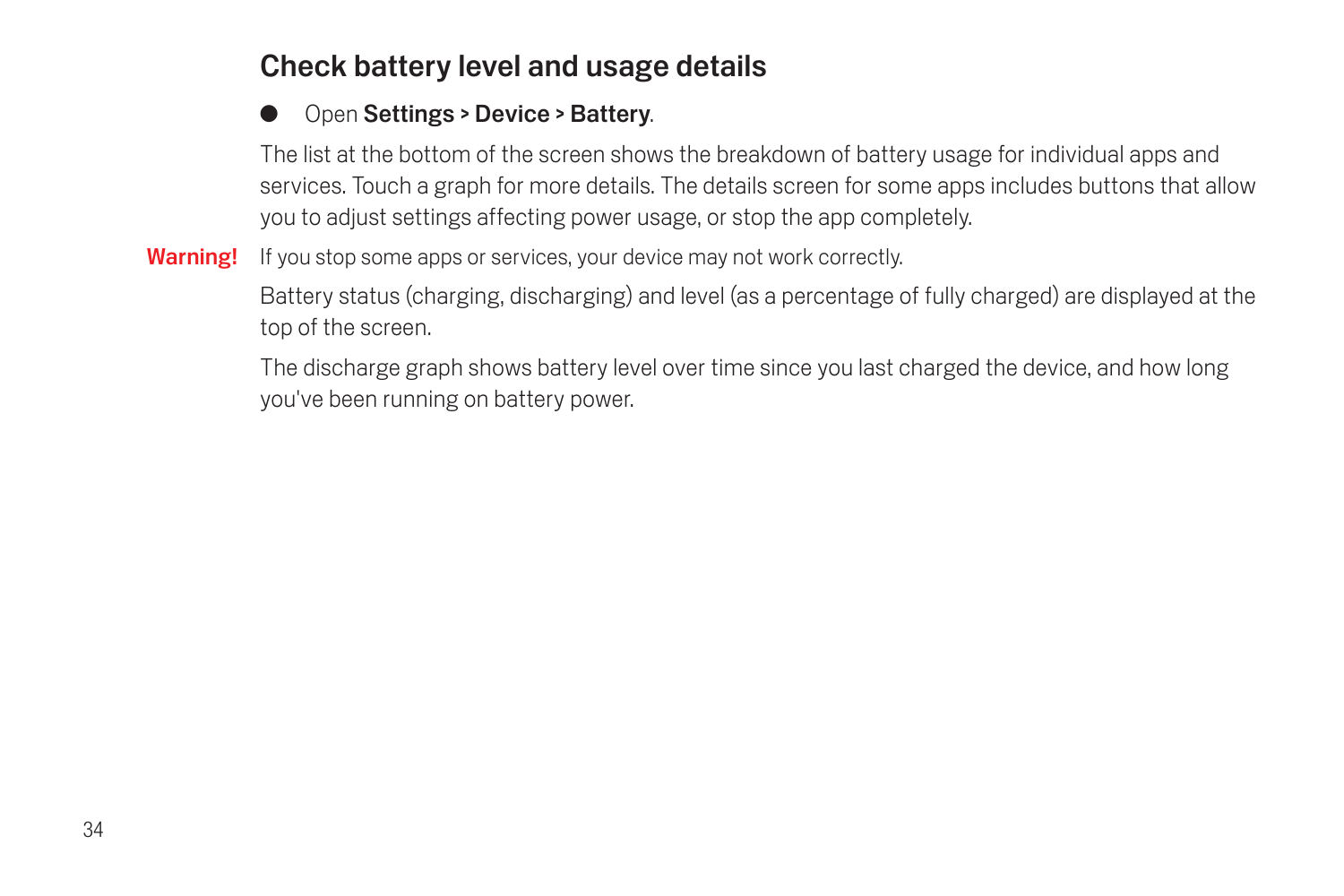## Check battery level and usage details

#### Open Settings > Device > Battery.

The list at the bottom of the screen shows the breakdown of battery usage for individual apps and services. Touch a graph for more details. The details screen for some apps includes buttons that allow you to adjust settings affecting power usage, or stop the app completely.

Warning! If you stop some apps or services, your device may not work correctly.

Battery status (charging, discharging) and level (as a percentage of fully charged) are displayed at the top of the screen.

The discharge graph shows battery level over time since you last charged the device, and how long you've been running on battery power.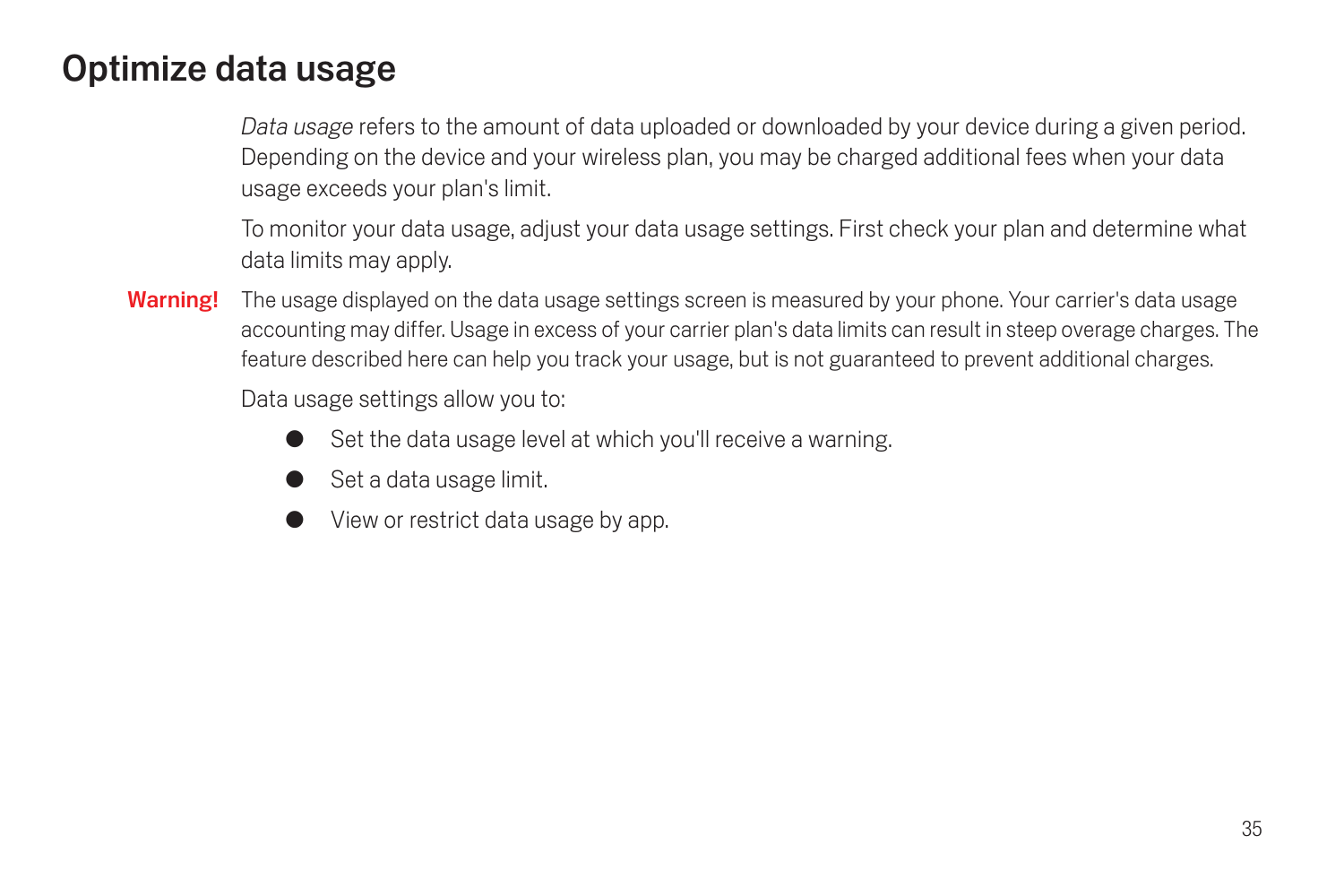# Optimize data usage

*Data usage* refers to the amount of data uploaded or downloaded by your device during a given period. Depending on the device and your wireless plan, you may be charged additional fees when your data usage exceeds your plan's limit.

To monitor your data usage, adjust your data usage settings. First check your plan and determine what data limits may apply.

Warning! The usage displayed on the data usage settings screen is measured by your phone. Your carrier's data usage accounting may differ. Usage in excess of your carrier plan's data limits can result in steep overage charges. The feature described here can help you track your usage, but is not guaranteed to prevent additional charges.

Data usage settings allow you to:

- Set the data usage level at which you'll receive a warning.
- Set a data usage limit.
- View or restrict data usage by app.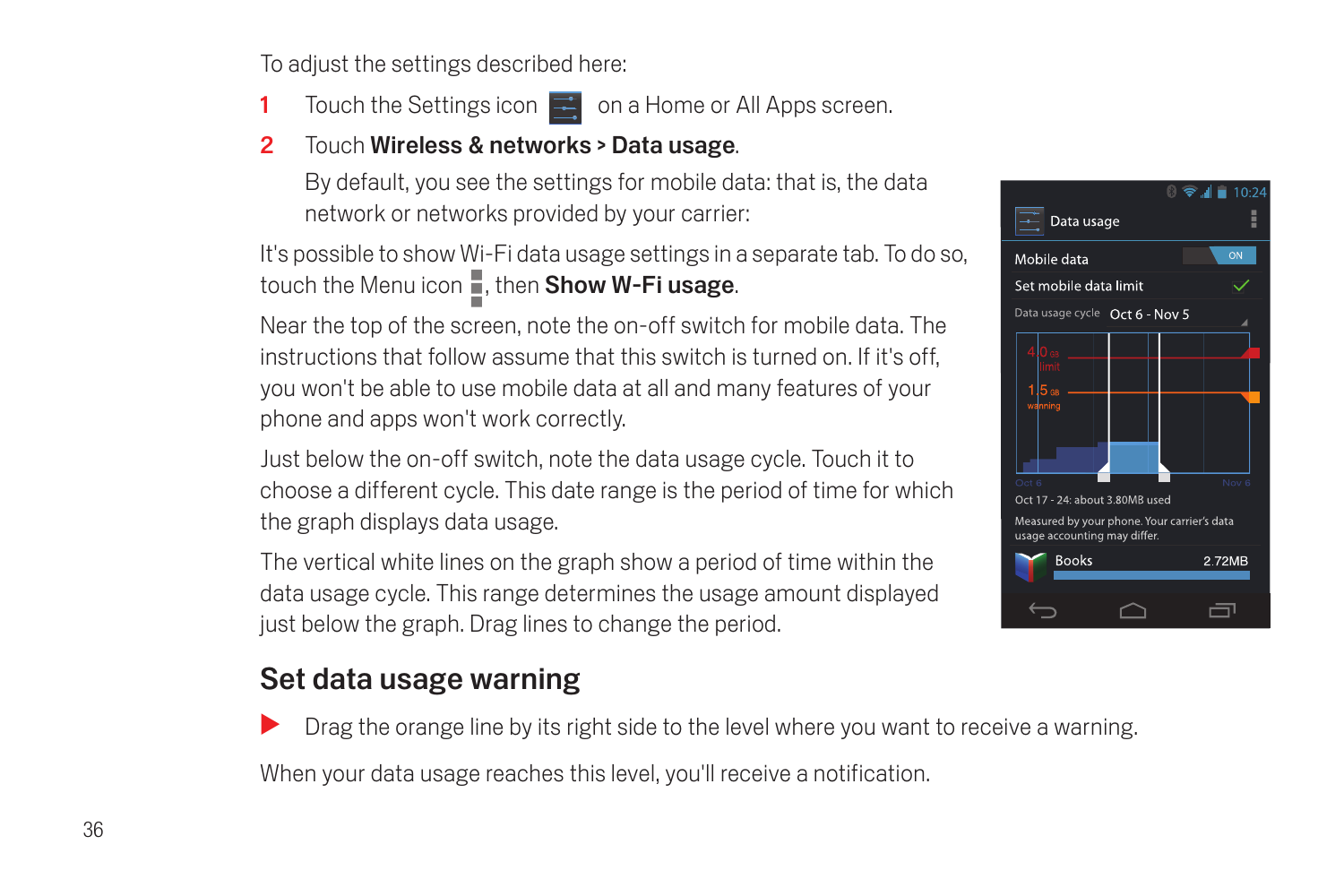To adjust the settings described here:

- 1 Touch the Settings icon  $\mathbb{R}^n$  on a Home or All Apps screen.
- 2 Touch Wireless & networks > Data usage.

By default, you see the settings for mobile data: that is, the data network or networks provided by your carrier:

It's possible to show Wi-Fi data usage settings in a separate tab. To do so, touch the Menu icon  $\blacksquare$ , then Show W-Fi usage.

Near the top of the screen, note the on-off switch for mobile data. The instructions that follow assume that this switch is turned on. If it's off, you won't be able to use mobile data at all and many features of your phone and apps won't work correctly.

Just below the on-off switch, note the data usage cycle. Touch it to choose a different cycle. This date range is the period of time for which the graph displays data usage.

The vertical white lines on the graph show a period of time within the data usage cycle. This range determines the usage amount displayed just below the graph. Drag lines to change the period.

## Set data usage warning

Drag the orange line by its right side to the level where you want to receive a warning.

When your data usage reaches this level, you'll receive a notification.

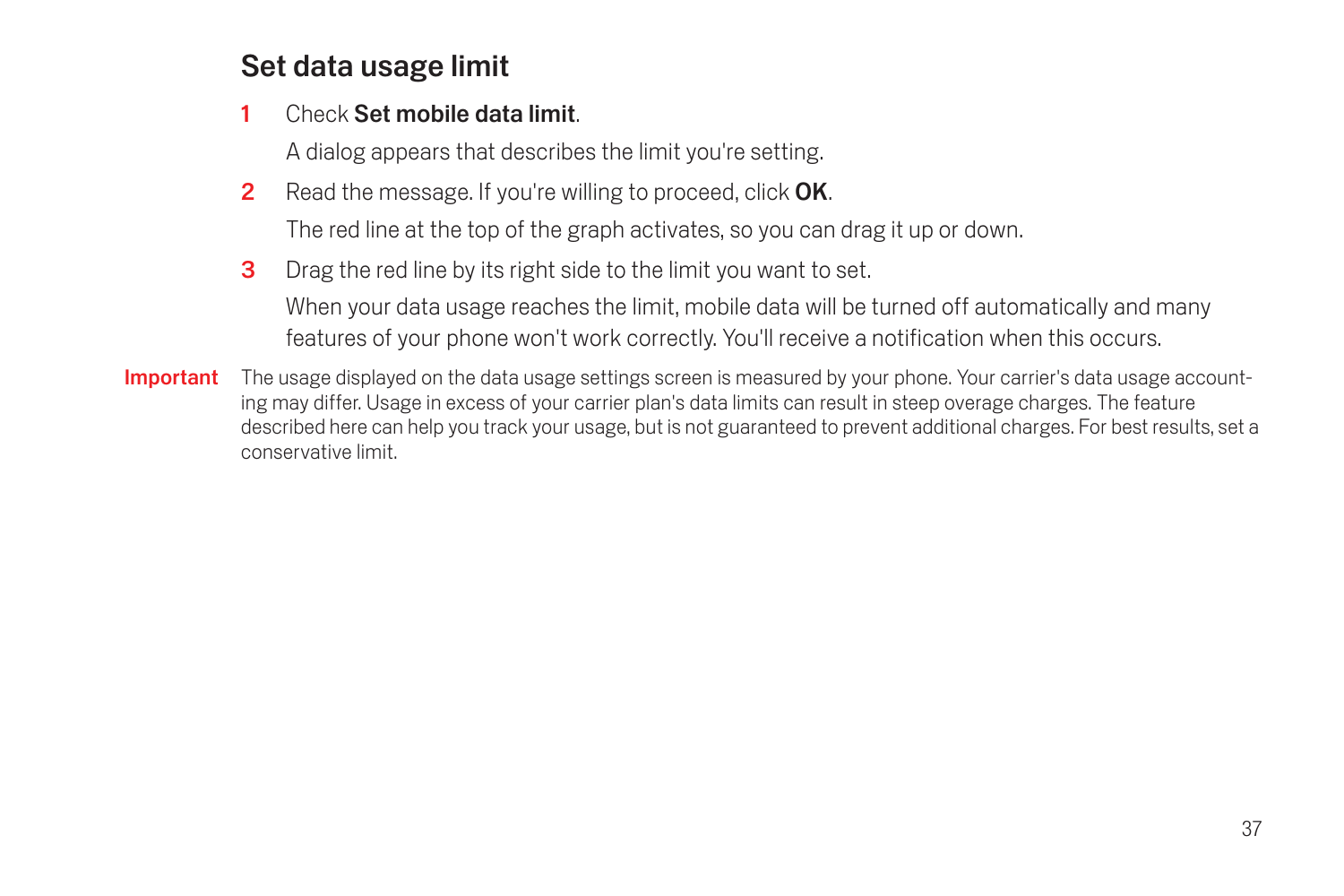## Set data usage limit

#### 1 Check Set mobile data limit

A dialog appears that describes the limit you're setting.

**2** Read the message. If you're willing to proceed, click **OK.** 

The red line at the top of the graph activates, so you can drag it up or down.

**3** Drag the red line by its right side to the limit you want to set.

When your data usage reaches the limit, mobile data will be turned off automatically and many features of your phone won't work correctly. You'll receive a notification when this occurs.

Important The usage displayed on the data usage settings screen is measured by your phone. Your carrier's data usage accounting may differ. Usage in excess of your carrier plan's data limits can result in steep overage charges. The feature described here can help you track your usage, but is not guaranteed to prevent additional charges. For best results, set a conservative limit.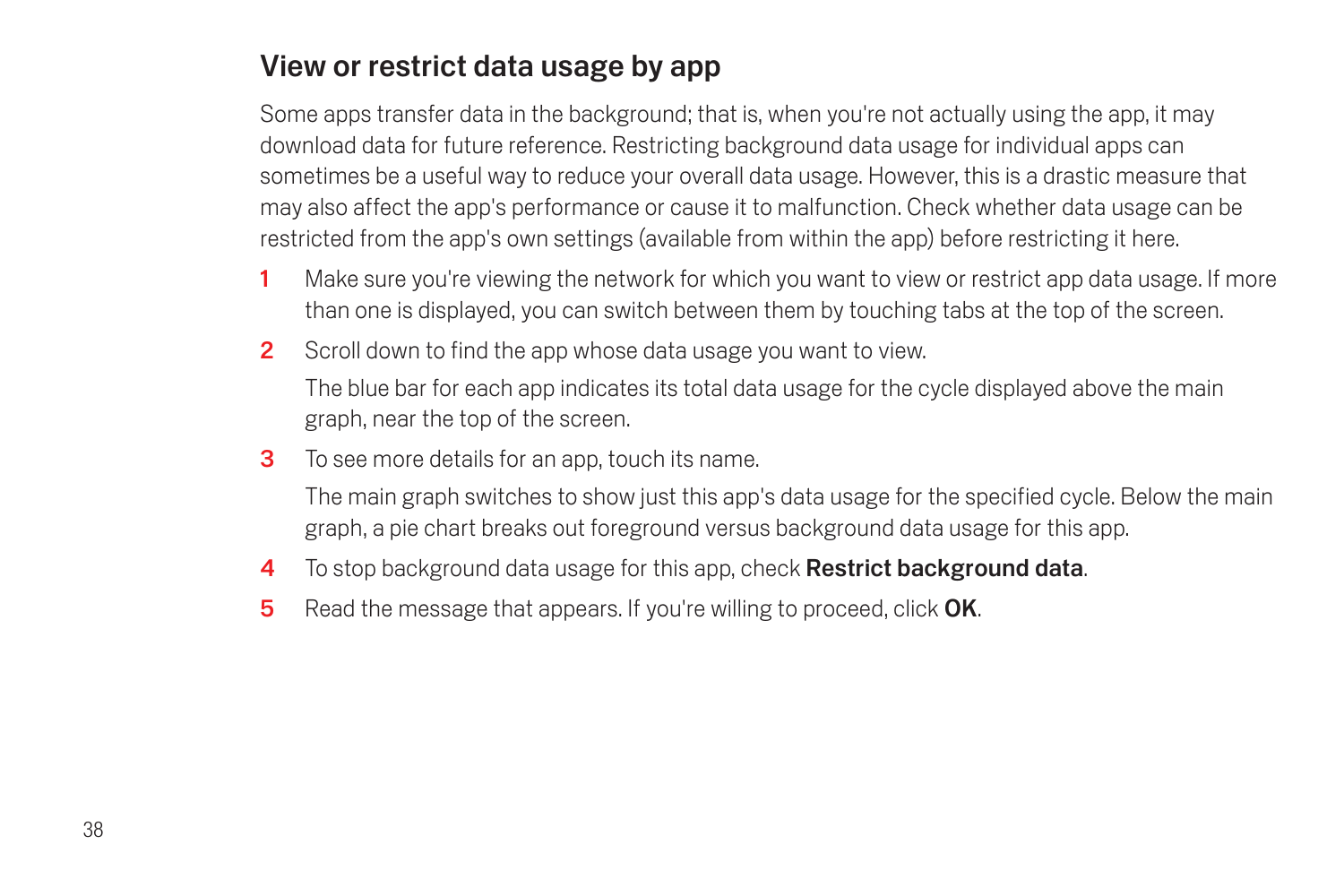## View or restrict data usage by app

Some apps transfer data in the background; that is, when you're not actually using the app, it may download data for future reference. Restricting background data usage for individual apps can sometimes be a useful way to reduce your overall data usage. However, this is a drastic measure that may also affect the app's performance or cause it to malfunction. Check whether data usage can be restricted from the app's own settings (available from within the app) before restricting it here.

- 1 Make sure you're viewing the network for which you want to view or restrict app data usage. If more than one is displayed, you can switch between them by touching tabs at the top of the screen.
- 2 Scroll down to find the app whose data usage you want to view.

The blue bar for each app indicates its total data usage for the cycle displayed above the main graph, near the top of the screen.

3 To see more details for an app, touch its name.

The main graph switches to show just this app's data usage for the specified cycle. Below the main graph, a pie chart breaks out foreground versus background data usage for this app.

- 4 To stop background data usage for this app, check **Restrict background data.**
- 5 Read the message that appears. If you're willing to proceed, click OK.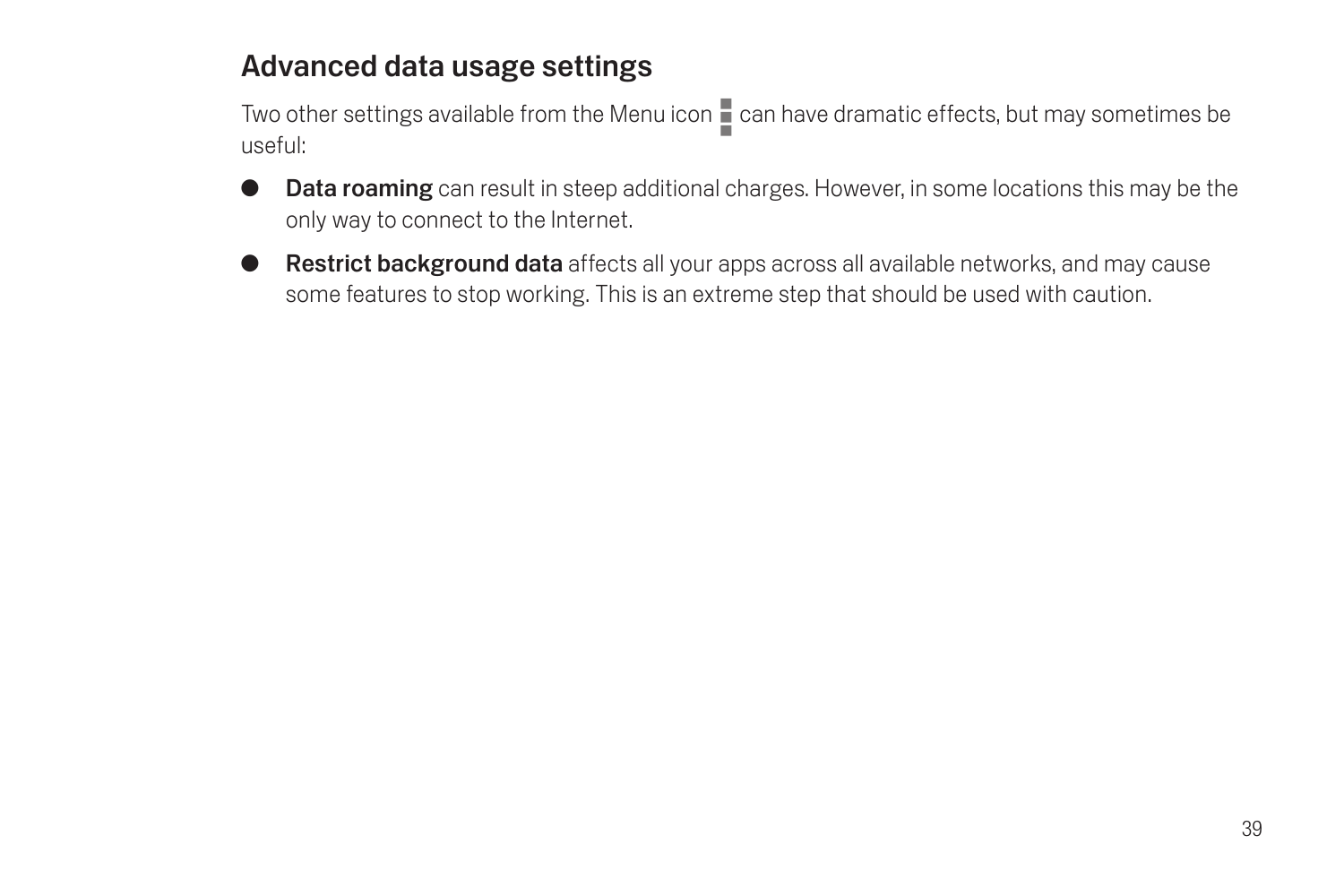## Advanced data usage settings

Two other settings available from the Menu icon  $\blacksquare$  can have dramatic effects, but may sometimes be useful:

- **C** Data roaming can result in steep additional charges. However, in some locations this may be the only way to connect to the Internet.
- **G** Restrict background data affects all your apps across all available networks, and may cause some features to stop working. This is an extreme step that should be used with caution.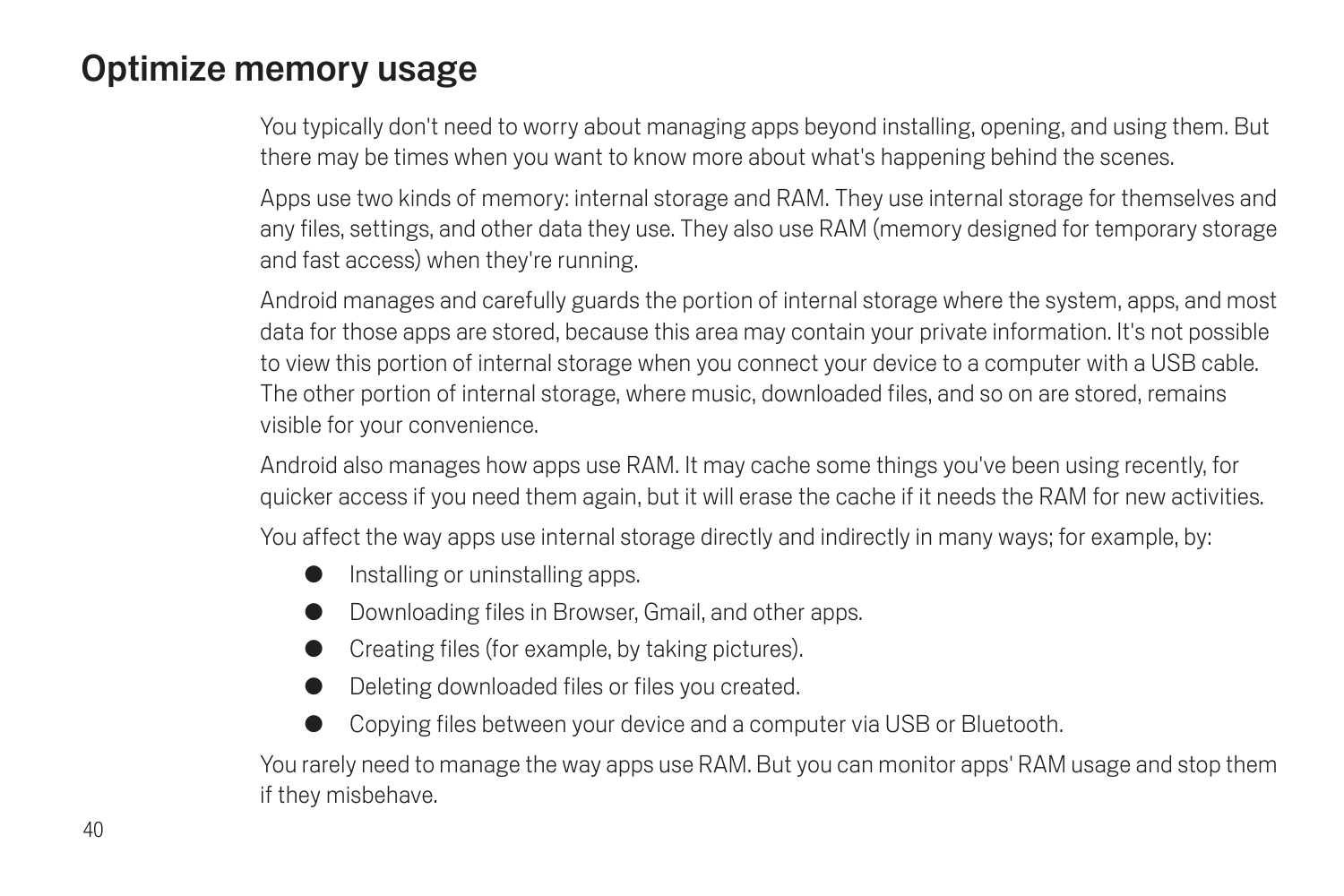## Optimize memory usage

You typically don't need to worry about managing apps beyond installing, opening, and using them. But there may be times when you want to know more about what's happening behind the scenes.

Apps use two kinds of memory: internal storage and RAM. They use internal storage for themselves and any files, settings, and other data they use. They also use RAM (memory designed for temporary storage and fast access) when they're running.

Android manages and carefully guards the portion of internal storage where the system, apps, and most data for those apps are stored, because this area may contain your private information. It's not possible to view this portion of internal storage when you connect your device to a computer with a USB cable. The other portion of internal storage, where music, downloaded files, and so on are stored, remains visible for your convenience.

Android also manages how apps use RAM. It may cache some things you've been using recently, for quicker access if you need them again, but it will erase the cache if it needs the RAM for new activities.

You affect the way apps use internal storage directly and indirectly in many ways; for example, by:

- Installing or uninstalling apps.
- Downloading files in Browser, Gmail, and other apps.
- Creating files (for example, by taking pictures).
- Deleting downloaded files or files you created.
- Copying files between your device and a computer via USB or Bluetooth.

You rarely need to manage the way apps use RAM. But you can monitor apps' RAM usage and stop them if they misbehave.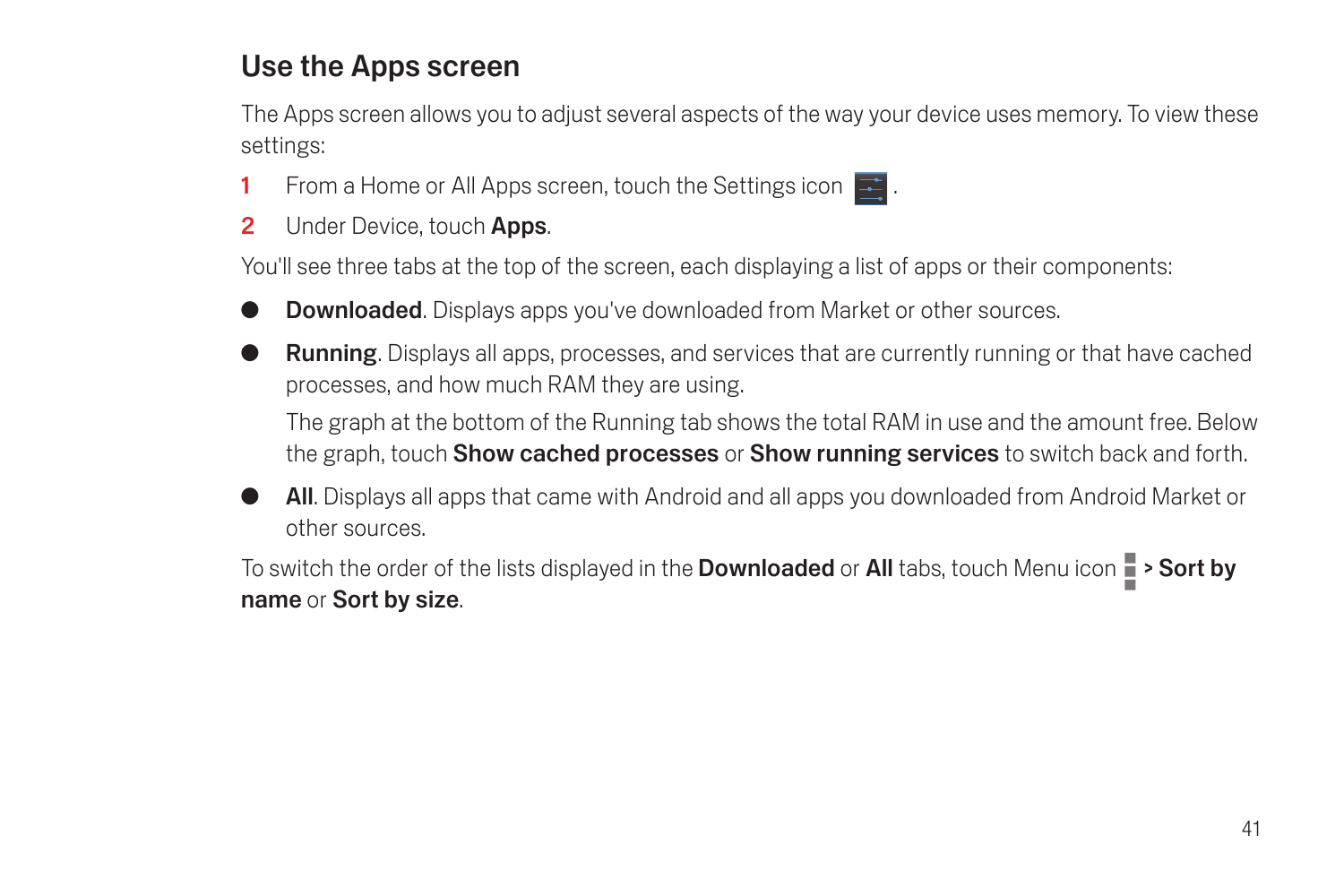## Use the Apps screen

The Apps screen allows you to adjust several aspects of the way your device uses memory. To view these settings:

- 1 From a Home or All Apps screen, touch the Settings icon  $\mathbb{R}$ .
- 2 Under Device, touch Apps.

You'll see three tabs at the top of the screen, each displaying a list of apps or their components:

- **Downloaded.** Displays apps you've downloaded from Market or other sources.
- **Running**. Displays all apps, processes, and services that are currently running or that have cached processes, and how much RAM they are using.

The graph at the bottom of the Running tab shows the total RAM in use and the amount free. Below the graph, touch **Show cached processes** or **Show running services** to switch back and forth.

All. Displays all apps that came with Android and all apps you downloaded from Android Market or other sources.

To switch the order of the lists displayed in the **Downloaded** or **All** tabs, touch Menu icon  $\blacksquare$  > Sort by name or Sort by size.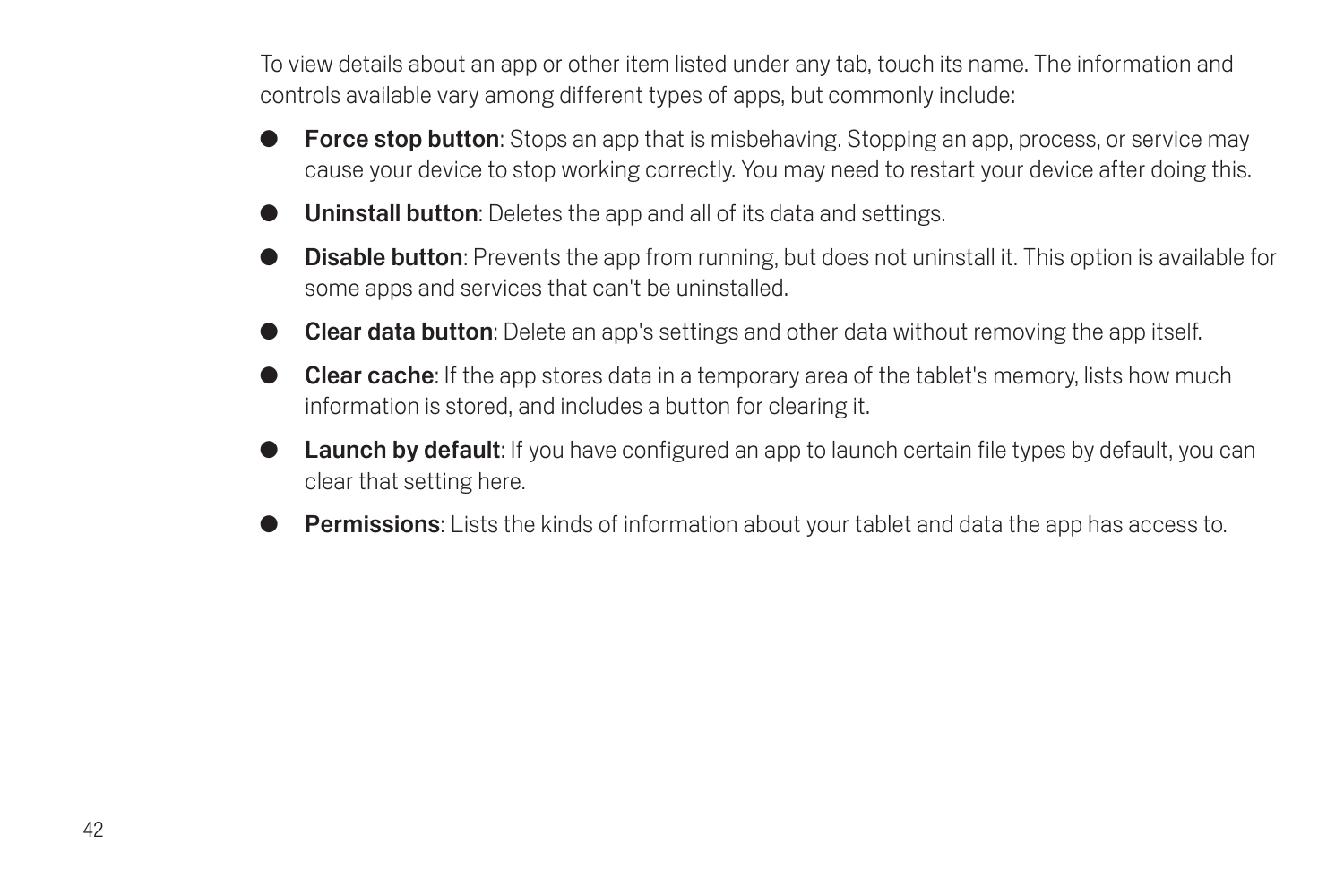To view details about an app or other item listed under any tab, touch its name. The information and controls available vary among different types of apps, but commonly include:

- **Force stop button:** Stops an app that is misbehaving. Stopping an app, process, or service may cause your device to stop working correctly. You may need to restart your device after doing this.
- **Uninstall button:** Deletes the app and all of its data and settings.
- **Disable button:** Prevents the app from running, but does not uninstall it. This option is available for some apps and services that can't be uninstalled.
- **Clear data button**: Delete an app's settings and other data without removing the app itself.
- **Clear cache:** If the app stores data in a temporary area of the tablet's memory, lists how much information is stored, and includes a button for clearing it.
- Launch by default: If you have configured an app to launch certain file types by default, you can clear that setting here.
- **Permissions:** Lists the kinds of information about your tablet and data the app has access to.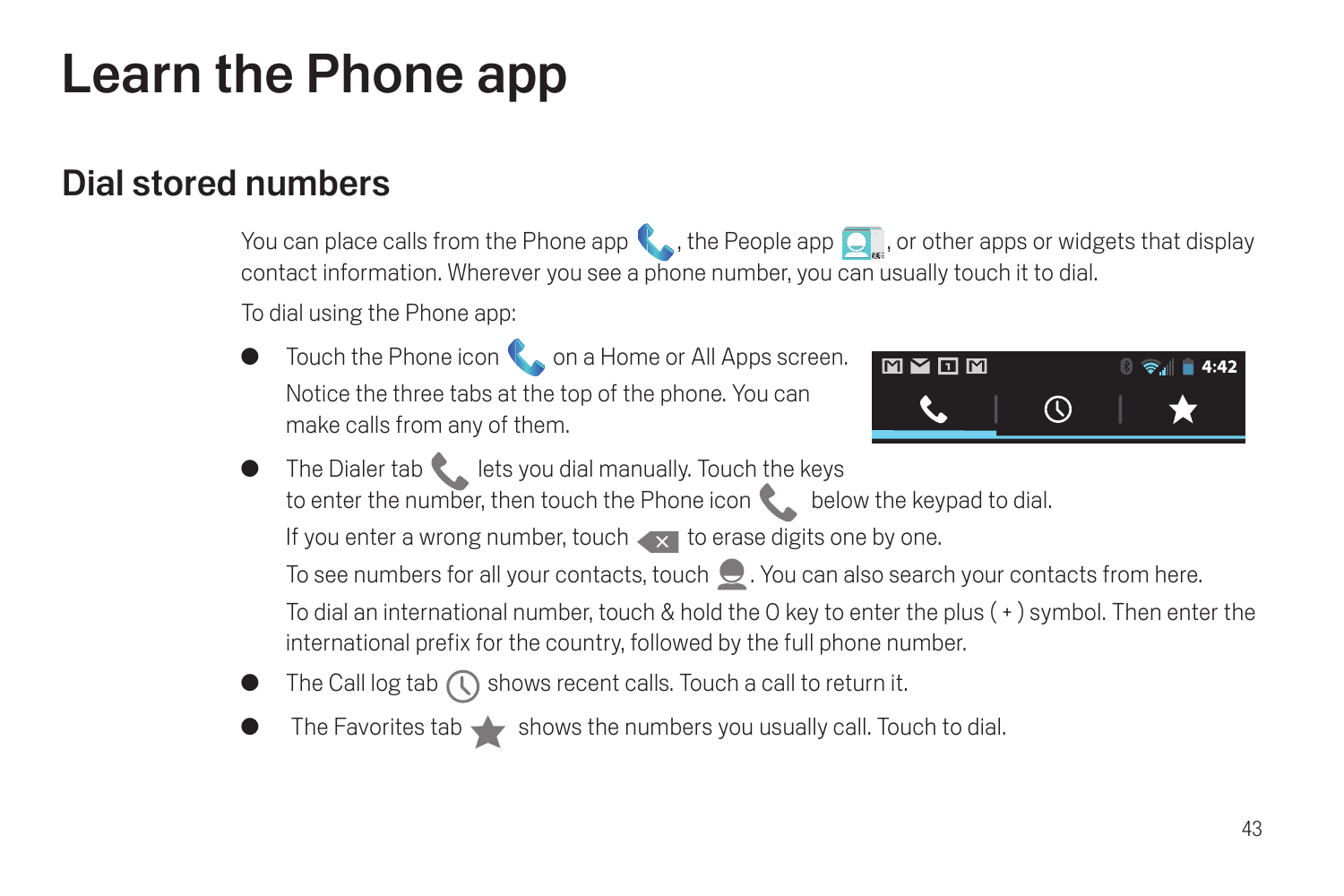# Learn the Phone app

## Dial stored numbers

You can place calls from the Phone app , the People app  $\Box$ , or other apps or widgets that display contact information. Wherever you see a phone number, you can usually touch it to dial.

To dial using the Phone app:

Touch the Phone icon  $\bullet$  on a Home or All Apps screen. Notice the three tabs at the top of the phone. You can make calls from any of them.



 $\bullet$  The Dialer tab lets you dial manually. Touch the keys to enter the number, then touch the Phone icon **below** the keypad to dial.

If you enter a wrong number, touch  $\overline{\phantom{x}}$  to erase digits one by one.

To see numbers for all your contacts, touch  $\bigcirc$ . You can also search your contacts from here.

To dial an international number, touch & hold the 0 key to enter the plus ( + ) symbol. Then enter the international prefix for the country, followed by the full phone number.

- The Call log tab  $\left(\bigcap\right)$  shows recent calls. Touch a call to return it.
- The Favorites tab  $\blacklozenge$  shows the numbers you usually call. Touch to dial.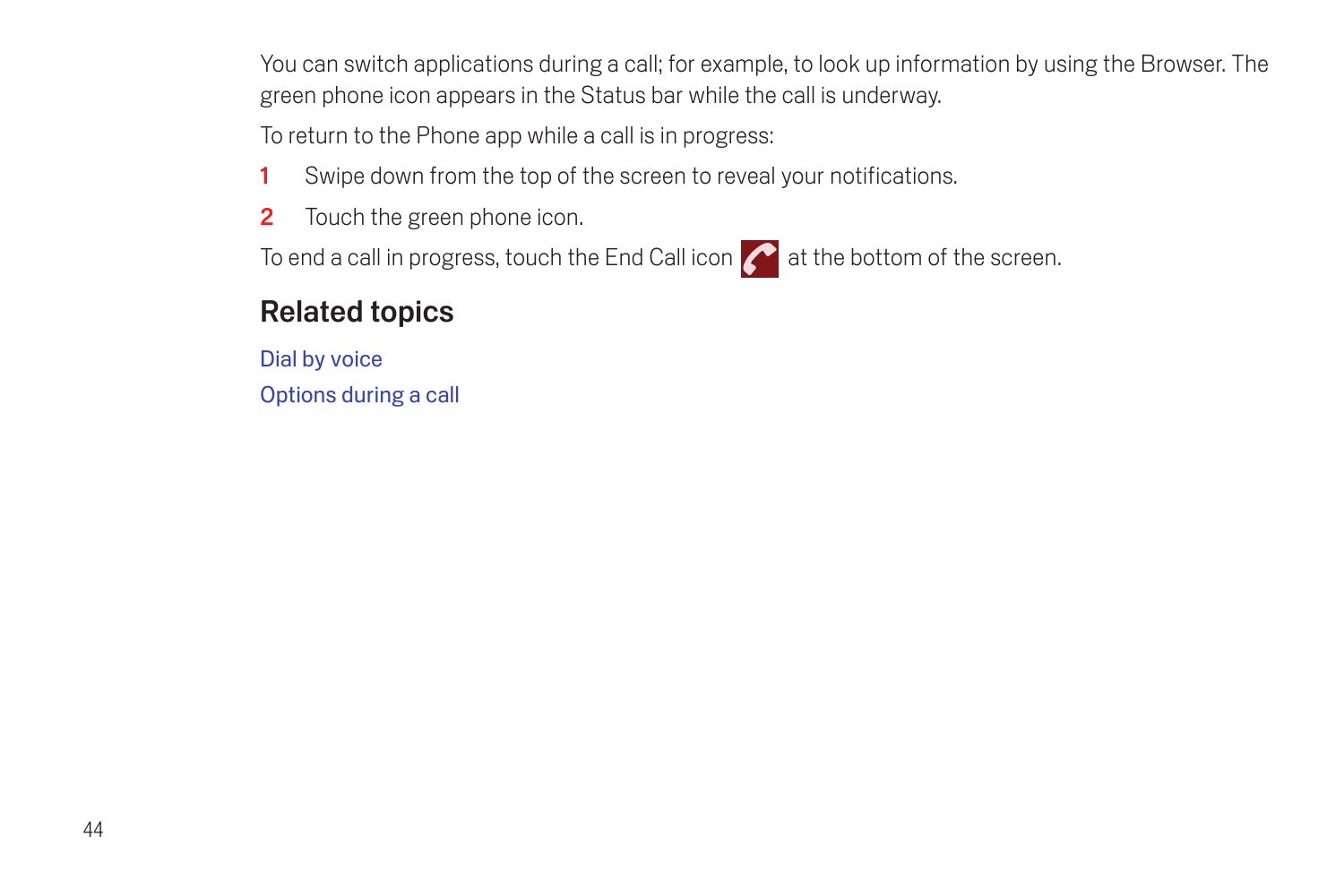You can switch applications during a call; for example, to look up information by using the Browser. The green phone icon appears in the Status bar while the call is underway.

To return to the Phone app while a call is in progress:

- 1 Swipe down from the top of the screen to reveal your notifications.
- 2 Touch the green phone icon.

To end a call in progress, touch the End Call icon  $\left| \right\rangle$  at the bottom of the screen.

## Related topics

[Dial by voice](#page-51-0) [Options during a call](#page-52-0)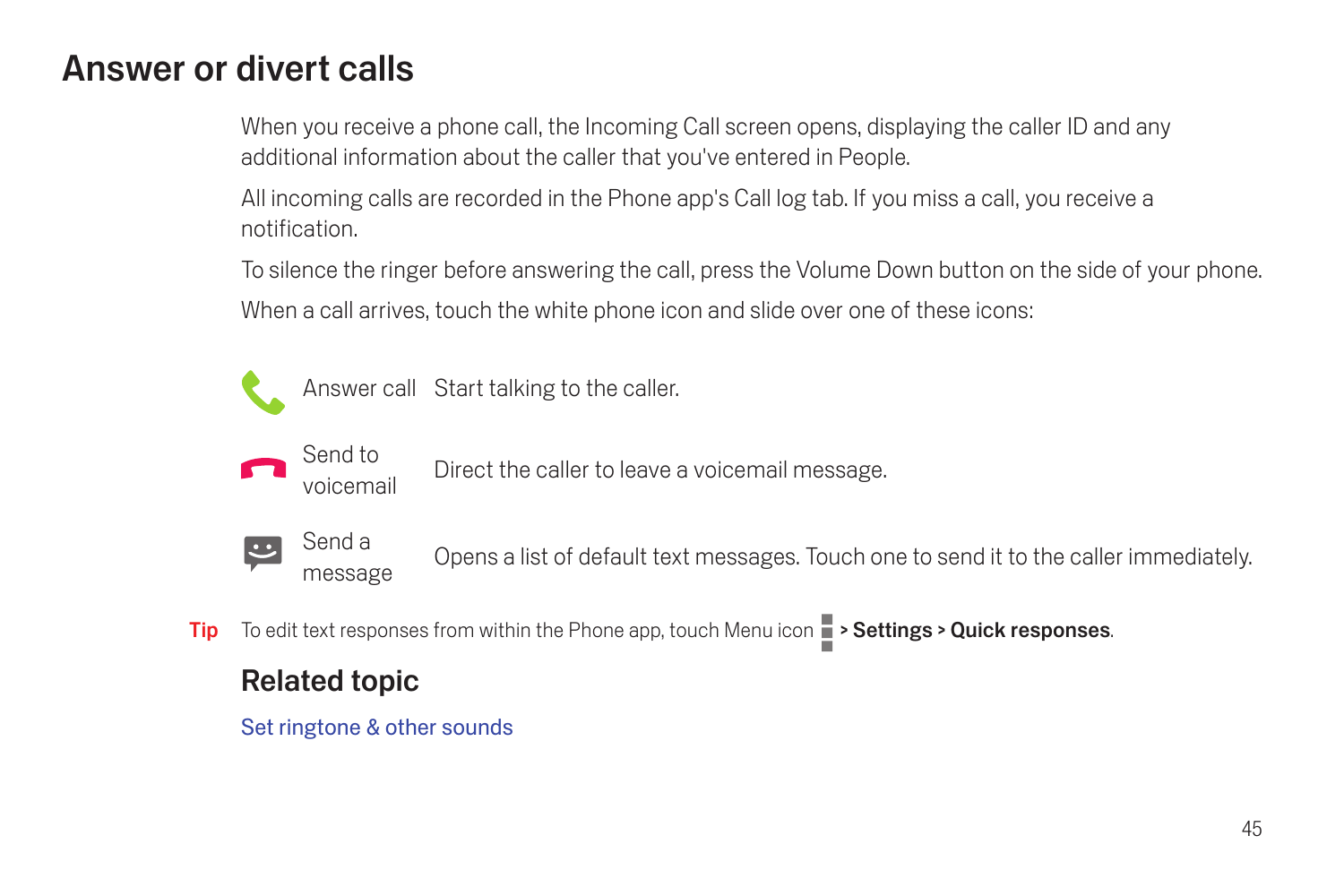## Answer or divert calls

When you receive a phone call, the Incoming Call screen opens, displaying the caller ID and any additional information about the caller that you've entered in People.

All incoming calls are recorded in the Phone app's Call log tab. If you miss a call, you receive a notification.

To silence the ringer before answering the call, press the Volume Down button on the side of your phone. When a call arrives, touch the white phone icon and slide over one of these icons:



Answer call Start talking to the caller.



voicemail Direct the caller to leave a voicemail message.



message Opens a list of default text messages. Touch one to send it to the caller immediately.

Tip To edit text responses from within the Phone app, touch Menu icon  $\Box$  > Settings > Quick responses.

### Related topic

[Set ringtone & other sounds](#page-16-0)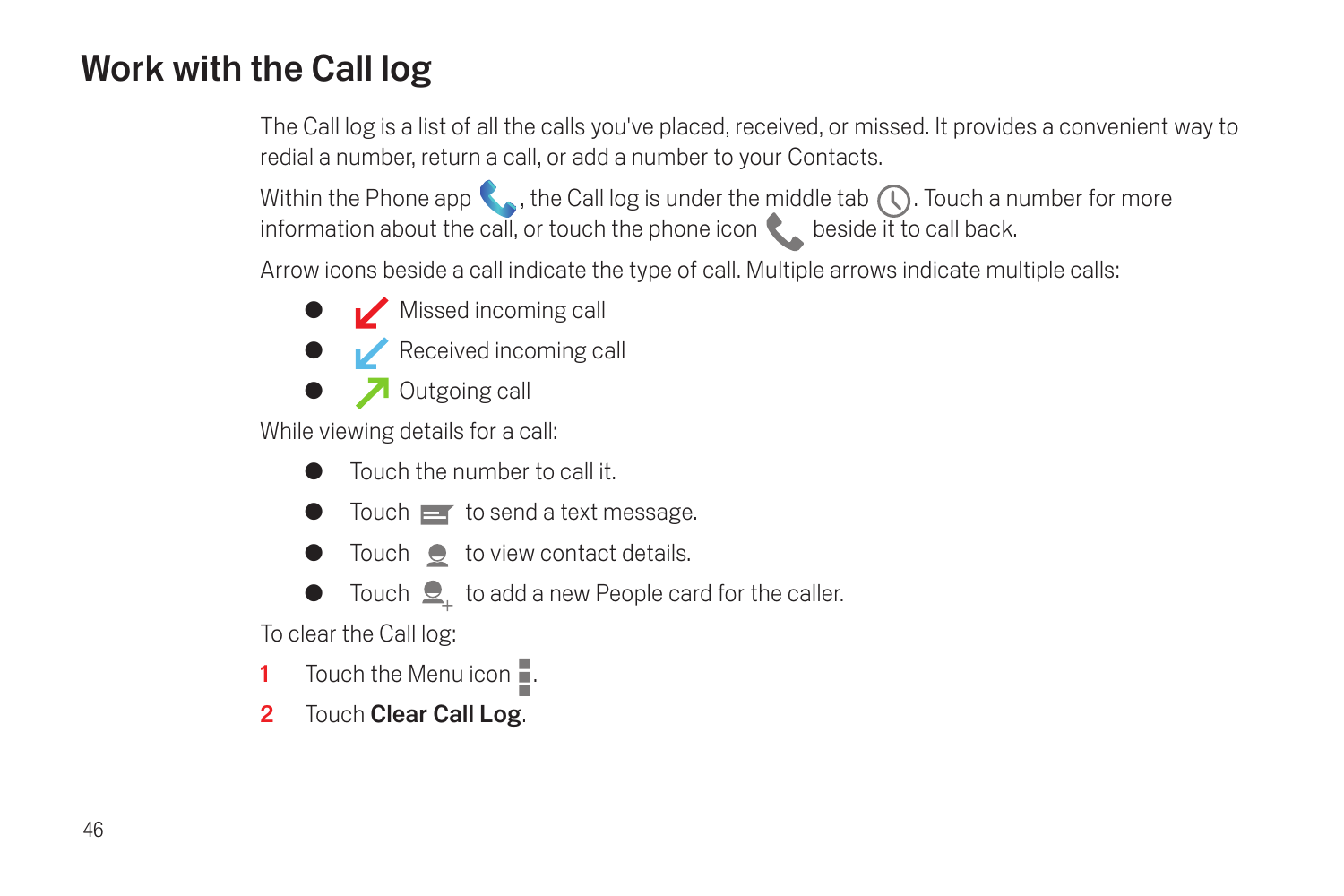## Work with the Call log

The Call log is a list of all the calls you've placed, received, or missed. It provides a convenient way to redial a number, return a call, or add a number to your Contacts.

Within the Phone app  $\langle \cdot \rangle$ , the Call log is under the middle tab  $\langle \cdot \rangle$ . Touch a number for more information about the call, or touch the phone icon  $\bullet$  beside it to call back.

Arrow icons beside a call indicate the type of call. Multiple arrows indicate multiple calls:

- $\bullet$  Missed incoming call
- **C** Received incoming call
- **O** Outgoing call

While viewing details for a call:

- G Touch the number to call it.
- $\bullet$  Touch  $\equiv$  to send a text message.
- $\bullet$  Touch  $\bullet$  to view contact details.
- Touch  $\mathcal{Q}_{\perp}$  to add a new People card for the caller.

To clear the Call log:

- 1 Touch the Menu icon  $\blacksquare$ .
- 2 Touch Clear Call Log.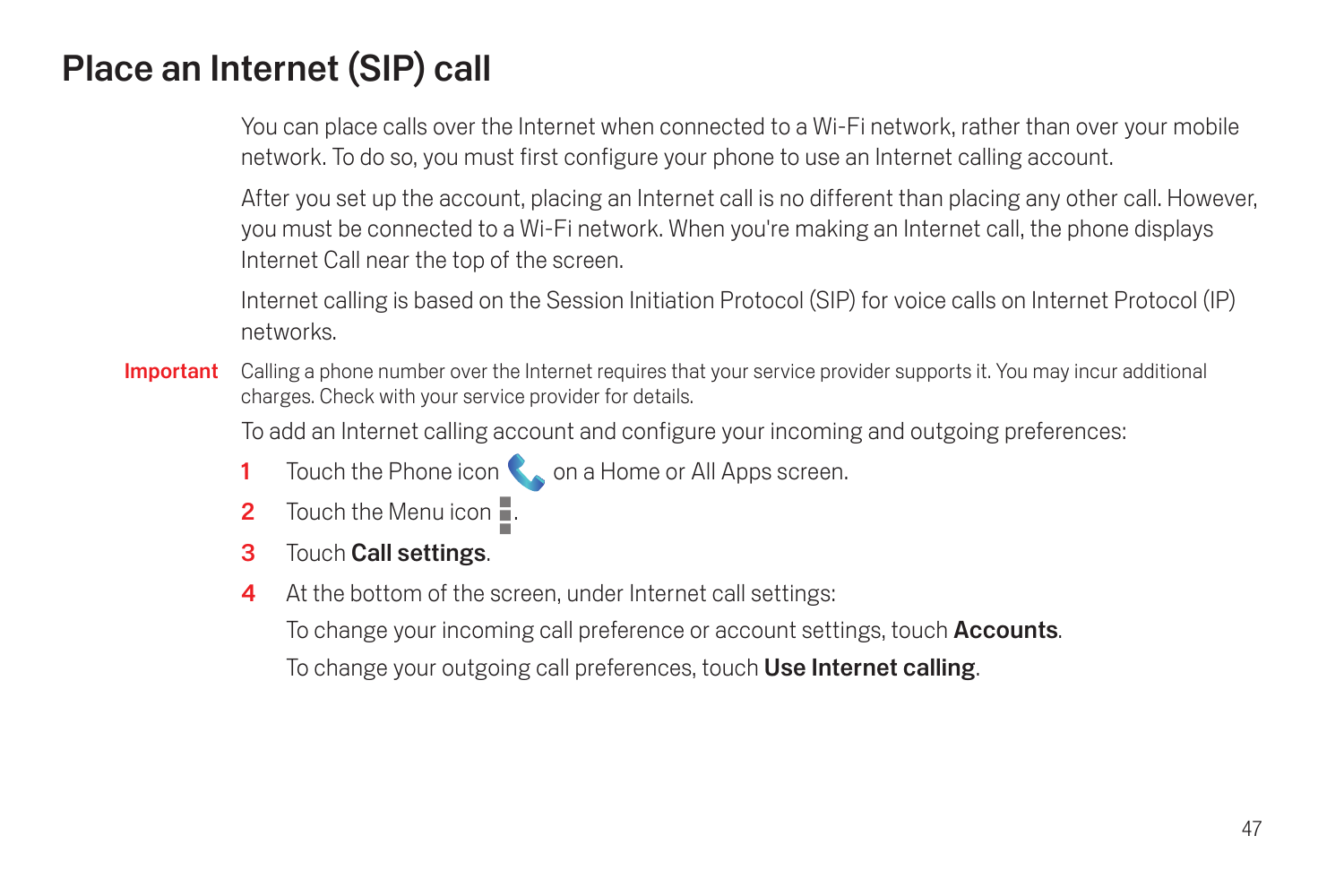# Place an Internet (SIP) call

You can place calls over the Internet when connected to a Wi-Fi network, rather than over your mobile network. To do so, you must first configure your phone to use an Internet calling account.

After you set up the account, placing an Internet call is no different than placing any other call. However, you must be connected to a Wi-Fi network. When you're making an Internet call, the phone displays Internet Call near the top of the screen.

Internet calling is based on the Session Initiation Protocol (SIP) for voice calls on Internet Protocol (IP) networks.

Important Calling a phone number over the Internet requires that your service provider supports it. You may incur additional charges. Check with your service provider for details.

To add an Internet calling account and configure your incoming and outgoing preferences:

- 1 Touch the Phone icon  $\bigotimes$  on a Home or All Apps screen.
- 2 Touch the Menu icon  $\blacksquare$ .
- 3 Touch Call settings.
- 4 At the bottom of the screen, under Internet call settings:

To change your incoming call preference or account settings, touch **Accounts**.

To change your outgoing call preferences, touch Use Internet calling.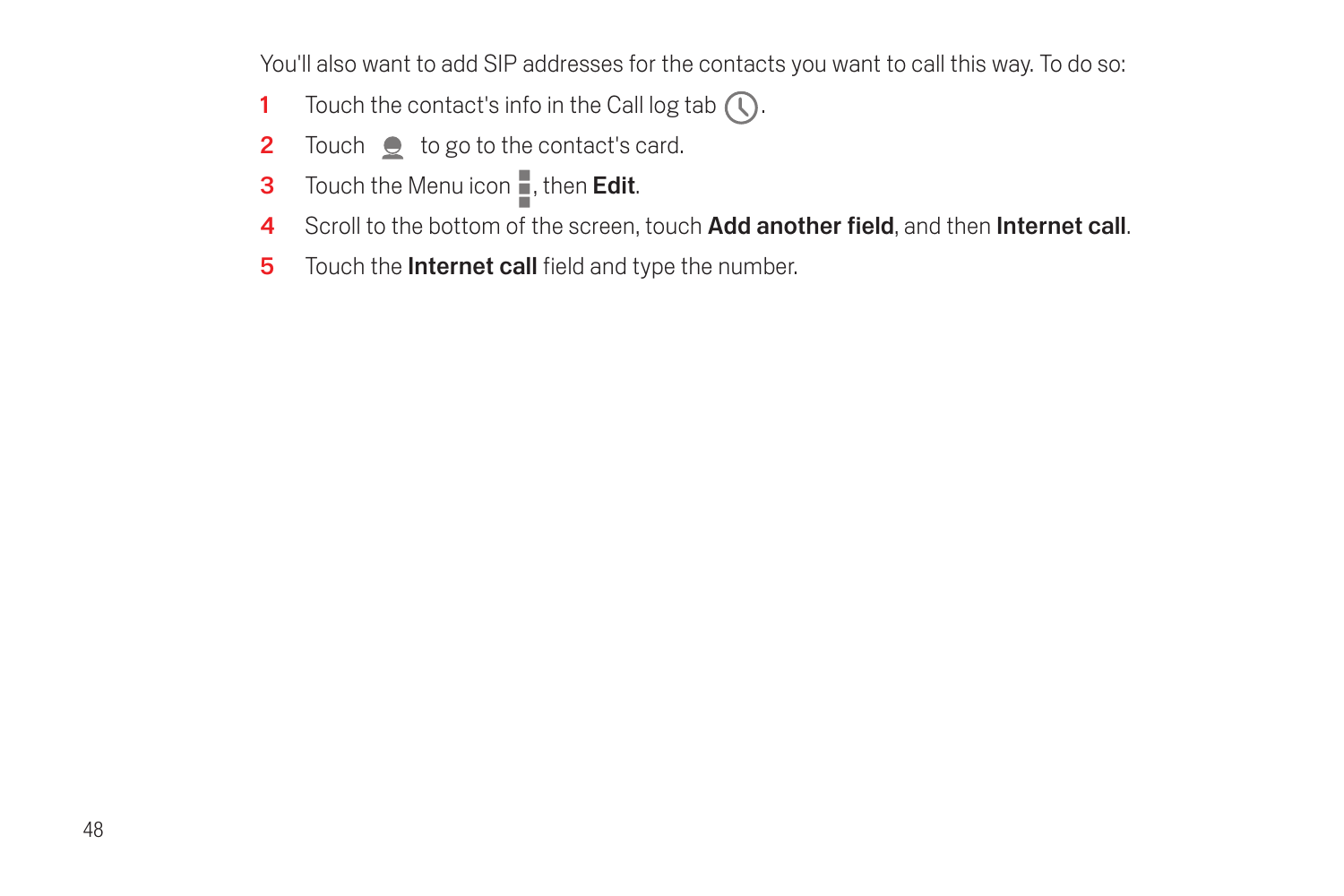You'll also want to add SIP addresses for the contacts you want to call this way. To do so:

- 1 Touch the contact's info in the Call log tab  $\left(\overline{\mathbb{Q}}\right)$ .
- 2 Touch  $\bullet$  to go to the contact's card.
- **3** Touch the Menu icon  $\blacksquare$ , then **Edit**.
- 4 Scroll to the bottom of the screen, touch Add another field, and then Internet call.
- 5 Touch the **Internet call** field and type the number.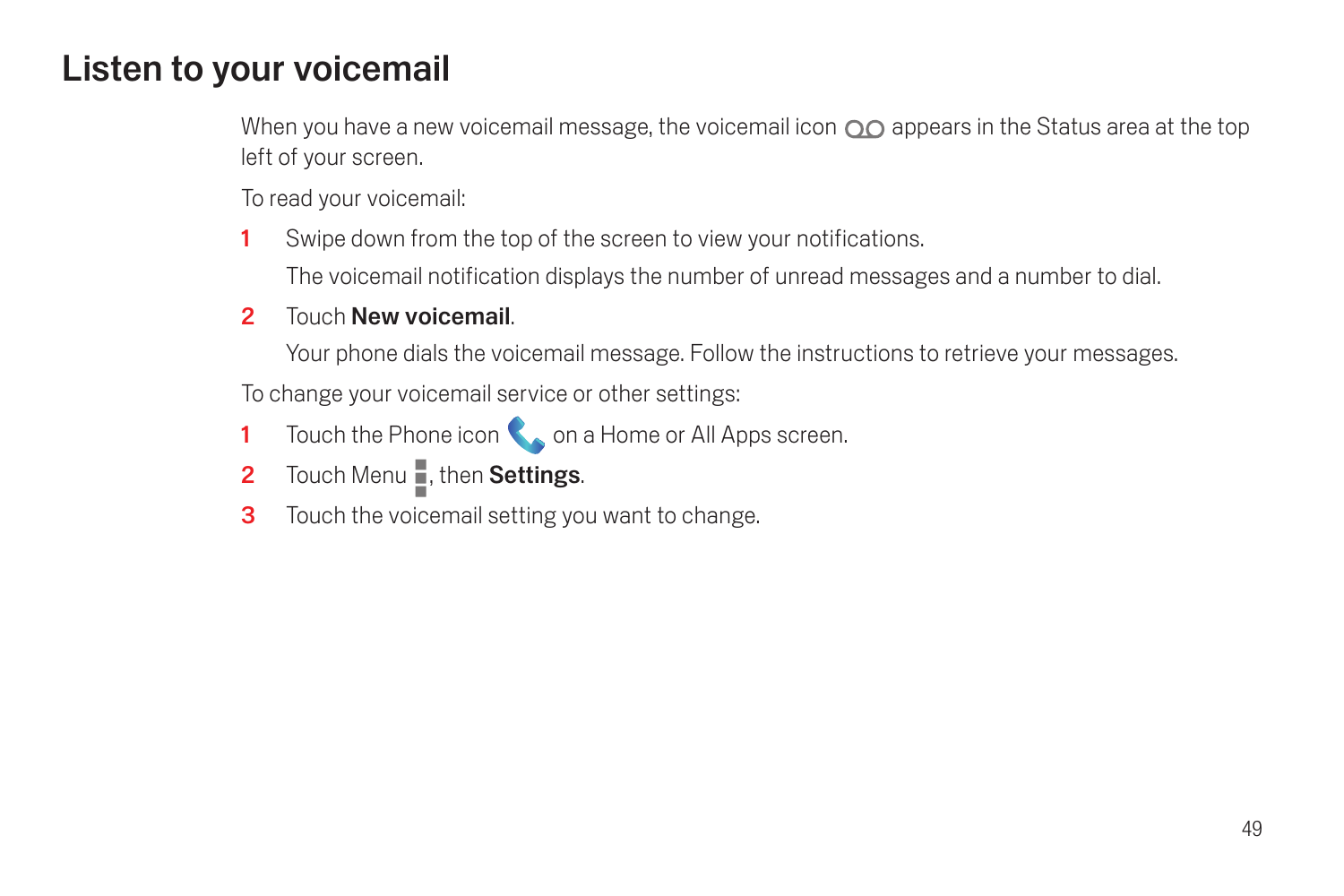## Listen to your voicemail

When you have a new voicemail message, the voicemail icon  $\overline{O}O$  appears in the Status area at the top left of your screen.

To read your voicemail:

- 1 Swipe down from the top of the screen to view your notifications. The voicemail notification displays the number of unread messages and a number to dial.
- 2 Touch New voicemail.

Your phone dials the voicemail message. Follow the instructions to retrieve your messages.

To change your voicemail service or other settings:

- 1 Touch the Phone icon **C** on a Home or All Apps screen.
- 2 Touch Menu , then Settings.
- **3** Touch the voicemail setting you want to change.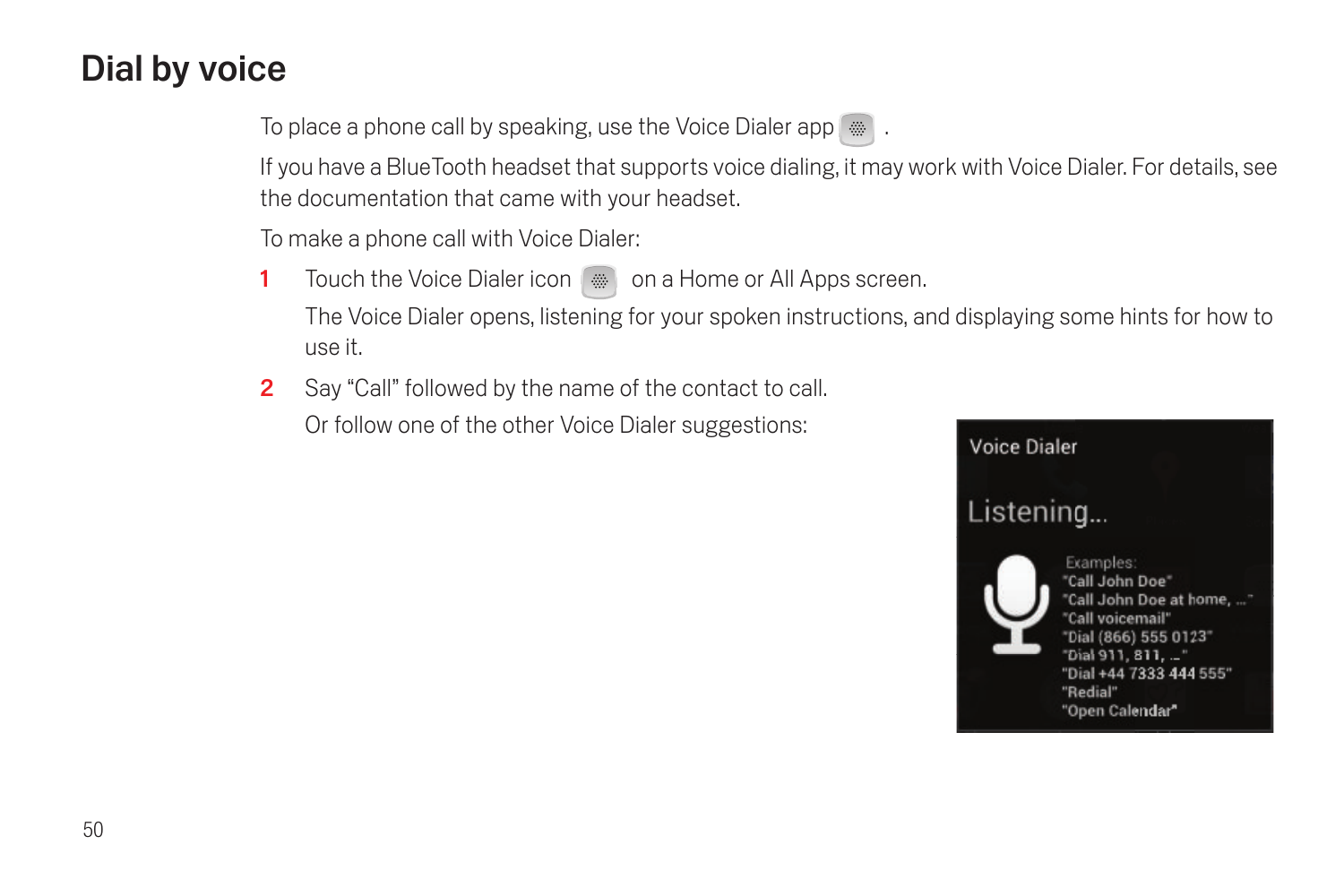# <span id="page-51-0"></span>Dial by voice

To place a phone call by speaking, use the Voice Dialer app  $\ddot{m}$ .

If you have a BlueTooth headset that supports voice dialing, it may work with Voice Dialer. For details, see the documentation that came with your headset.

To make a phone call with Voice Dialer:

- 1 Touch the Voice Dialer icon w on a Home or All Apps screen. The Voice Dialer opens, listening for your spoken instructions, and displaying some hints for how to use it.
- 2 Say "Call" followed by the name of the contact to call. Or follow one of the other Voice Dialer suggestions:

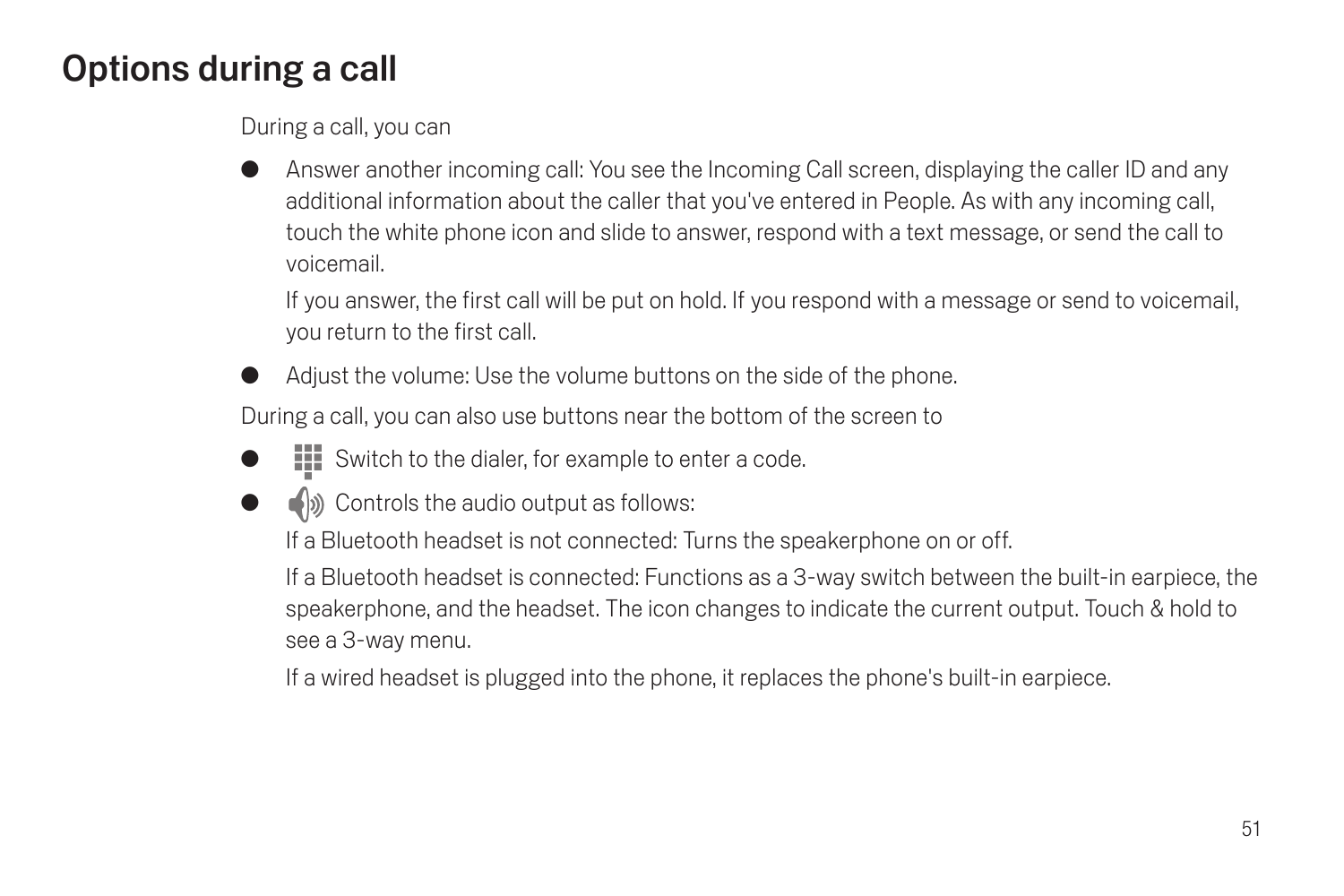# <span id="page-52-0"></span>Options during a call

During a call, you can

Answer another incoming call: You see the Incoming Call screen, displaying the caller ID and any additional information about the caller that you've entered in People. As with any incoming call, touch the white phone icon and slide to answer, respond with a text message, or send the call to voicemail.

If you answer, the first call will be put on hold. If you respond with a message or send to voicemail, you return to the first call.

Adiust the volume: Use the volume buttons on the side of the phone.

During a call, you can also use buttons near the bottom of the screen to

- $\textbf{H}$  Switch to the dialer, for example to enter a code.
- $\Box$ ) Controls the audio output as follows:

If a Bluetooth headset is not connected: Turns the speakerphone on or off.

If a Bluetooth headset is connected: Functions as a 3-way switch between the built-in earpiece, the speakerphone, and the headset. The icon changes to indicate the current output. Touch & hold to see a 3-way menu.

If a wired headset is plugged into the phone, it replaces the phone's built-in earpiece.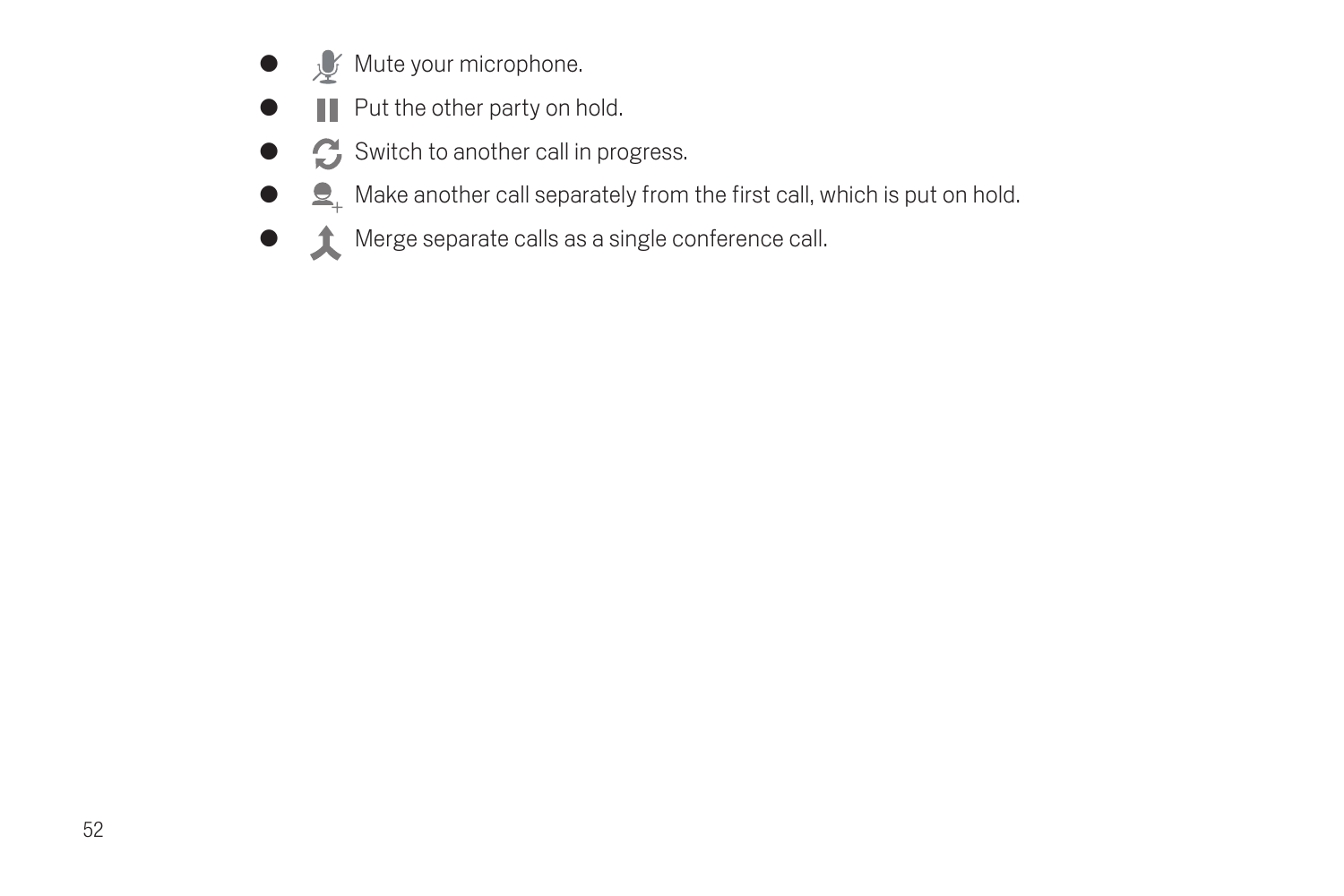- $\bullet$   $\mathcal{G}$  Mute your microphone.
- $\bullet$   $\blacksquare$  Put the other party on hold.
- G Switch to another call in progress.
- $\bullet$   $\bullet$   $\bullet$  Make another call separately from the first call, which is put on hold.
- **G** Merge separate calls as a single conference call.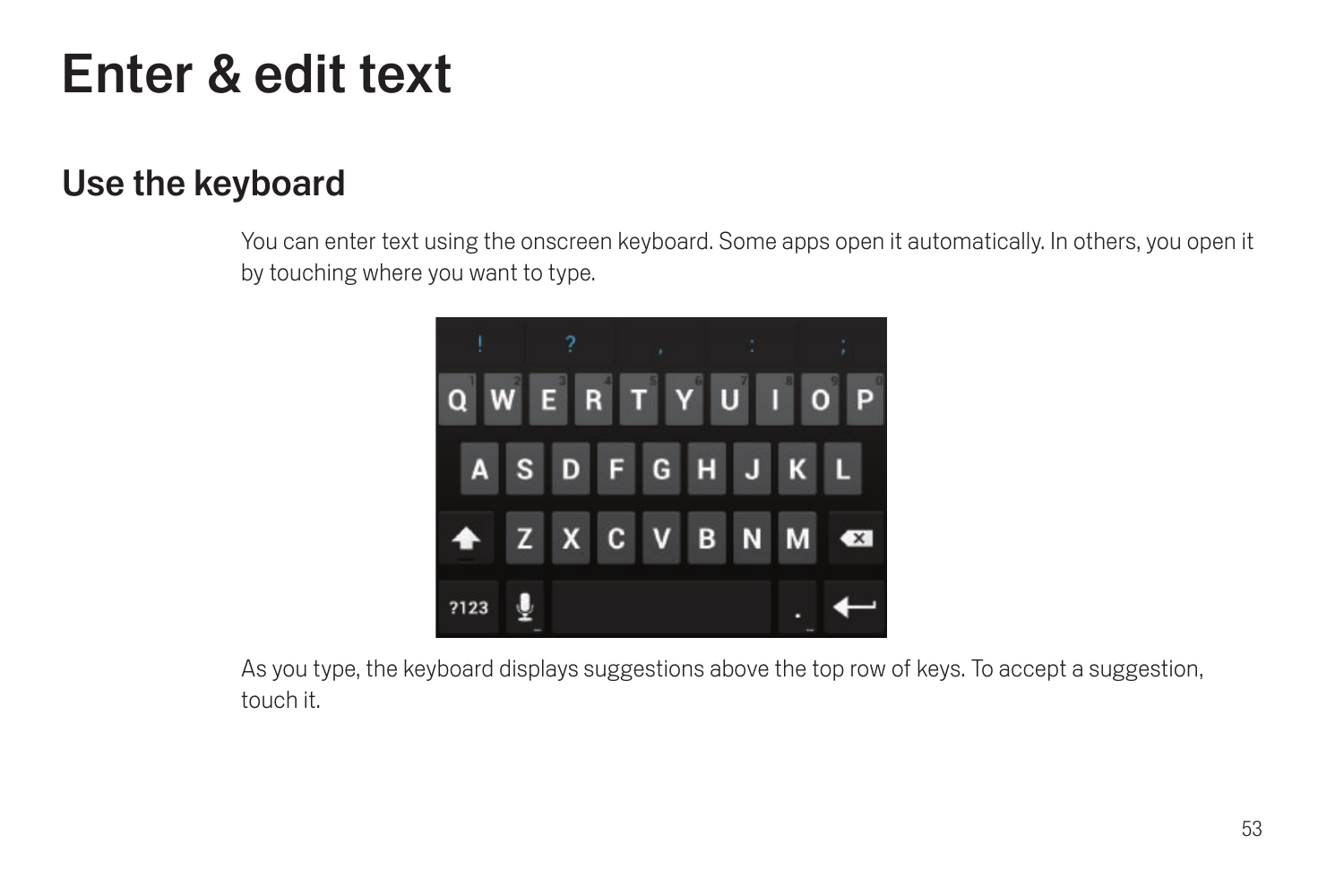# Enter & edit text

## Use the keyboard

You can enter text using the onscreen keyboard. Some apps open it automatically. In others, you open it by touching where you want to type.



As you type, the keyboard displays suggestions above the top row of keys. To accept a suggestion, touch it.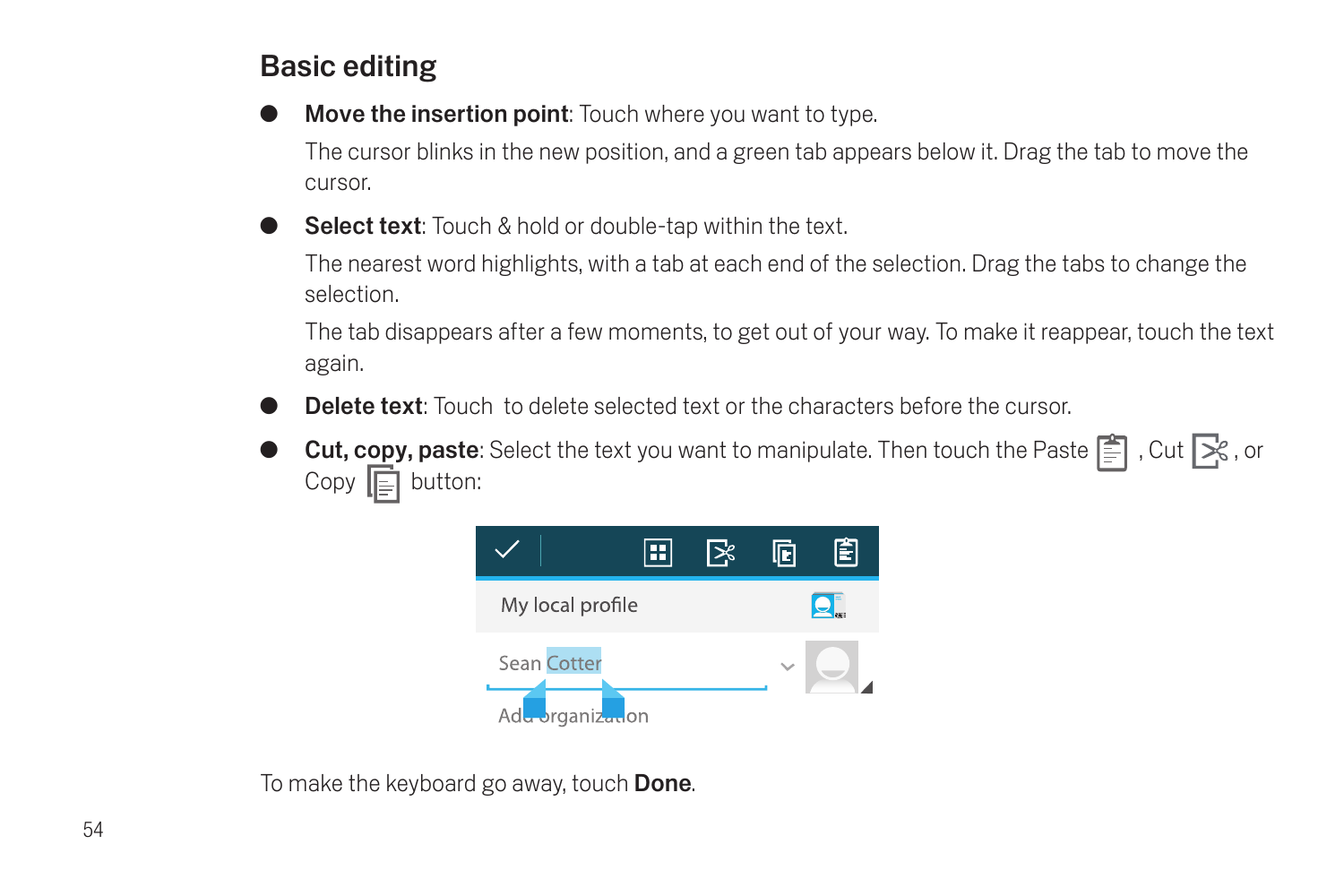## Basic editing

**Move the insertion point:** Touch where you want to type.

The cursor blinks in the new position, and a green tab appears below it. Drag the tab to move the cursor.

Select text: Touch & hold or double-tap within the text.

The nearest word highlights, with a tab at each end of the selection. Drag the tabs to change the selection.

The tab disappears after a few moments, to get out of your way. To make it reappear, touch the text again.

- Delete text: Touch to delete selected text or the characters before the cursor.
- Cut, copy, paste: Select the text you want to manipulate. Then touch the Paste  $\Xi$ , Cut  $\mathbb{R}$ , or Copy  $\boxed{\equiv}$  button:



To make the keyboard go away, touch **Done**.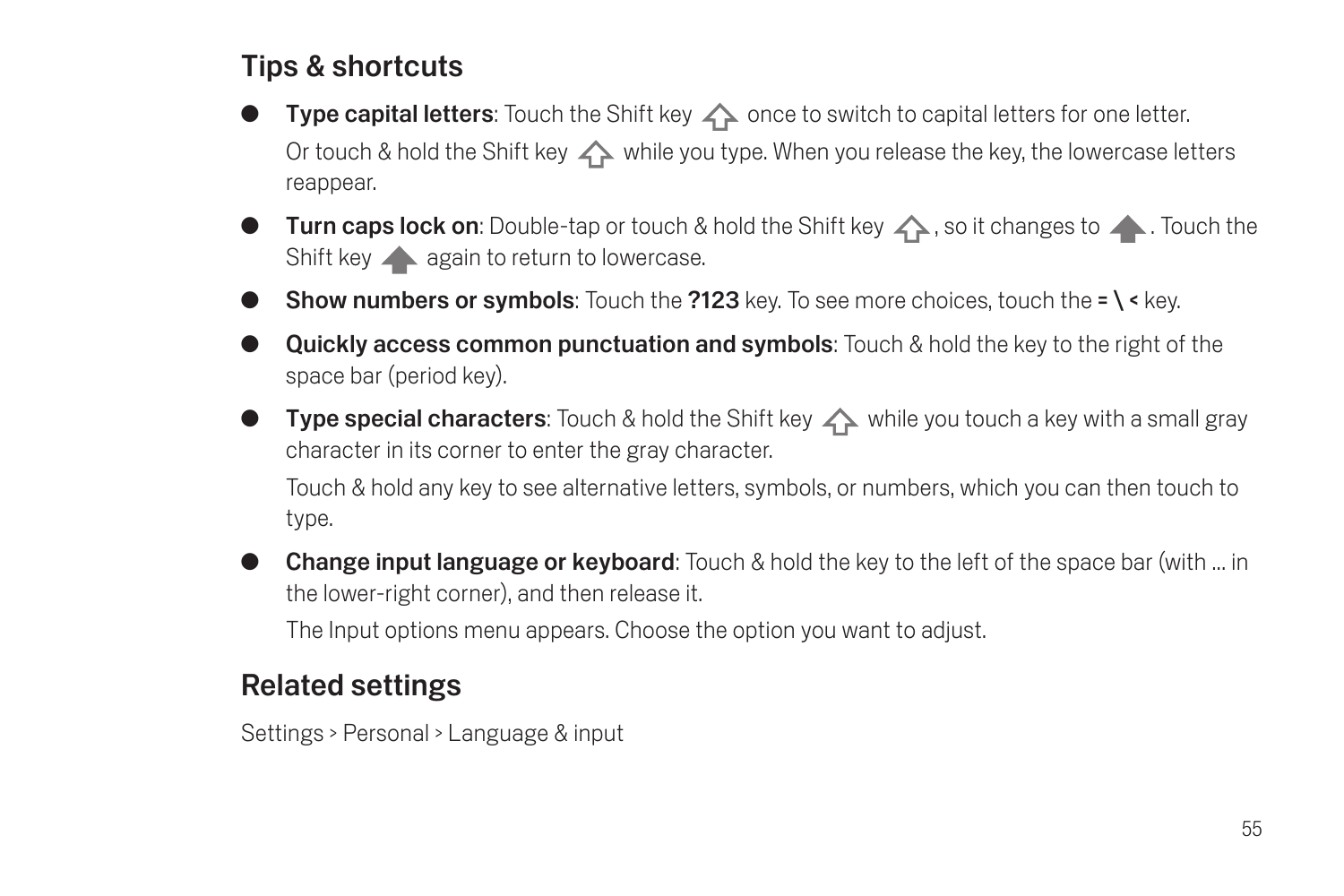## Tips & shortcuts

- Type capital letters: Touch the Shift key  $\triangle$  once to switch to capital letters for one letter. Or touch & hold the Shift key  $\triangle$  while you type. When you release the key, the lowercase letters reappear.
- **Turn caps lock on**: Double-tap or touch & hold the Shift key  $\wedge$ , so it changes to  $\wedge$ . Touch the Shift key **a** again to return to lowercase.
- **Show numbers or symbols:** Touch the **?123** key. To see more choices, touch the  $= \sqrt{\epsilon}$  key.
- Quickly access common punctuation and symbols: Touch & hold the key to the right of the space bar (period key).
- **Type special characters:** Touch & hold the Shift key  $\triangle$  while you touch a key with a small gray character in its corner to enter the gray character.

Touch & hold any key to see alternative letters, symbols, or numbers, which you can then touch to type.

**Change input language or keyboard:** Touch & hold the key to the left of the space bar (with ... in the lower-right corner), and then release it.

The Input options menu appears. Choose the option you want to adjust.

#### Related settings

Settings > Personal > Language & input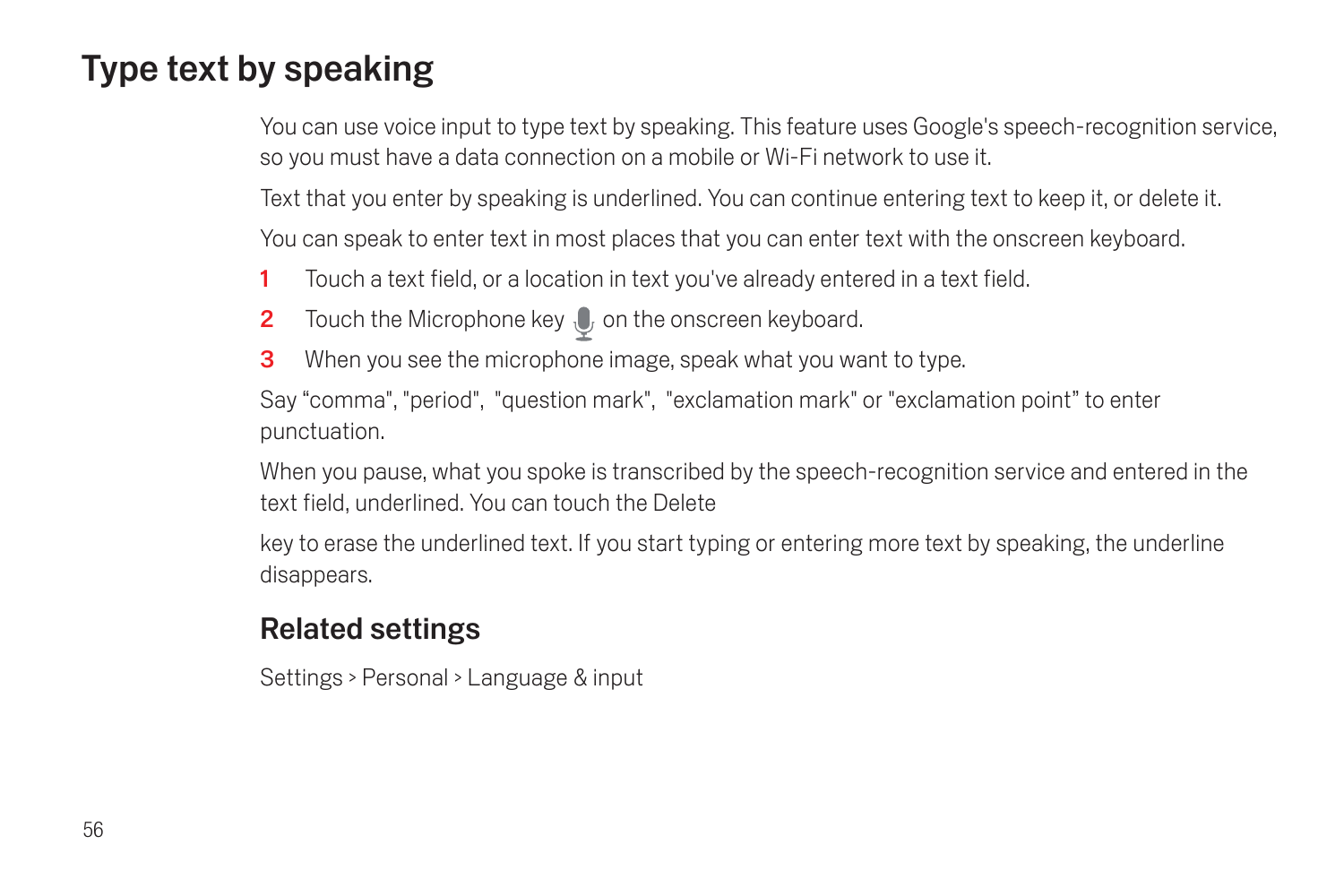# Type text by speaking

You can use voice input to type text by speaking. This feature uses Google's speech-recognition service, so you must have a data connection on a mobile or Wi-Fi network to use it.

Text that you enter by speaking is underlined. You can continue entering text to keep it, or delete it.

You can speak to enter text in most places that you can enter text with the onscreen keyboard.

- 1 Touch a text field, or a location in text you've already entered in a text field.
- **2** Touch the Microphone key  $\bullet$  on the onscreen keyboard.
- **3** When you see the microphone image, speak what you want to type.

Say "comma", "period", "question mark", "exclamation mark" or "exclamation point" to enter punctuation.

When you pause, what you spoke is transcribed by the speech-recognition service and entered in the text field, underlined. You can touch the Delete

key to erase the underlined text. If you start typing or entering more text by speaking, the underline disappears.

#### Related settings

Settings > Personal > Language & input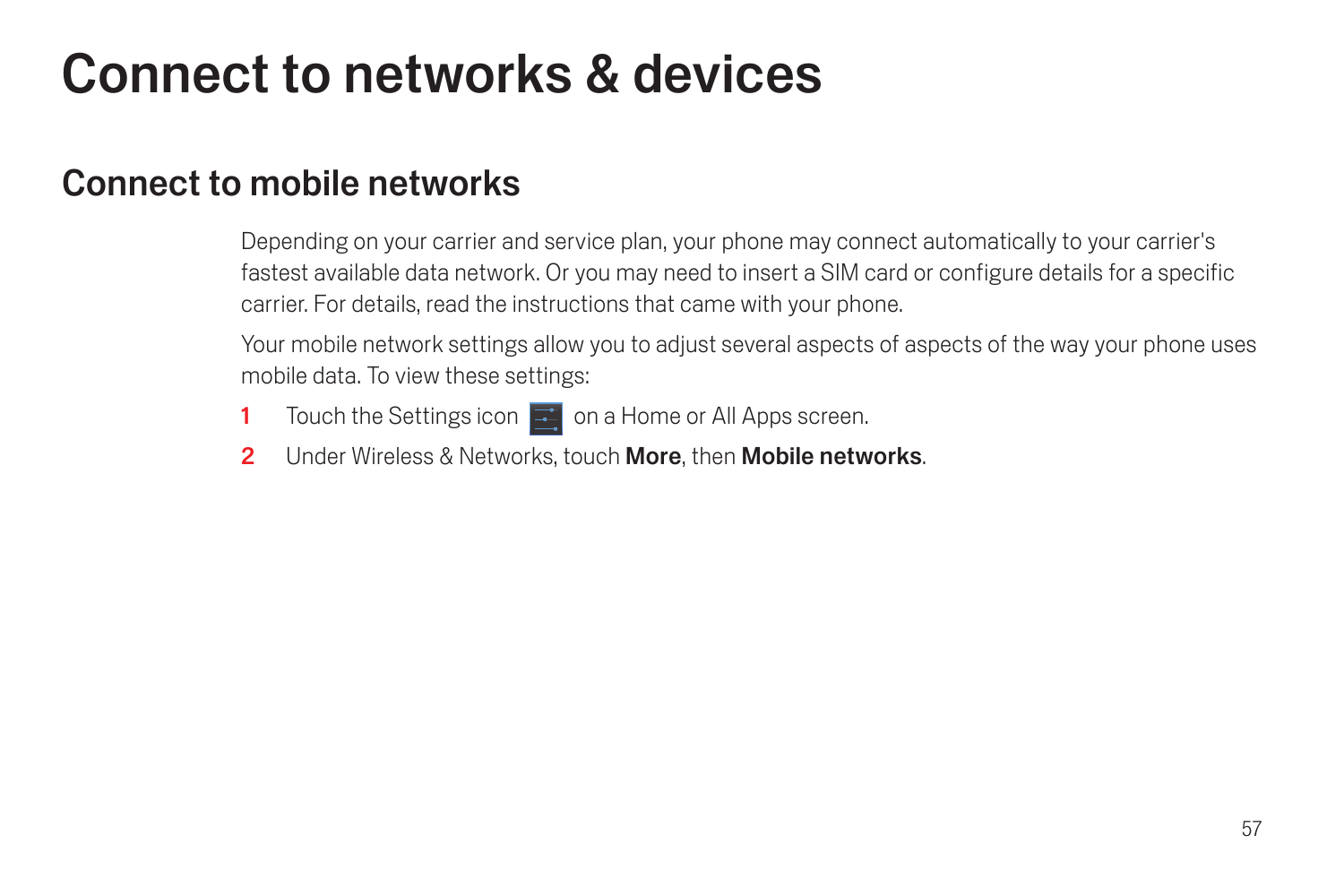# Connect to networks & devices

## Connect to mobile networks

Depending on your carrier and service plan, your phone may connect automatically to your carrier's fastest available data network. Or you may need to insert a SIM card or configure details for a specific carrier. For details, read the instructions that came with your phone.

Your mobile network settings allow you to adjust several aspects of aspects of the way your phone uses mobile data. To view these settings:

- 1 Touch the Settings icon  $\mathbb{R}^n$  on a Home or All Apps screen.
- 2 Under Wireless & Networks, touch More, then Mobile networks.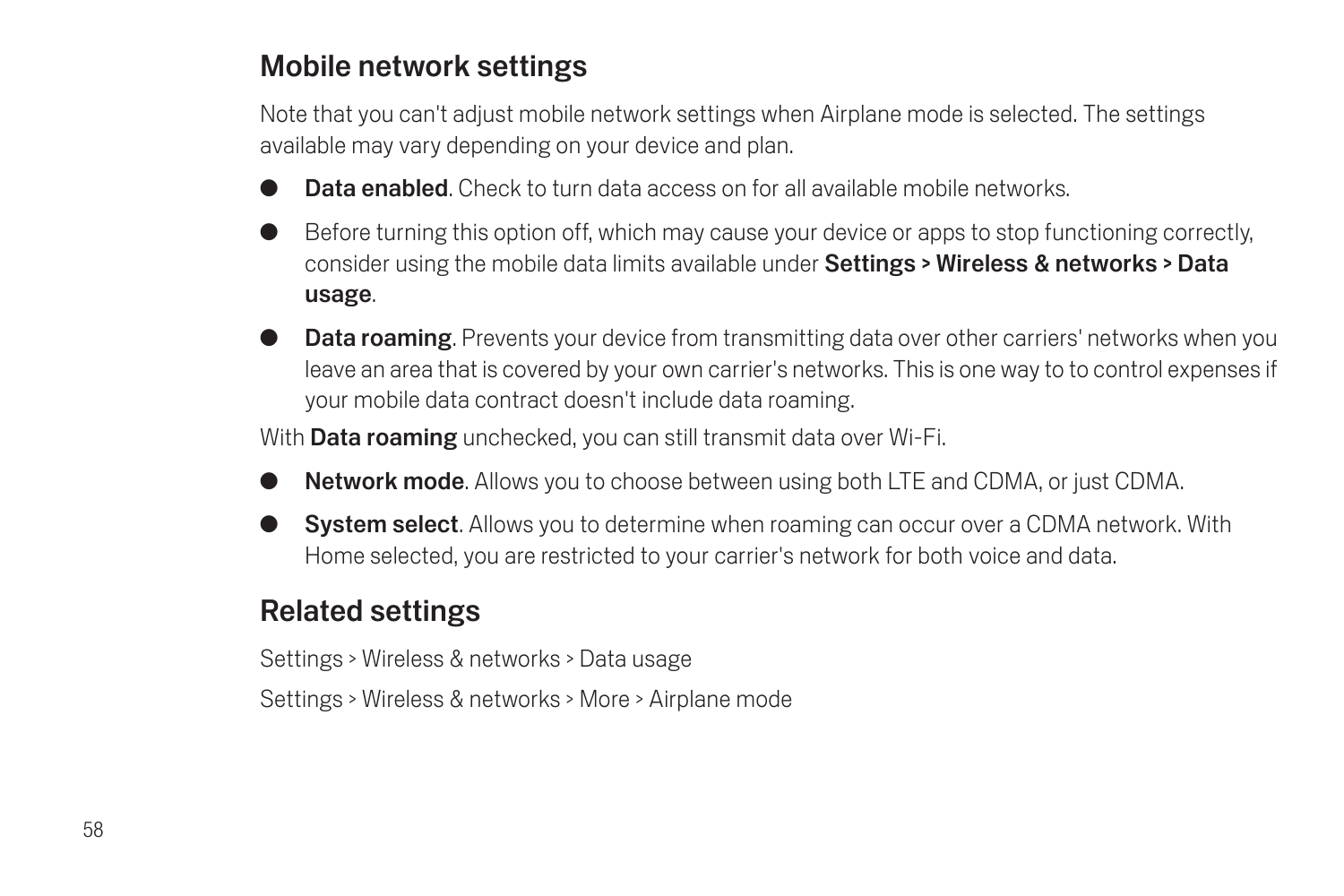### Mobile network settings

Note that you can't adjust mobile network settings when Airplane mode is selected. The settings available may vary depending on your device and plan.

- Data enabled. Check to turn data access on for all available mobile networks.
- G Before turning this option off, which may cause your device or apps to stop functioning correctly, consider using the mobile data limits available under Settings > Wireless & networks > Data usage.
- **Data roaming**. Prevents your device from transmitting data over other carriers' networks when you leave an area that is covered by your own carrier's networks. This is one way to to control expenses if your mobile data contract doesn't include data roaming.

With **Data roaming** unchecked, you can still transmit data over Wi-Fi.

- **Network mode.** Allows you to choose between using both LTE and CDMA, or just CDMA,
- **System select.** Allows you to determine when roaming can occur over a CDMA network. With Home selected, you are restricted to your carrier's network for both voice and data.

## Related settings

Settings > Wireless & networks > Data usage

Settings > Wireless & networks > More > Airplane mode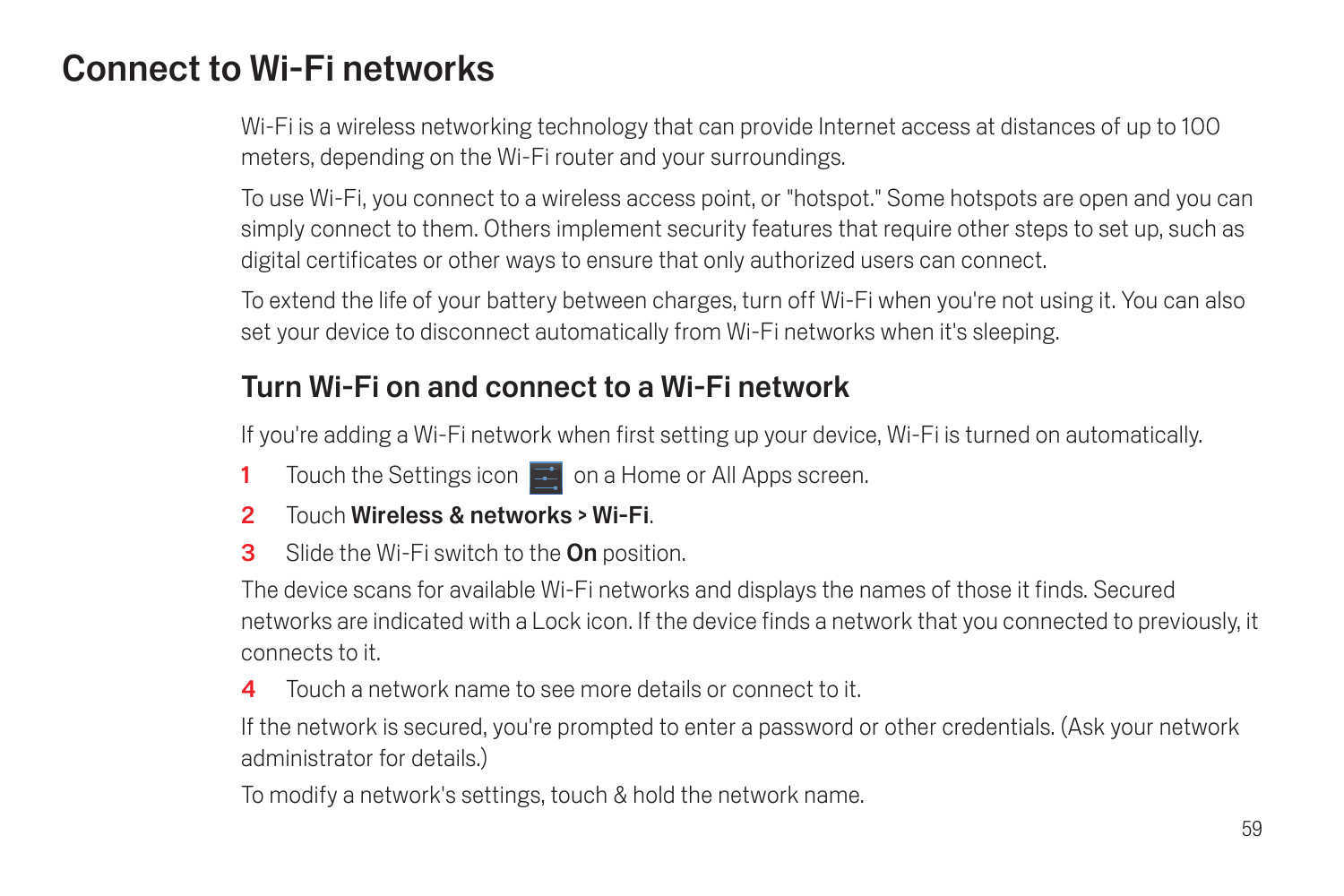## Connect to Wi-Fi networks

Wi-Fi is a wireless networking technology that can provide Internet access at distances of up to 100 meters, depending on the Wi-Fi router and your surroundings.

To use Wi-Fi, you connect to a wireless access point, or "hotspot." Some hotspots are open and you can simply connect to them. Others implement security features that require other steps to set up, such as digital certificates or other ways to ensure that only authorized users can connect.

To extend the life of your battery between charges, turn off Wi-Fi when you're not using it. You can also set your device to disconnect automatically from Wi-Fi networks when it's sleeping.

## Turn Wi-Fi on and connect to a Wi-Fi network

If you're adding a Wi-Fi network when first setting up your device, Wi-Fi is turned on automatically.

- 1 Touch the Settings icon  $\mathbb{R}^n$  on a Home or All Apps screen.
- 2 Touch Wireless & networks > Wi-Fi.
- **3** Slide the Wi-Fi switch to the **On** position.

The device scans for available Wi-Fi networks and displays the names of those it finds. Secured networks are indicated with a Lock icon. If the device finds a network that you connected to previously, it connects to it.

4 Touch a network name to see more details or connect to it.

If the network is secured, you're prompted to enter a password or other credentials. (Ask your network administrator for details.)

To modify a network's settings, touch & hold the network name.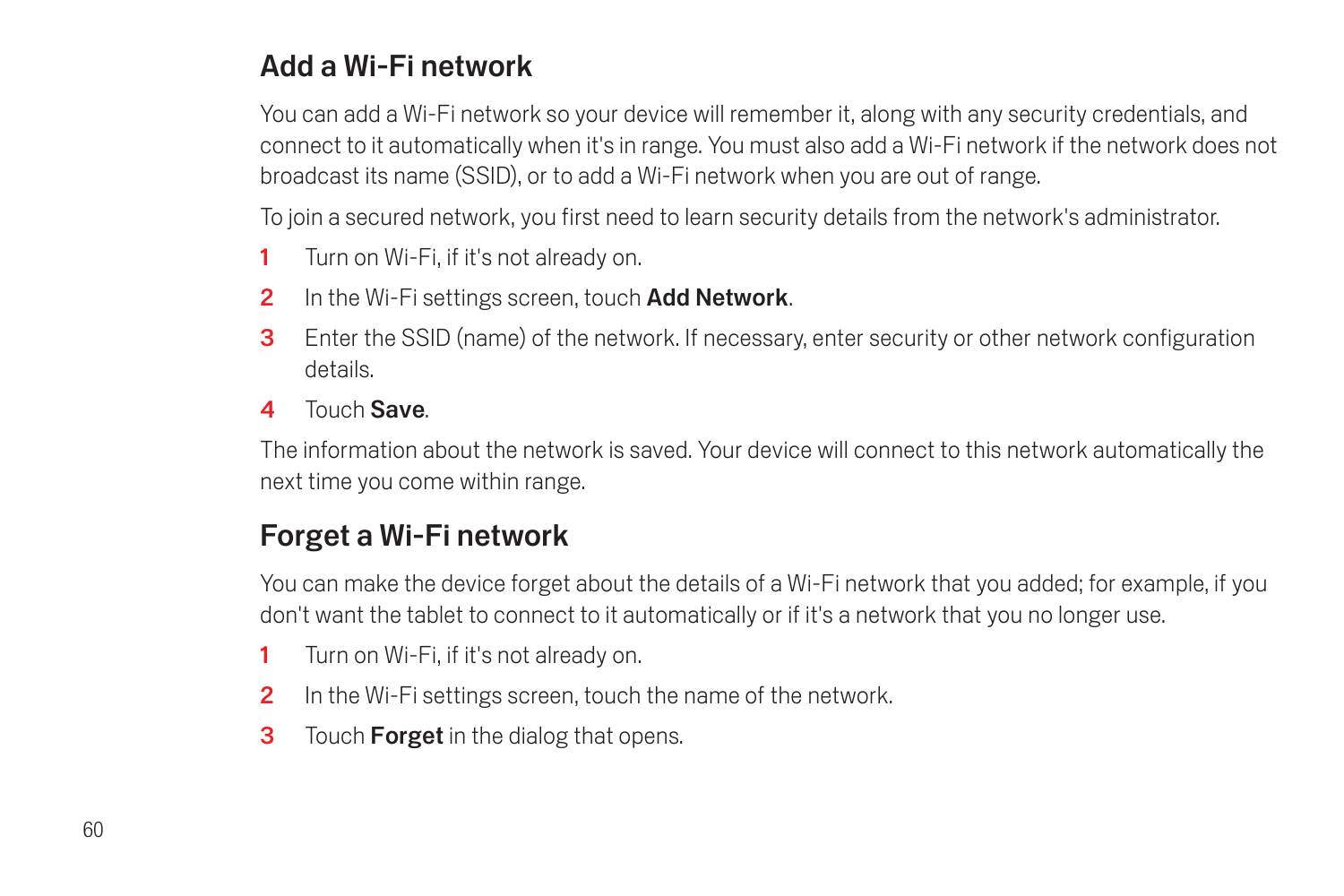## Add a Wi-Fi network

You can add a Wi-Fi network so your device will remember it, along with any security credentials, and connect to it automatically when it's in range. You must also add a Wi-Fi network if the network does not broadcast its name (SSID), or to add a Wi-Fi network when you are out of range.

To join a secured network, you first need to learn security details from the network's administrator.

- 1 Turn on Wi-Fi, if it's not already on.
- 2 In the Wi-Fi settings screen, touch Add Network.
- 3 Enter the SSID (name) of the network. If necessary, enter security or other network configuration details.
- 4 Touch Save.

The information about the network is saved. Your device will connect to this network automatically the next time you come within range.

## Forget a Wi-Fi network

You can make the device forget about the details of a Wi-Fi network that you added; for example, if you don't want the tablet to connect to it automatically or if it's a network that you no longer use.

- 1 Turn on Wi-Fi, if it's not already on.
- 2 In the Wi-Fi settings screen, touch the name of the network.
- **3** Touch **Forget** in the dialog that opens.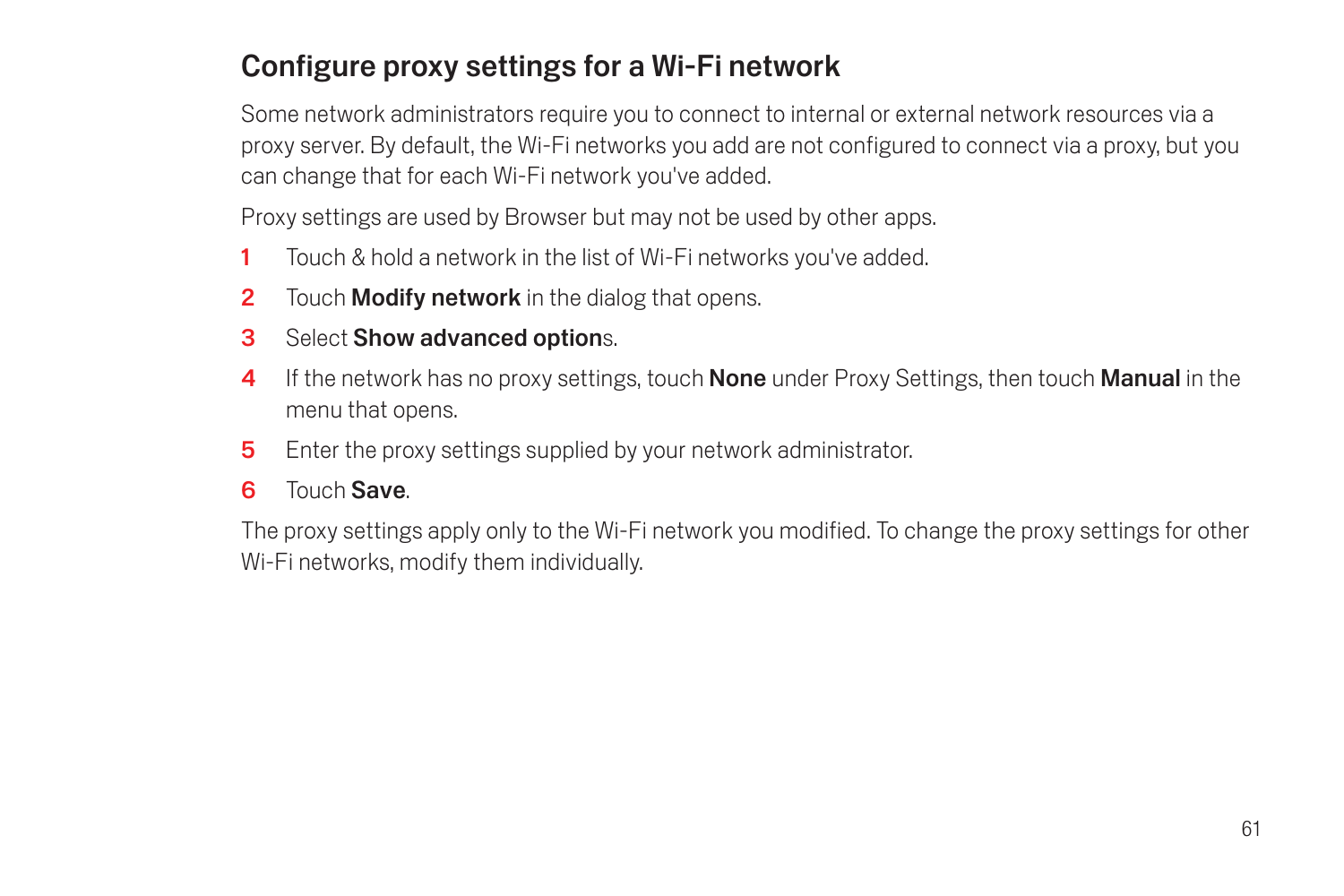## Configure proxy settings for a Wi-Fi network

Some network administrators require you to connect to internal or external network resources via a proxy server. By default, the Wi-Fi networks you add are not configured to connect via a proxy, but you can change that for each Wi-Fi network you've added.

Proxy settings are used by Browser but may not be used by other apps.

- 1 Touch & hold a network in the list of Wi-Fi networks you've added.
- **2** Touch **Modify network** in the dialog that opens.
- **3** Select **Show advanced options.**
- 4 If the network has no proxy settings, touch **None** under Proxy Settings, then touch **Manual** in the menu that opens.
- **5** Enter the proxy settings supplied by your network administrator.
- 6 Touch Save.

The proxy settings apply only to the Wi-Fi network you modified. To change the proxy settings for other Wi-Fi networks, modify them individually.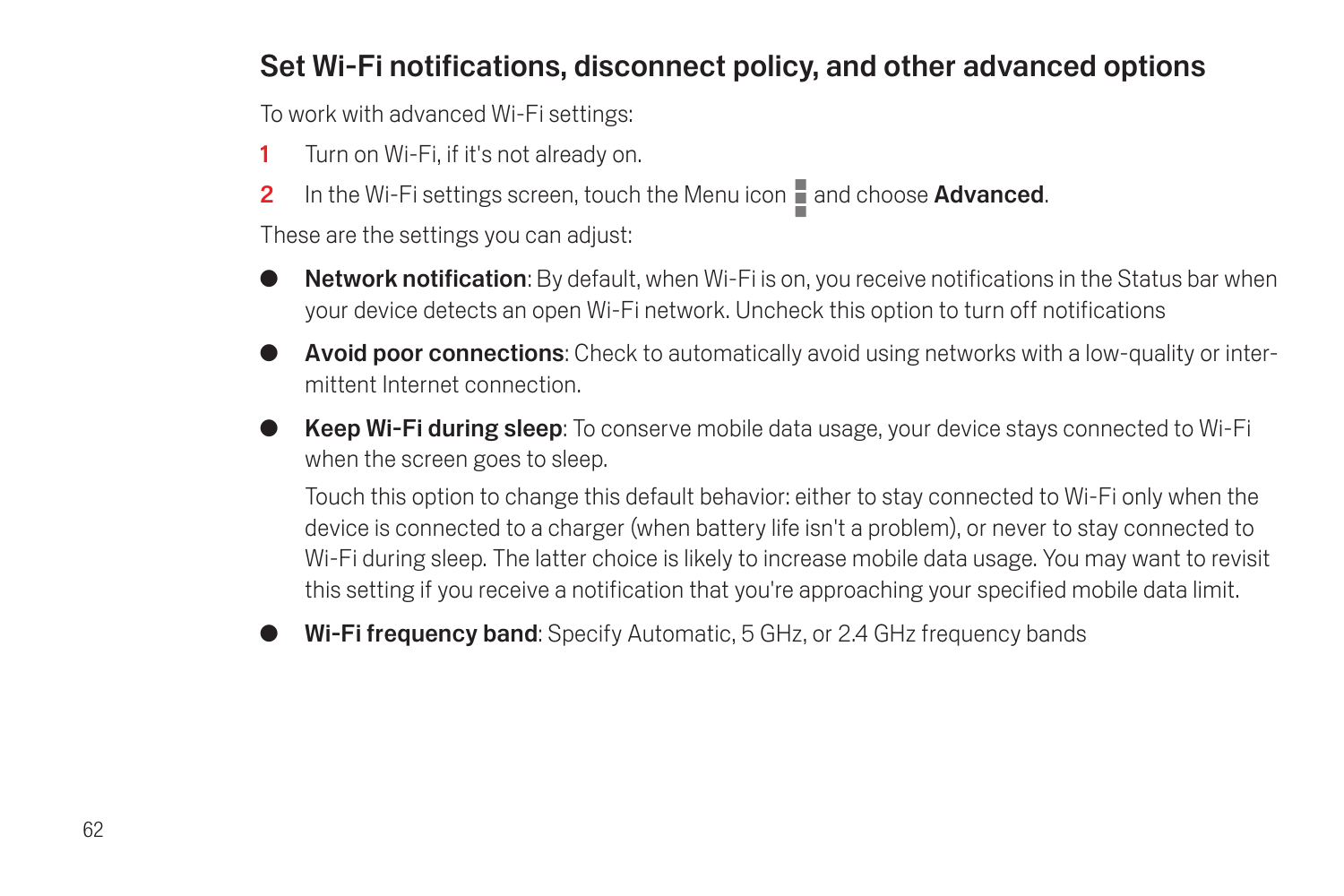### Set Wi-Fi notifications, disconnect policy, and other advanced options

To work with advanced Wi-Fi settings:

- 1 Turn on Wi-Fi, if it's not already on.
- 2 In the Wi-Fi settings screen, touch the Menu icon  $\blacksquare$  and choose Advanced.

These are the settings you can adjust:

- **Network notification**: By default, when Wi-Fi is on, you receive notifications in the Status bar when your device detects an open Wi-Fi network. Uncheck this option to turn off notifications
- Avoid poor connections: Check to automatically avoid using networks with a low-quality or intermittent Internet connection.
- Keep Wi-Fi during sleep: To conserve mobile data usage, your device stays connected to Wi-Fi when the screen goes to sleep.

Touch this option to change this default behavior: either to stay connected to Wi-Fi only when the device is connected to a charger (when battery life isn't a problem), or never to stay connected to Wi-Fi during sleep. The latter choice is likely to increase mobile data usage. You may want to revisit this setting if you receive a notification that you're approaching your specified mobile data limit.

Wi-Fi frequency band: Specify Automatic, 5 GHz, or 2.4 GHz frequency bands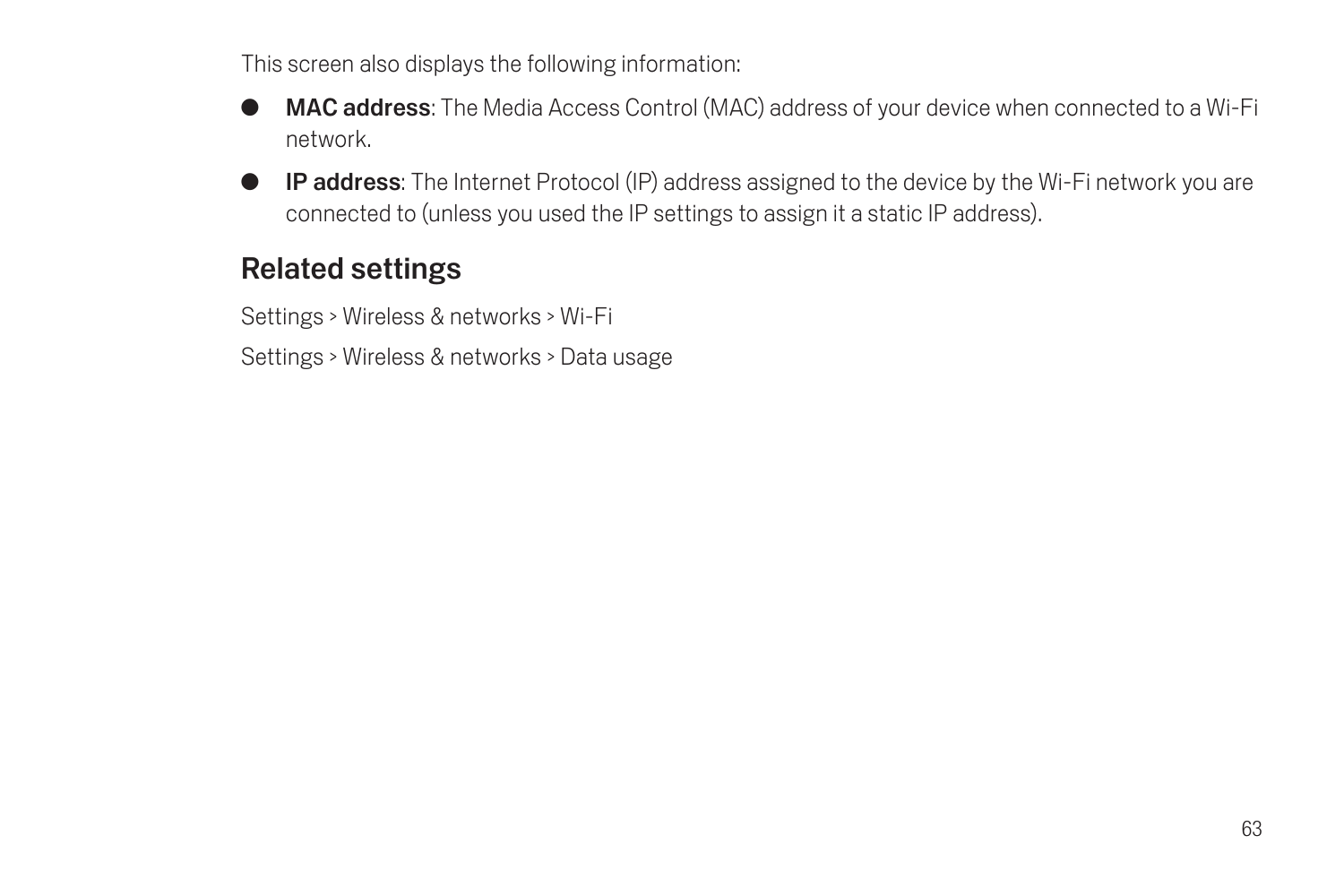This screen also displays the following information:

- MAC address: The Media Access Control (MAC) address of your device when connected to a Wi-Fi network.
- G IP address: The Internet Protocol (IP) address assigned to the device by the Wi-Fi network you are connected to (unless you used the IP settings to assign it a static IP address).

## Related settings

Settings > Wireless & networks > Wi-Fi

Settings > Wireless & networks > Data usage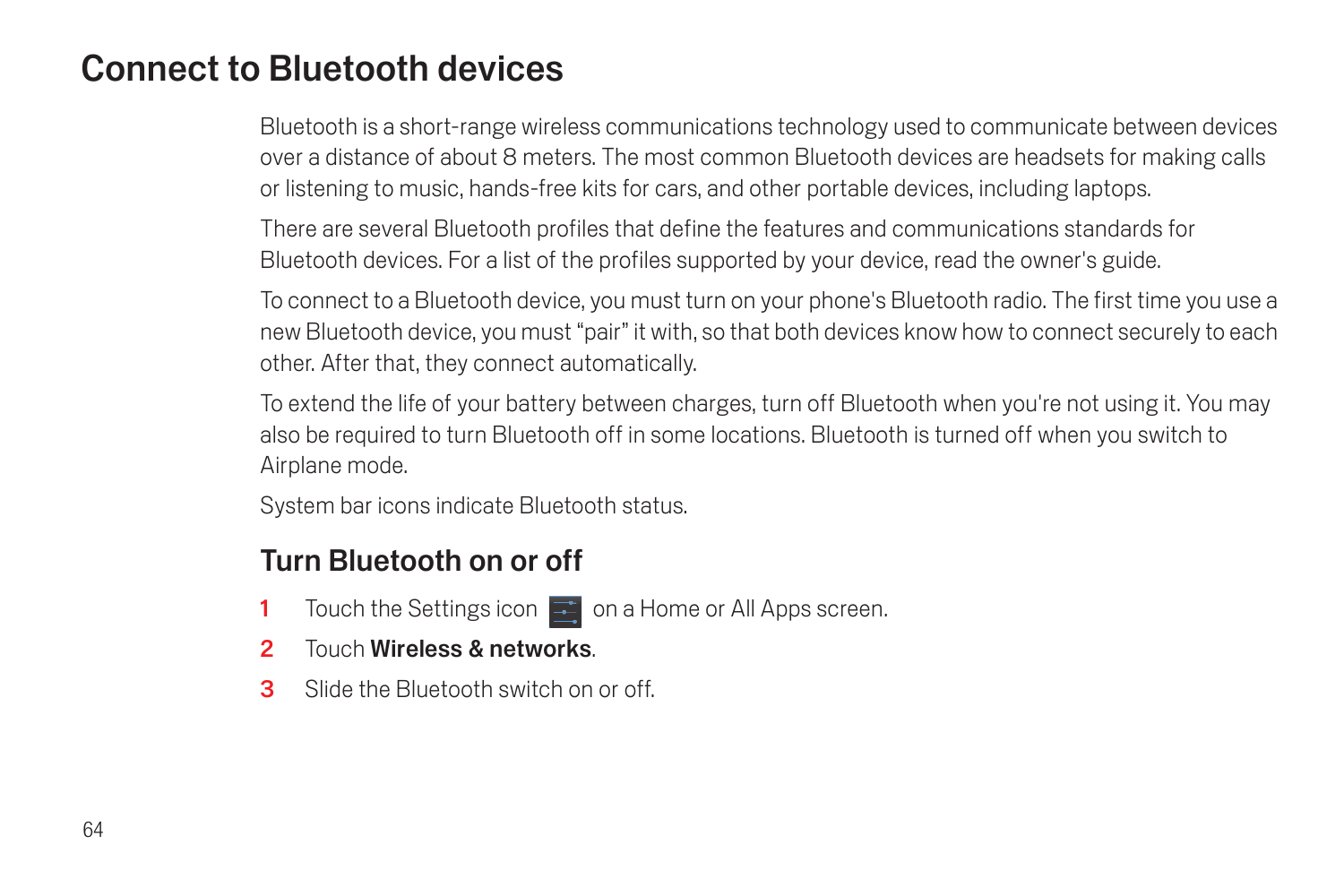## Connect to Bluetooth devices

Bluetooth is a short-range wireless communications technology used to communicate between devices over a distance of about 8 meters. The most common Bluetooth devices are headsets for making calls or listening to music, hands-free kits for cars, and other portable devices, including laptops.

There are several Bluetooth profiles that define the features and communications standards for Bluetooth devices. For a list of the profiles supported by your device, read the owner's guide.

To connect to a Bluetooth device, you must turn on your phone's Bluetooth radio. The first time you use a new Bluetooth device, you must "pair" it with, so that both devices know how to connect securely to each other. After that, they connect automatically.

To extend the life of your battery between charges, turn off Bluetooth when you're not using it. You may also be required to turn Bluetooth off in some locations. Bluetooth is turned off when you switch to Airplane mode.

System bar icons indicate Bluetooth status.

#### Turn Bluetooth on or off

- 1 Touch the Settings icon  $\mathbb{R}^2$  on a Home or All Apps screen.
- 2 Touch Wireless & networks.
- 3 Slide the Bluetooth switch on or off.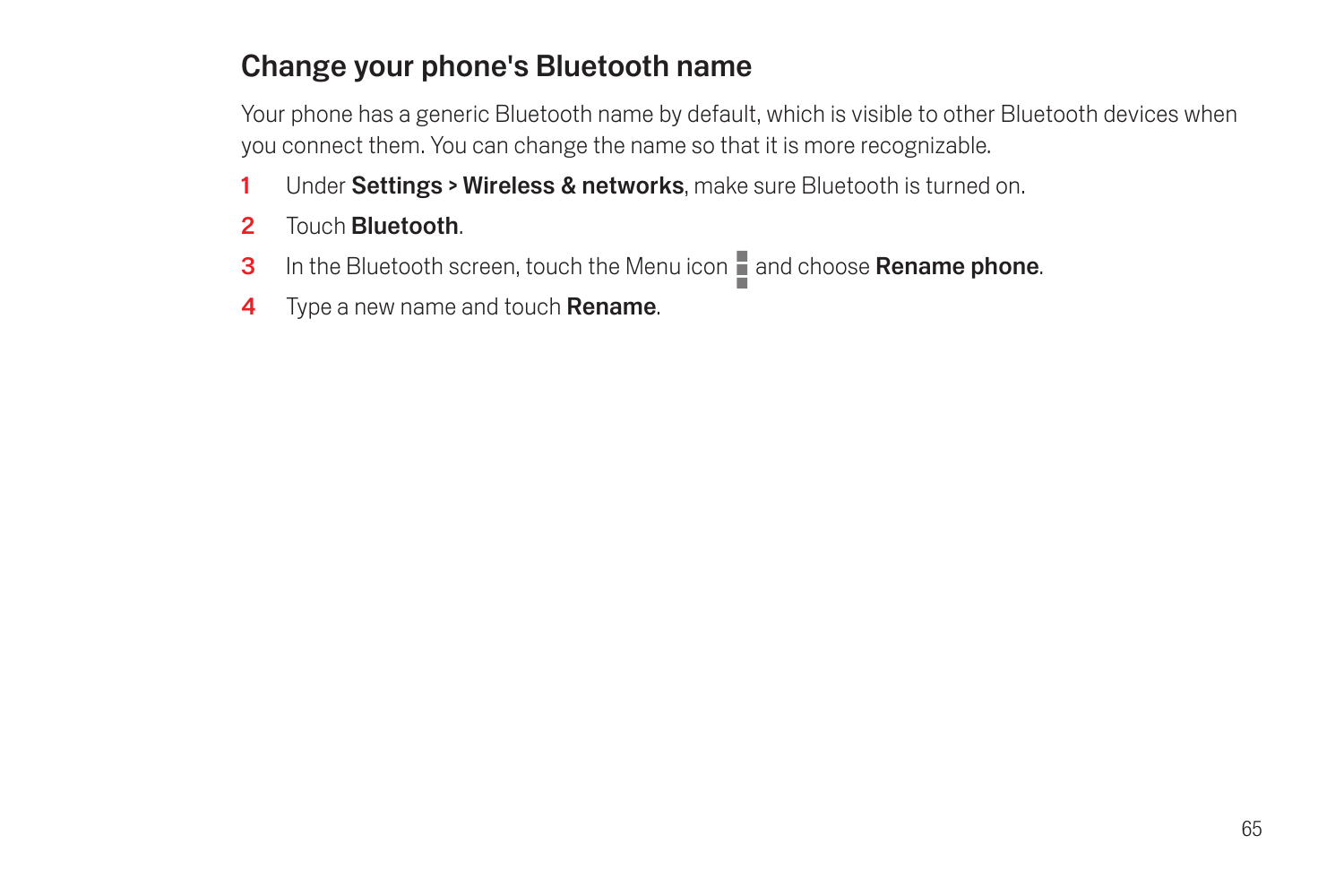## Change your phone's Bluetooth name

Your phone has a generic Bluetooth name by default, which is visible to other Bluetooth devices when you connect them. You can change the name so that it is more recognizable.

- 1 Under Settings > Wireless & networks, make sure Bluetooth is turned on.
- 2 Touch Bluetooth.
- 3 In the Bluetooth screen, touch the Menu icon and choose Rename phone.
- 4 Type a new name and touch **Rename**.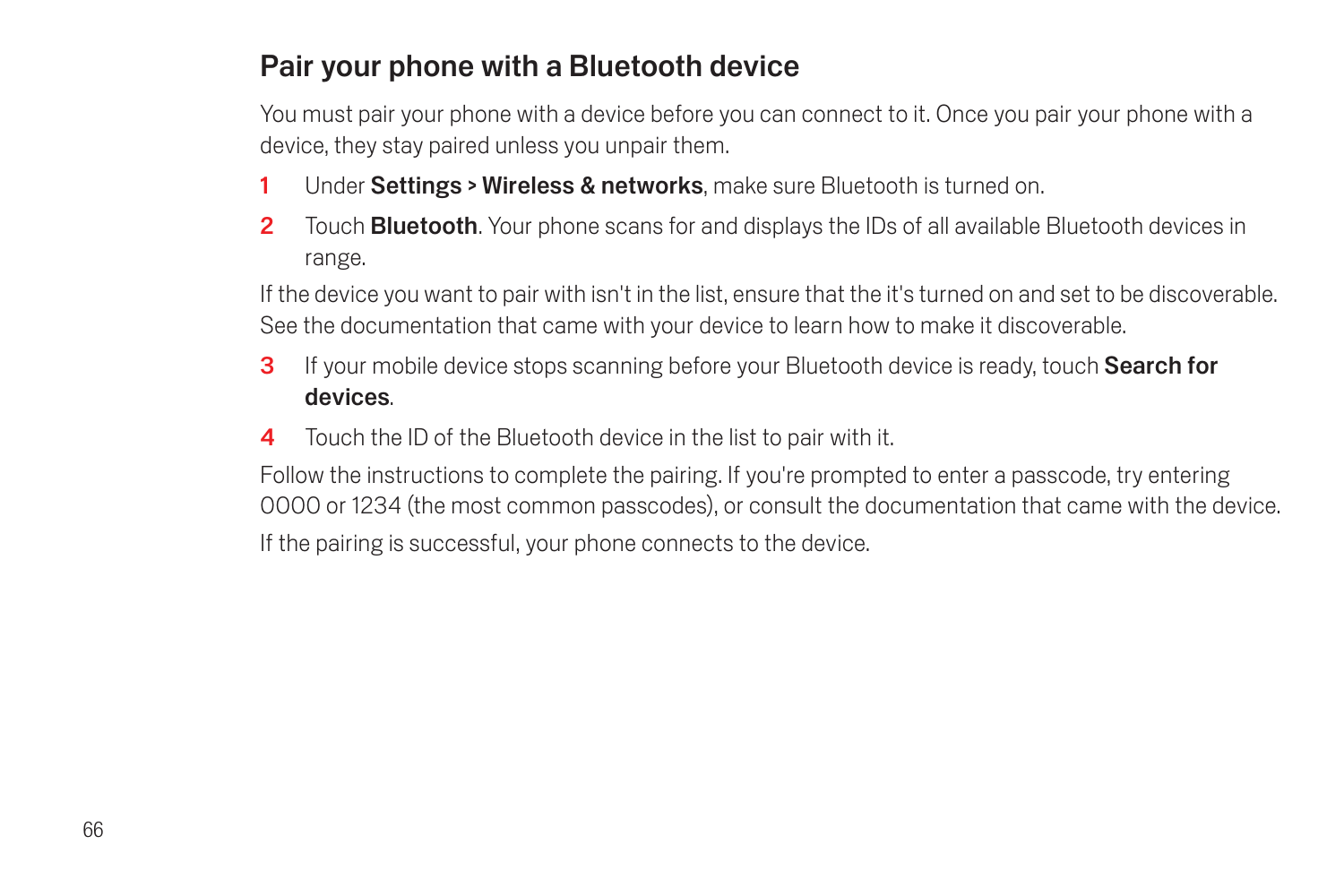## Pair your phone with a Bluetooth device

You must pair your phone with a device before you can connect to it. Once you pair your phone with a device, they stay paired unless you unpair them.

- 1 Under Settings > Wireless & networks, make sure Bluetooth is turned on.
- 2 Touch **Bluetooth**. Your phone scans for and displays the IDs of all available Bluetooth devices in range.

If the device you want to pair with isn't in the list, ensure that the it's turned on and set to be discoverable. See the documentation that came with your device to learn how to make it discoverable.

- 3 If your mobile device stops scanning before your Bluetooth device is ready, touch Search for devices.
- **4** Touch the ID of the Bluetooth device in the list to pair with it.

Follow the instructions to complete the pairing. If you're prompted to enter a passcode, try entering 0000 or 1234 (the most common passcodes), or consult the documentation that came with the device.

If the pairing is successful, your phone connects to the device.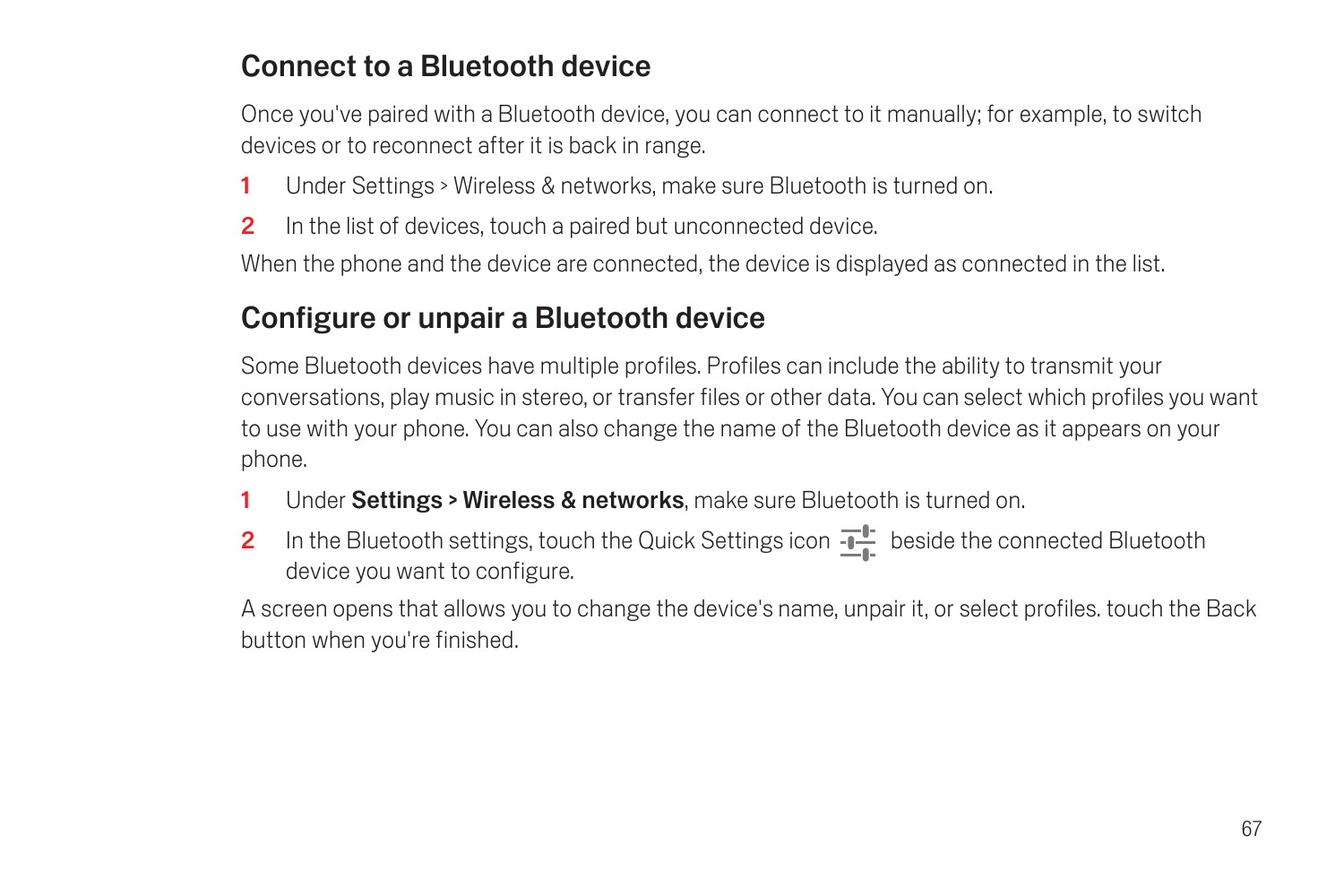## Connect to a Bluetooth device

Once you've paired with a Bluetooth device, you can connect to it manually; for example, to switch devices or to reconnect after it is back in range.

- 1 Under Settings > Wireless & networks, make sure Bluetooth is turned on.
- 2 In the list of devices, touch a paired but unconnected device.

When the phone and the device are connected, the device is displayed as connected in the list.

## Configure or unpair a Bluetooth device

Some Bluetooth devices have multiple profiles. Profiles can include the ability to transmit your conversations, play music in stereo, or transfer files or other data. You can select which profiles you want to use with your phone. You can also change the name of the Bluetooth device as it appears on your phone.

- 1 Under Settings > Wireless & networks, make sure Bluetooth is turned on.
- 2 In the Bluetooth settings, touch the Quick Settings icon  $\frac{1}{2}$  beside the connected Bluetooth device you want to configure.

A screen opens that allows you to change the device's name, unpair it, or select profiles. touch the Back button when you're finished.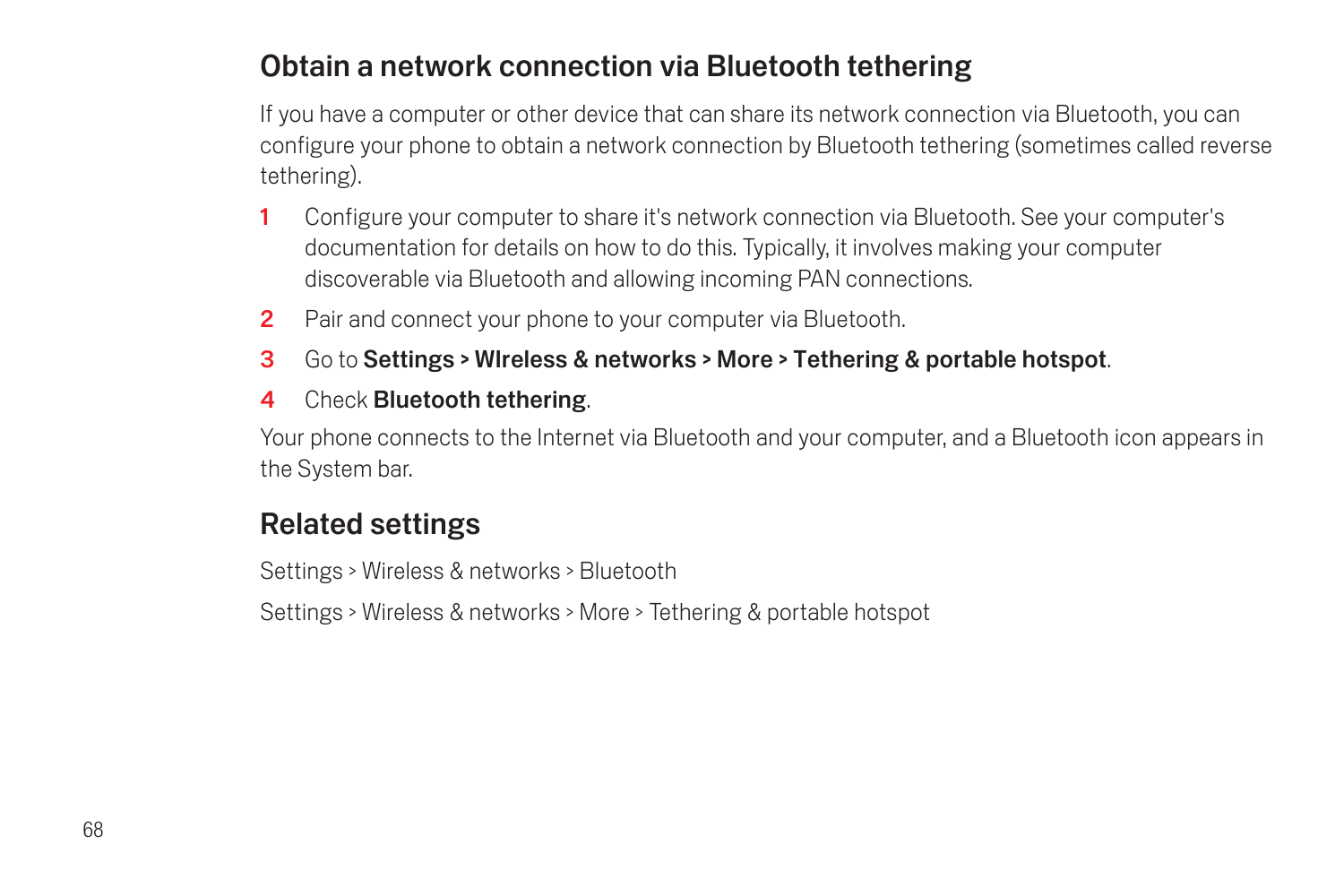## Obtain a network connection via Bluetooth tethering

If you have a computer or other device that can share its network connection via Bluetooth, you can configure your phone to obtain a network connection by Bluetooth tethering (sometimes called reverse tethering).

- 1 Configure your computer to share it's network connection via Bluetooth. See your computer's documentation for details on how to do this. Typically, it involves making your computer discoverable via Bluetooth and allowing incoming PAN connections.
- 2 Pair and connect your phone to your computer via Bluetooth.
- 3 Go to Settings > WIreless & networks > More > Tethering & portable hotspot.
- 4 Check Bluetooth tethering.

Your phone connects to the Internet via Bluetooth and your computer, and a Bluetooth icon appears in the System bar.

## Related settings

Settings > Wireless & networks > Bluetooth

Settings > Wireless & networks > More > Tethering & portable hotspot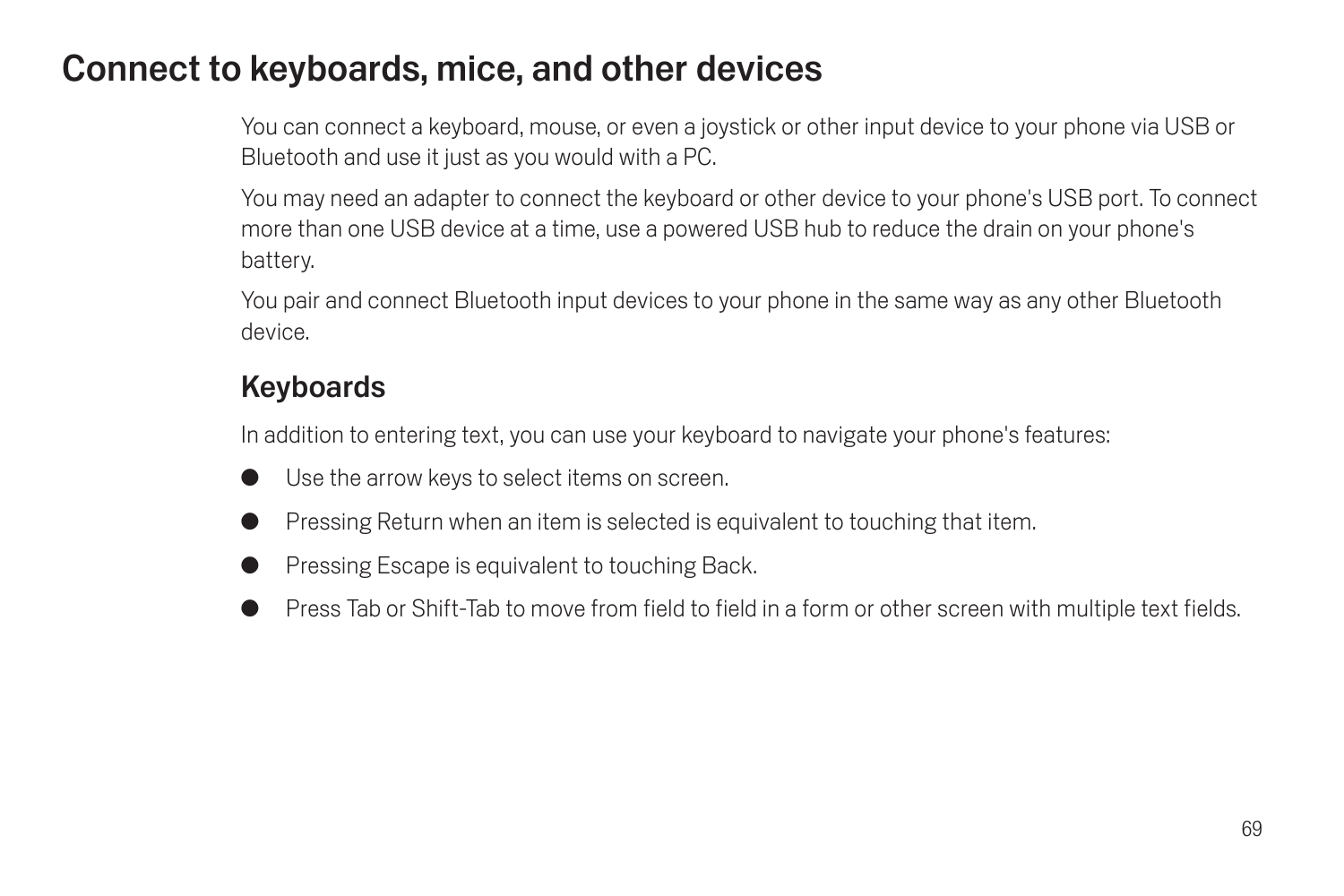## Connect to keyboards, mice, and other devices

You can connect a keyboard, mouse, or even a joystick or other input device to your phone via USB or Bluetooth and use it just as you would with a PC.

You may need an adapter to connect the keyboard or other device to your phone's USB port. To connect more than one USB device at a time, use a powered USB hub to reduce the drain on your phone's battery.

You pair and connect Bluetooth input devices to your phone in the same way as any other Bluetooth device.

## Keyboards

In addition to entering text, you can use your keyboard to navigate your phone's features:

- Use the arrow keys to select items on screen.
- Pressing Return when an item is selected is equivalent to touching that item.
- Pressing Escape is equivalent to touching Back.
- Press Tab or Shift-Tab to move from field to field in a form or other screen with multiple text fields.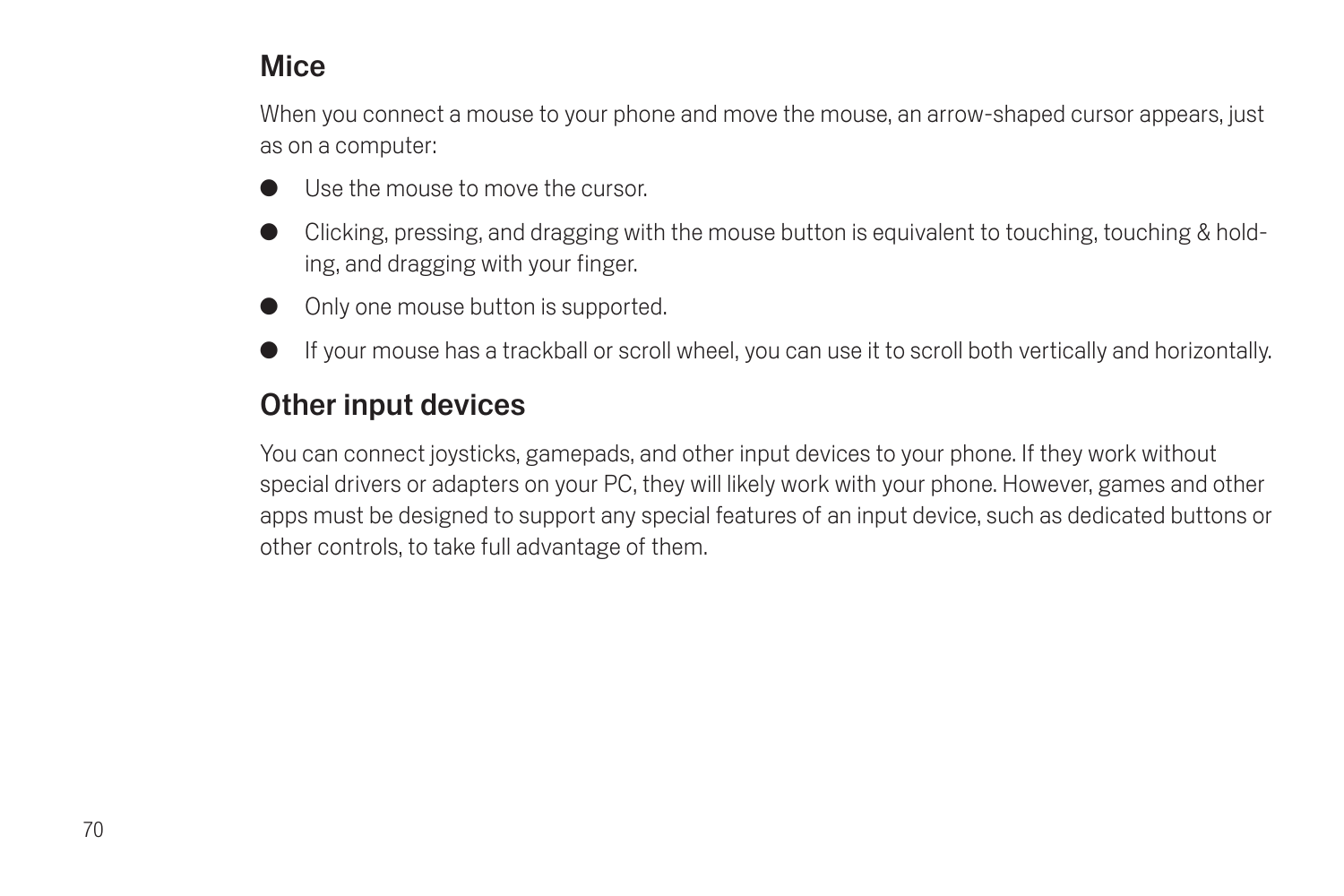## Mice

When you connect a mouse to your phone and move the mouse, an arrow-shaped cursor appears, just as on a computer:

- Use the mouse to move the cursor.
- Clicking, pressing, and dragging with the mouse button is equivalent to touching, touching & holding, and dragging with your finger.
- Only one mouse button is supported.
- If your mouse has a trackball or scroll wheel, you can use it to scroll both vertically and horizontally.

#### Other input devices

You can connect joysticks, gamepads, and other input devices to your phone. If they work without special drivers or adapters on your PC, they will likely work with your phone. However, games and other apps must be designed to support any special features of an input device, such as dedicated buttons or other controls, to take full advantage of them.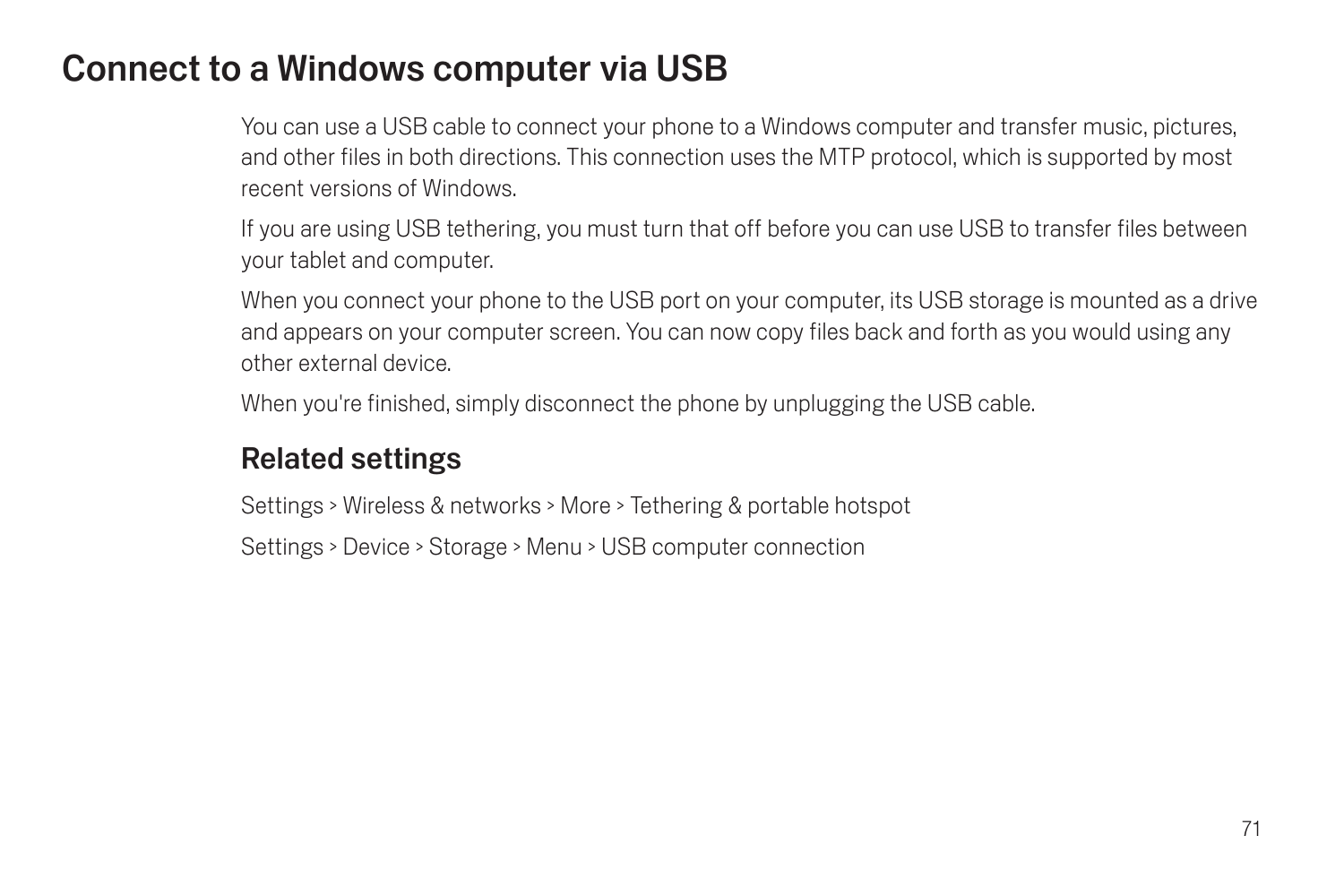# Connect to a Windows computer via USB

You can use a USB cable to connect your phone to a Windows computer and transfer music, pictures, and other files in both directions. This connection uses the MTP protocol, which is supported by most recent versions of Windows.

If you are using USB tethering, you must turn that off before you can use USB to transfer files between your tablet and computer.

When you connect your phone to the USB port on your computer, its USB storage is mounted as a drive and appears on your computer screen. You can now copy files back and forth as you would using any other external device.

When you're finished, simply disconnect the phone by unplugging the USB cable.

### Related settings

Settings > Wireless & networks > More > Tethering & portable hotspot

Settings > Device > Storage > Menu > USB computer connection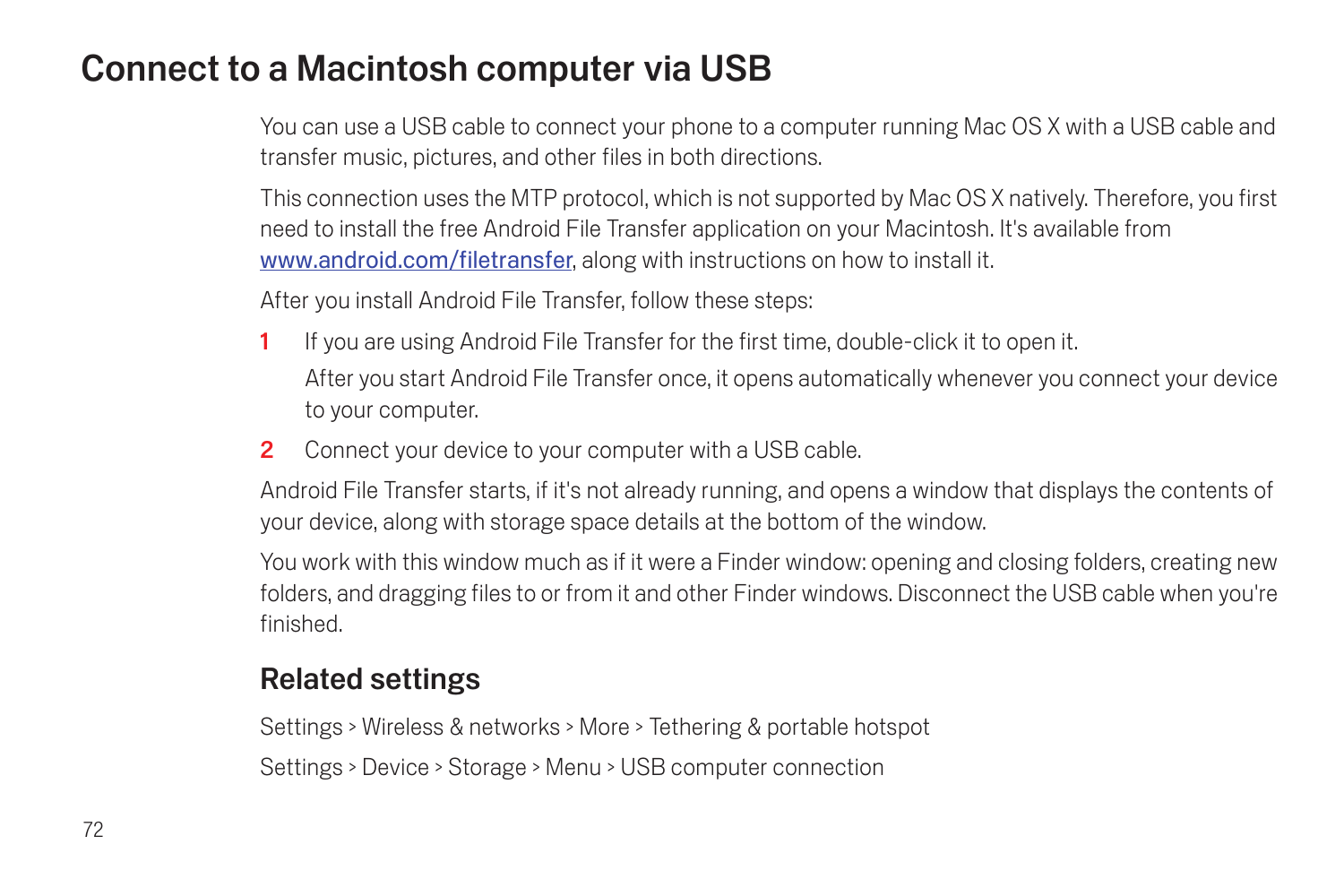# Connect to a Macintosh computer via USB

You can use a USB cable to connect your phone to a computer running Mac OS X with a USB cable and transfer music, pictures, and other files in both directions.

This connection uses the MTP protocol, which is not supported by Mac OS X natively. Therefore, you first need to install the free Android File Transfer application on your Macintosh. It's available from www.android.com/filetransfer, along with instructions on how to install it.

After you install Android File Transfer, follow these steps:

- 1 If you are using Android File Transfer for the first time, double-click it to open it. After you start Android File Transfer once, it opens automatically whenever you connect your device to your computer.
- 2 Connect your device to your computer with a USB cable.

Android File Transfer starts, if it's not already running, and opens a window that displays the contents of your device, along with storage space details at the bottom of the window.

You work with this window much as if it were a Finder window: opening and closing folders, creating new folders, and dragging files to or from it and other Finder windows. Disconnect the USB cable when you're finished.

### Related settings

Settings > Wireless & networks > More > Tethering & portable hotspot Settings > Device > Storage > Menu > USB computer connection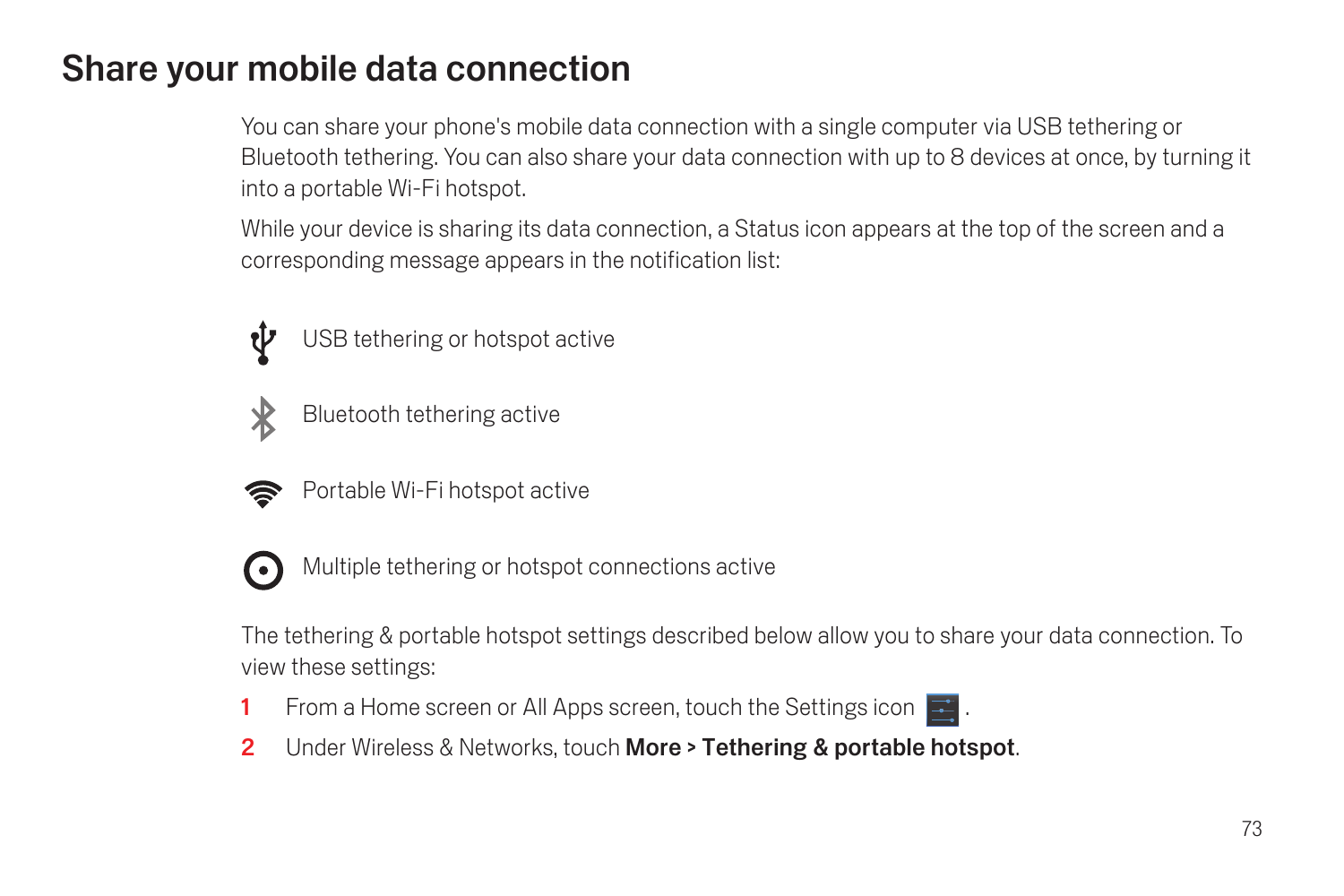# <span id="page-74-0"></span>Share your mobile data connection

You can share your phone's mobile data connection with a single computer via USB tethering or Bluetooth tethering. You can also share your data connection with up to 8 devices at once, by turning it into a portable Wi-Fi hotspot.

While your device is sharing its data connection, a Status icon appears at the top of the screen and a corresponding message appears in the notification list:



USB tethering or hotspot active



Bluetooth tethering active



Portable Wi-Fi hotspot active



Multiple tethering or hotspot connections active

The tethering & portable hotspot settings described below allow you to share your data connection. To view these settings:

- 1 From a Home screen or All Apps screen, touch the Settings icon  $\blacksquare$ .
- 2 Under Wireless & Networks, touch More > Tethering & portable hotspot.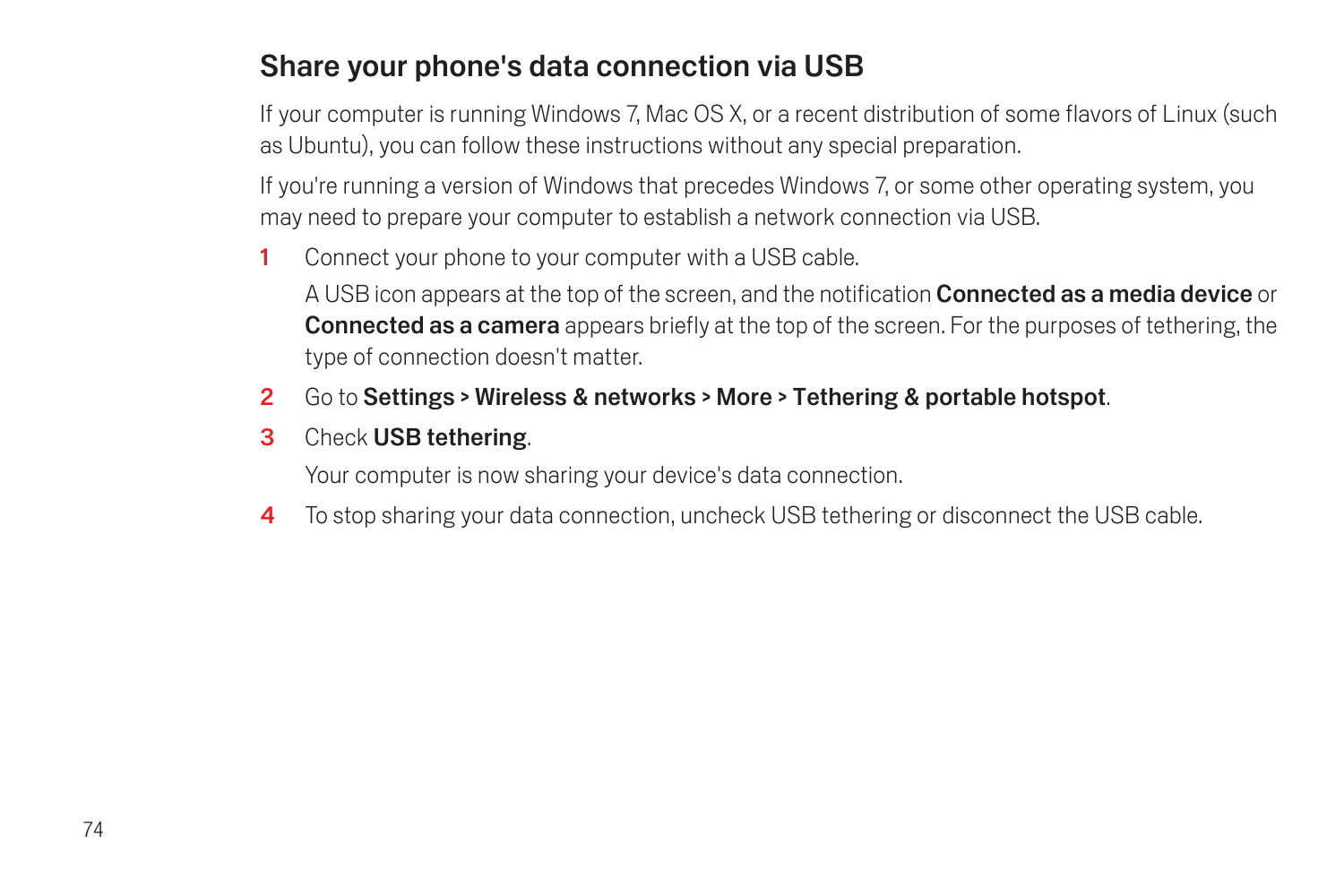## Share your phone's data connection via USB

If your computer is running Windows 7, Mac OS X, or a recent distribution of some flavors of Linux (such as Ubuntu), you can follow these instructions without any special preparation.

If you're running a version of Windows that precedes Windows 7, or some other operating system, you may need to prepare your computer to establish a network connection via USB.

1 Connect your phone to your computer with a USB cable.

A USB icon appears at the top of the screen, and the notification **Connected as a media device** or **Connected as a camera** appears briefly at the top of the screen. For the purposes of tethering, the type of connection doesn't matter.

- 2 Go to Settings > Wireless & networks > More > Tethering & portable hotspot.
- 3 Check USB tethering.

Your computer is now sharing your device's data connection.

4 To stop sharing your data connection, uncheck USB tethering or disconnect the USB cable.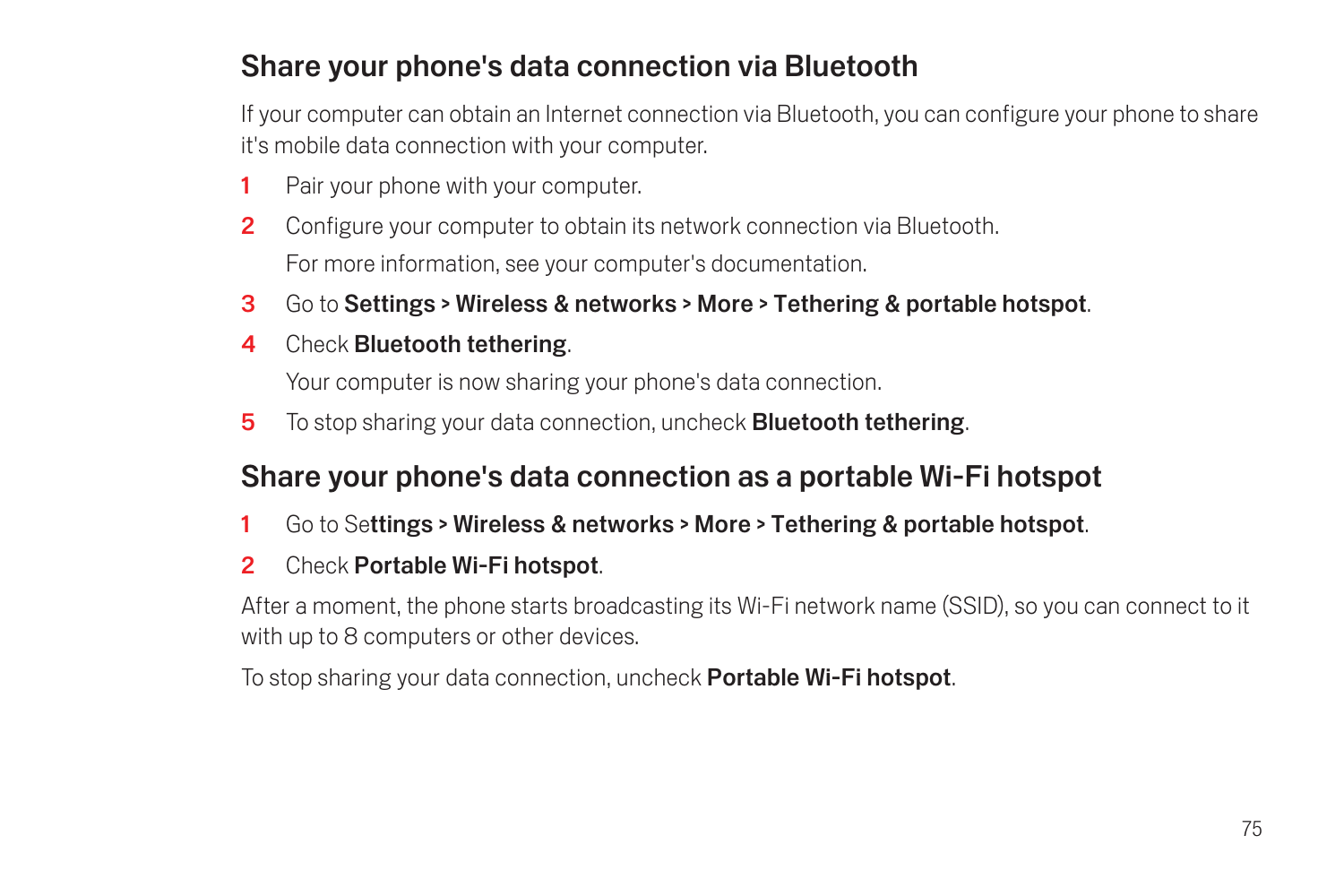## Share your phone's data connection via Bluetooth

If your computer can obtain an Internet connection via Bluetooth, you can configure your phone to share it's mobile data connection with your computer.

- 1 Pair your phone with your computer.
- 2 Configure your computer to obtain its network connection via Bluetooth. For more information, see your computer's documentation.
- 3 Go to Settings > Wireless & networks > More > Tethering & portable hotspot.
- 4 Check Bluetooth tethering.

Your computer is now sharing your phone's data connection.

5 To stop sharing your data connection, uncheck **Bluetooth tethering**.

### Share your phone's data connection as a portable Wi-Fi hotspot

- 1 Go to Settings > Wireless & networks > More > Tethering & portable hotspot.
- 2 Check Portable Wi-Fi hotspot.

After a moment, the phone starts broadcasting its Wi-Fi network name (SSID), so you can connect to it with up to 8 computers or other devices.

To stop sharing your data connection, uncheck **Portable Wi-Fi hotspot**,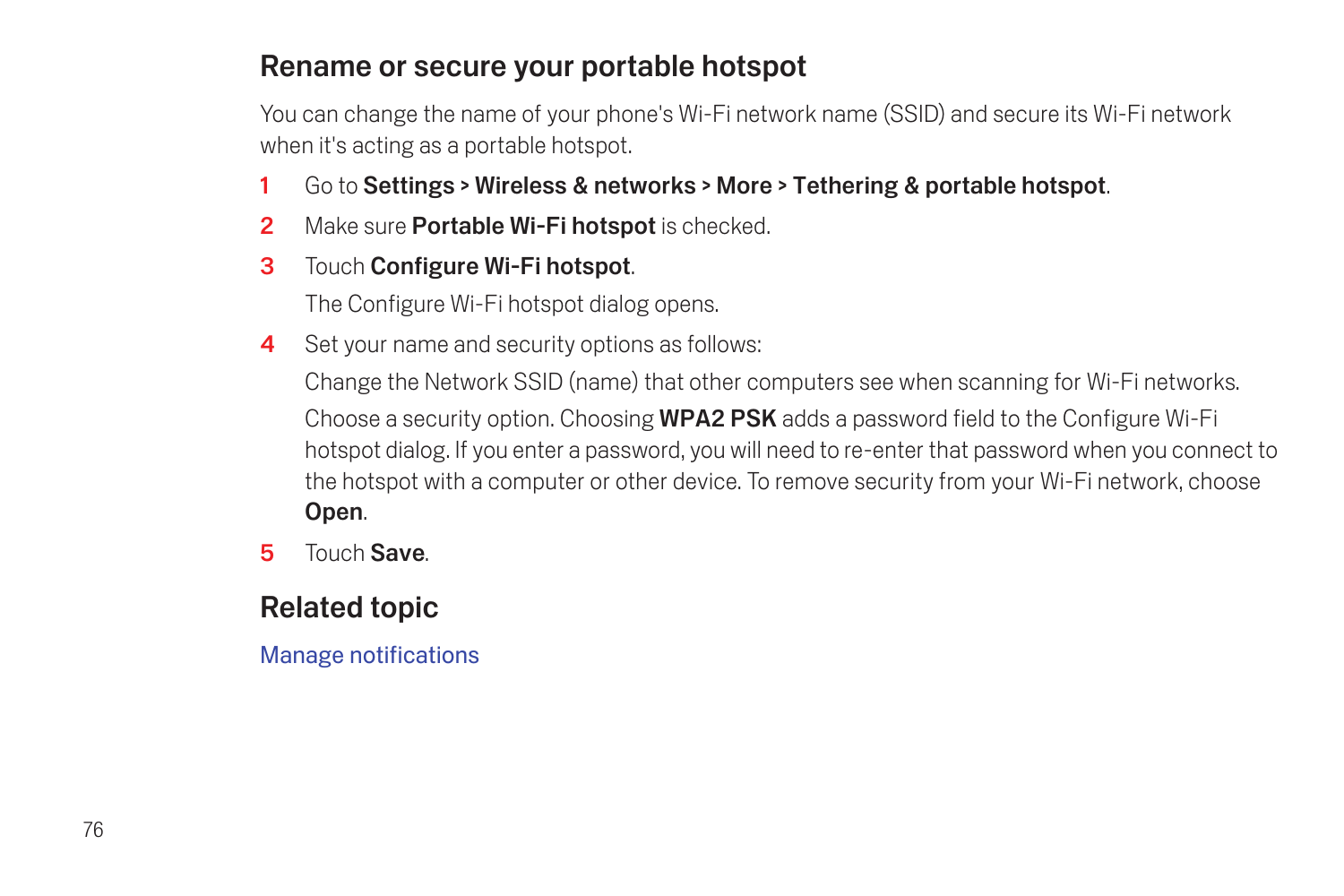#### Rename or secure your portable hotspot

You can change the name of your phone's Wi-Fi network name (SSID) and secure its Wi-Fi network when it's acting as a portable hotspot.

- 1 Go to Settings > Wireless & networks > More > Tethering & portable hotspot.
- 2 Make sure **Portable Wi-Fi hotspot** is checked.
- 3 Touch Configure Wi-Fi hotspot.

The Configure Wi-Fi hotspot dialog opens.

4 Set your name and security options as follows:

Change the Network SSID (name) that other computers see when scanning for Wi-Fi networks. Choose a security option. Choosing WPA2 PSK adds a password field to the Configure Wi-Fi hotspot dialog. If you enter a password, you will need to re-enter that password when you connect to the hotspot with a computer or other device. To remove security from your Wi-Fi network, choose Open.

5 Touch Save.

## Related topic

[Manage notifications](#page-24-0)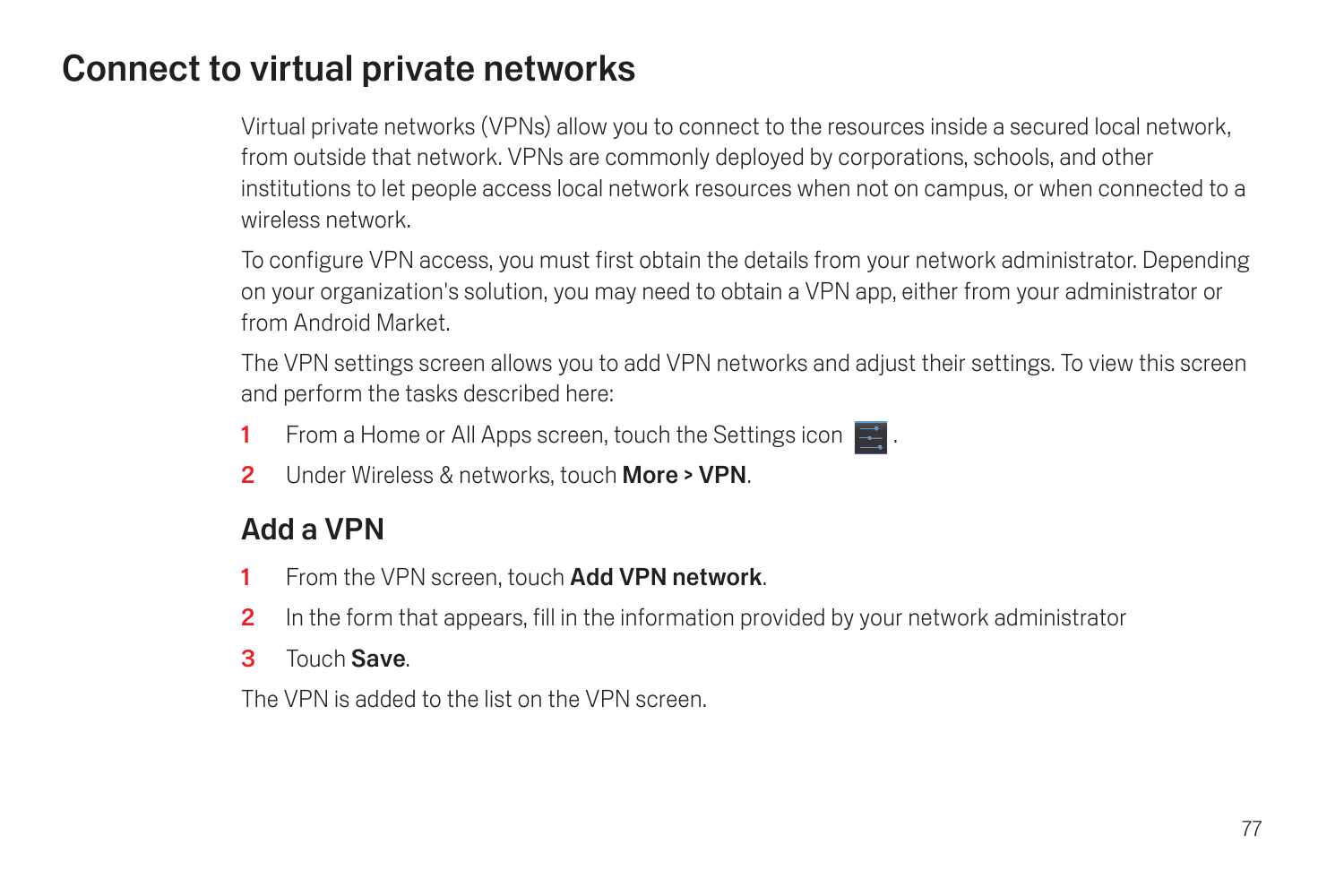# <span id="page-78-0"></span>Connect to virtual private networks

Virtual private networks (VPNs) allow you to connect to the resources inside a secured local network, from outside that network. VPNs are commonly deployed by corporations, schools, and other institutions to let people access local network resources when not on campus, or when connected to a wireless network.

To configure VPN access, you must first obtain the details from your network administrator. Depending on your organization's solution, you may need to obtain a VPN app, either from your administrator or from Android Market.

The VPN settings screen allows you to add VPN networks and adjust their settings. To view this screen and perform the tasks described here:

- 1 From a Home or All Apps screen, touch the Settings icon  $\mathbb{R}$ .
- 2 Under Wireless & networks, touch More > VPN.

## Add a VPN

- 1 From the VPN screen, touch Add VPN network.
- 2 In the form that appears, fill in the information provided by your network administrator
- 3 Touch Save.

The VPN is added to the list on the VPN screen.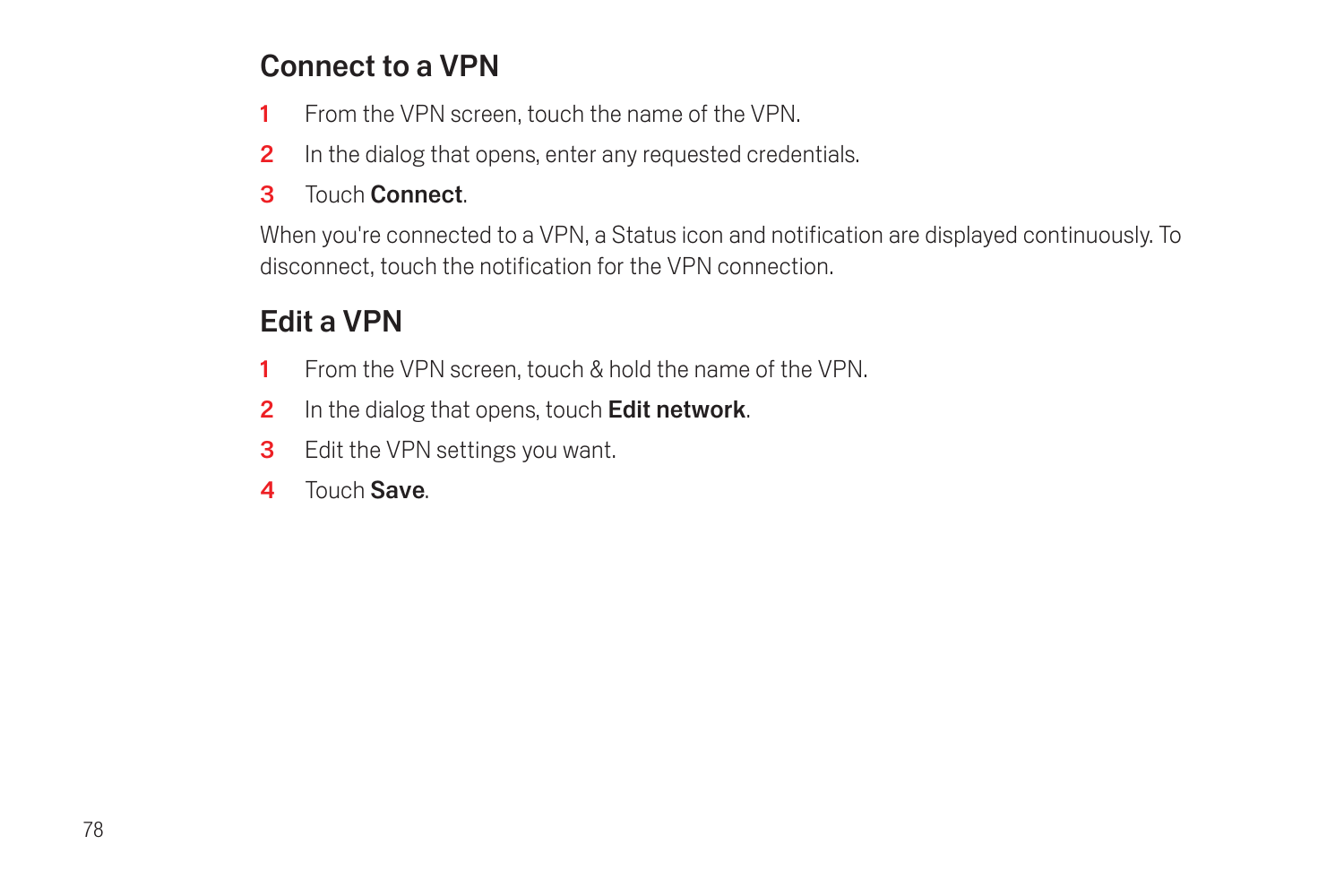## Connect to a VPN

- 1 From the VPN screen, touch the name of the VPN.
- 2 In the dialog that opens, enter any requested credentials.
- 3 Touch Connect.

When you're connected to a VPN, a Status icon and notification are displayed continuously. To disconnect, touch the notification for the VPN connection.

## Edit a VPN

- 1 From the VPN screen, touch & hold the name of the VPN.
- 2 In the dialog that opens, touch Edit network.
- 3 Edit the VPN settings you want.
- **4** Touch Save.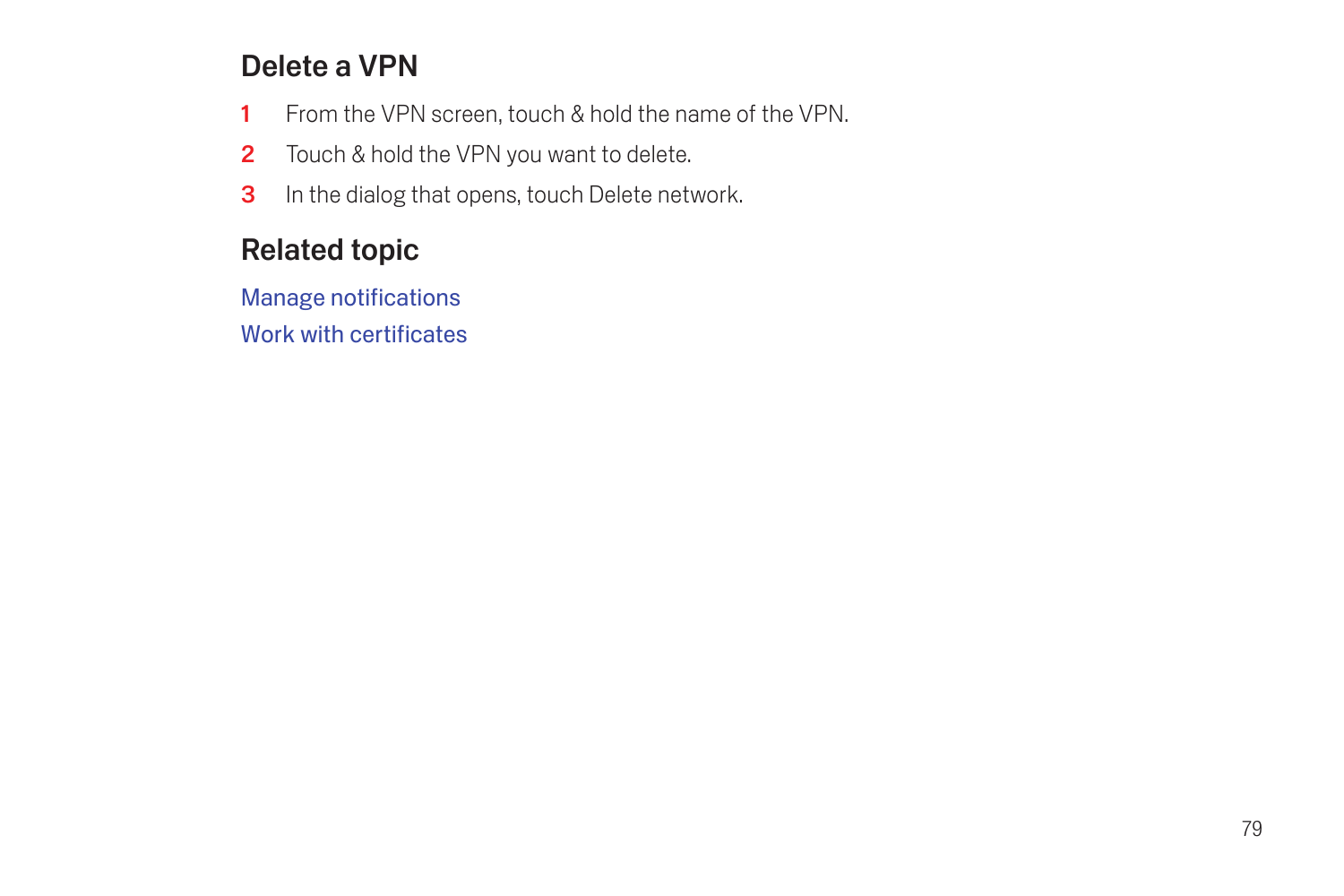## Delete a VPN

- 1 From the VPN screen, touch & hold the name of the VPN.
- 2 Touch & hold the VPN you want to delete.
- **3** In the dialog that opens, touch Delete network.

## Related topic

[Manage notifications](#page-24-0) [Work with certificates](#page-104-0)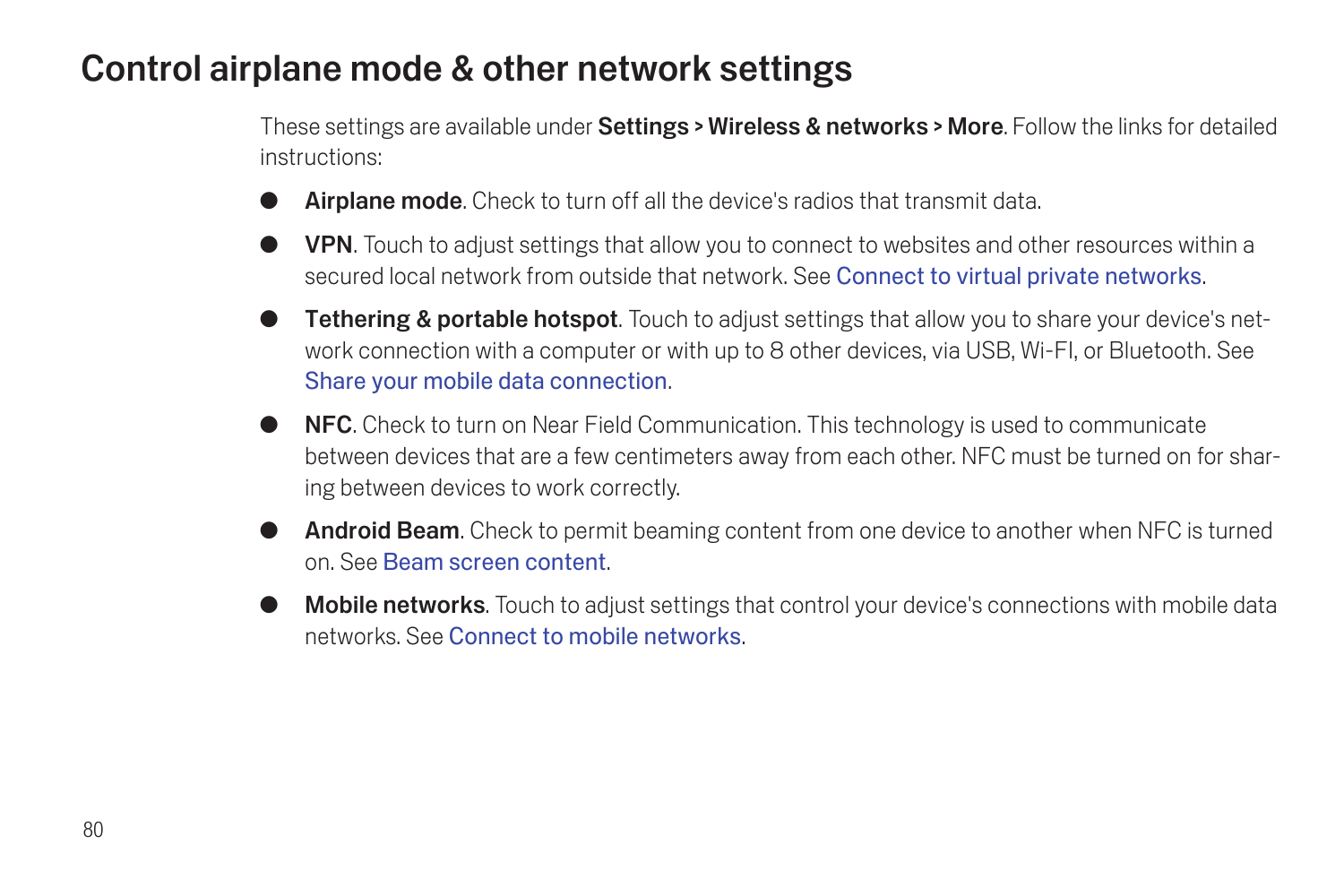## Control airplane mode & other network settings

These settings are available under **Settings > Wireless & networks > More**. Follow the links for detailed instructions:

- **Airplane mode.** Check to turn off all the device's radios that transmit data.
- **VPN.** Touch to adjust settings that allow you to connect to websites and other resources within a secured local network from outside that network. See [Connect to virtual private networks](#page-78-0).
- **Tethering & portable hotspot**. Touch to adjust settings that allow you to share your device's network connection with a computer or with up to 8 other devices, via USB, Wi-FI, or Bluetooth. See [Share your mobile data connection](#page-74-0).
- **G NFC.** Check to turn on Near Field Communication. This technology is used to communicate between devices that are a few centimeters away from each other. NFC must be turned on for sharing between devices to work correctly.
- **Android Beam.** Check to permit beaming content from one device to another when NFC is turned on. See [Beam screen content](#page-32-0).
- Mobile networks. Touch to adjust settings that control your device's connections with mobile data networks. See [Connect to mobile networks](#page-58-0).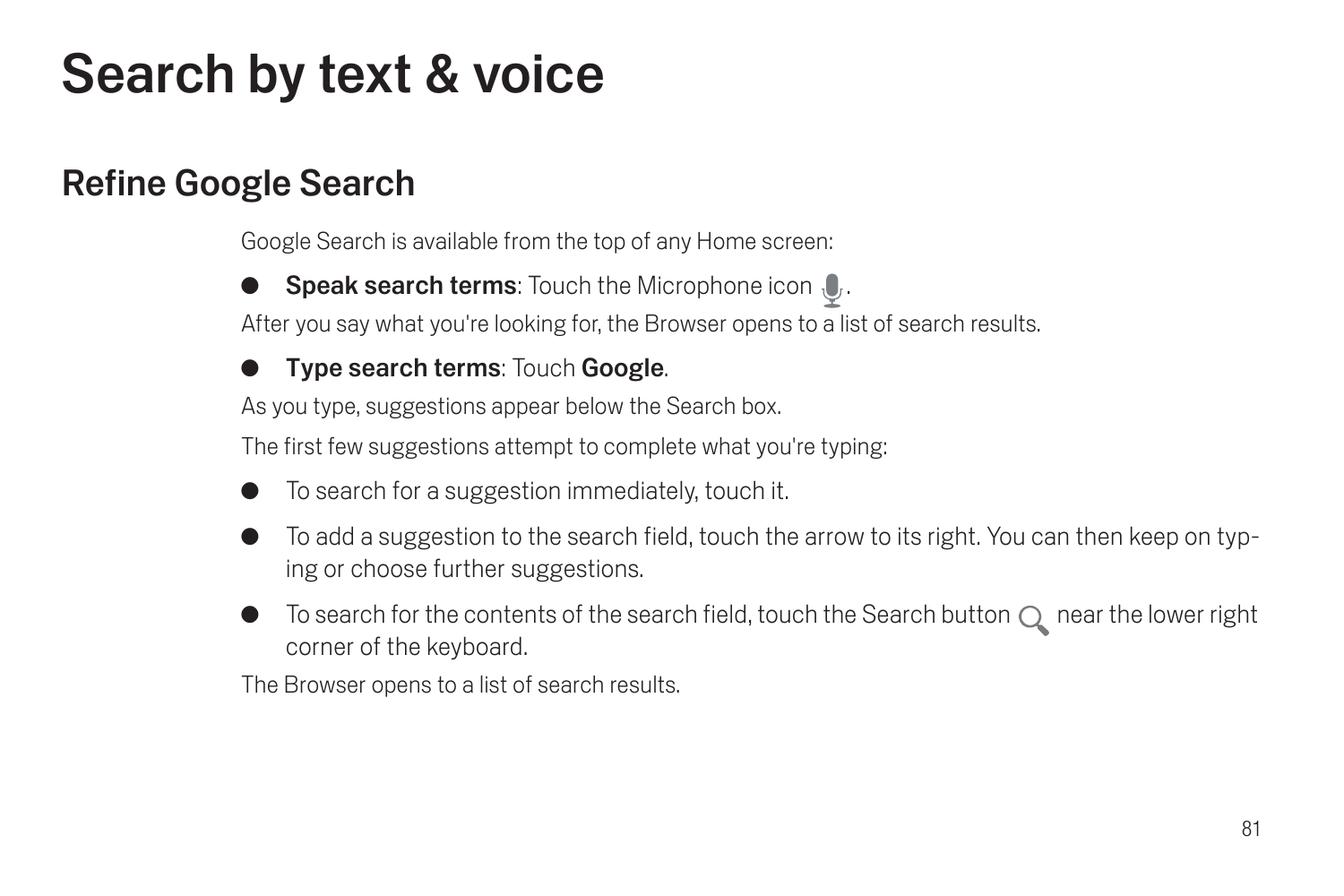# Search by text & voice

# Refine Google Search

Google Search is available from the top of any Home screen:

**Speak search terms:** Touch the Microphone icon  $\mathbf{0}$ .

After you say what you're looking for, the Browser opens to a list of search results.

### **Type search terms: Touch Google.**

As you type, suggestions appear below the Search box.

The first few suggestions attempt to complete what you're typing:

- G To search for a suggestion immediately, touch it.
- To add a suggestion to the search field, touch the arrow to its right. You can then keep on typing or choose further suggestions.
- To search for the contents of the search field, touch the Search button  $\bigcirc$  near the lower right corner of the keyboard.

The Browser opens to a list of search results.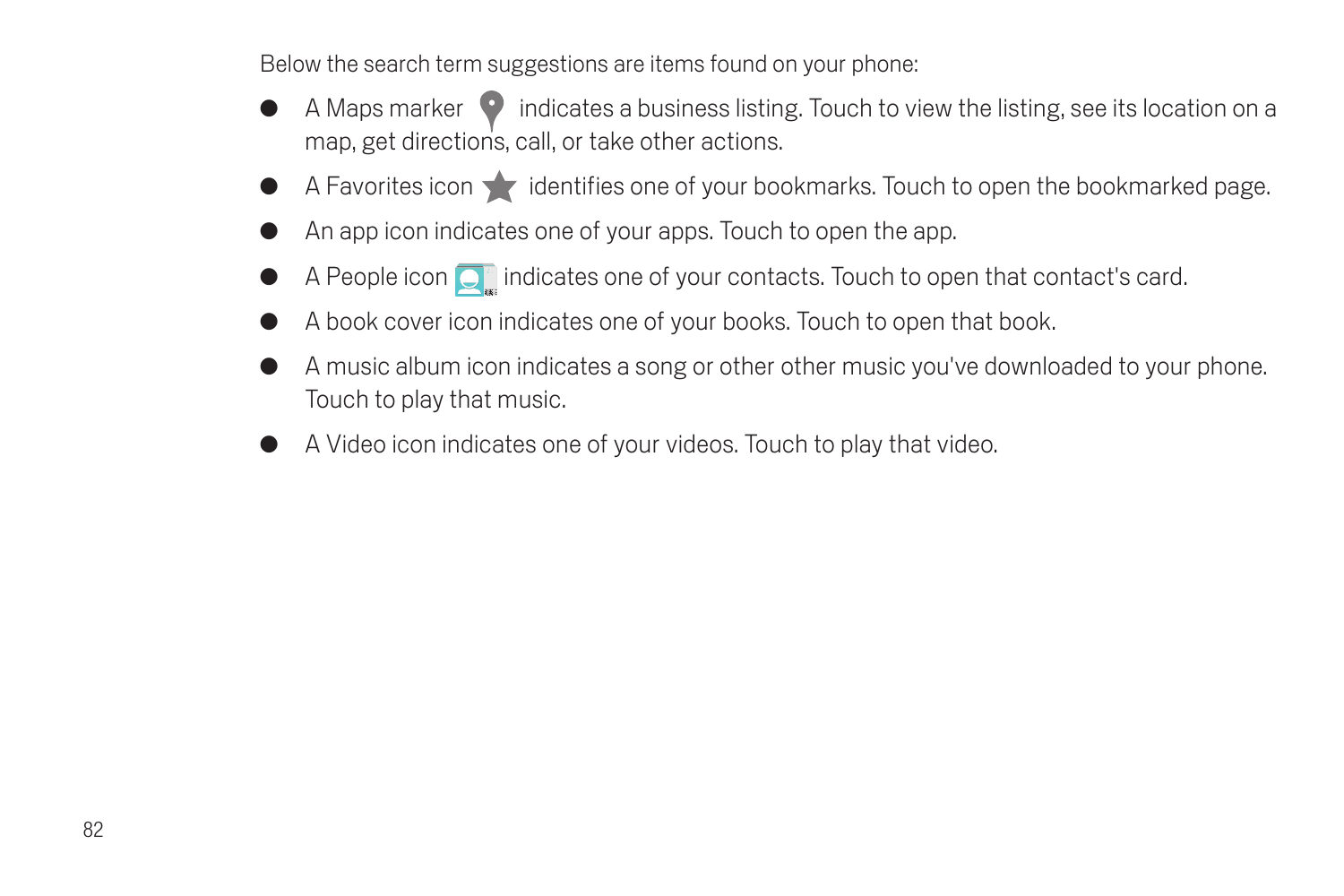Below the search term suggestions are items found on your phone:

- A Maps marker  $\bullet$  indicates a business listing. Touch to view the listing, see its location on a map, get directions, call, or take other actions.
- A Favorites icon in identifies one of your bookmarks. Touch to open the bookmarked page.
- An app icon indicates one of your apps. Touch to open the app.
- A People icon  $\overline{Q}$  indicates one of your contacts. Touch to open that contact's card.
- A book cover icon indicates one of your books. Touch to open that book.
- G A music album icon indicates a song or other other music you've downloaded to your phone. Touch to play that music.
- A Video icon indicates one of your videos. Touch to play that video.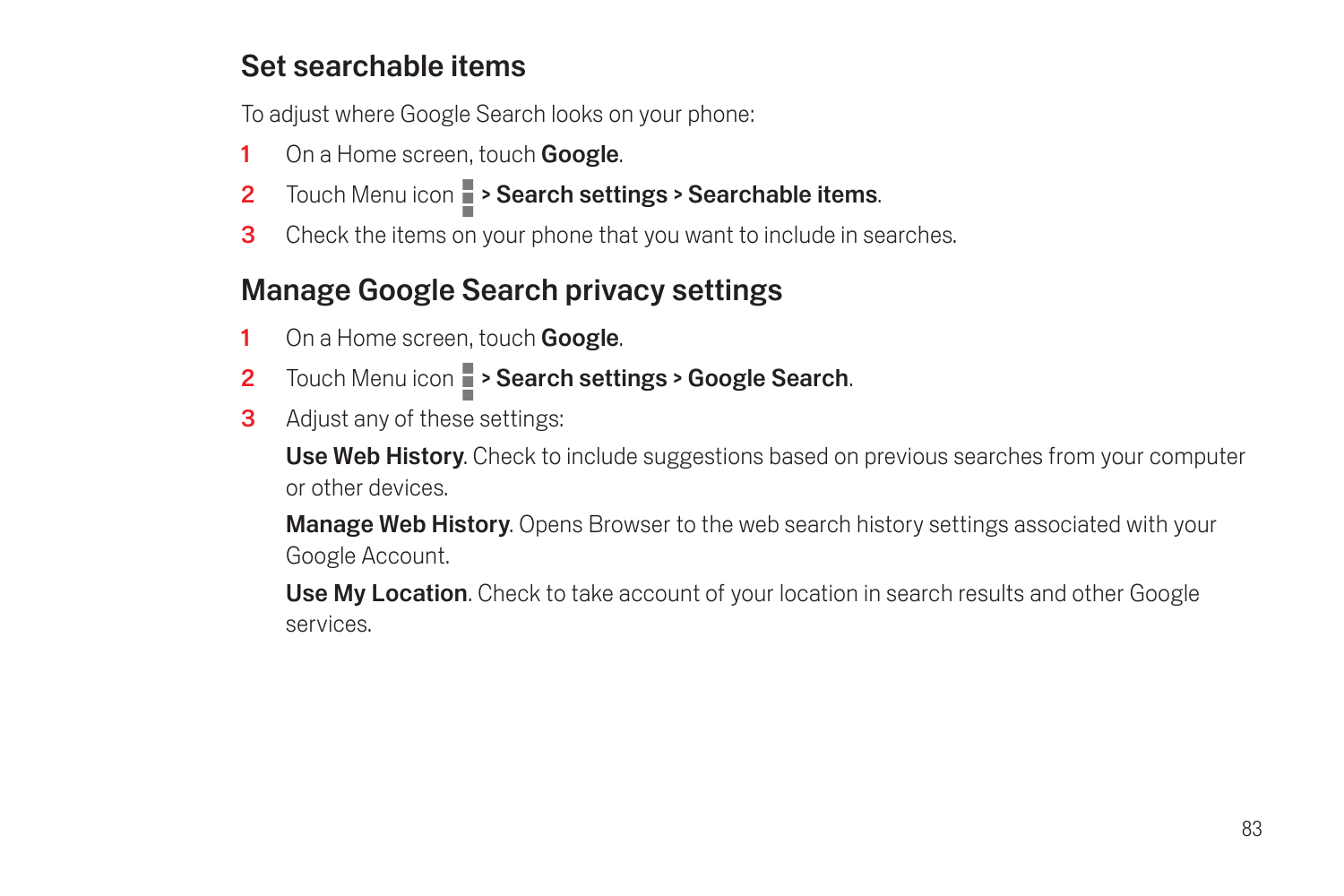## Set searchable items

To adjust where Google Search looks on your phone:

- 1 On a Home screen, touch **Google**.
- 2 Touch Menu icon **> Search settings > Searchable items**.
- **3** Check the items on your phone that you want to include in searches.

## Manage Google Search privacy settings

- 1 On a Home screen, touch **Google**.
- 2 Touch Menu icon  $\blacksquare$  > Search settings > Google Search.
- **3** Adjust any of these settings:

Use Web History. Check to include suggestions based on previous searches from your computer or other devices.

**Manage Web History.** Opens Browser to the web search history settings associated with your Google Account.

Use My Location. Check to take account of your location in search results and other Google services.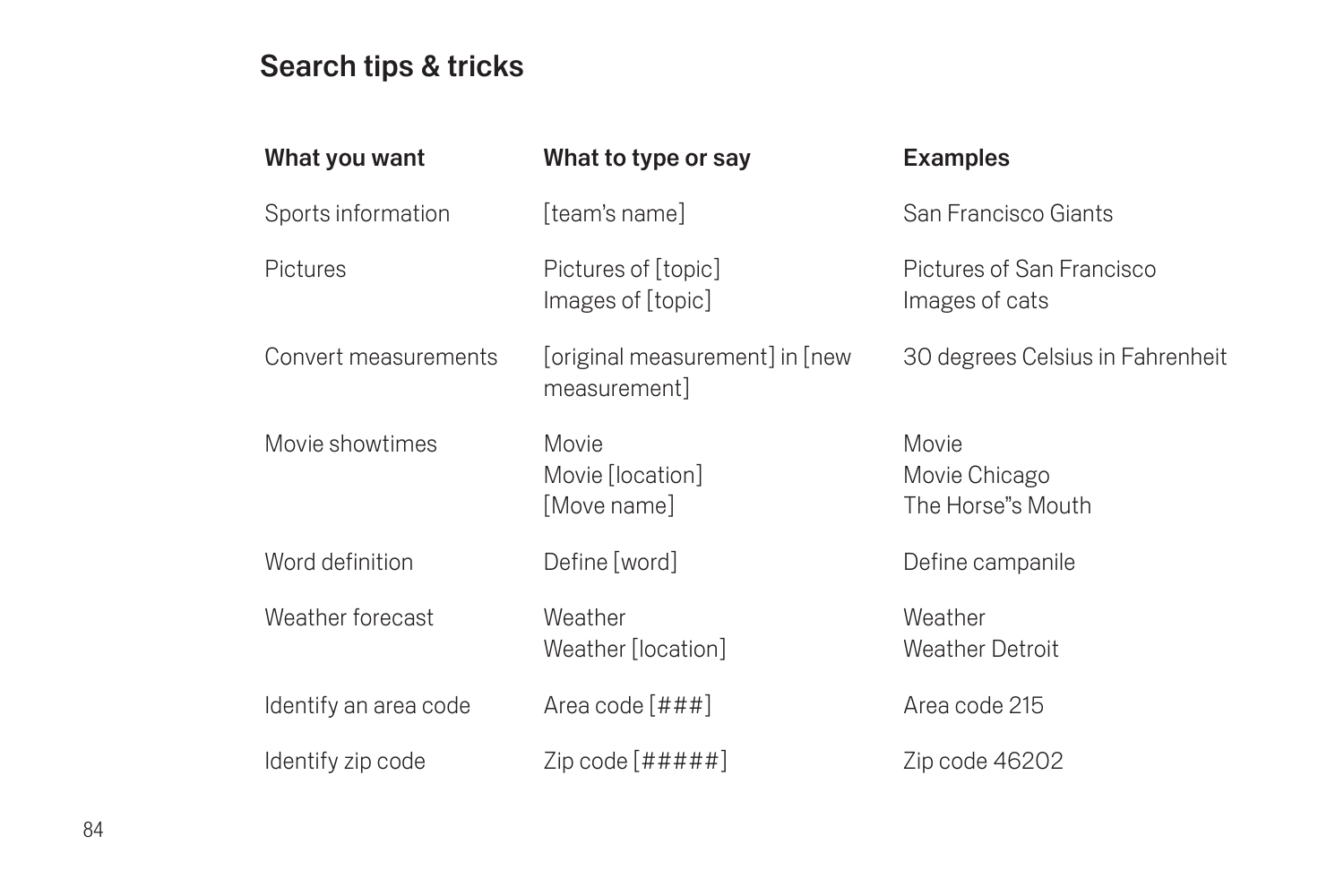## Search tips & tricks

| What you want         | What to type or say                            | <b>Examples</b>                             |
|-----------------------|------------------------------------------------|---------------------------------------------|
| Sports information    | [team's name]                                  | San Francisco Giants                        |
| Pictures              | Pictures of [topic]<br>Images of [topic]       | Pictures of San Francisco<br>Images of cats |
| Convert measurements  | [original measurement] in [new<br>measurement] | 30 degrees Celsius in Fahrenheit            |
| Movie showtimes       | Movie<br>Movie [location]<br>[Move name]       | Movie<br>Movie Chicago<br>The Horse"s Mouth |
| Word definition       | Define [word]                                  | Define campanile                            |
| Weather forecast      | Weather<br>Weather [location]                  | Weather<br><b>Weather Detroit</b>           |
| Identify an area code | Area code [###]                                | Area code 215                               |
| Identify zip code     | Zip code $[#####]$                             | Zip code 46202                              |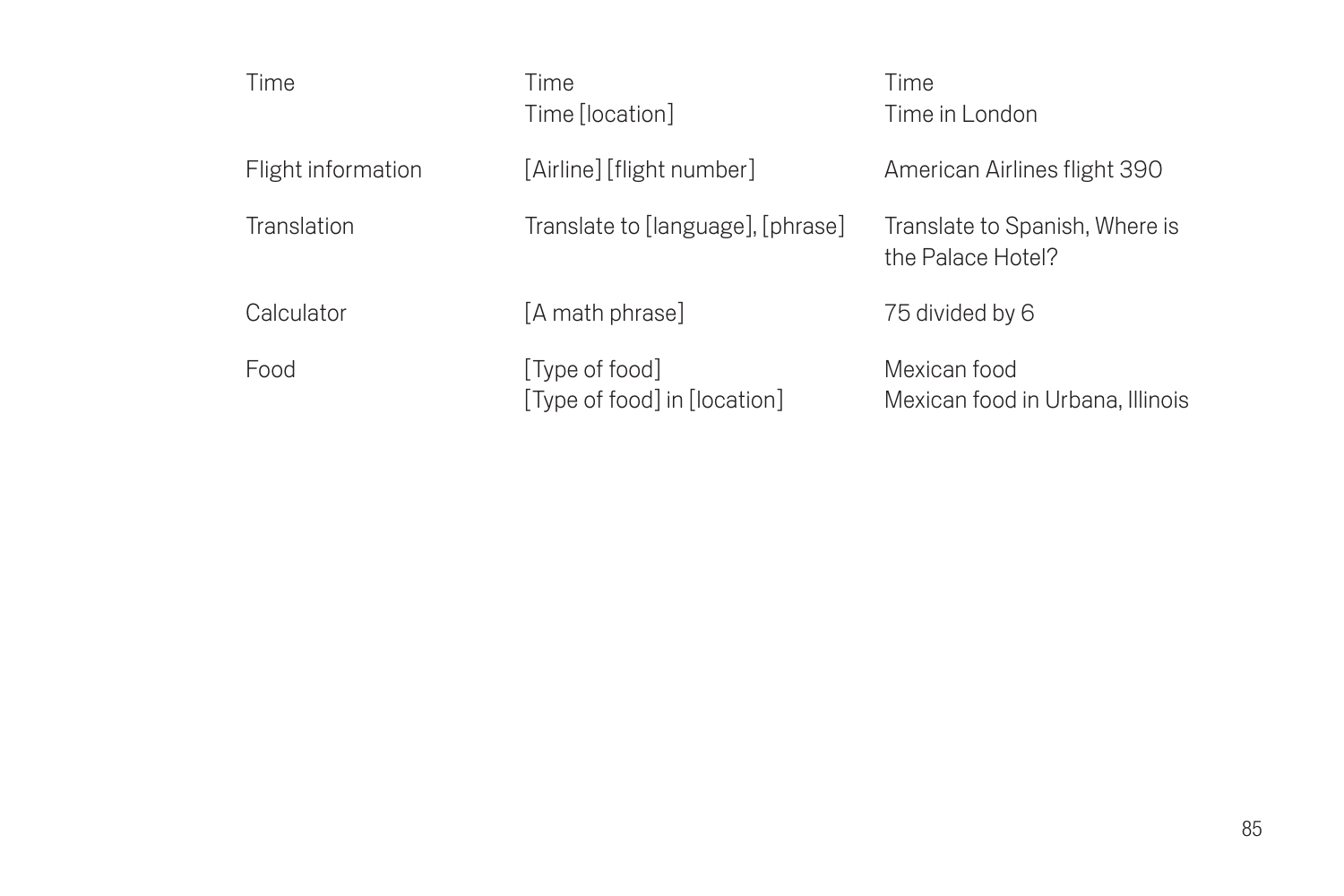| Time               | Time<br>Time [location]                        | Time<br>Time in London                              |
|--------------------|------------------------------------------------|-----------------------------------------------------|
| Flight information | [Airline] [flight number]                      | American Airlines flight 390                        |
| Translation        | Translate to [language], [phrase]              | Translate to Spanish, Where is<br>the Palace Hotel? |
| Calculator         | [A math phrase]                                | 75 divided by 6                                     |
| Food               | [Type of food]<br>[Type of food] in [location] | Mexican food<br>Mexican food in Urbana, Illinois    |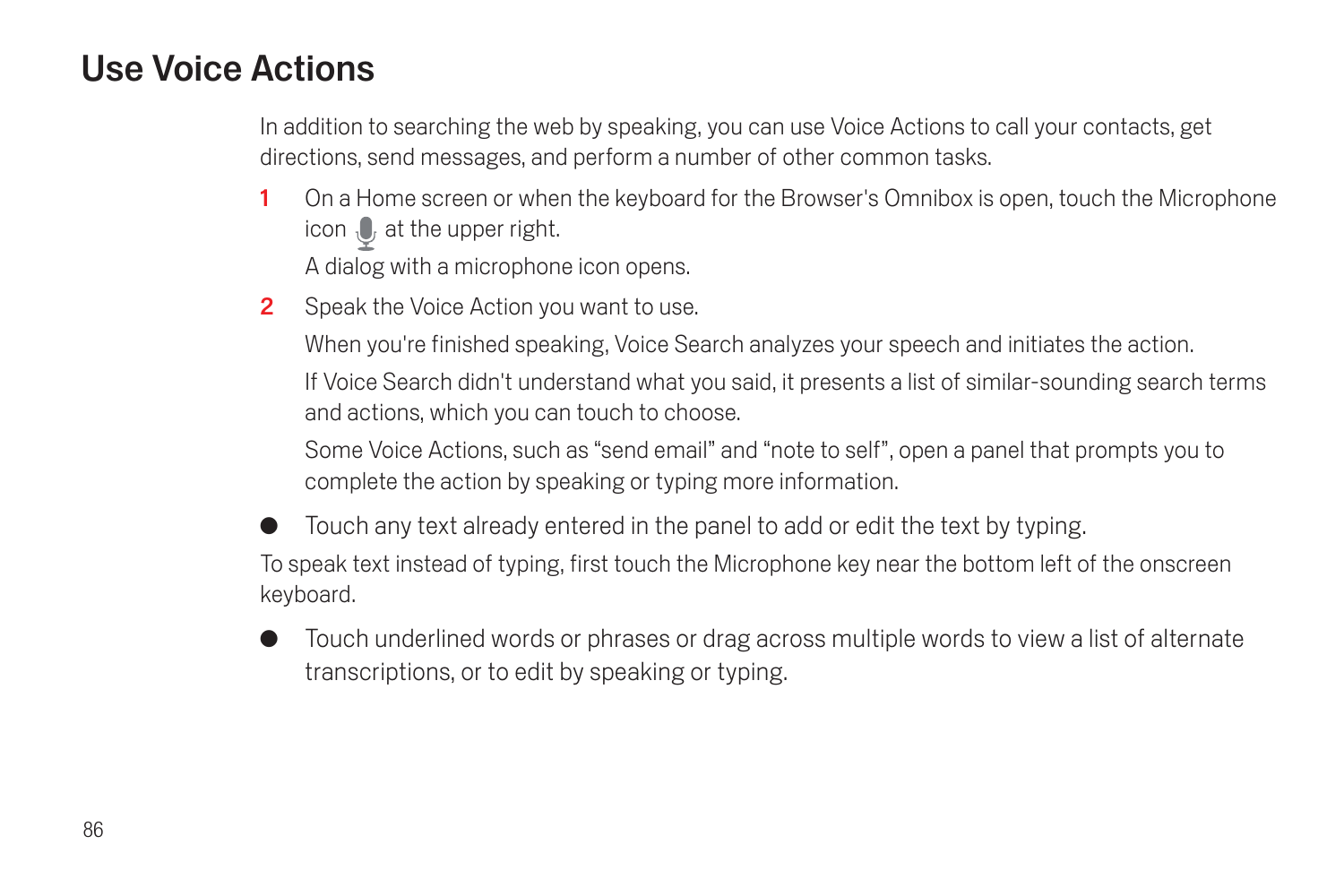# Use Voice Actions

In addition to searching the web by speaking, you can use Voice Actions to call your contacts, get directions, send messages, and perform a number of other common tasks.

- 1 On a Home screen or when the keyboard for the Browser's Omnibox is open, touch the Microphone icon  $\mathbb U$  at the upper right. A dialog with a microphone icon opens.
- 2 Speak the Voice Action you want to use.

When you're finished speaking, Voice Search analyzes your speech and initiates the action.

If Voice Search didn't understand what you said, it presents a list of similar-sounding search terms and actions, which you can touch to choose.

Some Voice Actions, such as "send email" and "note to self", open a panel that prompts you to complete the action by speaking or typing more information.

Touch any text already entered in the panel to add or edit the text by typing. To speak text instead of typing, first touch the Microphone key near the bottom left of the onscreen keyboard.

G Touch underlined words or phrases or drag across multiple words to view a list of alternate transcriptions, or to edit by speaking or typing.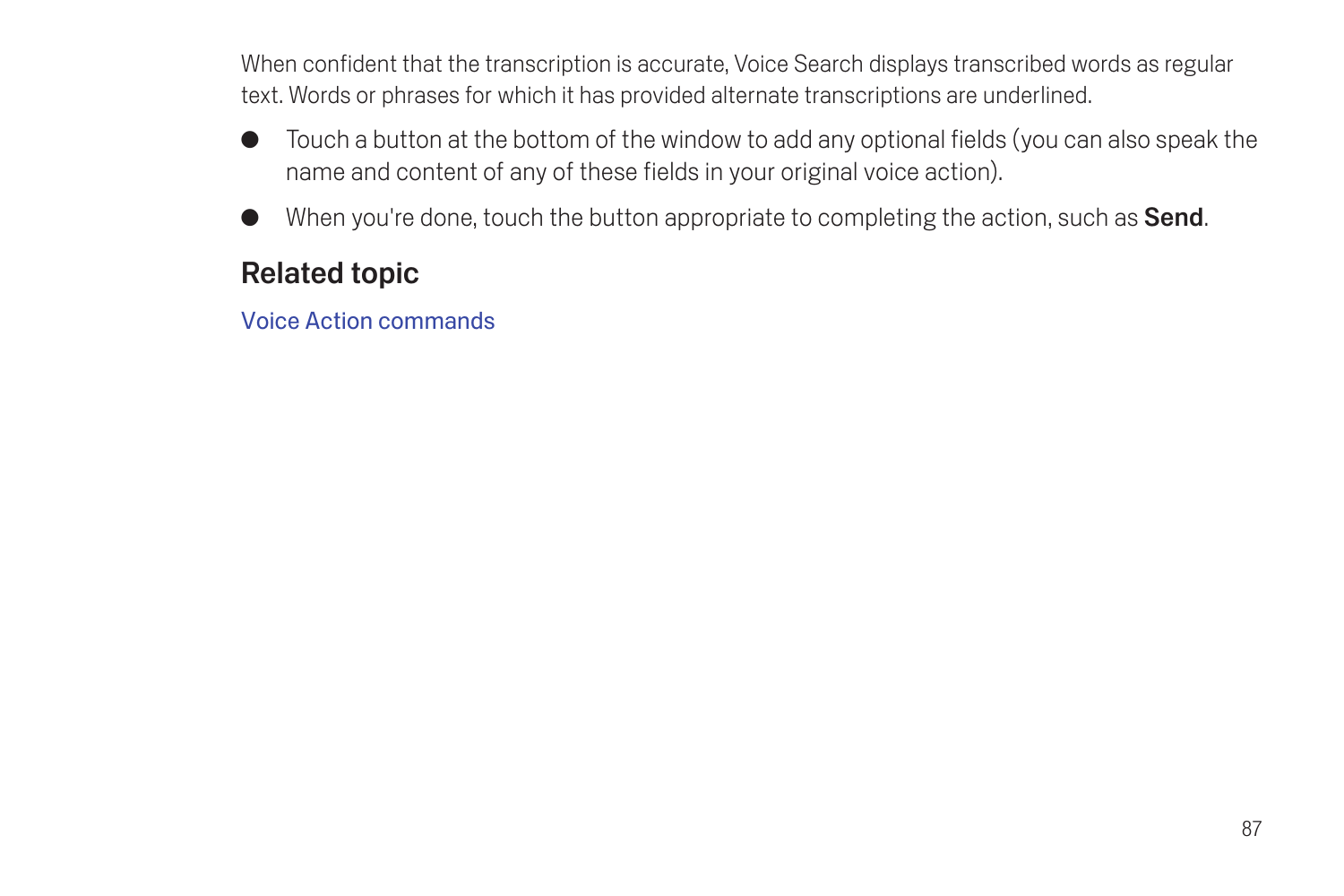When confident that the transcription is accurate, Voice Search displays transcribed words as regular text. Words or phrases for which it has provided alternate transcriptions are underlined.

- G Touch a button at the bottom of the window to add any optional fields (you can also speak the name and content of any of these fields in your original voice action).
- When you're done, touch the button appropriate to completing the action, such as **Send**.

## Related topic

[Voice Action commands](#page-89-0)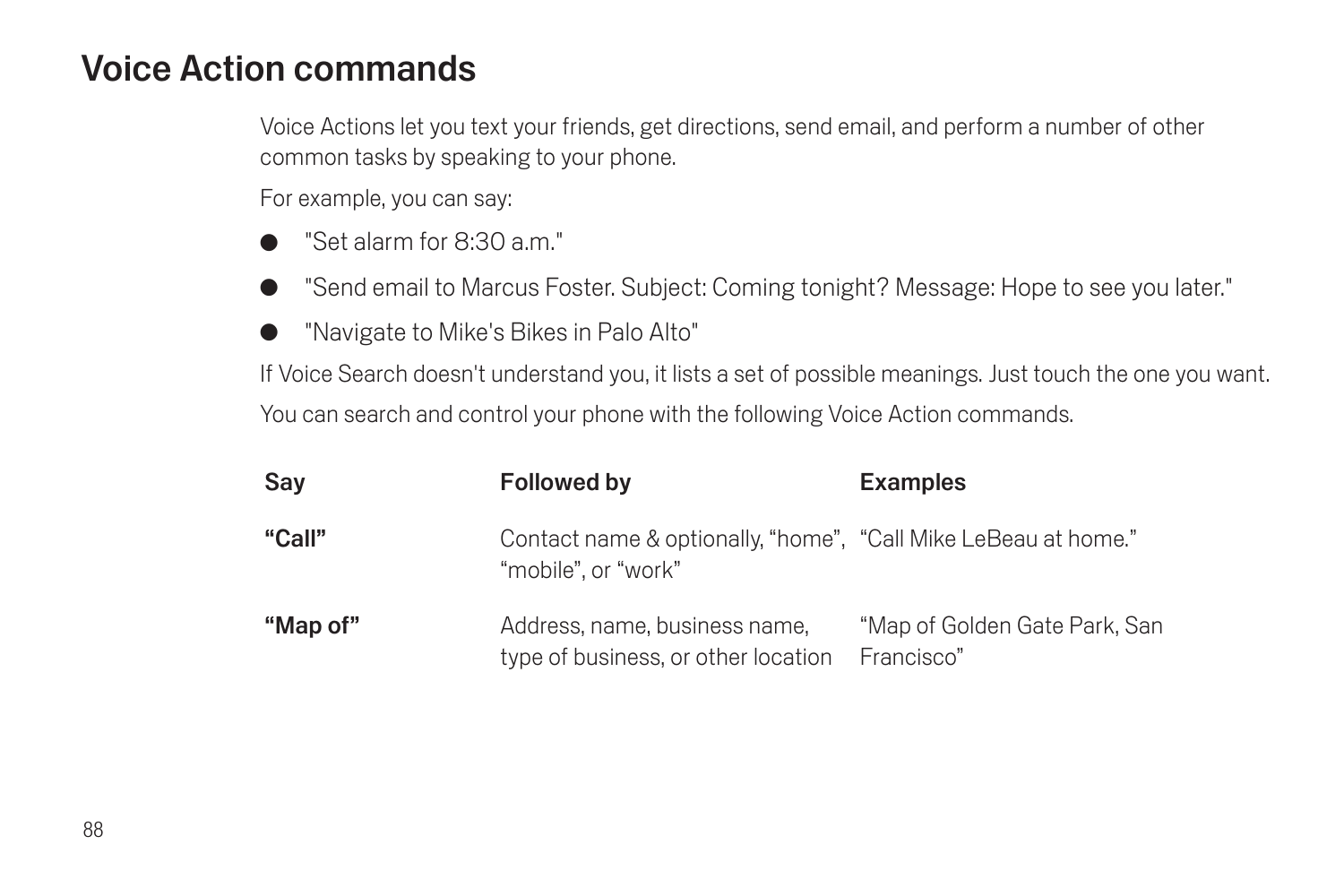## <span id="page-89-0"></span>Voice Action commands

Voice Actions let you text your friends, get directions, send email, and perform a number of other common tasks by speaking to your phone.

For example, you can say:

- G "Set alarm for 8:30 a.m."
- G "Send email to Marcus Foster. Subject: Coming tonight? Message: Hope to see you later."
- "Navigate to Mike's Bikes in Palo Alto"

If Voice Search doesn't understand you, it lists a set of possible meanings. Just touch the one you want. You can search and control your phone with the following Voice Action commands.

| Sav      | Followed by                                                                           | <b>Examples</b>                             |
|----------|---------------------------------------------------------------------------------------|---------------------------------------------|
| "Call"   | Contact name & optionally, "home", "Call Mike LeBeau at home."<br>"mobile", or "work" |                                             |
| "Map of" | Address, name, business name,<br>type of business, or other location                  | "Map of Golden Gate Park, San<br>Francisco" |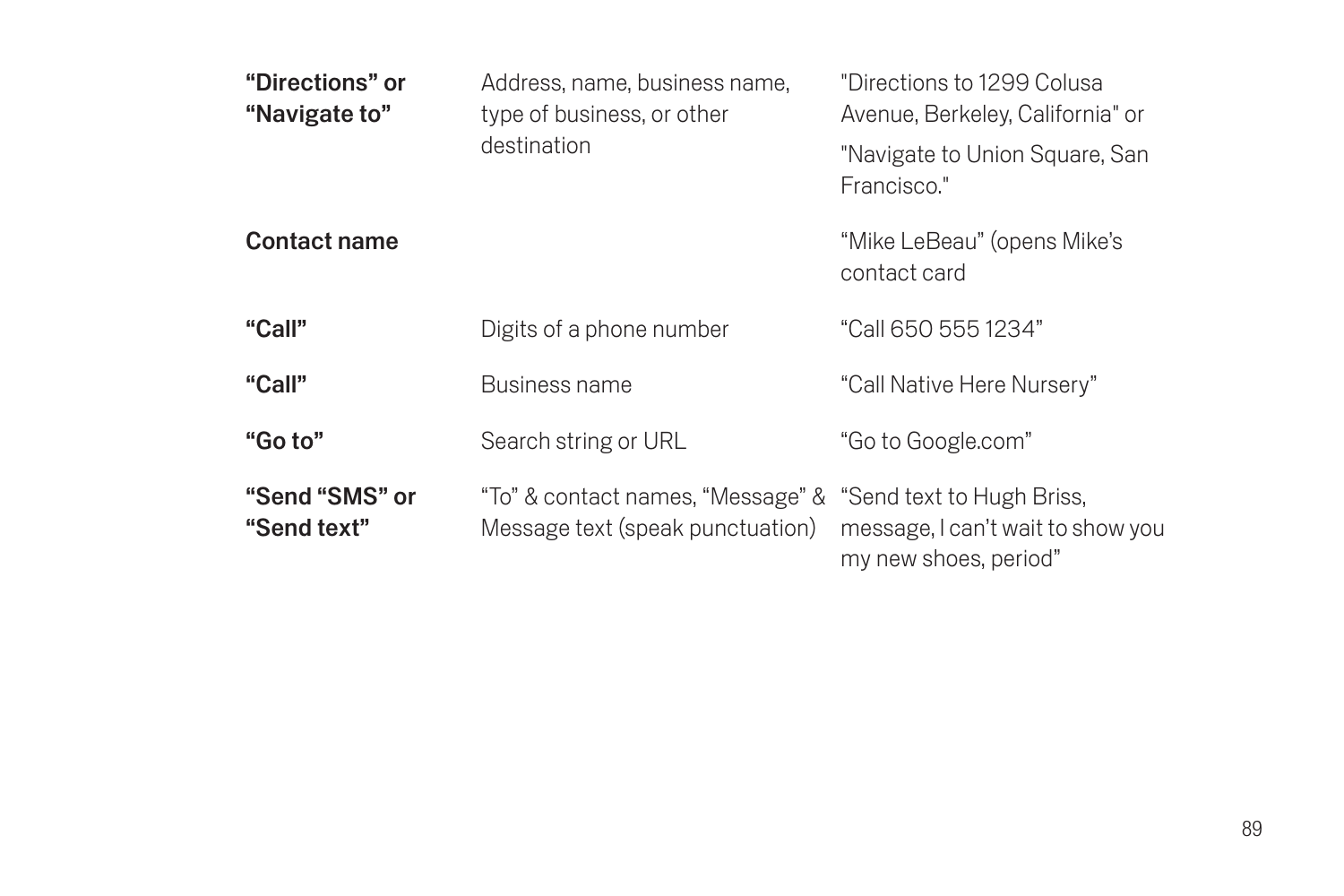| "Directions" or<br>"Navigate to" | Address, name, business name,<br>type of business, or other<br>destination | "Directions to 1299 Colusa<br>Avenue, Berkeley, California" or<br>"Navigate to Union Square, San |
|----------------------------------|----------------------------------------------------------------------------|--------------------------------------------------------------------------------------------------|
|                                  |                                                                            | Francisco."                                                                                      |
| Contact name                     |                                                                            | "Mike LeBeau" (opens Mike's<br>contact card                                                      |
| "Call"                           | Digits of a phone number                                                   | "Call 650 555 1234"                                                                              |
| "Call"                           | Business name                                                              | "Call Native Here Nursery"                                                                       |
| "Go to"                          | Search string or URL                                                       | "Go to Google.com"                                                                               |
| "Send "SMS" or<br>"Send text"    | "To" & contact names, "Message" &<br>Message text (speak punctuation)      | "Send text to Hugh Briss,<br>message, I can't wait to show you<br>my new shoes, period"          |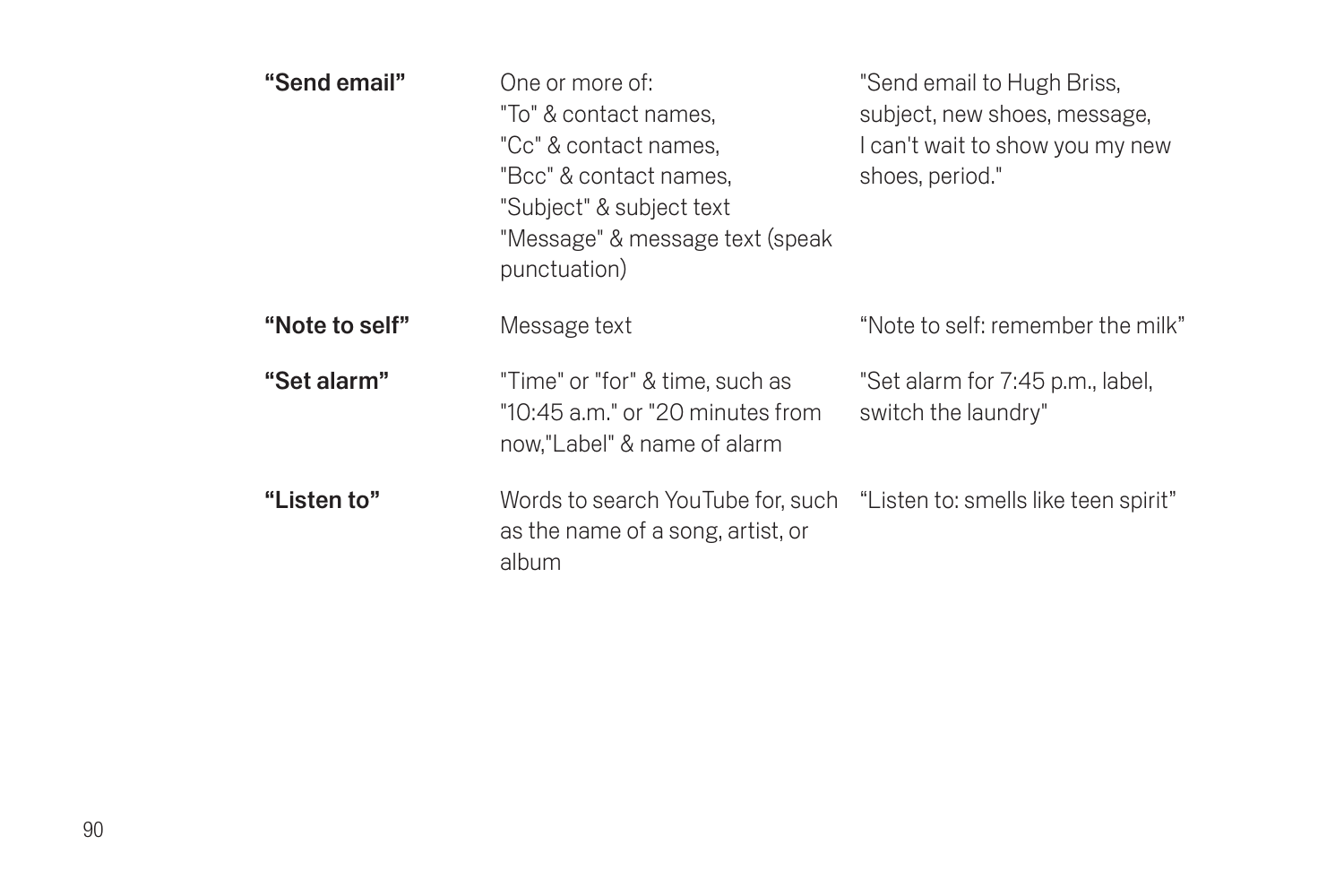| "Send email"   | One or more of:<br>"To" & contact names.<br>"Cc" & contact names.<br>"Bcc" & contact names.<br>"Subject" & subject text<br>"Message" & message text (speak<br>punctuation) | "Send email to Hugh Briss,<br>subject, new shoes, message,<br>I can't wait to show you my new<br>shoes, period." |
|----------------|----------------------------------------------------------------------------------------------------------------------------------------------------------------------------|------------------------------------------------------------------------------------------------------------------|
| "Note to self" | Message text                                                                                                                                                               | "Note to self: remember the milk"                                                                                |
| "Set alarm"    | "Time" or "for" & time, such as<br>"10:45 a.m." or "20 minutes from<br>now."Label" & name of alarm                                                                         | "Set alarm for 7:45 p.m., label,<br>switch the laundry"                                                          |
| "Listen to"    | Words to search YouTube for, such<br>as the name of a song, artist, or<br>album                                                                                            | "Listen to: smells like teen spirit"                                                                             |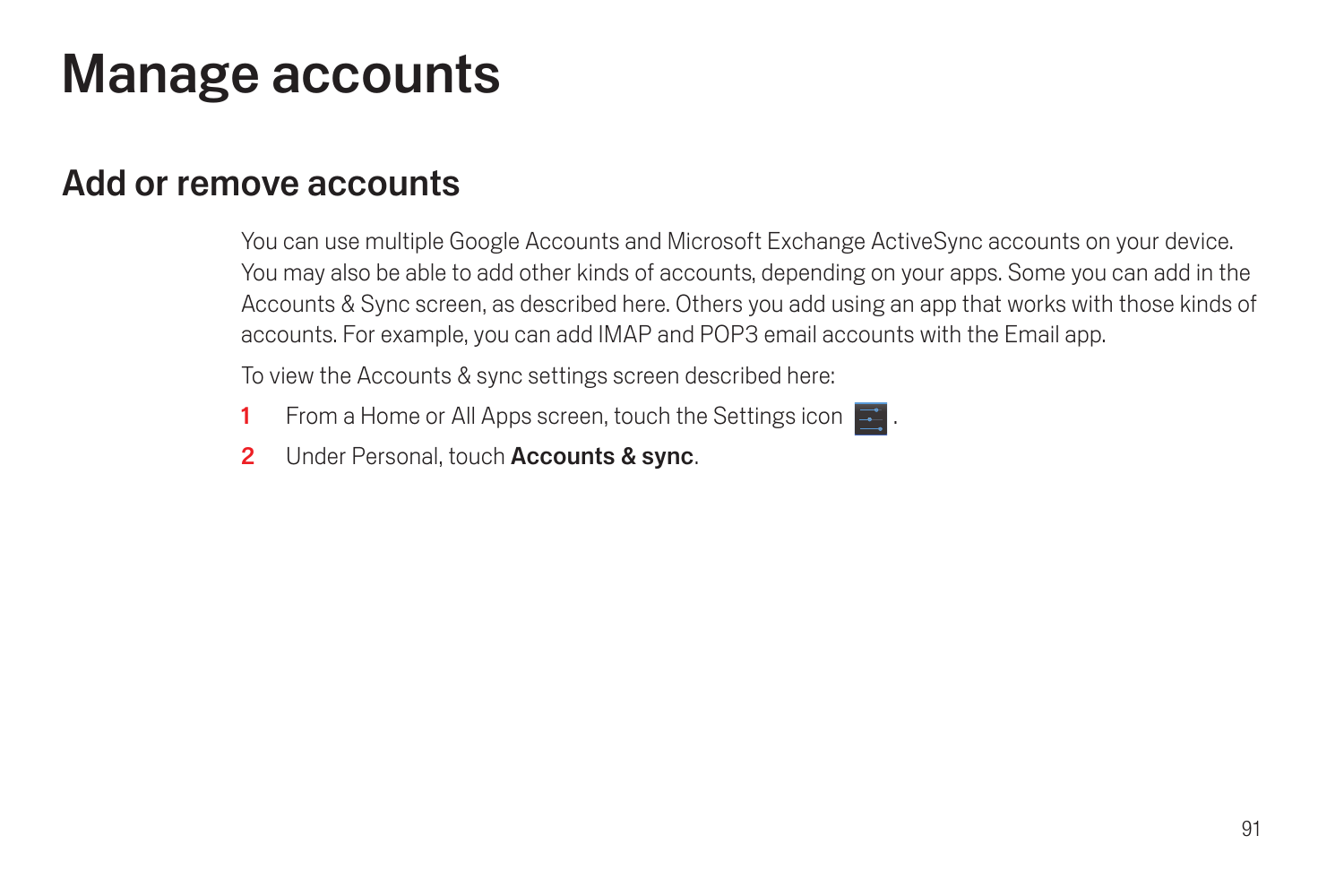# Manage accounts

## <span id="page-92-0"></span>Add or remove accounts

You can use multiple Google Accounts and Microsoft Exchange ActiveSync accounts on your device. You may also be able to add other kinds of accounts, depending on your apps. Some you can add in the Accounts & Sync screen, as described here. Others you add using an app that works with those kinds of accounts. For example, you can add IMAP and POP3 email accounts with the Email app.

To view the Accounts & sync settings screen described here:

- 1 From a Home or All Apps screen, touch the Settings icon  $\mathbb{R}^2$ .
- 2 Under Personal, touch Accounts & sync.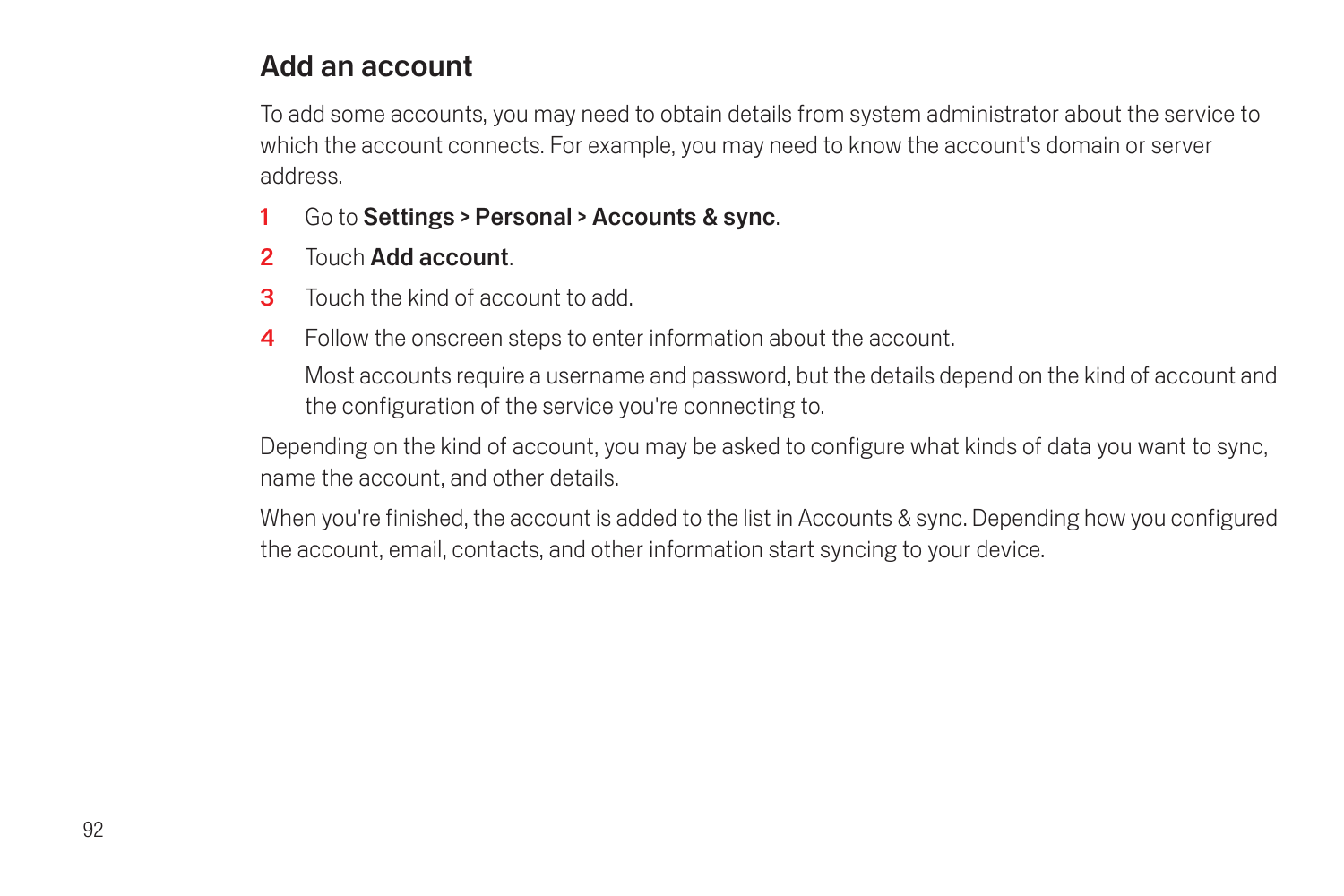### Add an account

To add some accounts, you may need to obtain details from system administrator about the service to which the account connects. For example, you may need to know the account's domain or server address.

- 1 Go to Settings > Personal > Accounts & sync.
- 2 Touch Add account.
- 3 Touch the kind of account to add.
- 4 Follow the onscreen steps to enter information about the account.

Most accounts require a username and password, but the details depend on the kind of account and the configuration of the service you're connecting to.

Depending on the kind of account, you may be asked to configure what kinds of data you want to sync, name the account, and other details.

When you're finished, the account is added to the list in Accounts & sync. Depending how you configured the account, email, contacts, and other information start syncing to your device.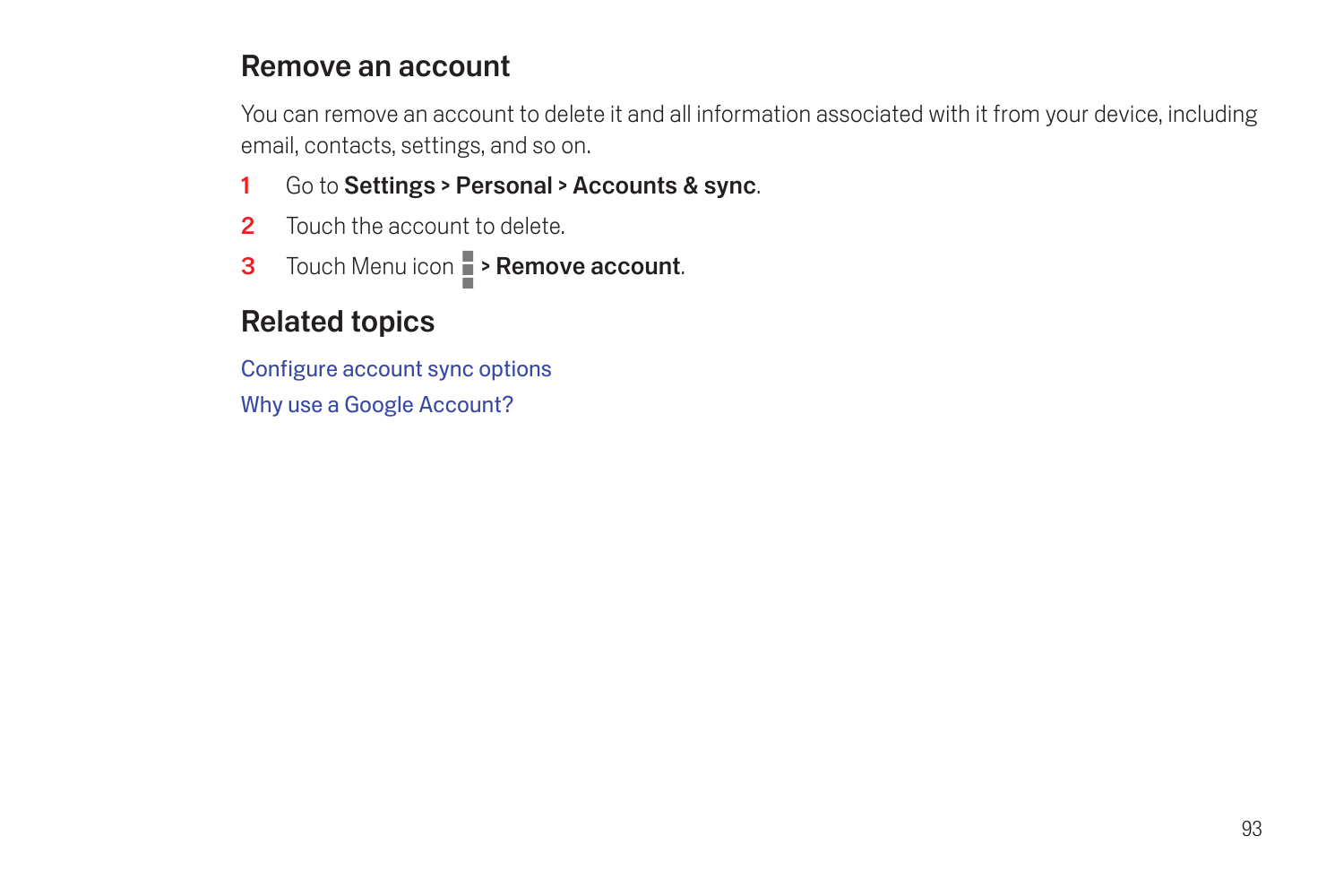#### Remove an account

You can remove an account to delete it and all information associated with it from your device, including email, contacts, settings, and so on.

- 1 Go to Settings > Personal > Accounts & sync.
- 2 Touch the account to delete
- 3 Touch Menu icon **> Remove account**.

## Related topics

[Configure account sync options](#page-95-0) [Why use a Google Account?](#page-6-0)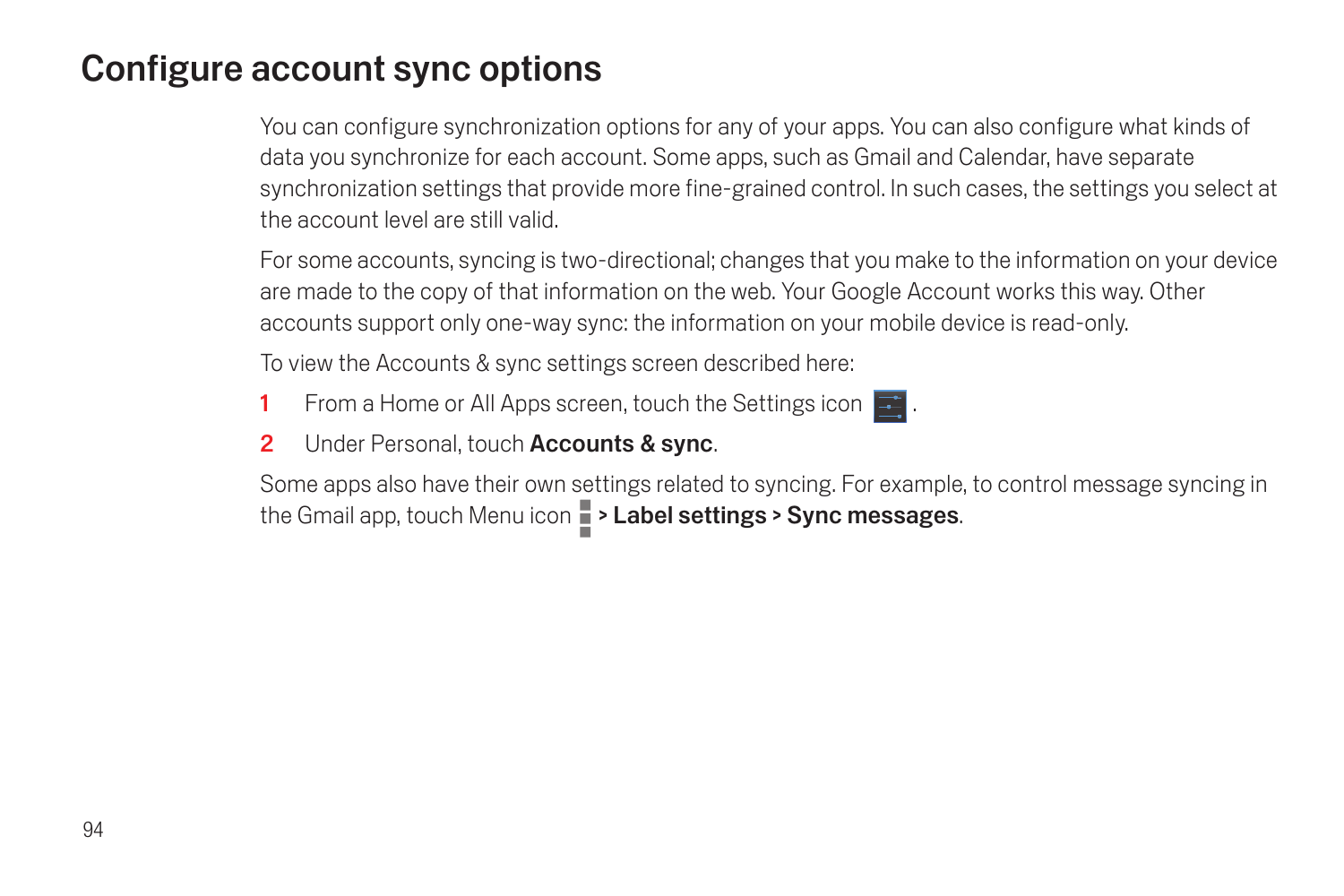# <span id="page-95-0"></span>Configure account sync options

You can configure synchronization options for any of your apps. You can also configure what kinds of data you synchronize for each account. Some apps, such as Gmail and Calendar, have separate synchronization settings that provide more fine-grained control. In such cases, the settings you select at the account level are still valid.

For some accounts, syncing is two-directional; changes that you make to the information on your device are made to the copy of that information on the web. Your Google Account works this way. Other accounts support only one-way sync: the information on your mobile device is read-only.

To view the Accounts & sync settings screen described here:

- 1 From a Home or All Apps screen, touch the Settings icon  $\blacksquare$ .
- 2 Under Personal, touch Accounts & sync.

Some apps also have their own settings related to syncing. For example, to control message syncing in the Gmail app, touch Menu icon  $\blacksquare$  > Label settings > Sync messages.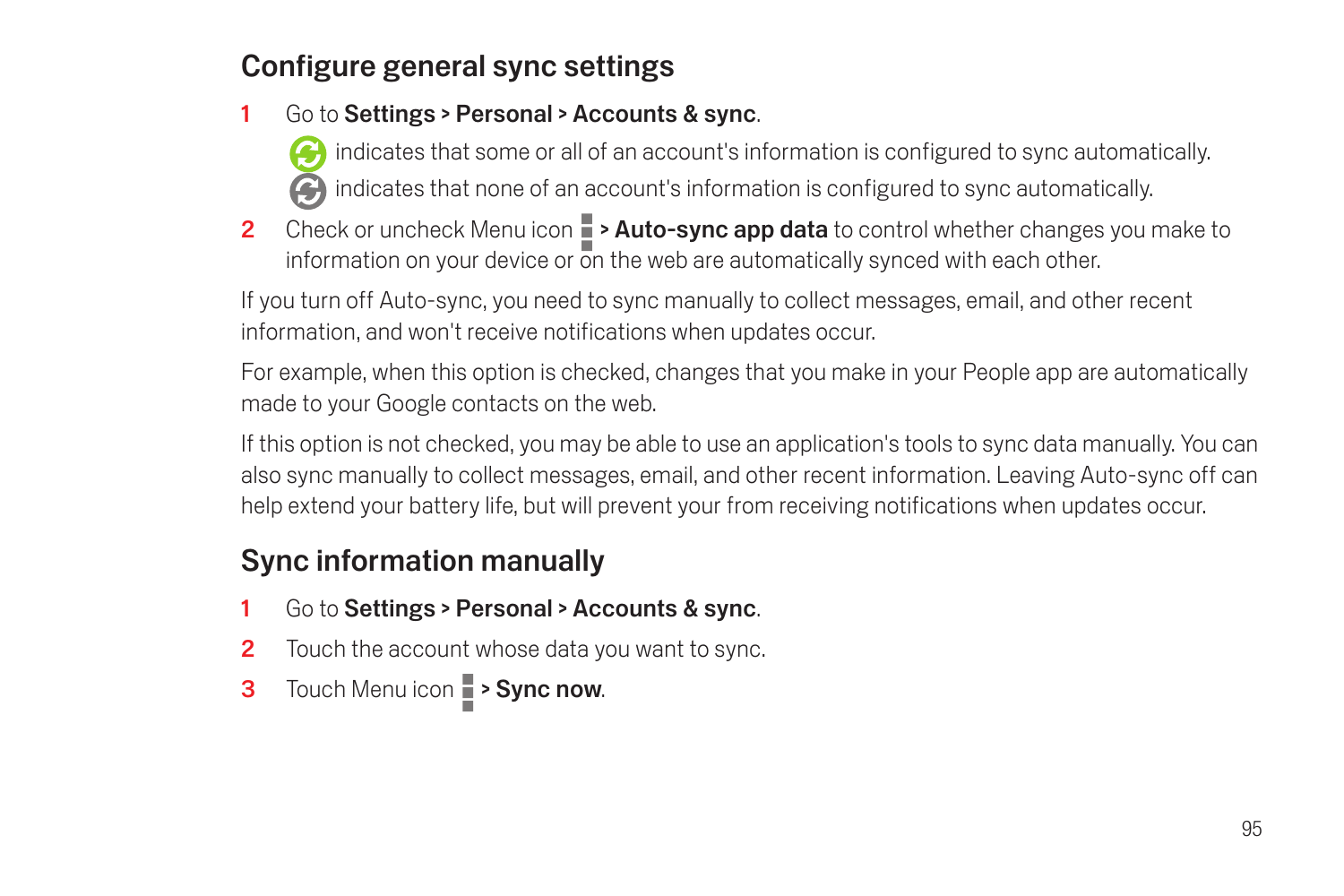## Configure general sync settings

- 1 Go to Settings > Personal > Accounts & sync.
	- indicates that some or all of an account's information is configured to sync automatically. indicates that none of an account's information is configured to sync automatically.
- 2 Check or uncheck Menu icon  $\blacksquare$  > Auto-sync app data to control whether changes you make to information on your device or  $\overline{0}$ n the web are automatically synced with each other.

If you turn off Auto-sync, you need to sync manually to collect messages, email, and other recent information, and won't receive notifications when updates occur.

For example, when this option is checked, changes that you make in your People app are automatically made to your Google contacts on the web.

If this option is not checked, you may be able to use an application's tools to sync data manually. You can also sync manually to collect messages, email, and other recent information. Leaving Auto-sync off can help extend your battery life, but will prevent your from receiving notifications when updates occur.

## Sync information manually

- 1 Go to Settings > Personal > Accounts & sync.
- **2** Touch the account whose data you want to sync.
- 3 Touch Menu icon  $\blacksquare$  > Sync now.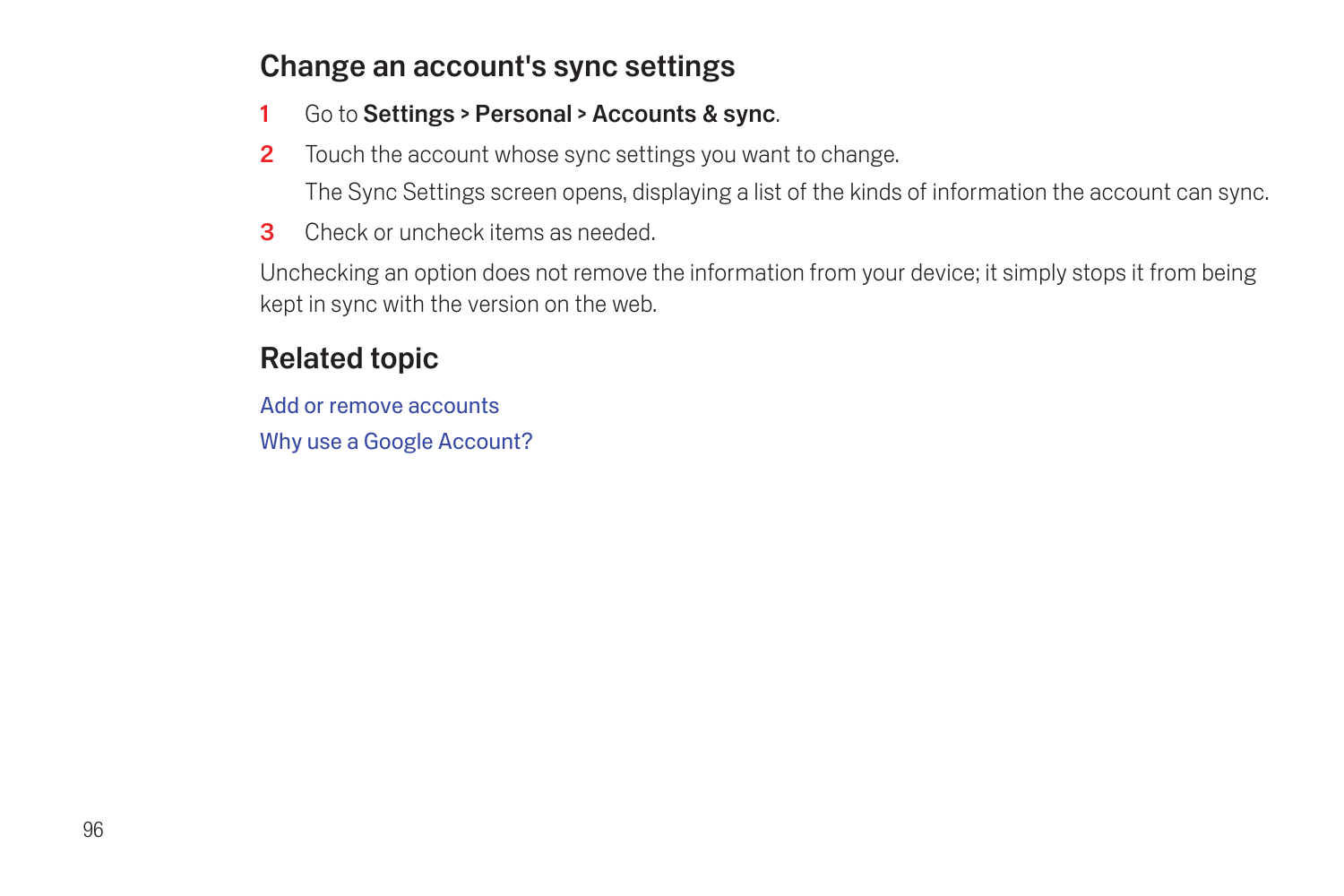## Change an account's sync settings

- 1 Go to Settings > Personal > Accounts & sync.
- **2** Touch the account whose sync settings you want to change. The Sync Settings screen opens, displaying a list of the kinds of information the account can sync.
- 3 Check or uncheck items as needed.

Unchecking an option does not remove the information from your device; it simply stops it from being kept in sync with the version on the web.

## Related topic

[Add or remove accounts](#page-92-0) [Why use a Google Account?](#page-6-0)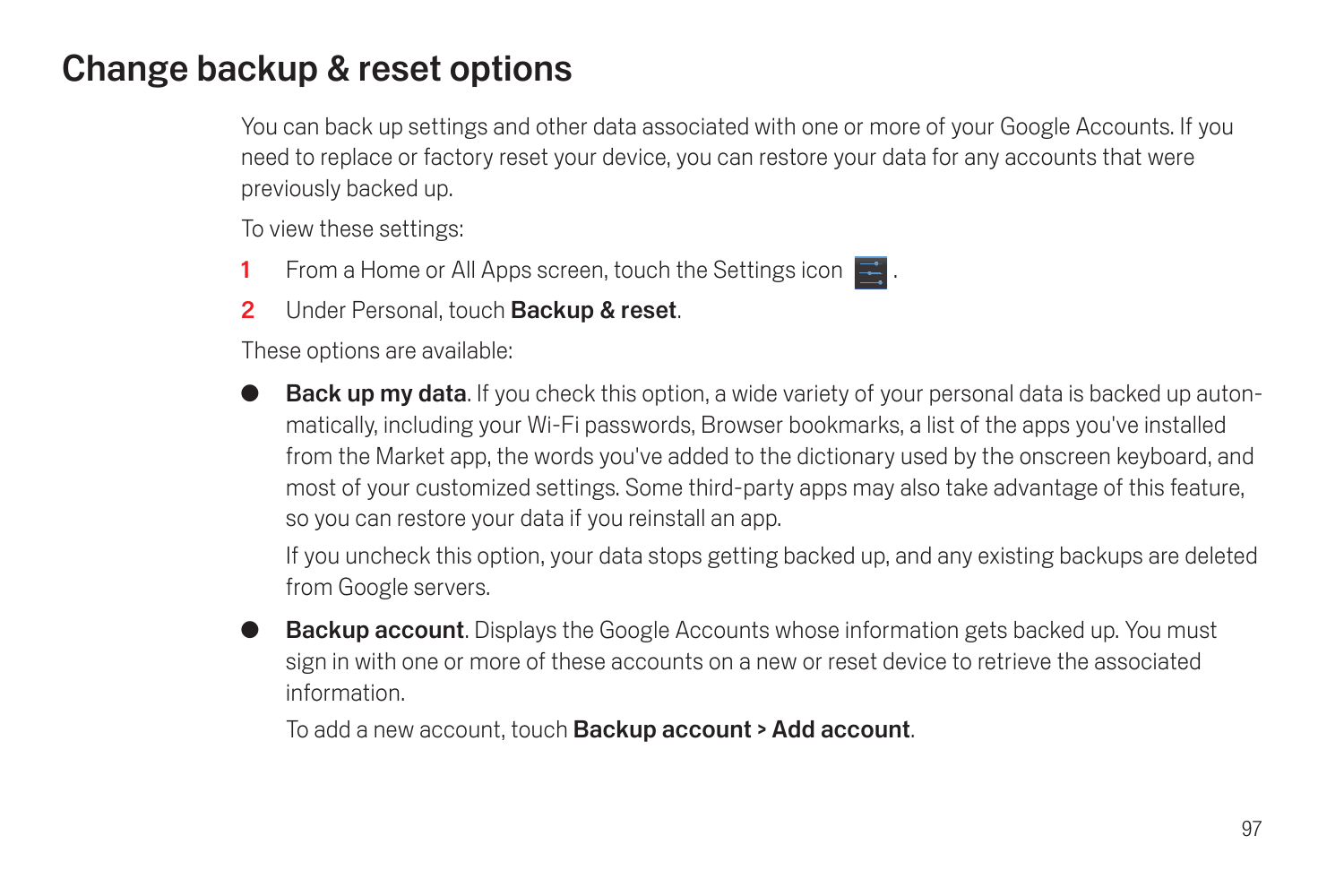# Change backup & reset options

You can back up settings and other data associated with one or more of your Google Accounts. If you need to replace or factory reset your device, you can restore your data for any accounts that were previously backed up.

To view these settings:

- **1** From a Home or All Apps screen, touch the Settings icon  $\mathbb{R}$ .
- 2 Under Personal, touch Backup & reset.

These options are available:

Back up my data. If you check this option, a wide variety of your personal data is backed up autonmatically, including your Wi-Fi passwords, Browser bookmarks, a list of the apps you've installed from the Market app, the words you've added to the dictionary used by the onscreen keyboard, and most of your customized settings. Some third-party apps may also take advantage of this feature, so you can restore your data if you reinstall an app.

If you uncheck this option, your data stops getting backed up, and any existing backups are deleted from Google servers.

**Backup account.** Displays the Google Accounts whose information gets backed up. You must sign in with one or more of these accounts on a new or reset device to retrieve the associated information.

To add a new account, touch Backup account > Add account.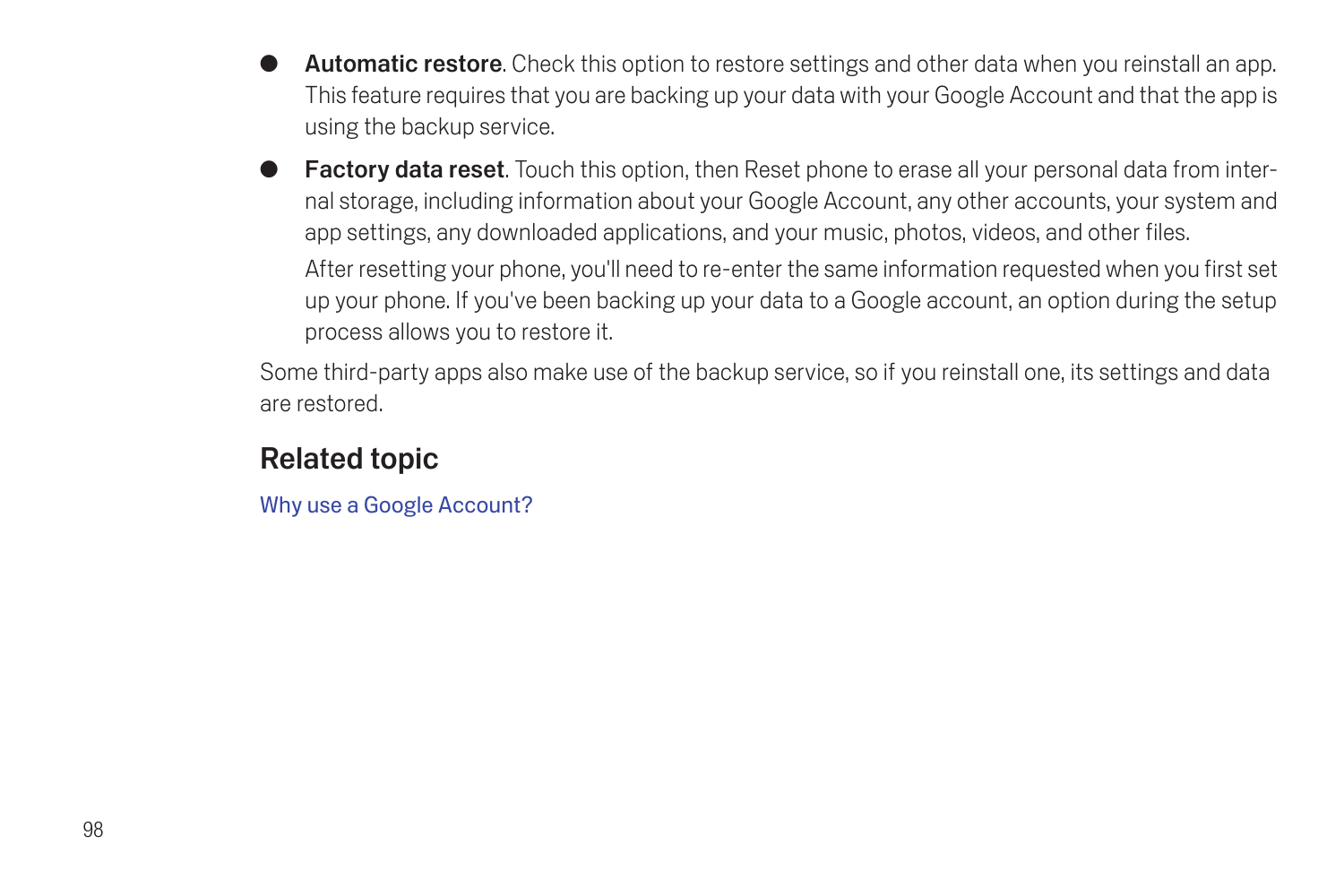- **Automatic restore.** Check this option to restore settings and other data when you reinstall an app. This feature requires that you are backing up your data with your Google Account and that the app is using the backup service.
- **Factory data reset.** Touch this option, then Reset phone to erase all your personal data from internal storage, including information about your Google Account, any other accounts, your system and app settings, any downloaded applications, and your music, photos, videos, and other files.

After resetting your phone, you'll need to re-enter the same information requested when you first set up your phone. If you've been backing up your data to a Google account, an option during the setup process allows you to restore it.

Some third-party apps also make use of the backup service, so if you reinstall one, its settings and data are restored.

### Related topic

[Why use a Google Account?](#page-6-0)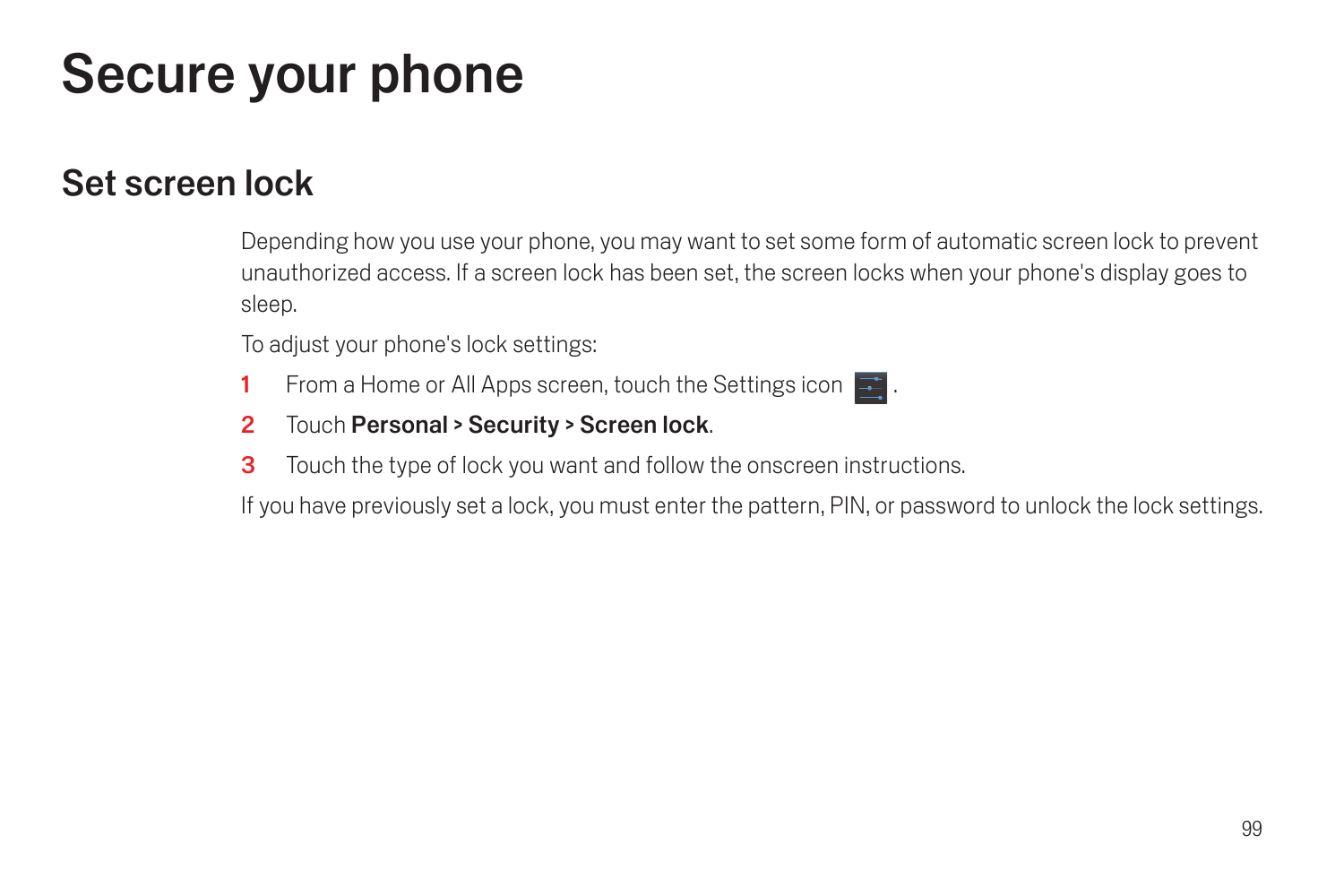# Secure your phone

## Set screen lock

Depending how you use your phone, you may want to set some form of automatic screen lock to prevent unauthorized access. If a screen lock has been set, the screen locks when your phone's display goes to sleep.

To adjust your phone's lock settings:

- 1 From a Home or All Apps screen, touch the Settings icon  $\blacksquare$ .
- 2 Touch Personal > Security > Screen lock.
- **3** Touch the type of lock you want and follow the onscreen instructions.

If you have previously set a lock, you must enter the pattern, PIN, or password to unlock the lock settings.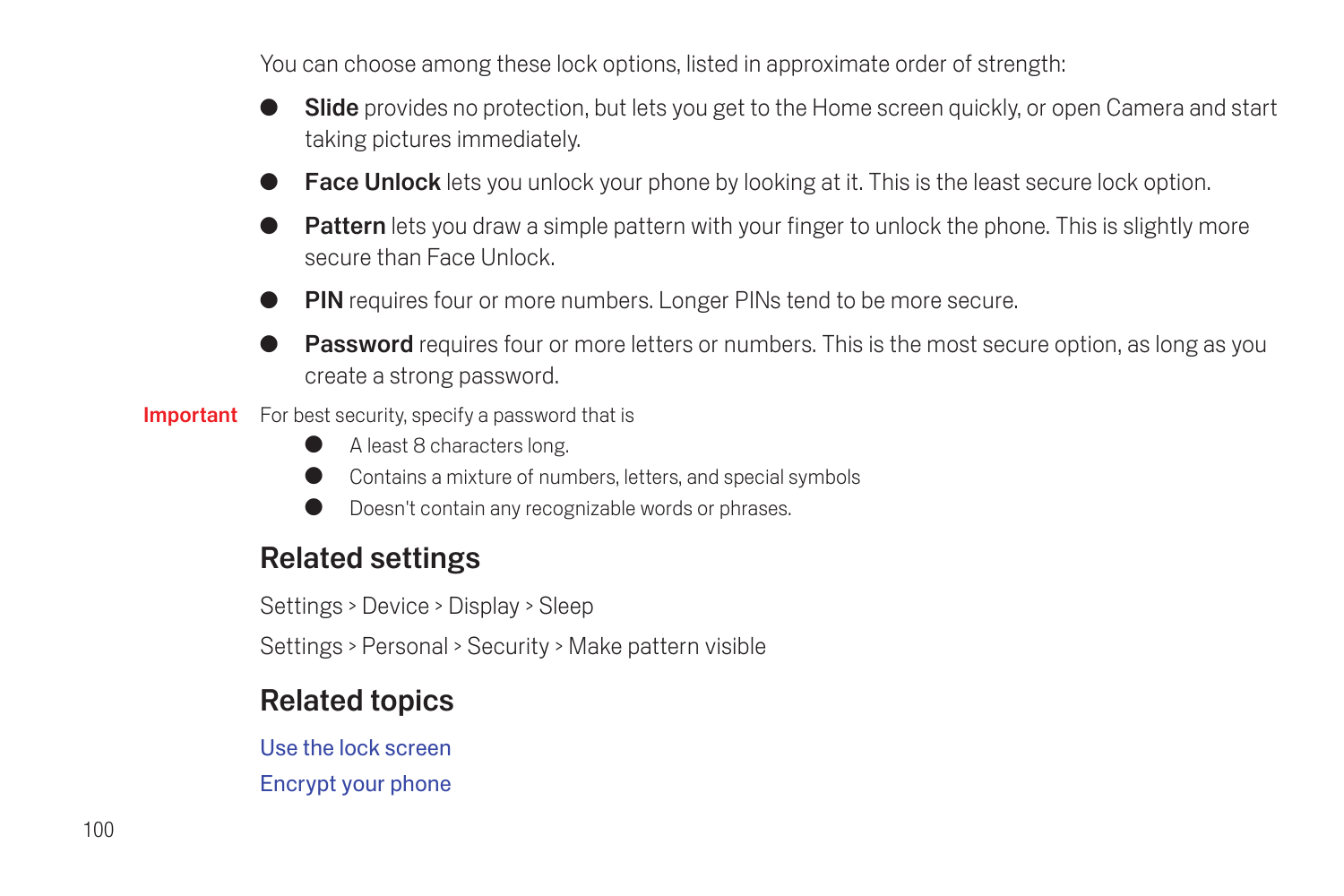You can choose among these lock options, listed in approximate order of strength:

- **Slide** provides no protection, but lets you get to the Home screen quickly, or open Camera and start taking pictures immediately.
- **Face Unlock** lets you unlock your phone by looking at it. This is the least secure lock option.
- **Pattern** lets you draw a simple pattern with your finger to unlock the phone. This is slightly more secure than Face Unlock.
- **PIN** requires four or more numbers. Longer PINs tend to be more secure.
- **Password** requires four or more letters or numbers. This is the most secure option, as long as you create a strong password.
- Important For best security, specify a password that is
	- **C** A least 8 characters long.
	- **Contains a mixture of numbers, letters, and special symbols**
	- Doesn't contain any recognizable words or phrases.

#### Related settings

Settings > Device > Display > Sleep

Settings > Personal > Security > Make pattern visible

#### Related topics

[Use the lock screen](#page-12-0) [Encrypt your phone](#page-102-0)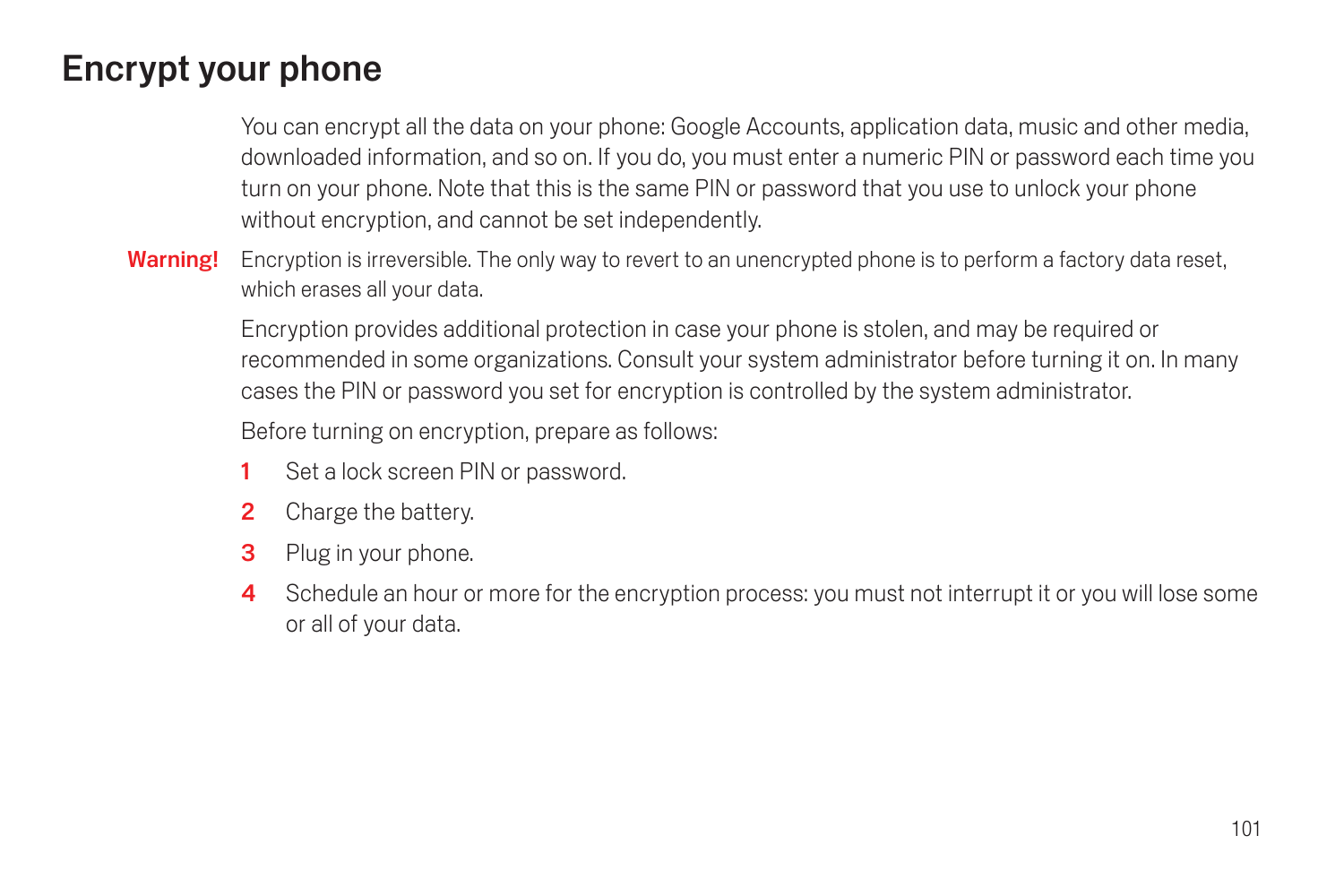# <span id="page-102-0"></span>Encrypt your phone

You can encrypt all the data on your phone: Google Accounts, application data, music and other media, downloaded information, and so on. If you do, you must enter a numeric PIN or password each time you turn on your phone. Note that this is the same PIN or password that you use to unlock your phone without encryption, and cannot be set independently.

Warning! Encryption is irreversible. The only way to revert to an unencrypted phone is to perform a factory data reset, which erases all your data.

> Encryption provides additional protection in case your phone is stolen, and may be required or recommended in some organizations. Consult your system administrator before turning it on. In many cases the PIN or password you set for encryption is controlled by the system administrator.

Before turning on encryption, prepare as follows:

- 1 Set a lock screen PIN or password.
- 2 Charge the battery.
- 3 Plug in your phone.
- 4 Schedule an hour or more for the encryption process: you must not interrupt it or you will lose some or all of your data.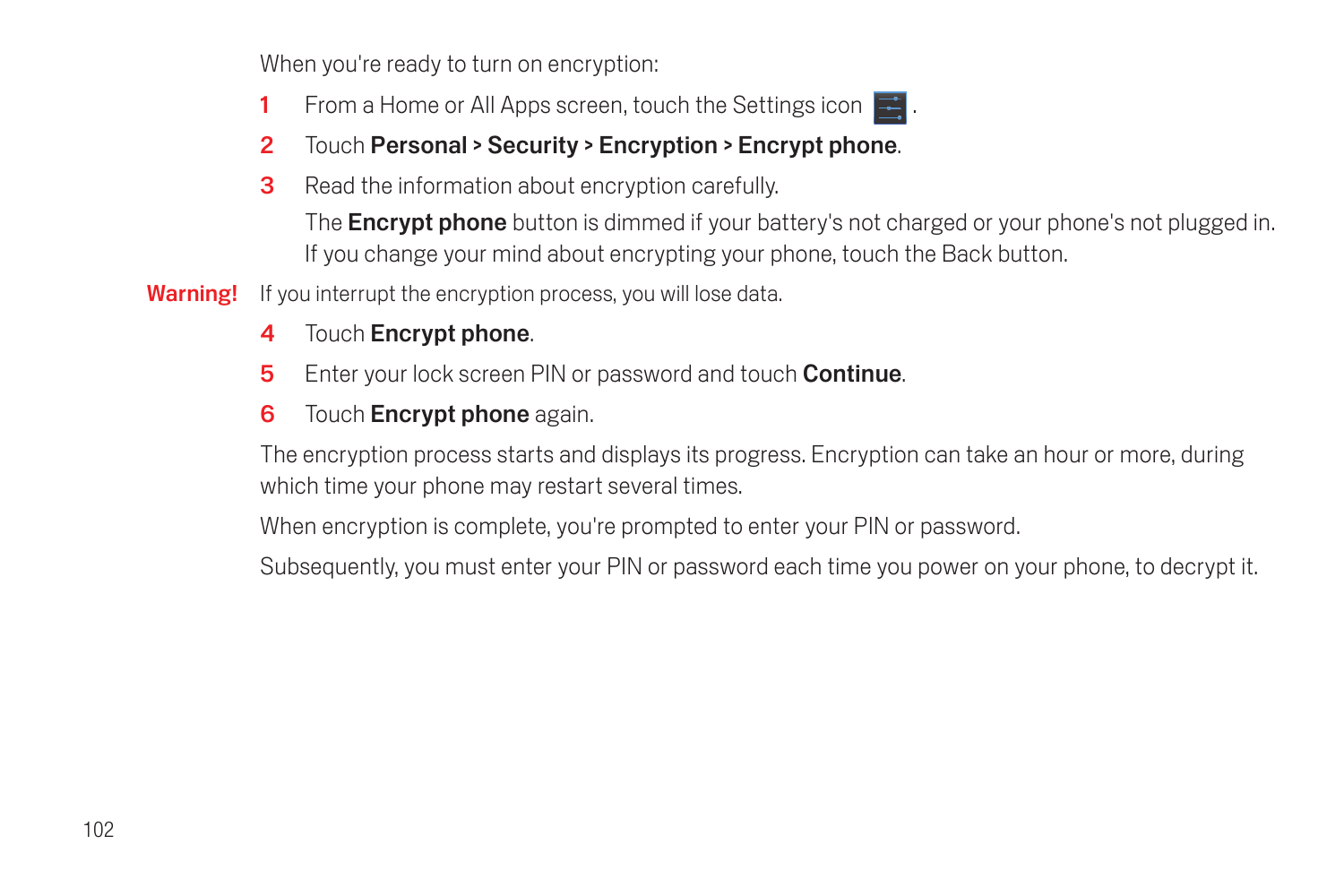When you're ready to turn on encryption:

- 1 From a Home or All Apps screen, touch the Settings icon  $\blacksquare$ .
- 2 Touch Personal > Security > Encryption > Encrypt phone.
- **3** Read the information about encryption carefully.

The **Encrypt phone** button is dimmed if your battery's not charged or your phone's not plugged in. If you change your mind about encrypting your phone, touch the Back button.

- Warning! If you interrupt the encryption process, you will lose data.
	- 4 Touch **Encrypt phone.**
	- **5** Enter your lock screen PIN or password and touch **Continue**.
	- **6** Touch **Encrypt phone** again.

The encryption process starts and displays its progress. Encryption can take an hour or more, during which time your phone may restart several times.

When encryption is complete, you're prompted to enter your PIN or password.

Subsequently, you must enter your PIN or password each time you power on your phone, to decrypt it.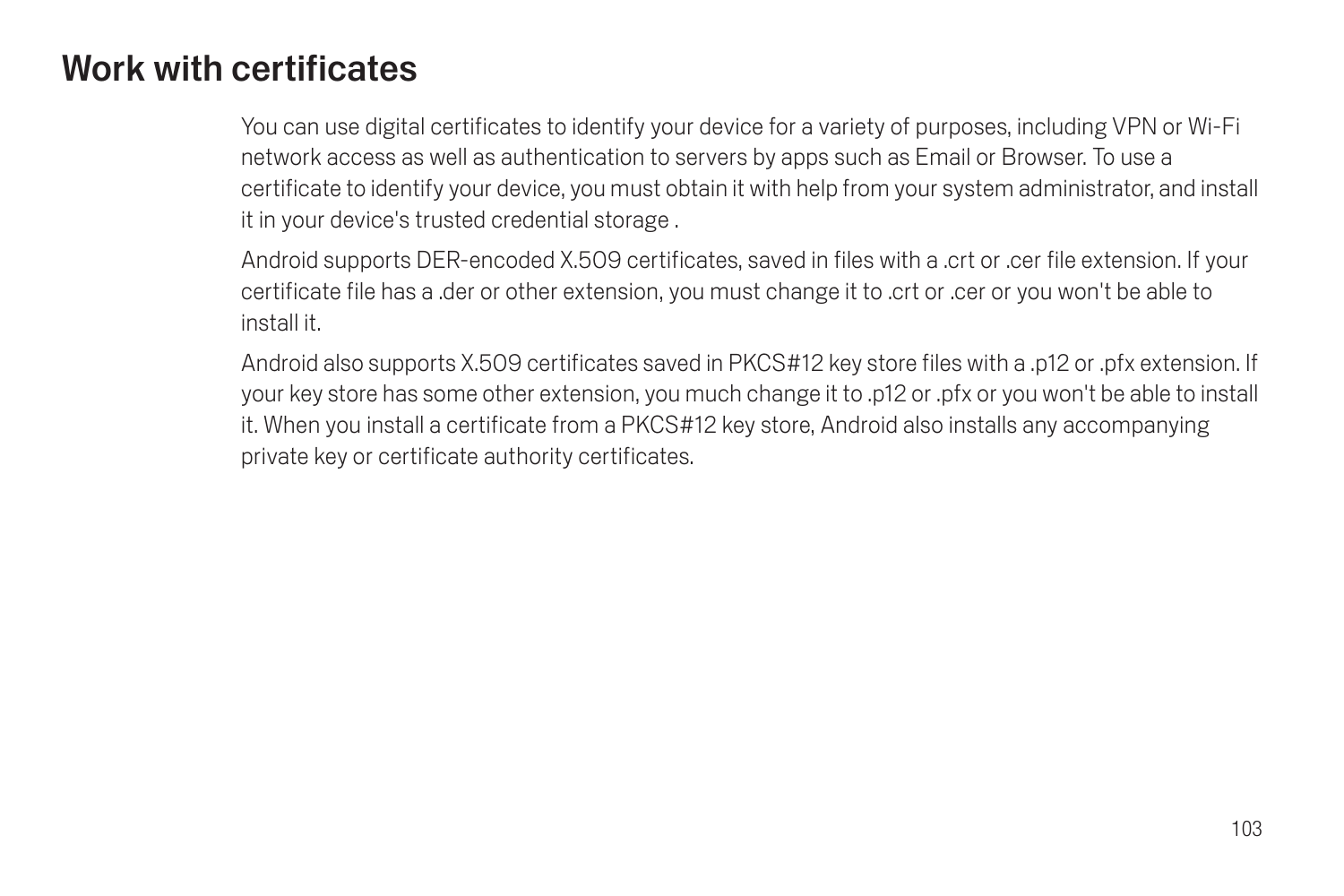# <span id="page-104-0"></span>Work with certificates

You can use digital certificates to identify your device for a variety of purposes, including VPN or Wi-Fi network access as well as authentication to servers by apps such as Email or Browser. To use a certificate to identify your device, you must obtain it with help from your system administrator, and install it in your device's trusted credential storage .

Android supports DER-encoded X.509 certificates, saved in files with a .crt or .cer file extension. If your certificate file has a .der or other extension, you must change it to .crt or .cer or you won't be able to install it.

Android also supports X.509 certificates saved in PKCS#12 key store files with a .p12 or .pfx extension. If your key store has some other extension, you much change it to .p12 or .pfx or you won't be able to install it. When you install a certificate from a PKCS#12 key store, Android also installs any accompanying private key or certificate authority certificates.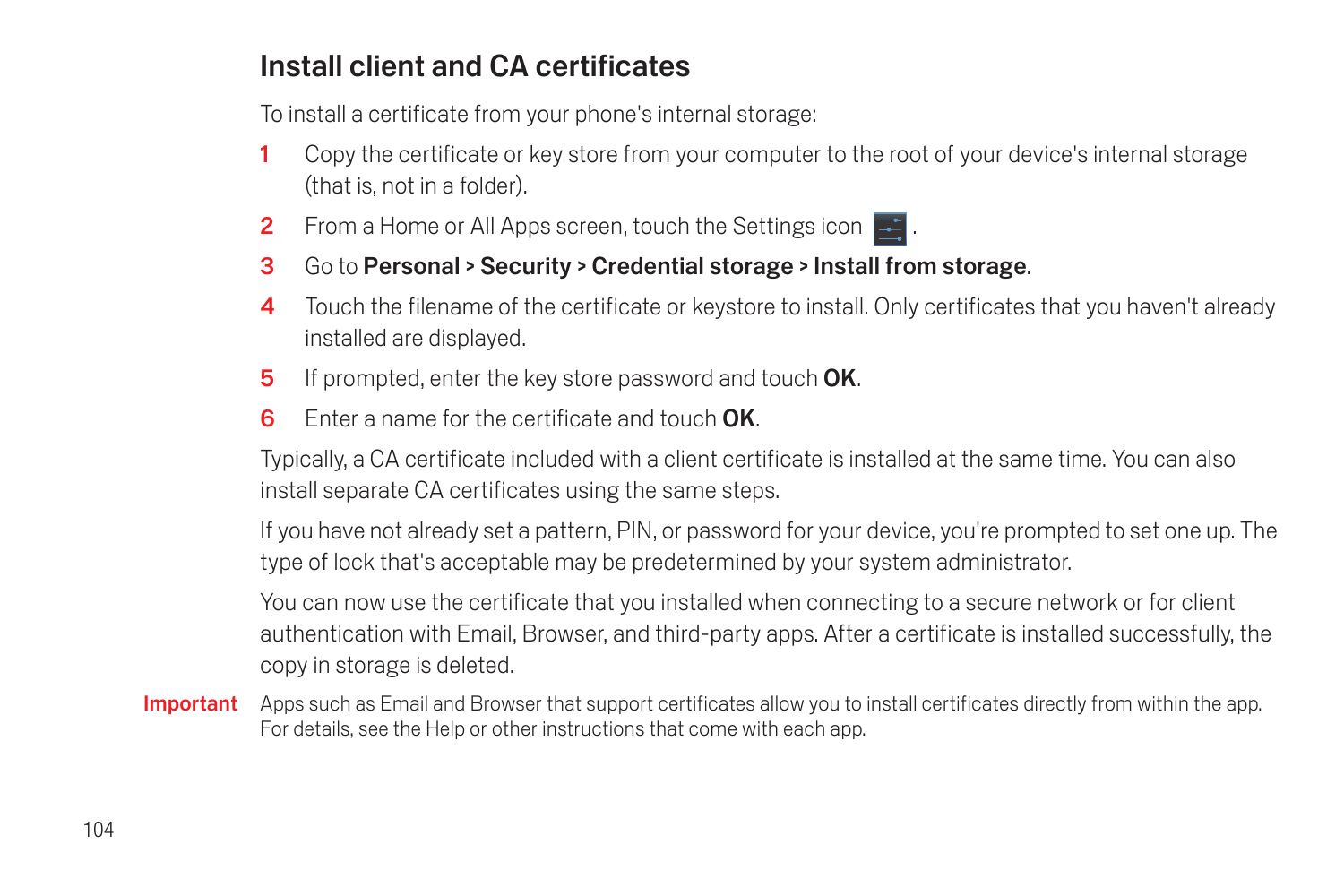## Install client and CA certificates

To install a certificate from your phone's internal storage:

- 1 Copy the certificate or key store from your computer to the root of your device's internal storage (that is, not in a folder).
- **2** From a Home or All Apps screen, touch the Settings icon  $\blacksquare$ .
- 3 Go to Personal > Security > Credential storage > Install from storage.
- 4 Touch the filename of the certificate or keystore to install. Only certificates that you haven't already installed are displayed.
- 5 If prompted, enter the key store password and touch OK.
- 6 Enter a name for the certificate and touch OK.

Typically, a CA certificate included with a client certificate is installed at the same time. You can also install separate CA certificates using the same steps.

If you have not already set a pattern, PIN, or password for your device, you're prompted to set one up. The type of lock that's acceptable may be predetermined by your system administrator.

You can now use the certificate that you installed when connecting to a secure network or for client authentication with Email, Browser, and third-party apps. After a certificate is installed successfully, the copy in storage is deleted.

Important Apps such as Email and Browser that support certificates allow you to install certificates directly from within the app. For details, see the Help or other instructions that come with each app.